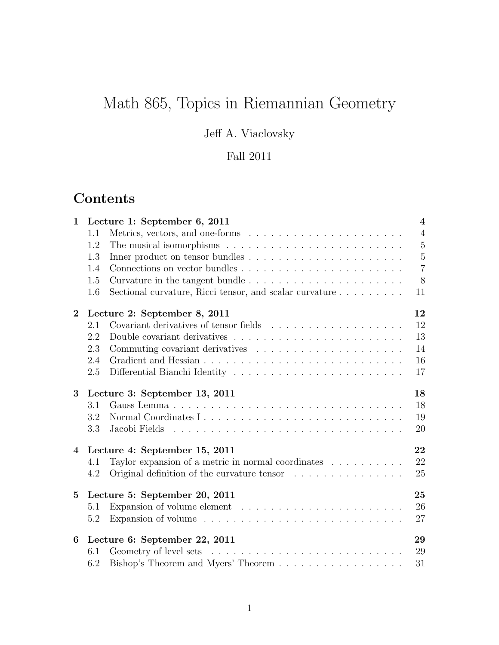# Math 865, Topics in Riemannian Geometry

## Jeff A. Viaclovsky

### Fall 2011

# Contents

| $\mathbf{1}$    | Lecture 1: September 6, 2011                                                         | $\overline{4}$ |
|-----------------|--------------------------------------------------------------------------------------|----------------|
|                 | 1.1                                                                                  | $\overline{4}$ |
|                 | 1.2                                                                                  | $\overline{5}$ |
|                 | 1.3                                                                                  | $\mathbf 5$    |
|                 | 1.4                                                                                  | $\overline{7}$ |
|                 | 1.5                                                                                  | 8              |
|                 | Sectional curvature, Ricci tensor, and scalar curvature<br>1.6                       | 11             |
| $\bf{2}$        | Lecture 2: September 8, 2011                                                         | 12             |
|                 | 2.1                                                                                  | 12             |
|                 | 2.2                                                                                  | 13             |
|                 | 2.3                                                                                  | 14             |
|                 | 2.4                                                                                  | 16             |
|                 | 2.5                                                                                  | 17             |
| 3               | Lecture 3: September 13, 2011                                                        | 18             |
|                 | 3.1                                                                                  | 18             |
|                 | 3.2                                                                                  | 19             |
|                 | 3.3                                                                                  | 20             |
| $\overline{4}$  | Lecture 4: September 15, 2011                                                        | 22             |
|                 | Taylor expansion of a metric in normal coordinates $\dots \dots \dots$<br>4.1        | 22             |
|                 | Original definition of the curvature tensor<br>4.2                                   | 25             |
| $5\overline{)}$ | Lecture 5: September 20, 2011                                                        | 25             |
|                 | 5.1                                                                                  | 26             |
|                 | Expansion of volume $\ldots \ldots \ldots \ldots \ldots \ldots \ldots \ldots$<br>5.2 | 27             |
| 6               | Lecture 6: September 22, 2011                                                        | 29             |
|                 | 6.1                                                                                  | 29             |
|                 | Bishop's Theorem and Myers' Theorem<br>6.2                                           | 31             |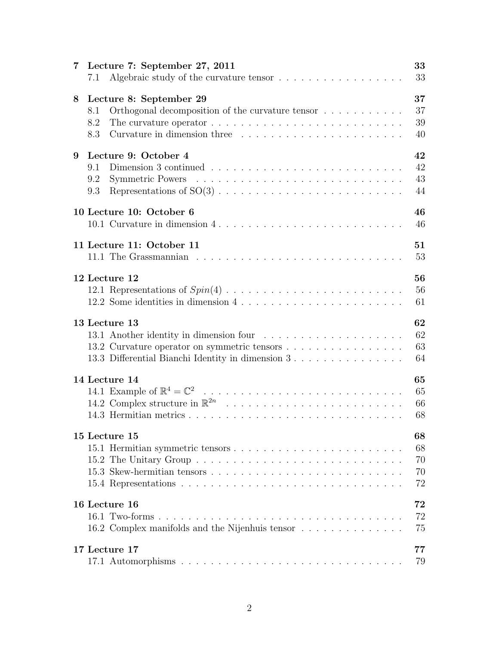| 7 | Lecture 7: September 27, 2011<br>Algebraic study of the curvature tensor $\dots \dots \dots \dots \dots \dots$<br>7.1                                         | 33<br>33                   |
|---|---------------------------------------------------------------------------------------------------------------------------------------------------------------|----------------------------|
| 8 | Lecture 8: September 29<br>Orthogonal decomposition of the curvature tensor $\dots \dots \dots$<br>8.1<br>8.2<br>8.3                                          | 37<br>37<br>39<br>40       |
| 9 | Lecture 9: October 4<br>9.1<br>9.2<br>9.3                                                                                                                     | 42<br>42<br>43<br>44       |
|   | 10 Lecture 10: October 6<br>10.1 Curvature in dimension $4, \ldots, \ldots, \ldots, \ldots, \ldots, \ldots, \ldots, \ldots$                                   | 46<br>46                   |
|   | 11 Lecture 11: October 11                                                                                                                                     | 51<br>53                   |
|   | 12 Lecture 12<br>12.2 Some identities in dimension 4                                                                                                          | 56<br>56<br>61             |
|   | 13 Lecture 13<br>13.1 Another identity in dimension four<br>13.2 Curvature operator on symmetric tensors<br>13.3 Differential Bianchi Identity in dimension 3 | 62<br>62<br>63<br>64       |
|   | 14 Lecture 14                                                                                                                                                 | 65<br>65<br>66<br>68       |
|   | 15 Lecture 15                                                                                                                                                 | 68<br>68<br>70<br>70<br>72 |
|   | 16 Lecture 16<br>16.2 Complex manifolds and the Nijenhuis tensor                                                                                              | 72<br>72<br>75             |
|   | 17 Lecture 17                                                                                                                                                 | 77<br>79                   |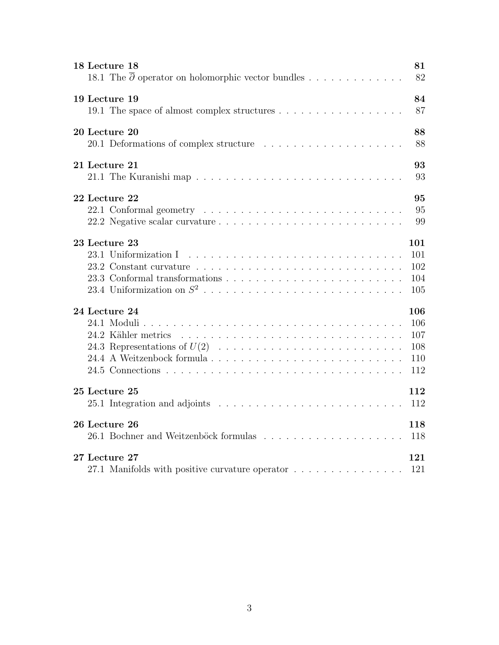| 18 Lecture 18                                                                                  | 81                              |
|------------------------------------------------------------------------------------------------|---------------------------------|
| 18.1 The $\overline{\partial}$ operator on holomorphic vector bundles                          | 82                              |
| 19 Lecture 19                                                                                  | 84                              |
|                                                                                                | 87                              |
| 20 Lecture 20                                                                                  | 88                              |
|                                                                                                | 88                              |
| 21 Lecture 21                                                                                  | 93                              |
|                                                                                                | 93                              |
| 22 Lecture 22                                                                                  | 95                              |
|                                                                                                | 95                              |
|                                                                                                | 99                              |
| 23 Lecture 23<br>23.1 Uniformization I                                                         | 101<br>101<br>102<br>104<br>105 |
| 24 Lecture 24                                                                                  | 106                             |
|                                                                                                | 106                             |
|                                                                                                | 107                             |
|                                                                                                | 108                             |
|                                                                                                | 110                             |
|                                                                                                | 112                             |
| 25 Lecture 25                                                                                  | 112                             |
| 25.1 Integration and adjoints $\ldots \ldots \ldots \ldots \ldots \ldots \ldots \ldots \ldots$ | 112                             |
| 26 Lecture 26                                                                                  | 118                             |
|                                                                                                | 118                             |
| 27 Lecture 27                                                                                  | 121                             |
| 27.1 Manifolds with positive curvature operator                                                | 121                             |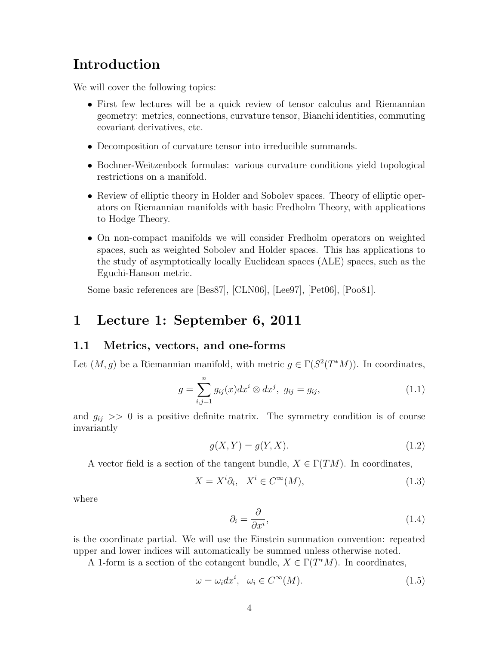### Introduction

We will cover the following topics:

- First few lectures will be a quick review of tensor calculus and Riemannian geometry: metrics, connections, curvature tensor, Bianchi identities, commuting covariant derivatives, etc.
- Decomposition of curvature tensor into irreducible summands.
- Bochner-Weitzenbock formulas: various curvature conditions yield topological restrictions on a manifold.
- Review of elliptic theory in Holder and Sobolev spaces. Theory of elliptic operators on Riemannian manifolds with basic Fredholm Theory, with applications to Hodge Theory.
- On non-compact manifolds we will consider Fredholm operators on weighted spaces, such as weighted Sobolev and Holder spaces. This has applications to the study of asymptotically locally Euclidean spaces (ALE) spaces, such as the Eguchi-Hanson metric.

Some basic references are [Bes87], [CLN06], [Lee97], [Pet06], [Poo81].

### 1 Lecture 1: September 6, 2011

#### 1.1 Metrics, vectors, and one-forms

Let  $(M, g)$  be a Riemannian manifold, with metric  $g \in \Gamma(S^2(T^*M))$ . In coordinates,

$$
g = \sum_{i,j=1}^{n} g_{ij}(x) dx^{i} \otimes dx^{j}, \ g_{ij} = g_{ij}, \qquad (1.1)
$$

and  $g_{ij} \gg 0$  is a positive definite matrix. The symmetry condition is of course invariantly

$$
g(X,Y) = g(Y,X). \tag{1.2}
$$

A vector field is a section of the tangent bundle,  $X \in \Gamma(TM)$ . In coordinates,

$$
X = X^i \partial_i, \quad X^i \in C^\infty(M), \tag{1.3}
$$

where

$$
\partial_i = \frac{\partial}{\partial x^i},\tag{1.4}
$$

is the coordinate partial. We will use the Einstein summation convention: repeated upper and lower indices will automatically be summed unless otherwise noted.

A 1-form is a section of the cotangent bundle,  $X \in \Gamma(T^*M)$ . In coordinates,

$$
\omega = \omega_i dx^i, \quad \omega_i \in C^{\infty}(M). \tag{1.5}
$$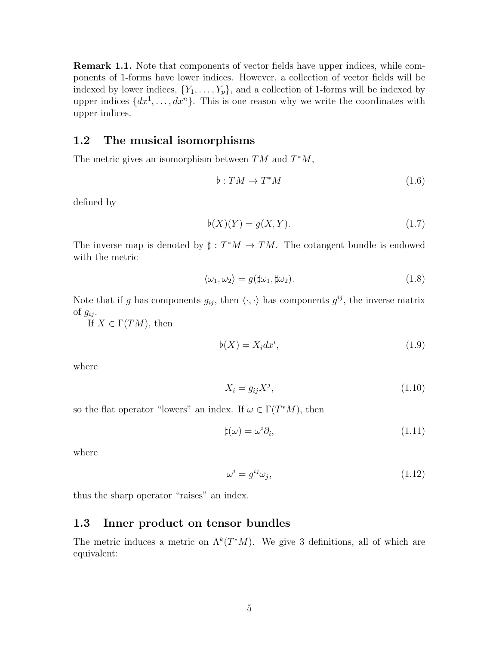**Remark 1.1.** Note that components of vector fields have upper indices, while components of 1-forms have lower indices. However, a collection of vector fields will be indexed by lower indices,  $\{Y_1, \ldots, Y_p\}$ , and a collection of 1-forms will be indexed by upper indices  $\{dx^1, \ldots, dx^n\}$ . This is one reason why we write the coordinates with upper indices.

### 1.2 The musical isomorphisms

The metric gives an isomorphism between  $TM$  and  $T^*M$ ,

$$
\flat: TM \to T^*M \tag{1.6}
$$

defined by

$$
\flat(X)(Y) = g(X, Y). \tag{1.7}
$$

The inverse map is denoted by  $\sharp : T^*M \to TM$ . The cotangent bundle is endowed with the metric

$$
\langle \omega_1, \omega_2 \rangle = g(\sharp \omega_1, \sharp \omega_2). \tag{1.8}
$$

Note that if g has components  $g_{ij}$ , then  $\langle \cdot, \cdot \rangle$  has components  $g^{ij}$ , the inverse matrix of  $g_{ij}$ .

If  $X \in \Gamma(TM)$ , then

$$
\flat(X) = X_i dx^i,\tag{1.9}
$$

where

$$
X_i = g_{ij} X^j,\tag{1.10}
$$

so the flat operator "lowers" an index. If  $\omega \in \Gamma(T^*M)$ , then

$$
\sharp(\omega) = \omega^i \partial_i,\tag{1.11}
$$

where

$$
\omega^i = g^{ij}\omega_j,\tag{1.12}
$$

thus the sharp operator "raises" an index.

### 1.3 Inner product on tensor bundles

The metric induces a metric on  $\Lambda^k(T^*M)$ . We give 3 definitions, all of which are equivalent: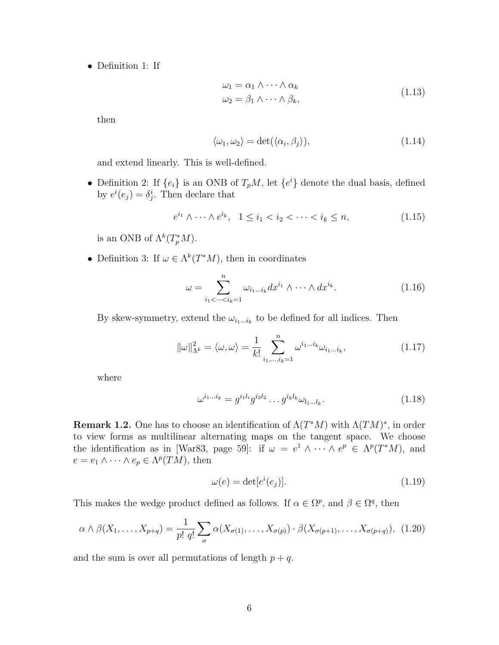• Definition 1: If

$$
\omega_1 = \alpha_1 \wedge \cdots \wedge \alpha_k \n\omega_2 = \beta_1 \wedge \cdots \wedge \beta_k,
$$
\n(1.13)

then

$$
\langle \omega_1, \omega_2 \rangle = \det(\langle \alpha_i, \beta_j \rangle), \tag{1.14}
$$

and extend linearly. This is well-defined.

• Definition 2: If  $\{e_i\}$  is an ONB of  $T_pM$ , let  $\{e^i\}$  denote the dual basis, defined by  $e^{i}(e_j) = \delta_j^{i}$ . Then declare that

$$
e^{i_1} \wedge \dots \wedge e^{i_k}, \quad 1 \le i_1 < i_2 < \dots < i_k \le n,\tag{1.15}
$$

is an ONB of  $\Lambda^k(T_p^*M)$ .

• Definition 3: If  $\omega \in \Lambda^k(T^*M)$ , then in coordinates

$$
\omega = \sum_{i_1 < \dots < i_k = 1}^n \omega_{i_1 \dots i_k} dx^{i_1} \wedge \dots \wedge dx^{i_k}.
$$
\n(1.16)

By skew-symmetry, extend the  $\omega_{i_1...i_k}$  to be defined for all indices. Then

$$
\|\omega\|_{\Lambda^k}^2 = \langle \omega, \omega \rangle = \frac{1}{k!} \sum_{i_1, \dots, i_k=1}^n \omega^{i_1 \dots i_k} \omega_{i_1 \dots i_k},
$$
\n(1.17)

where

$$
\omega^{i_1...i_k} = g^{i_1 l_i} g^{i_2 l_2} \dots g^{i_k l_k} \omega_{l_1...l_k}.
$$
\n(1.18)

**Remark 1.2.** One has to choose an identification of  $\Lambda(T^*M)$  with  $\Lambda(TM)^*$ , in order to view forms as multilinear alternating maps on the tangent space. We choose the identification as in [War83, page 59]: if  $\omega = e^1 \wedge \cdots \wedge e^p \in \Lambda^p(T^*M)$ , and  $e = e_1 \wedge \cdots \wedge e_p \in \Lambda^p(TM)$ , then

$$
\omega(e) = \det[e^i(e_j)].\tag{1.19}
$$

This makes the wedge product defined as follows. If  $\alpha \in \Omega^p$ , and  $\beta \in \Omega^q$ , then

$$
\alpha \wedge \beta(X_1, \dots, X_{p+q}) = \frac{1}{p! \, q!} \sum_{\sigma} \alpha(X_{\sigma(1)}, \dots, X_{\sigma(p)}) \cdot \beta(X_{\sigma(p+1)}, \dots, X_{\sigma(p+q)}), \tag{1.20}
$$

and the sum is over all permutations of length  $p + q$ .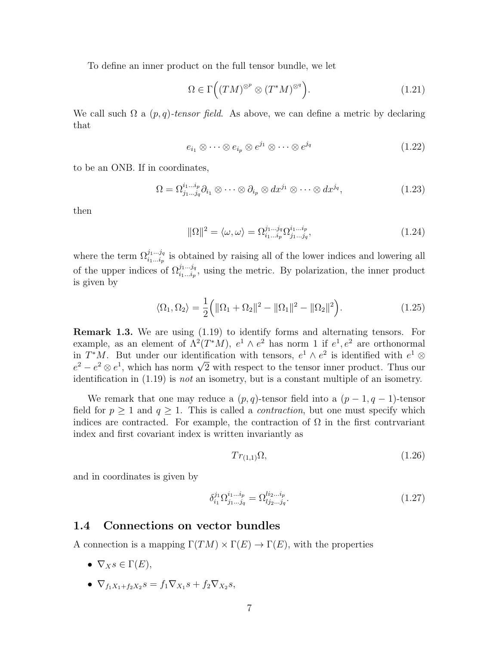To define an inner product on the full tensor bundle, we let

$$
\Omega \in \Gamma\Big((TM)^{\otimes p} \otimes (T^*M)^{\otimes q}\Big). \tag{1.21}
$$

We call such  $\Omega$  a  $(p, q)$ -tensor field. As above, we can define a metric by declaring that

$$
e_{i_1} \otimes \cdots \otimes e_{i_p} \otimes e^{j_1} \otimes \cdots \otimes e^{j_q} \tag{1.22}
$$

to be an ONB. If in coordinates,

$$
\Omega = \Omega^{i_1 \dots i_p}_{j_1 \dots j_q} \partial_{i_1} \otimes \dots \otimes \partial_{i_p} \otimes dx^{j_1} \otimes \dots \otimes dx^{j_q}, \qquad (1.23)
$$

then

$$
\|\Omega\|^2 = \langle \omega, \omega \rangle = \Omega_{i_1 \dots i_p}^{j_1 \dots j_q} \Omega_{j_1 \dots j_q}^{i_1 \dots i_p},\tag{1.24}
$$

where the term  $\Omega_{i_1...i_p}^{j_1...j_q}$  is obtained by raising all of the lower indices and lowering all of the upper indices of  $\Omega_{i_1...i_p}^{j_1...j_q}$ , using the metric. By polarization, the inner product is given by

$$
\langle \Omega_1, \Omega_2 \rangle = \frac{1}{2} ( \| \Omega_1 + \Omega_2 \|^2 - \| \Omega_1 \|^2 - \| \Omega_2 \|^2 ). \tag{1.25}
$$

Remark 1.3. We are using (1.19) to identify forms and alternating tensors. For example, as an element of  $\Lambda^2(T^*M)$ ,  $e^1 \wedge e^2$  has norm 1 if  $e^1, e^2$  are orthonormal in  $T^*M$ . But under our identification with tensors,  $e^1 \wedge e^2$  is identified with  $e^1 \otimes$ in  $I/M$ . But under our identification with tensors,  $e^2 \wedge e^-$  is identified with  $e^2 \otimes e^1$ , which has norm  $\sqrt{2}$  with respect to the tensor inner product. Thus our identification in  $(1.19)$  is *not* an isometry, but is a constant multiple of an isometry.

We remark that one may reduce a  $(p, q)$ -tensor field into a  $(p - 1, q - 1)$ -tensor field for  $p \geq 1$  and  $q \geq 1$ . This is called a *contraction*, but one must specify which indices are contracted. For example, the contraction of  $\Omega$  in the first contrvariant index and first covariant index is written invariantly as

$$
Tr_{(1,1)}\Omega, \tag{1.26}
$$

and in coordinates is given by

$$
\delta_{i_1}^{j_1} \Omega_{j_1 \dots j_q}^{i_1 \dots i_p} = \Omega_{l j_2 \dots j_q}^{l i_2 \dots i_p}.
$$
\n(1.27)

#### 1.4 Connections on vector bundles

A connection is a mapping  $\Gamma(TM) \times \Gamma(E) \rightarrow \Gamma(E)$ , with the properties

- $\nabla_X s \in \Gamma(E)$ ,
- $\nabla_{f_1X_1+f_2X_2}s = f_1\nabla_{X_1}s + f_2\nabla_{X_2}s,$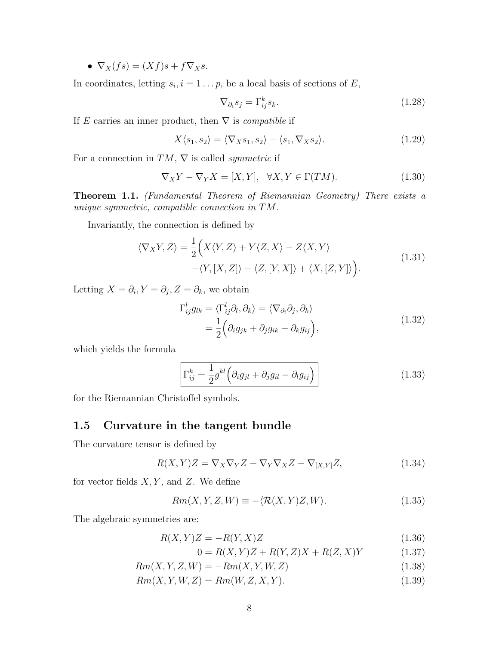•  $\nabla_X(fs) = (Xf)s + f\nabla_Xs$ .

In coordinates, letting  $s_i, i = 1 \dots p$ , be a local basis of sections of E,

$$
\nabla_{\partial_i} s_j = \Gamma_{ij}^k s_k. \tag{1.28}
$$

If E carries an inner product, then  $\nabla$  is *compatible* if

$$
X\langle s_1, s_2\rangle = \langle \nabla_X s_1, s_2\rangle + \langle s_1, \nabla_X s_2\rangle.
$$
 (1.29)

For a connection in  $TM$ ,  $\nabla$  is called *symmetric* if

$$
\nabla_X Y - \nabla_Y X = [X, Y], \quad \forall X, Y \in \Gamma(TM). \tag{1.30}
$$

Theorem 1.1. (Fundamental Theorem of Riemannian Geometry) There exists a unique symmetric, compatible connection in TM.

Invariantly, the connection is defined by

$$
\langle \nabla_X Y, Z \rangle = \frac{1}{2} \Big( X \langle Y, Z \rangle + Y \langle Z, X \rangle - Z \langle X, Y \rangle - \langle Y, [X, Z] \rangle - \langle Z, [Y, X] \rangle + \langle X, [Z, Y] \rangle \Big).
$$
(1.31)

Letting  $X = \partial_i, Y = \partial_j, Z = \partial_k$ , we obtain

$$
\Gamma_{ij}^{l} g_{lk} = \langle \Gamma_{ij}^{l} \partial_l, \partial_k \rangle = \langle \nabla_{\partial_i} \partial_j, \partial_k \rangle \n= \frac{1}{2} \Big( \partial_i g_{jk} + \partial_j g_{ik} - \partial_k g_{ij} \Big),
$$
\n(1.32)

which yields the formula

$$
\Gamma_{ij}^k = \frac{1}{2} g^{kl} \left( \partial_i g_{jl} + \partial_j g_{il} - \partial_l g_{ij} \right)
$$
\n(1.33)

for the Riemannian Christoffel symbols.

### 1.5 Curvature in the tangent bundle

The curvature tensor is defined by

$$
R(X,Y)Z = \nabla_X \nabla_Y Z - \nabla_Y \nabla_X Z - \nabla_{[X,Y]} Z,\tag{1.34}
$$

for vector fields  $X, Y$ , and  $Z$ . We define

$$
Rm(X, Y, Z, W) \equiv -\langle \mathcal{R}(X, Y)Z, W \rangle.
$$
\n(1.35)

The algebraic symmetries are:

$$
R(X,Y)Z = -R(Y,X)Z\tag{1.36}
$$

$$
0 = R(X, Y)Z + R(Y, Z)X + R(Z, X)Y
$$
\n(1.37)

$$
Rm(X, Y, Z, W) = -Rm(X, Y, W, Z)
$$
\n
$$
(1.38)
$$

$$
Rm(X, Y, W, Z) = Rm(W, Z, X, Y). \tag{1.39}
$$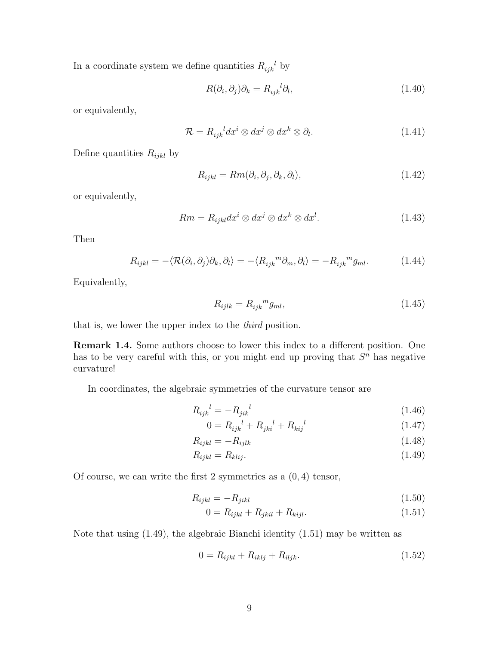In a coordinate system we define quantities  $R_{ijk}^{\ \ l}$  by

$$
R(\partial_i, \partial_j)\partial_k = R_{ijk}^{\ \ l}\partial_l,\tag{1.40}
$$

or equivalently,

$$
\mathcal{R} = R_{ijk}{}^{l} dx^{i} \otimes dx^{j} \otimes dx^{k} \otimes \partial_{l}.
$$
 (1.41)

Define quantities  $R_{ijkl}$  by

$$
R_{ijkl} = Rm(\partial_i, \partial_j, \partial_k, \partial_l), \qquad (1.42)
$$

or equivalently,

$$
Rm = R_{ijkl}dx^i \otimes dx^j \otimes dx^k \otimes dx^l. \tag{1.43}
$$

Then

$$
R_{ijkl} = -\langle \mathcal{R}(\partial_i, \partial_j) \partial_k, \partial_l \rangle = -\langle R_{ijk}{}^m \partial_m, \partial_l \rangle = -R_{ijk}{}^m g_{ml}.
$$
 (1.44)

Equivalently,

$$
R_{ijlk} = R_{ijk}{}^m g_{ml},\tag{1.45}
$$

that is, we lower the upper index to the third position.

Remark 1.4. Some authors choose to lower this index to a different position. One has to be very careful with this, or you might end up proving that  $S<sup>n</sup>$  has negative curvature!

In coordinates, the algebraic symmetries of the curvature tensor are

$$
R_{ijk}^{\ \ l} = -R_{jik}^{\ \ l} \tag{1.46}
$$

$$
0 = R_{ijk}^{\ \ l} + R_{jki}^{\ \ l} + R_{kij}^{\ \ l} \tag{1.47}
$$

$$
R_{ijkl} = -R_{ijlk} \tag{1.48}
$$

$$
R_{ijkl} = R_{klij}.\tag{1.49}
$$

Of course, we can write the first 2 symmetries as a  $(0, 4)$  tensor,

$$
R_{ijkl} = -R_{jikl} \tag{1.50}
$$

$$
0 = R_{ijkl} + R_{jkil} + R_{kijl}.
$$
\n(1.51)

Note that using (1.49), the algebraic Bianchi identity (1.51) may be written as

$$
0 = R_{ijkl} + R_{iklj} + R_{iljk}.
$$
\n(1.52)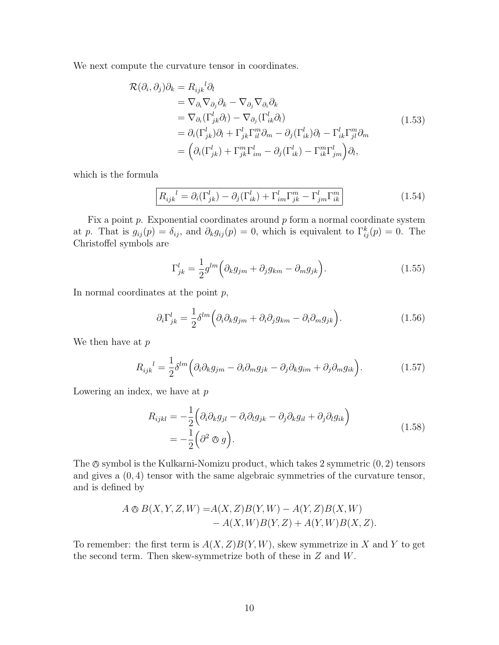We next compute the curvature tensor in coordinates.

$$
\mathcal{R}(\partial_i, \partial_j)\partial_k = R_{ijk}{}^l \partial_l \n= \nabla_{\partial_i} \nabla_{\partial_j} \partial_k - \nabla_{\partial_j} \nabla_{\partial_i} \partial_k \n= \nabla_{\partial_i} (\Gamma^l_{jk} \partial_l) - \nabla_{\partial_j} (\Gamma^l_{ik} \partial_l) \n= \partial_i (\Gamma^l_{jk}) \partial_l + \Gamma^l_{jk} \Gamma^m_{il} \partial_m - \partial_j (\Gamma^l_{ik}) \partial_l - \Gamma^l_{ik} \Gamma^m_{jl} \partial_m \n= \left( \partial_i (\Gamma^l_{jk}) + \Gamma^m_{jk} \Gamma^l_{im} - \partial_j (\Gamma^l_{ik}) - \Gamma^m_{ik} \Gamma^l_{jm} \right) \partial_l,
$$
\n(1.53)

which is the formula

$$
\boxed{R_{ijk}^{l} = \partial_i(\Gamma_{jk}^l) - \partial_j(\Gamma_{ik}^l) + \Gamma_{im}^l \Gamma_{jk}^m - \Gamma_{jm}^l \Gamma_{ik}^m}
$$
 (1.54)

Fix a point  $p$ . Exponential coordinates around  $p$  form a normal coordinate system at p. That is  $g_{ij}(p) = \delta_{ij}$ , and  $\partial_k g_{ij}(p) = 0$ , which is equivalent to  $\Gamma^k_{ij}(p) = 0$ . The Christoffel symbols are

$$
\Gamma_{jk}^{l} = \frac{1}{2} g^{lm} \left( \partial_k g_{jm} + \partial_j g_{km} - \partial_m g_{jk} \right).
$$
 (1.55)

In normal coordinates at the point  $p$ ,

$$
\partial_i \Gamma^l_{jk} = \frac{1}{2} \delta^{lm} \left( \partial_i \partial_k g_{jm} + \partial_i \partial_j g_{km} - \partial_i \partial_m g_{jk} \right).
$$
 (1.56)

We then have at  $p$ 

$$
R_{ijk}^{\quad l} = \frac{1}{2} \delta^{lm} \left( \partial_i \partial_k g_{jm} - \partial_i \partial_m g_{jk} - \partial_j \partial_k g_{im} + \partial_j \partial_m g_{ik} \right). \tag{1.57}
$$

Lowering an index, we have at  $p$ 

$$
R_{ijkl} = -\frac{1}{2} \left( \partial_i \partial_k g_{jl} - \partial_i \partial_l g_{jk} - \partial_j \partial_k g_{il} + \partial_j \partial_l g_{ik} \right)
$$
  
= 
$$
-\frac{1}{2} \left( \partial^2 \otimes g \right).
$$
 (1.58)

The  $\otimes$  symbol is the Kulkarni-Nomizu product, which takes 2 symmetric  $(0, 2)$  tensors and gives a (0, 4) tensor with the same algebraic symmetries of the curvature tensor, and is defined by

$$
A \otimes B(X, Y, Z, W) = A(X, Z)B(Y, W) - A(Y, Z)B(X, W) - A(X, W)B(Y, Z) + A(Y, W)B(X, Z).
$$

To remember: the first term is  $A(X, Z)B(Y, W)$ , skew symmetrize in X and Y to get the second term. Then skew-symmetrize both of these in Z and W.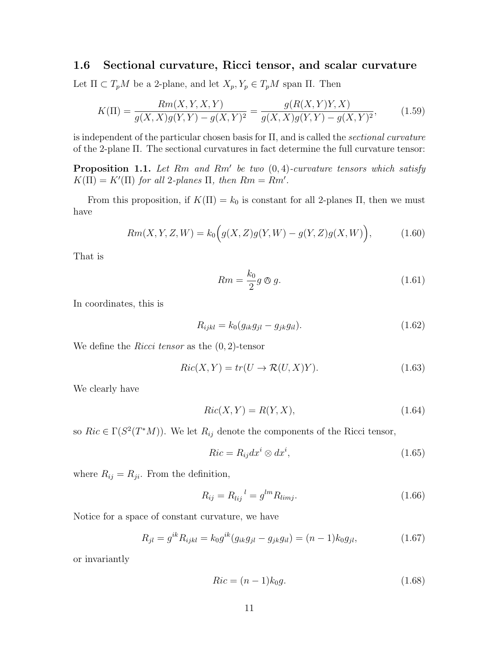### 1.6 Sectional curvature, Ricci tensor, and scalar curvature

Let  $\Pi \subset T_pM$  be a 2-plane, and let  $X_p, Y_p \in T_pM$  span  $\Pi$ . Then

$$
K(\Pi) = \frac{Rm(X, Y, X, Y)}{g(X, X)g(Y, Y) - g(X, Y)^2} = \frac{g(R(X, Y)Y, X)}{g(X, X)g(Y, Y) - g(X, Y)^2},
$$
(1.59)

is independent of the particular chosen basis for  $\Pi$ , and is called the sectional curvature of the 2-plane Π. The sectional curvatures in fact determine the full curvature tensor:

**Proposition 1.1.** Let  $Rm$  and  $Rm'$  be two  $(0, 4)$ -curvature tensors which satisfy  $K(\Pi) = K'(\Pi)$  for all 2-planes  $\Pi$ , then  $Rm = Rm'$ .

From this proposition, if  $K(\Pi) = k_0$  is constant for all 2-planes  $\Pi$ , then we must have

$$
Rm(X, Y, Z, W) = k_0igg(X, Z)g(Y, W) - g(Y, Z)g(X, W)\big),
$$
\n(1.60)

That is

$$
Rm = \frac{k_0}{2}g \otimes g. \tag{1.61}
$$

In coordinates, this is

$$
R_{ijkl} = k_0 (g_{ik}g_{jl} - g_{jk}g_{il}).
$$
\n(1.62)

We define the *Ricci tensor* as the  $(0, 2)$ -tensor

$$
Ric(X,Y) = tr(U \to \mathcal{R}(U,X)Y).
$$
\n(1.63)

We clearly have

$$
Ric(X, Y) = R(Y, X),\tag{1.64}
$$

so  $Ric \in \Gamma(S^2(T^*M))$ . We let  $R_{ij}$  denote the components of the Ricci tensor,

$$
Ric = R_{ij}dx^{i} \otimes dx^{i}, \qquad (1.65)
$$

where  $R_{ij} = R_{ji}$ . From the definition,

$$
R_{ij} = R_{lij}^{\ \ l} = g^{lm} R_{limj}.
$$
\n(1.66)

Notice for a space of constant curvature, we have

$$
R_{jl} = g^{ik} R_{ijkl} = k_0 g^{ik} (g_{ik} g_{jl} - g_{jk} g_{il}) = (n-1) k_0 g_{jl}, \qquad (1.67)
$$

or invariantly

$$
Ric = (n-1)k_0g.\t\t(1.68)
$$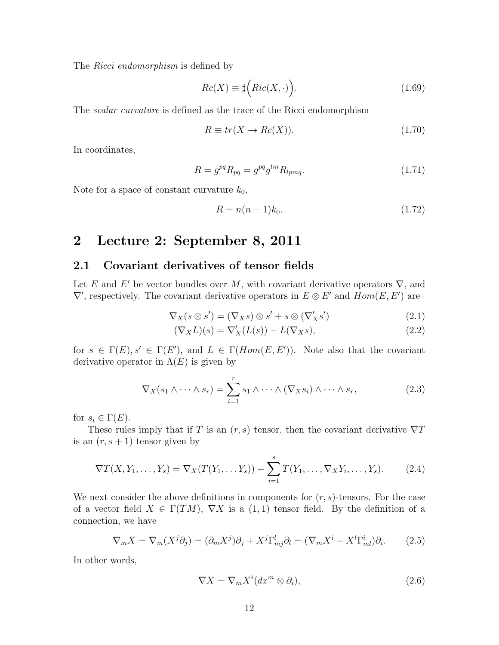The *Ricci endomorphism* is defined by

$$
Rc(X) \equiv \sharp \Big(Ric(X, \cdot)\Big). \tag{1.69}
$$

The scalar curvature is defined as the trace of the Ricci endomorphism

$$
R \equiv tr(X \to Re(X)). \tag{1.70}
$$

In coordinates,

$$
R = g^{pq} R_{pq} = g^{pq} g^{lm} R_{lpmq}.
$$
\n
$$
(1.71)
$$

Note for a space of constant curvature  $k_0$ ,

$$
R = n(n-1)k_0.
$$
\n(1.72)

### 2 Lecture 2: September 8, 2011

### 2.1 Covariant derivatives of tensor fields

Let E and E' be vector bundles over M, with covariant derivative operators  $\nabla$ , and  $\nabla'$ , respectively. The covariant derivative operators in  $E \otimes E'$  and  $Hom(E, E')$  are

$$
\nabla_X(s \otimes s') = (\nabla_X s) \otimes s' + s \otimes (\nabla'_X s') \tag{2.1}
$$

$$
(\nabla_X L)(s) = \nabla'_X (L(s)) - L(\nabla_X s), \qquad (2.2)
$$

for  $s \in \Gamma(E)$ ,  $s' \in \Gamma(E')$ , and  $L \in \Gamma(Hom(E, E'))$ . Note also that the covariant derivative operator in  $\Lambda(E)$  is given by

$$
\nabla_X(s_1 \wedge \cdots \wedge s_r) = \sum_{i=1}^r s_1 \wedge \cdots \wedge (\nabla_X s_i) \wedge \cdots \wedge s_r,
$$
 (2.3)

for  $s_i \in \Gamma(E)$ .

These rules imply that if T is an  $(r, s)$  tensor, then the covariant derivative  $\nabla T$ is an  $(r, s + 1)$  tensor given by

$$
\nabla T(X, Y_1, \dots, Y_s) = \nabla_X(T(Y_1, \dots, Y_s)) - \sum_{i=1}^s T(Y_1, \dots, \nabla_X Y_i, \dots, Y_s).
$$
 (2.4)

We next consider the above definitions in components for  $(r, s)$ -tensors. For the case of a vector field  $X \in \Gamma(TM)$ ,  $\nabla X$  is a  $(1,1)$  tensor field. By the definition of a connection, we have

$$
\nabla_m X = \nabla_m (X^j \partial_j) = (\partial_m X^j) \partial_j + X^j \Gamma^l_{mj} \partial_l = (\nabla_m X^i + X^l \Gamma^i_{ml}) \partial_i.
$$
 (2.5)

In other words,

$$
\nabla X = \nabla_m X^i (dx^m \otimes \partial_i), \qquad (2.6)
$$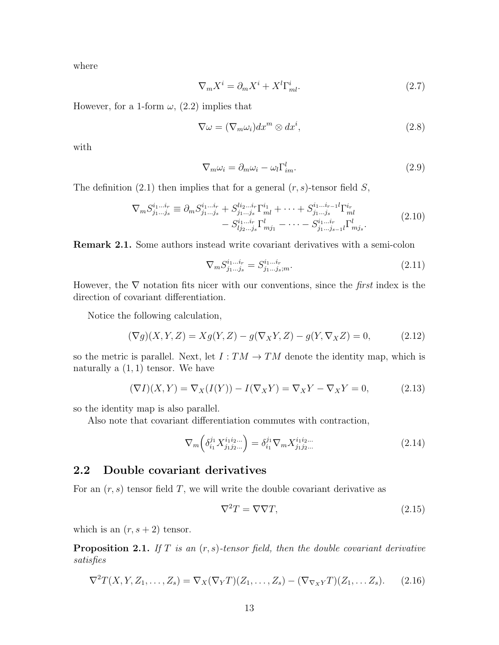where

$$
\nabla_m X^i = \partial_m X^i + X^l \Gamma^i_{ml}.
$$
\n(2.7)

However, for a 1-form  $\omega$ , (2.2) implies that

$$
\nabla \omega = (\nabla_m \omega_i) dx^m \otimes dx^i,
$$
\n(2.8)

with

$$
\nabla_m \omega_i = \partial_m \omega_i - \omega_l \Gamma^l_{im}.
$$
\n(2.9)

The definition (2.1) then implies that for a general  $(r, s)$ -tensor field S,

$$
\nabla_{m} S_{j_{1}...j_{s}}^{i_{1}...i_{r}} \equiv \partial_{m} S_{j_{1}...j_{s}}^{i_{1}...i_{r}} + S_{j_{1}...j_{s}}^{l_{2}...i_{r}} \Gamma_{ml}^{i_{1}} + \cdots + S_{j_{1}...j_{s}}^{i_{1}...i_{r-1}} l \Gamma_{ml}^{i_{r}} - S_{j_{1}...j_{s}}^{i_{1}...i_{r}} \Gamma_{mj_{1}}^{l} - \cdots - S_{j_{1}...j_{s-1}}^{i_{1}...i_{r}} l \Gamma_{mj_{s}}^{l}.
$$
\n(2.10)

Remark 2.1. Some authors instead write covariant derivatives with a semi-colon

$$
\nabla_m S^{i_1 \dots i_r}_{j_1 \dots j_s} = S^{i_1 \dots i_r}_{j_1 \dots j_s; m}.
$$
\n(2.11)

However, the  $\nabla$  notation fits nicer with our conventions, since the *first* index is the direction of covariant differentiation.

Notice the following calculation,

$$
(\nabla g)(X,Y,Z) = Xg(Y,Z) - g(\nabla_X Y,Z) - g(Y,\nabla_X Z) = 0,\tag{2.12}
$$

so the metric is parallel. Next, let  $I: TM \to TM$  denote the identity map, which is naturally a  $(1, 1)$  tensor. We have

$$
(\nabla I)(X,Y) = \nabla_X(I(Y)) - I(\nabla_X Y) = \nabla_X Y - \nabla_X Y = 0,
$$
\n(2.13)

so the identity map is also parallel.

Also note that covariant differentiation commutes with contraction,

$$
\nabla_m \left( \delta_{i_1}^{j_1} X_{j_1 j_2 \dots}^{i_1 i_2 \dots} \right) = \delta_{i_1}^{j_1} \nabla_m X_{j_1 j_2 \dots}^{i_1 i_2 \dots} \tag{2.14}
$$

#### 2.2 Double covariant derivatives

For an  $(r, s)$  tensor field T, we will write the double covariant derivative as

$$
\nabla^2 T = \nabla \nabla T,\tag{2.15}
$$

which is an  $(r, s + 2)$  tensor.

**Proposition 2.1.** If T is an  $(r, s)$ -tensor field, then the double covariant derivative satisfies

$$
\nabla^2 T(X, Y, Z_1, \dots, Z_s) = \nabla_X (\nabla_Y T)(Z_1, \dots, Z_s) - (\nabla_{\nabla_X Y} T)(Z_1, \dots, Z_s). \tag{2.16}
$$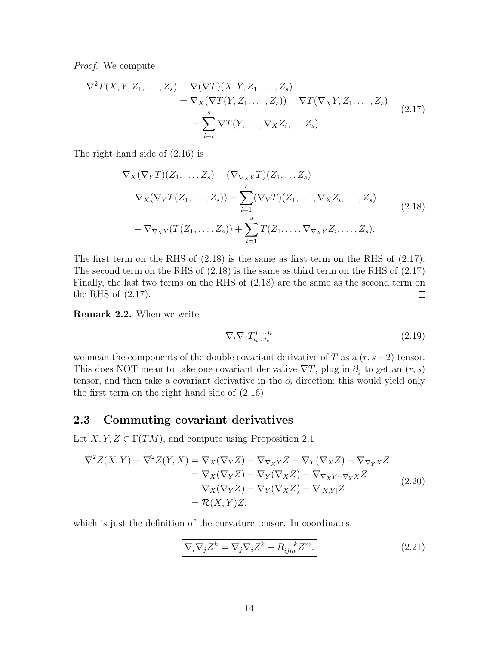Proof. We compute

$$
\nabla^2 T(X, Y, Z_1, \dots, Z_s) = \nabla(\nabla T)(X, Y, Z_1, \dots, Z_s)
$$
  
\n
$$
= \nabla_X(\nabla T(Y, Z_1, \dots, Z_s)) - \nabla T(\nabla_X Y, Z_1, \dots, Z_s)
$$
  
\n
$$
- \sum_{i=i}^s \nabla T(Y, \dots, \nabla_X Z_i, \dots Z_s).
$$
\n(2.17)

The right hand side of (2.16) is

$$
\nabla_X(\nabla_Y T)(Z_1, \dots, Z_s) - (\nabla_{\nabla_X Y} T)(Z_1, \dots, Z_s)
$$
\n
$$
= \nabla_X(\nabla_Y T(Z_1, \dots, Z_s)) - \sum_{i=1}^s (\nabla_Y T)(Z_1, \dots, \nabla_X Z_i, \dots, Z_s)
$$
\n
$$
- \nabla_{\nabla_X Y}(T(Z_1, \dots, Z_s)) + \sum_{i=1}^s T(Z_1, \dots, \nabla_{\nabla_X Y} Z_i, \dots, Z_s).
$$
\n(2.18)

The first term on the RHS of (2.18) is the same as first term on the RHS of (2.17). The second term on the RHS of (2.18) is the same as third term on the RHS of (2.17) Finally, the last two terms on the RHS of (2.18) are the same as the second term on the RHS of (2.17).  $\Box$ 

Remark 2.2. When we write

$$
\nabla_i \nabla_j T_{i_1 \dots i_s}^{j_1 \dots j_r} \tag{2.19}
$$

we mean the components of the double covariant derivative of T as a  $(r, s+2)$  tensor. This does NOT mean to take one covariant derivative  $\nabla T$ , plug in  $\partial_j$  to get an  $(r, s)$ tensor, and then take a covariant derivative in the  $\partial_i$  direction; this would yield only the first term on the right hand side of (2.16).

### 2.3 Commuting covariant derivatives

Let  $X, Y, Z \in \Gamma(TM)$ , and compute using Proposition 2.1

$$
\nabla^2 Z(X,Y) - \nabla^2 Z(Y,X) = \nabla_X (\nabla_Y Z) - \nabla_{\nabla_X Y} Z - \nabla_Y (\nabla_X Z) - \nabla_{\nabla_Y X} Z
$$
  
\n
$$
= \nabla_X (\nabla_Y Z) - \nabla_Y (\nabla_X Z) - \nabla_{\nabla_X Y - \nabla_Y X} Z
$$
  
\n
$$
= \nabla_X (\nabla_Y Z) - \nabla_Y (\nabla_X Z) - \nabla_{[X,Y]} Z
$$
  
\n
$$
= \mathcal{R}(X,Y)Z,
$$
\n(2.20)

which is just the definition of the curvature tensor. In coordinates,

$$
\nabla_i \nabla_j Z^k = \nabla_j \nabla_i Z^k + R_{ijm}^{\ \ k} Z^m.
$$
\n(2.21)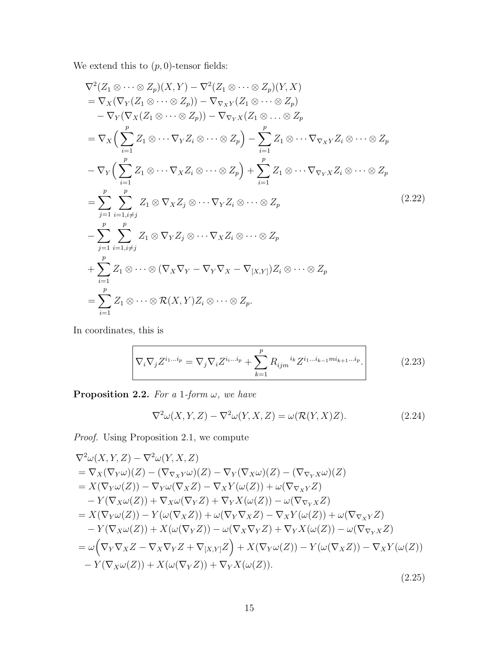We extend this to  $(p, 0)$ -tensor fields:

$$
\nabla^2 (Z_1 \otimes \cdots \otimes Z_p)(X, Y) - \nabla^2 (Z_1 \otimes \cdots \otimes Z_p)(Y, X)
$$
  
\n
$$
= \nabla_X (\nabla_Y (Z_1 \otimes \cdots \otimes Z_p)) - \nabla_{\nabla_X Y} (Z_1 \otimes \cdots \otimes Z_p)
$$
  
\n
$$
- \nabla_Y (\nabla_X (Z_1 \otimes \cdots \otimes Z_p)) - \nabla_{\nabla_Y X} (Z_1 \otimes \cdots \otimes Z_p)
$$
  
\n
$$
= \nabla_X \Big( \sum_{i=1}^p Z_1 \otimes \cdots \nabla_Y Z_i \otimes \cdots \otimes Z_p \Big) - \sum_{i=1}^p Z_1 \otimes \cdots \nabla_{\nabla_X Y} Z_i \otimes \cdots \otimes Z_p
$$
  
\n
$$
- \nabla_Y \Big( \sum_{i=1}^p Z_1 \otimes \cdots \nabla_X Z_i \otimes \cdots \otimes Z_p \Big) + \sum_{i=1}^p Z_1 \otimes \cdots \nabla_{\nabla_Y X} Z_i \otimes \cdots \otimes Z_p
$$
  
\n
$$
= \sum_{j=1}^p \sum_{i=1, i \neq j}^p Z_1 \otimes \nabla_X Z_j \otimes \cdots \nabla_Y Z_i \otimes \cdots \otimes Z_p
$$
  
\n
$$
- \sum_{j=1}^p \sum_{i=1, i \neq j}^p Z_1 \otimes \nabla_Y Z_j \otimes \cdots \nabla_X Z_i \otimes \cdots \otimes Z_p
$$
  
\n
$$
+ \sum_{i=1}^p Z_1 \otimes \cdots \otimes (\nabla_X \nabla_Y - \nabla_Y \nabla_X - \nabla_{[X,Y]}) Z_i \otimes \cdots \otimes Z_p
$$
  
\n
$$
= \sum_{i=1}^p Z_1 \otimes \cdots \otimes \mathcal{R}(X, Y) Z_i \otimes \cdots \otimes Z_p.
$$
  
\n(2.22)

In coordinates, this is

$$
\nabla_i \nabla_j Z^{i_1 \dots i_p} = \nabla_j \nabla_i Z^{i_1 \dots i_p} + \sum_{k=1}^p R_{ijm}^{i_k} Z^{i_1 \dots i_{k-1} m i_{k+1} \dots i_p}.
$$
\n(2.23)

**Proposition 2.2.** For a 1-form  $\omega$ , we have

$$
\nabla^2 \omega(X, Y, Z) - \nabla^2 \omega(Y, X, Z) = \omega(\mathcal{R}(Y, X)Z). \tag{2.24}
$$

Proof. Using Proposition 2.1, we compute

$$
\nabla^2 \omega(X, Y, Z) - \nabla^2 \omega(Y, X, Z)
$$
  
\n
$$
= \nabla_X(\nabla_Y \omega)(Z) - (\nabla_{\nabla_X Y} \omega)(Z) - \nabla_Y(\nabla_X \omega)(Z) - (\nabla_{\nabla_Y X} \omega)(Z)
$$
  
\n
$$
= X(\nabla_Y \omega(Z)) - \nabla_Y \omega(\nabla_X Z) - \nabla_X Y(\omega(Z)) + \omega(\nabla_{\nabla_X Y} Z)
$$
  
\n
$$
- Y(\nabla_X \omega(Z)) + \nabla_X \omega(\nabla_Y Z) + \nabla_Y X(\omega(Z)) - \omega(\nabla_{\nabla_Y X} Z)
$$
  
\n
$$
= X(\nabla_Y \omega(Z)) - Y(\omega(\nabla_X Z)) + \omega(\nabla_Y \nabla_X Z) - \nabla_X Y(\omega(Z)) + \omega(\nabla_{\nabla_X Y} Z)
$$
  
\n
$$
- Y(\nabla_X \omega(Z)) + X(\omega(\nabla_Y Z)) - \omega(\nabla_X \nabla_Y Z) + \nabla_Y X(\omega(Z)) - \omega(\nabla_{\nabla_Y X} Z)
$$
  
\n
$$
= \omega \left( \nabla_Y \nabla_X Z - \nabla_X \nabla_Y Z + \nabla_{[X, Y]} Z \right) + X(\nabla_Y \omega(Z)) - Y(\omega(\nabla_X Z)) - \nabla_X Y(\omega(Z))
$$
  
\n
$$
- Y(\nabla_X \omega(Z)) + X(\omega(\nabla_Y Z)) + \nabla_Y X(\omega(Z)).
$$
\n(2.25)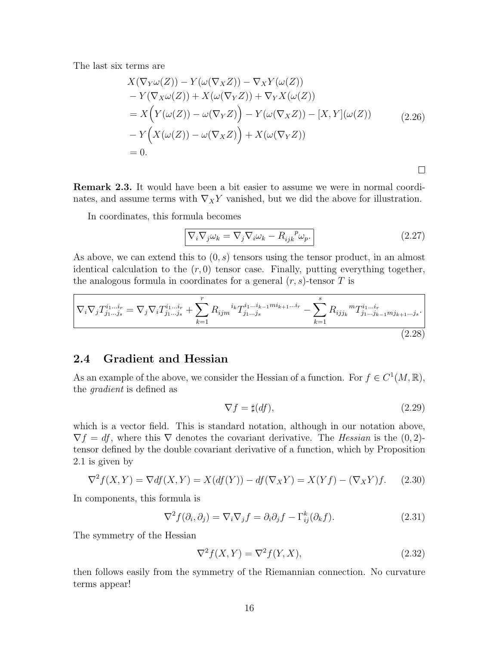The last six terms are

$$
X(\nabla_Y \omega(Z)) - Y(\omega(\nabla_X Z)) - \nabla_X Y(\omega(Z))
$$
  
\n
$$
- Y(\nabla_X \omega(Z)) + X(\omega(\nabla_Y Z)) + \nabla_Y X(\omega(Z))
$$
  
\n
$$
= X(Y(\omega(Z)) - \omega(\nabla_Y Z)) - Y(\omega(\nabla_X Z)) - [X, Y](\omega(Z))
$$
  
\n
$$
- Y(X(\omega(Z)) - \omega(\nabla_X Z)) + X(\omega(\nabla_Y Z))
$$
  
\n
$$
= 0.
$$
\n(2.26)

Remark 2.3. It would have been a bit easier to assume we were in normal coordinates, and assume terms with  $\nabla_X Y$  vanished, but we did the above for illustration.

In coordinates, this formula becomes

$$
\boxed{\nabla_i \nabla_j \omega_k = \nabla_j \nabla_i \omega_k - R_{ijk}^{\ \ p} \omega_p.}
$$
\n(2.27)

 $\Box$ 

As above, we can extend this to  $(0, s)$  tensors using the tensor product, in an almost identical calculation to the  $(r, 0)$  tensor case. Finally, putting everything together, the analogous formula in coordinates for a general  $(r, s)$ -tensor T is

$$
\nabla_i \nabla_j T_{j_1 \dots j_s}^{i_1 \dots i_r} = \nabla_j \nabla_i T_{j_1 \dots j_s}^{i_1 \dots i_r} + \sum_{k=1}^r R_{ijm}^{i_k} T_{j_1 \dots j_s}^{i_1 \dots i_{k-1} m i_{k+1} \dots i_r} - \sum_{k=1}^s R_{ijj_k}^{m} T_{j_1 \dots j_{k-1} m j_{k+1} \dots j_s}^{i_1 \dots i_r} \tag{2.28}
$$

### 2.4 Gradient and Hessian

As an example of the above, we consider the Hessian of a function. For  $f \in C^1(M, \mathbb{R})$ , the gradient is defined as

$$
\nabla f = \sharp(df),\tag{2.29}
$$

which is a vector field. This is standard notation, although in our notation above,  $\nabla f = df$ , where this  $\nabla$  denotes the covariant derivative. The Hessian is the  $(0, 2)$ tensor defined by the double covariant derivative of a function, which by Proposition 2.1 is given by

$$
\nabla^2 f(X, Y) = \nabla df(X, Y) = X(df(Y)) - df(\nabla_X Y) = X(Yf) - (\nabla_X Y)f. \tag{2.30}
$$

In components, this formula is

$$
\nabla^2 f(\partial_i, \partial_j) = \nabla_i \nabla_j f = \partial_i \partial_j f - \Gamma^k_{ij} (\partial_k f). \tag{2.31}
$$

The symmetry of the Hessian

$$
\nabla^2 f(X, Y) = \nabla^2 f(Y, X),\tag{2.32}
$$

then follows easily from the symmetry of the Riemannian connection. No curvature terms appear!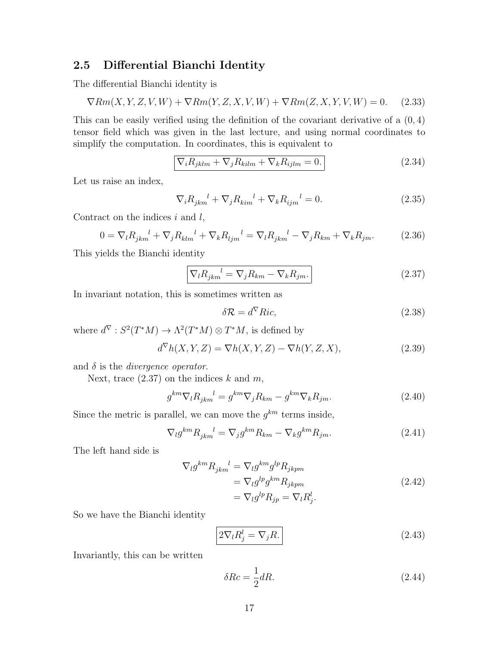### 2.5 Differential Bianchi Identity

The differential Bianchi identity is

$$
\nabla Rm(X, Y, Z, V, W) + \nabla Rm(Y, Z, X, V, W) + \nabla Rm(Z, X, Y, V, W) = 0. \tag{2.33}
$$

This can be easily verified using the definition of the covariant derivative of a  $(0, 4)$ tensor field which was given in the last lecture, and using normal coordinates to simplify the computation. In coordinates, this is equivalent to

$$
\nabla_i R_{jklm} + \nabla_j R_{kilm} + \nabla_k R_{ijlm} = 0.
$$
\n(2.34)

Let us raise an index,

$$
\nabla_i R_{jkm}^{\ \ l} + \nabla_j R_{kim}^{\ \ l} + \nabla_k R_{ijm}^{\ \ l} = 0.
$$
 (2.35)

Contract on the indices  $i$  and  $l$ ,

$$
0 = \nabla_l R_{jkm}^{\ \ l} + \nabla_j R_{klm}^{\ \ l} + \nabla_k R_{ljm}^{\ \ l} = \nabla_l R_{jkm}^{\ \ l} - \nabla_j R_{km} + \nabla_k R_{jm}.\tag{2.36}
$$

This yields the Bianchi identity

$$
\nabla_l R_{jkm}^{\ \ l} = \nabla_j R_{km} - \nabla_k R_{jm}.\n\tag{2.37}
$$

In invariant notation, this is sometimes written as

$$
\delta \mathcal{R} = d^{\nabla} Ric,\tag{2.38}
$$

where  $d^{\nabla}: S^2(T^*M) \to \Lambda^2(T^*M) \otimes T^*M$ , is defined by

$$
d^{\nabla}h(X,Y,Z) = \nabla h(X,Y,Z) - \nabla h(Y,Z,X),\tag{2.39}
$$

and  $\delta$  is the *divergence operator*.

Next, trace  $(2.37)$  on the indices k and m,

$$
g^{km}\nabla_l R_{jkm}^{\quad l} = g^{km}\nabla_j R_{km} - g^{km}\nabla_k R_{jm}.\tag{2.40}
$$

Since the metric is parallel, we can move the  $g^{km}$  terms inside,

$$
\nabla_l g^{km} R_{jkm}^{\quad l} = \nabla_j g^{km} R_{km} - \nabla_k g^{km} R_{jm}.\tag{2.41}
$$

The left hand side is

$$
\nabla_{l} g^{km} R_{jkm}^{l} = \nabla_{l} g^{km} g^{lp} R_{jkpm}
$$
\n
$$
= \nabla_{l} g^{lp} g^{km} R_{jkpm}
$$
\n
$$
= \nabla_{l} g^{lp} R_{jp} = \nabla_{l} R_{j}^{l}.
$$
\n(2.42)

So we have the Bianchi identity

$$
2\nabla_l R_j^l = \nabla_j R. \tag{2.43}
$$

Invariantly, this can be written

$$
\delta Rc = \frac{1}{2}dR.\tag{2.44}
$$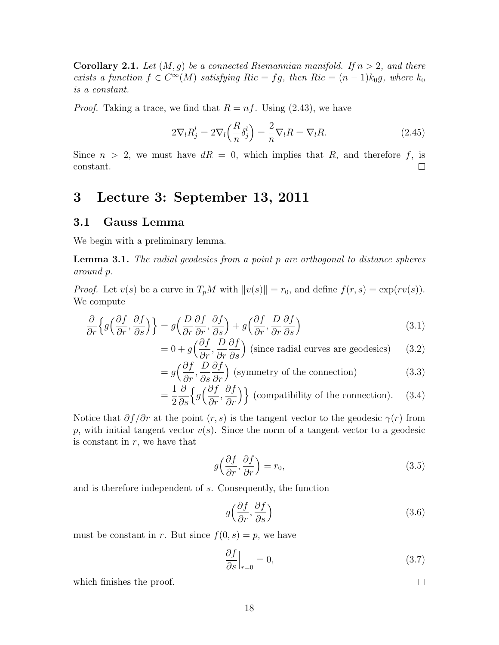**Corollary 2.1.** Let  $(M, g)$  be a connected Riemannian manifold. If  $n > 2$ , and there exists a function  $f \in C^{\infty}(M)$  satisfying  $Ric = fg$ , then  $Ric = (n-1)k_0g$ , where  $k_0$ is a constant.

*Proof.* Taking a trace, we find that  $R = nf$ . Using (2.43), we have

$$
2\nabla_l R_j^l = 2\nabla_l \left(\frac{R}{n} \delta_j^l\right) = \frac{2}{n} \nabla_l R = \nabla_l R. \tag{2.45}
$$

Since  $n > 2$ , we must have  $dR = 0$ , which implies that R, and therefore f, is constant.  $\Box$ 

### 3 Lecture 3: September 13, 2011

#### 3.1 Gauss Lemma

We begin with a preliminary lemma.

**Lemma 3.1.** The radial geodesics from a point  $p$  are orthogonal to distance spheres around p.

*Proof.* Let  $v(s)$  be a curve in  $T_pM$  with  $||v(s)|| = r_0$ , and define  $f(r, s) = \exp(rv(s))$ . We compute

$$
\frac{\partial}{\partial r}\left\{g\left(\frac{\partial f}{\partial r},\frac{\partial f}{\partial s}\right)\right\} = g\left(\frac{D}{\partial r}\frac{\partial f}{\partial r},\frac{\partial f}{\partial s}\right) + g\left(\frac{\partial f}{\partial r},\frac{D}{\partial r}\frac{\partial f}{\partial s}\right) \tag{3.1}
$$

$$
= 0 + g\left(\frac{\partial f}{\partial r}, \frac{D}{\partial r}\frac{\partial f}{\partial s}\right)
$$
 (since radial curves are geodesics) (3.2)

$$
= g\left(\frac{\partial f}{\partial r}, \frac{D}{\partial s}\frac{\partial f}{\partial r}\right)
$$
 (symmetry of the connection) (3.3)

$$
= \frac{1}{2} \frac{\partial}{\partial s} \left\{ g \left( \frac{\partial f}{\partial r}, \frac{\partial f}{\partial r} \right) \right\}
$$
 (compatibility of the connection). (3.4)

Notice that  $\partial f/\partial r$  at the point  $(r, s)$  is the tangent vector to the geodesic  $\gamma(r)$  from p, with initial tangent vector  $v(s)$ . Since the norm of a tangent vector to a geodesic is constant in  $r$ , we have that

$$
g\left(\frac{\partial f}{\partial r}, \frac{\partial f}{\partial r}\right) = r_0,\tag{3.5}
$$

and is therefore independent of s. Consequently, the function

$$
g\left(\frac{\partial f}{\partial r}, \frac{\partial f}{\partial s}\right) \tag{3.6}
$$

must be constant in r. But since  $f(0, s) = p$ , we have

$$
\left. \frac{\partial f}{\partial s} \right|_{r=0} = 0,\tag{3.7}
$$

 $\Box$ 

which finishes the proof.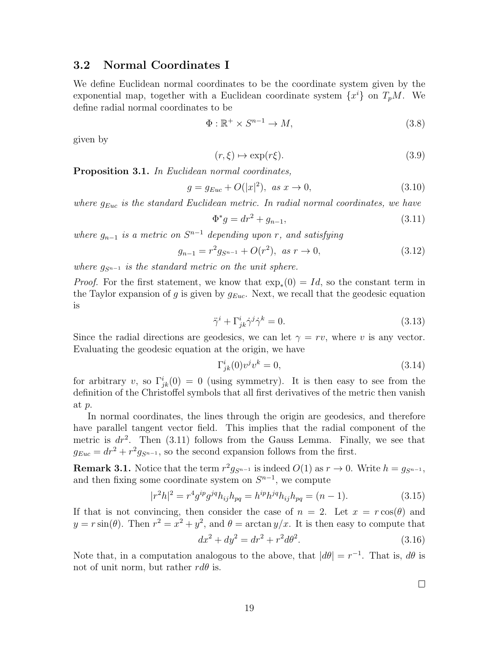#### 3.2 Normal Coordinates I

We define Euclidean normal coordinates to be the coordinate system given by the exponential map, together with a Euclidean coordinate system  $\{x^i\}$  on  $T_pM$ . We define radial normal coordinates to be

$$
\Phi: \mathbb{R}^+ \times S^{n-1} \to M,\tag{3.8}
$$

given by

$$
(r,\xi) \mapsto \exp(r\xi). \tag{3.9}
$$

**Proposition 3.1.** In Euclidean normal coordinates,

$$
g = g_{Euc} + O(|x|^2), \ \text{as } x \to 0,
$$
\n(3.10)

where  $g_{Euc}$  is the standard Euclidean metric. In radial normal coordinates, we have

$$
\Phi^* g = dr^2 + g_{n-1},\tag{3.11}
$$

where  $g_{n-1}$  is a metric on  $S^{n-1}$  depending upon r, and satisfying

$$
g_{n-1} = r^2 g_{S^{n-1}} + O(r^2), \text{ as } r \to 0,
$$
\n(3.12)

where  $g_{S^{n-1}}$  is the standard metric on the unit sphere.

*Proof.* For the first statement, we know that  $\exp_*(0) = Id$ , so the constant term in the Taylor expansion of g is given by  $g_{Euc}$ . Next, we recall that the geodesic equation is

$$
\ddot{\gamma}^i + \Gamma^i_{jk} \dot{\gamma}^j \dot{\gamma}^k = 0. \tag{3.13}
$$

Since the radial directions are geodesics, we can let  $\gamma = rv$ , where v is any vector. Evaluating the geodesic equation at the origin, we have

$$
\Gamma^i_{jk}(0)v^jv^k = 0,\tag{3.14}
$$

for arbitrary v, so  $\Gamma^i_{jk}(0) = 0$  (using symmetry). It is then easy to see from the definition of the Christoffel symbols that all first derivatives of the metric then vanish at p.

In normal coordinates, the lines through the origin are geodesics, and therefore have parallel tangent vector field. This implies that the radial component of the metric is  $dr^2$ . Then (3.11) follows from the Gauss Lemma. Finally, we see that  $g_{Euc} = dr^2 + r^2 g_{S^{n-1}}$ , so the second expansion follows from the first.

**Remark 3.1.** Notice that the term  $r^2 g_{S^{n-1}}$  is indeed  $O(1)$  as  $r \to 0$ . Write  $h = g_{S^{n-1}}$ , and then fixing some coordinate system on  $S^{n-1}$ , we compute

$$
|r^2h|^2 = r^4g^{ip}g^{jq}h_{ij}h_{pq} = h^{ip}h^{jq}h_{ij}h_{pq} = (n-1).
$$
 (3.15)

If that is not convincing, then consider the case of  $n = 2$ . Let  $x = r \cos(\theta)$  and  $y = r \sin(\theta)$ . Then  $r^2 = x^2 + y^2$ , and  $\theta = \arctan y/x$ . It is then easy to compute that

$$
dx^2 + dy^2 = dr^2 + r^2 d\theta^2.
$$
 (3.16)

Note that, in a computation analogous to the above, that  $|d\theta| = r^{-1}$ . That is,  $d\theta$  is not of unit norm, but rather  $r d\theta$  is.

 $\Box$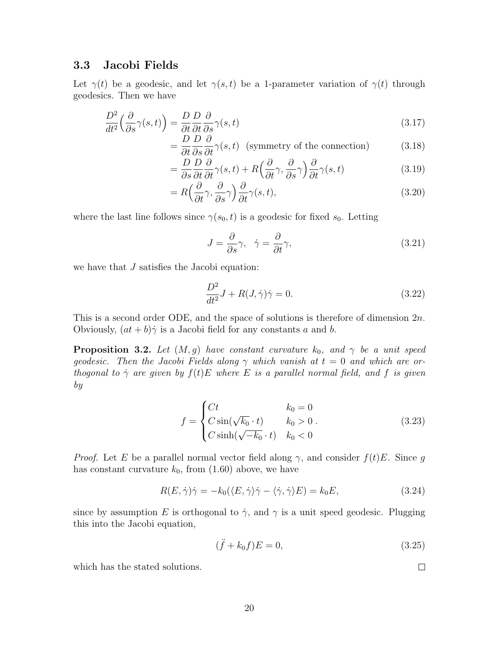#### 3.3 Jacobi Fields

Let  $\gamma(t)$  be a geodesic, and let  $\gamma(s,t)$  be a 1-parameter variation of  $\gamma(t)$  through geodesics. Then we have

$$
\frac{D^2}{dt^2} \left( \frac{\partial}{\partial s} \gamma(s, t) \right) = \frac{D}{\partial t} \frac{D}{\partial t} \frac{\partial}{\partial s} \gamma(s, t) \tag{3.17}
$$

$$
= \frac{D}{\partial t} \frac{D}{\partial s} \frac{\partial}{\partial t} \gamma(s, t) \quad \text{(symmetry of the connection)} \tag{3.18}
$$

$$
= \frac{D}{\partial s} \frac{D}{\partial t} \frac{\partial}{\partial t} \gamma(s, t) + R \Big( \frac{\partial}{\partial t} \gamma, \frac{\partial}{\partial s} \gamma \Big) \frac{\partial}{\partial t} \gamma(s, t) \tag{3.19}
$$

$$
=R\left(\frac{\partial}{\partial t}\gamma,\frac{\partial}{\partial s}\gamma\right)\frac{\partial}{\partial t}\gamma(s,t),\tag{3.20}
$$

where the last line follows since  $\gamma(s_0, t)$  is a geodesic for fixed  $s_0$ . Letting

$$
J = \frac{\partial}{\partial s} \gamma, \quad \dot{\gamma} = \frac{\partial}{\partial t} \gamma,
$$
\n(3.21)

we have that J satisfies the Jacobi equation:

$$
\frac{D^2}{dt^2}J + R(J,\dot{\gamma})\dot{\gamma} = 0.
$$
\n(3.22)

This is a second order ODE, and the space of solutions is therefore of dimension  $2n$ . Obviously,  $(at + b)\dot{\gamma}$  is a Jacobi field for any constants a and b.

**Proposition 3.2.** Let  $(M, g)$  have constant curvature  $k_0$ , and  $\gamma$  be a unit speed geodesic. Then the Jacobi Fields along  $\gamma$  which vanish at  $t = 0$  and which are orthogonal to  $\dot{\gamma}$  are given by  $f(t)E$  where E is a parallel normal field, and f is given by

$$
f = \begin{cases} Ct & k_0 = 0\\ C \sin(\sqrt{k_0} \cdot t) & k_0 > 0\\ C \sinh(\sqrt{-k_0} \cdot t) & k_0 < 0 \end{cases}
$$
 (3.23)

*Proof.* Let E be a parallel normal vector field along  $\gamma$ , and consider  $f(t)E$ . Since g has constant curvature  $k_0$ , from  $(1.60)$  above, we have

$$
R(E, \dot{\gamma})\dot{\gamma} = -k_0(\langle E, \dot{\gamma}\rangle \dot{\gamma} - \langle \dot{\gamma}, \dot{\gamma}\rangle E) = k_0 E, \qquad (3.24)
$$

since by assumption E is orthogonal to  $\dot{\gamma}$ , and  $\gamma$  is a unit speed geodesic. Plugging this into the Jacobi equation,

$$
(\ddot{f} + k_0 f)E = 0,\t(3.25)
$$

 $\Box$ 

which has the stated solutions.

20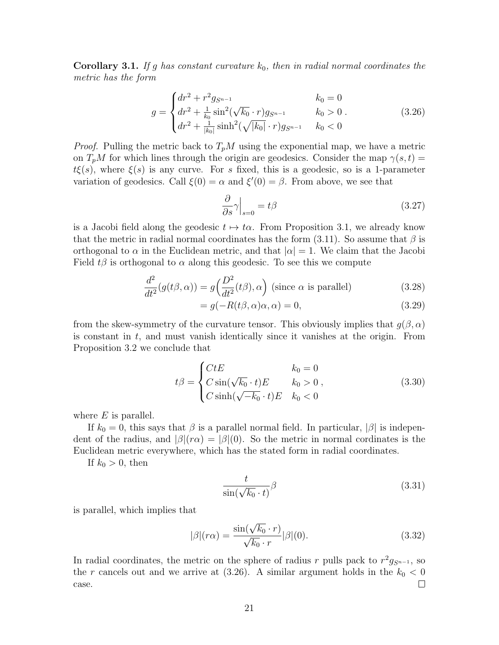**Corollary 3.1.** If g has constant curvature  $k_0$ , then in radial normal coordinates the metric has the form

$$
g = \begin{cases} dr^2 + r^2 g_{S^{n-1}} & k_0 = 0\\ dr^2 + \frac{1}{k_0} \sin^2(\sqrt{k_0} \cdot r) g_{S^{n-1}} & k_0 > 0\\ dr^2 + \frac{1}{|k_0|} \sinh^2(\sqrt{|k_0|} \cdot r) g_{S^{n-1}} & k_0 < 0 \end{cases}
$$
(3.26)

*Proof.* Pulling the metric back to  $T_pM$  using the exponential map, we have a metric on  $T_pM$  for which lines through the origin are geodesics. Consider the map  $\gamma(s,t)$  $t\xi(s)$ , where  $\xi(s)$  is any curve. For s fixed, this is a geodesic, so is a 1-parameter variation of geodesics. Call  $\xi(0) = \alpha$  and  $\xi'(0) = \beta$ . From above, we see that

$$
\left. \frac{\partial}{\partial s} \gamma \right|_{s=0} = t\beta \tag{3.27}
$$

is a Jacobi field along the geodesic  $t \mapsto t\alpha$ . From Proposition 3.1, we already know that the metric in radial normal coordinates has the form  $(3.11)$ . So assume that  $\beta$  is orthogonal to  $\alpha$  in the Euclidean metric, and that  $|\alpha|=1$ . We claim that the Jacobi Field  $t\beta$  is orthogonal to  $\alpha$  along this geodesic. To see this we compute

$$
\frac{d^2}{dt^2}(g(t\beta,\alpha)) = g\left(\frac{D^2}{dt^2}(t\beta),\alpha\right)
$$
 (since  $\alpha$  is parallel) \t(3.28)

$$
= g(-R(t\beta, \alpha)\alpha, \alpha) = 0, \qquad (3.29)
$$

from the skew-symmetry of the curvature tensor. This obviously implies that  $q(\beta,\alpha)$ is constant in  $t$ , and must vanish identically since it vanishes at the origin. From Proposition 3.2 we conclude that

$$
t\beta = \begin{cases} CtE & k_0 = 0\\ C\sin(\sqrt{k_0} \cdot t)E & k_0 > 0\\ C\sinh(\sqrt{-k_0} \cdot t)E & k_0 < 0 \end{cases}
$$
 (3.30)

where  $E$  is parallel.

If  $k_0 = 0$ , this says that  $\beta$  is a parallel normal field. In particular,  $|\beta|$  is independent of the radius, and  $\beta|(r\alpha)| = \beta|(0)$ . So the metric in normal cordinates is the Euclidean metric everywhere, which has the stated form in radial coordinates.

If  $k_0 > 0$ , then

$$
\frac{t}{\sin(\sqrt{k_0} \cdot t)} \beta \tag{3.31}
$$

is parallel, which implies that

$$
|\beta|(r\alpha) = \frac{\sin(\sqrt{k_0} \cdot r)}{\sqrt{k_0} \cdot r} |\beta|(0). \tag{3.32}
$$

In radial coordinates, the metric on the sphere of radius r pulls pack to  $r^2g_{S^{n-1}}$ , so the r cancels out and we arrive at  $(3.26)$ . A similar argument holds in the  $k_0 < 0$  $\Box$ case.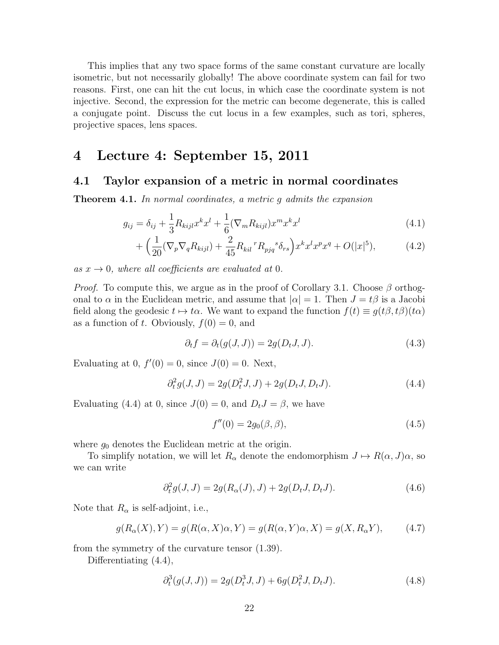This implies that any two space forms of the same constant curvature are locally isometric, but not necessarily globally! The above coordinate system can fail for two reasons. First, one can hit the cut locus, in which case the coordinate system is not injective. Second, the expression for the metric can become degenerate, this is called a conjugate point. Discuss the cut locus in a few examples, such as tori, spheres, projective spaces, lens spaces.

### 4 Lecture 4: September 15, 2011

#### 4.1 Taylor expansion of a metric in normal coordinates

**Theorem 4.1.** In normal coordinates, a metric g admits the expansion

$$
g_{ij} = \delta_{ij} + \frac{1}{3} R_{kijl} x^k x^l + \frac{1}{6} (\nabla_m R_{kijl}) x^m x^k x^l
$$
\n(4.1)

$$
+\left(\frac{1}{20}(\nabla_p \nabla_q R_{kijl}) + \frac{2}{45} R_{kil}{}^r R_{pjq}{}^s \delta_{rs}\right) x^k x^l x^p x^q + O(|x|^5),\tag{4.2}
$$

as  $x \to 0$ , where all coefficients are evaluated at 0.

*Proof.* To compute this, we argue as in the proof of Corollary 3.1. Choose  $\beta$  orthogonal to  $\alpha$  in the Euclidean metric, and assume that  $|\alpha|=1$ . Then  $J=t\beta$  is a Jacobi field along the geodesic  $t \mapsto t\alpha$ . We want to expand the function  $f(t) \equiv g(t\beta, t\beta)(t\alpha)$ as a function of t. Obviously,  $f(0) = 0$ , and

$$
\partial_t f = \partial_t (g(J, J)) = 2g(D_t J, J). \tag{4.3}
$$

Evaluating at 0,  $f'(0) = 0$ , since  $J(0) = 0$ . Next,

$$
\partial_t^2 g(J, J) = 2g(D_t^2 J, J) + 2g(D_t J, D_t J). \tag{4.4}
$$

Evaluating (4.4) at 0, since  $J(0) = 0$ , and  $D_t J = \beta$ , we have

$$
f''(0) = 2g_0(\beta, \beta), \tag{4.5}
$$

where  $g_0$  denotes the Euclidean metric at the origin.

To simplify notation, we will let  $R_{\alpha}$  denote the endomorphism  $J \mapsto R(\alpha, J)\alpha$ , so we can write

$$
\partial_t^2 g(J, J) = 2g(R_\alpha(J), J) + 2g(D_t J, D_t J). \tag{4.6}
$$

Note that  $R_{\alpha}$  is self-adjoint, i.e.,

$$
g(R_{\alpha}(X), Y) = g(R(\alpha, X)\alpha, Y) = g(R(\alpha, Y)\alpha, X) = g(X, R_{\alpha}Y), \quad (4.7)
$$

from the symmetry of the curvature tensor (1.39).

Differentiating  $(4.4)$ ,

$$
\partial_t^3(g(J,J)) = 2g(D_t^3 J, J) + 6g(D_t^2 J, D_t J). \tag{4.8}
$$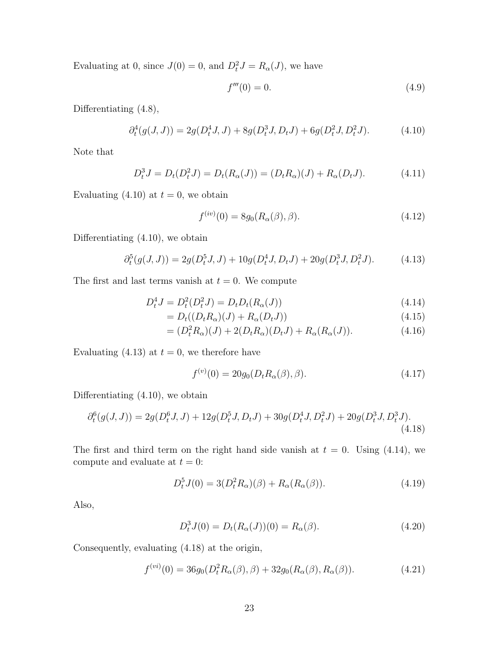Evaluating at 0, since  $J(0) = 0$ , and  $D_t^2 J = R_\alpha(J)$ , we have

$$
f'''(0) = 0.\t\t(4.9)
$$

Differentiating (4.8),

$$
\partial_t^4(g(J,J)) = 2g(D_t^4 J, J) + 8g(D_t^3 J, D_t J) + 6g(D_t^2 J, D_t^2 J). \tag{4.10}
$$

Note that

$$
D_t^3 J = D_t(D_t^2 J) = D_t(R_\alpha(J)) = (D_t R_\alpha)(J) + R_\alpha(D_t J). \tag{4.11}
$$

Evaluating (4.10) at  $t = 0$ , we obtain

$$
f^{(iv)}(0) = 8g_0(R_\alpha(\beta), \beta).
$$
 (4.12)

Differentiating (4.10), we obtain

$$
\partial_t^5(g(J,J)) = 2g(D_t^5 J, J) + 10g(D_t^4 J, D_t J) + 20g(D_t^3 J, D_t^2 J). \tag{4.13}
$$

The first and last terms vanish at  $t = 0$ . We compute

$$
D_t^4 J = D_t^2 (D_t^2 J) = D_t D_t (R_\alpha(J))
$$
\n(4.14)

$$
=D_t((D_tR_\alpha)(J) + R_\alpha(D_tJ))
$$
\n(4.15)

$$
= (D_t^2 R_\alpha)(J) + 2(D_t R_\alpha)(D_t J) + R_\alpha (R_\alpha(J)). \tag{4.16}
$$

Evaluating (4.13) at  $t = 0$ , we therefore have

$$
f^{(v)}(0) = 20g_0(D_t R_\alpha(\beta), \beta).
$$
 (4.17)

Differentiating (4.10), we obtain

$$
\partial_t^6(g(J,J)) = 2g(D_t^6 J, J) + 12g(D_t^5 J, D_t J) + 30g(D_t^4 J, D_t^2 J) + 20g(D_t^3 J, D_t^3 J). \tag{4.18}
$$

The first and third term on the right hand side vanish at  $t = 0$ . Using (4.14), we compute and evaluate at  $t = 0$ :

$$
D_t^5 J(0) = 3(D_t^2 R_\alpha)(\beta) + R_\alpha(R_\alpha(\beta)).
$$
\n(4.19)

Also,

$$
D_t^3 J(0) = D_t(R_\alpha(J))(0) = R_\alpha(\beta). \tag{4.20}
$$

Consequently, evaluating (4.18) at the origin,

$$
f^{(vi)}(0) = 36g_0(D_t^2 R_\alpha(\beta), \beta) + 32g_0(R_\alpha(\beta), R_\alpha(\beta)).
$$
\n(4.21)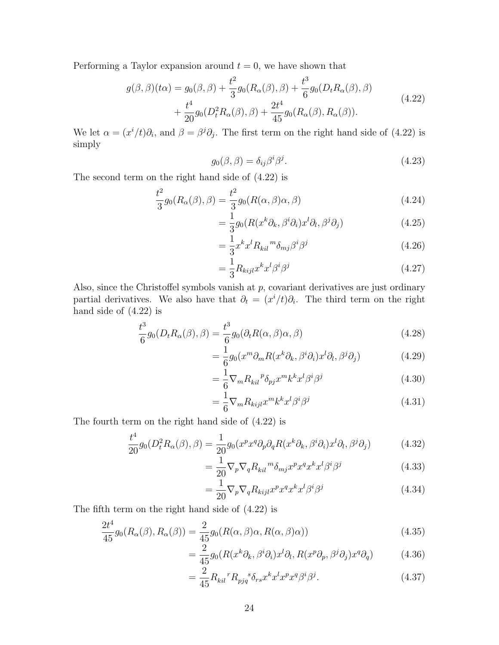Performing a Taylor expansion around  $t = 0$ , we have shown that

$$
g(\beta, \beta)(t\alpha) = g_0(\beta, \beta) + \frac{t^2}{3} g_0(R_\alpha(\beta), \beta) + \frac{t^3}{6} g_0(D_t R_\alpha(\beta), \beta) + \frac{t^4}{20} g_0(D_t^2 R_\alpha(\beta), \beta) + \frac{2t^4}{45} g_0(R_\alpha(\beta), R_\alpha(\beta)).
$$
\n(4.22)

We let  $\alpha = (x^i/t)\partial_i$ , and  $\beta = \beta^j\partial_j$ . The first term on the right hand side of (4.22) is simply

$$
g_0(\beta, \beta) = \delta_{ij}\beta^i \beta^j. \tag{4.23}
$$

The second term on the right hand side of (4.22) is

$$
\frac{t^2}{3}g_0(R_\alpha(\beta), \beta) = \frac{t^2}{3}g_0(R(\alpha, \beta)\alpha, \beta)
$$
\n(4.24)

$$
= \frac{1}{3}g_0(R(x^k\partial_k, \beta^i\partial_i)x^l\partial_l, \beta^j\partial_j)
$$
\n(4.25)

$$
=\frac{1}{3}x^k x^l R_{kil}{}^m \delta_{mj} \beta^i \beta^j \tag{4.26}
$$

$$
=\frac{1}{3}R_{kijl}x^kx^l\beta^i\beta^j\tag{4.27}
$$

Also, since the Christoffel symbols vanish at  $p$ , covariant derivatives are just ordinary partial derivatives. We also have that  $\partial_t = (x^i/t)\partial_i$ . The third term on the right hand side of (4.22) is

$$
\frac{t^3}{6}g_0(D_t R_\alpha(\beta), \beta) = \frac{t^3}{6}g_0(\partial_t R(\alpha, \beta)\alpha, \beta)
$$
\n(4.28)

$$
= \frac{1}{6}g_0(x^m\partial_m R(x^k\partial_k, \beta^i\partial_i)x^l\partial_l, \beta^j\partial_j)
$$
(4.29)

$$
=\frac{1}{6}\nabla_m R_{kil}^{\ \ p}\delta_{pj}x^mk^kx^l\beta^i\beta^j\tag{4.30}
$$

$$
=\frac{1}{6}\nabla_{m}R_{kijl}x^{m}k^{k}x^{l}\beta^{i}\beta^{j}\tag{4.31}
$$

The fourth term on the right hand side of (4.22) is

$$
\frac{t^4}{20}g_0(D_t^2R_\alpha(\beta),\beta) = \frac{1}{20}g_0(x^px^q\partial_p\partial_qR(x^k\partial_k,\beta^i\partial_i)x^l\partial_l,\beta^j\partial_j)
$$
(4.32)

$$
=\frac{1}{20}\nabla_p\nabla_q R_{kil}{}^m\delta_{mj}x^px^qx^kx^l\beta^i\beta^j\tag{4.33}
$$

$$
=\frac{1}{20}\nabla_p\nabla_q R_{kijl}x^p x^q x^k x^l \beta^i \beta^j \tag{4.34}
$$

The fifth term on the right hand side of (4.22) is

$$
\frac{2t^4}{45}g_0(R_\alpha(\beta), R_\alpha(\beta)) = \frac{2}{45}g_0(R(\alpha, \beta)\alpha, R(\alpha, \beta)\alpha))\tag{4.35}
$$

$$
= \frac{2}{45} g_0(R(x^k \partial_k, \beta^i \partial_i) x^l \partial_l, R(x^p \partial_p, \beta^j \partial_j) x^q \partial_q)
$$
(4.36)

$$
=\frac{2}{45}R_{kil}{}^{r}R_{pjq}{}^{s}\delta_{rs}x^{k}x^{l}x^{p}x^{q}\beta^{i}\beta^{j}.
$$
\n(4.37)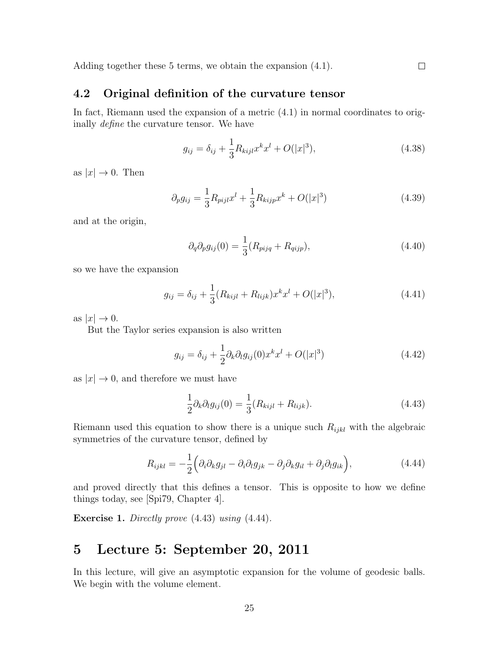Adding together these 5 terms, we obtain the expansion (4.1).

### 4.2 Original definition of the curvature tensor

In fact, Riemann used the expansion of a metric (4.1) in normal coordinates to originally define the curvature tensor. We have

$$
g_{ij} = \delta_{ij} + \frac{1}{3} R_{kijl} x^k x^l + O(|x|^3), \qquad (4.38)
$$

 $\Box$ 

as  $|x| \to 0$ . Then

$$
\partial_p g_{ij} = \frac{1}{3} R_{pijl} x^l + \frac{1}{3} R_{kijp} x^k + O(|x|^3)
$$
\n(4.39)

and at the origin,

$$
\partial_q \partial_p g_{ij}(0) = \frac{1}{3} (R_{piq} + R_{qijp}), \qquad (4.40)
$$

so we have the expansion

$$
g_{ij} = \delta_{ij} + \frac{1}{3} (R_{kijl} + R_{lijk}) x^k x^l + O(|x|^3), \qquad (4.41)
$$

as  $|x| \to 0$ .

But the Taylor series expansion is also written

$$
g_{ij} = \delta_{ij} + \frac{1}{2}\partial_k \partial_l g_{ij}(0) x^k x^l + O(|x|^3)
$$
\n(4.42)

as  $|x| \to 0$ , and therefore we must have

$$
\frac{1}{2}\partial_k \partial_l g_{ij}(0) = \frac{1}{3}(R_{kijl} + R_{lijk}).\tag{4.43}
$$

Riemann used this equation to show there is a unique such  $R_{ijkl}$  with the algebraic symmetries of the curvature tensor, defined by

$$
R_{ijkl} = -\frac{1}{2} \Big( \partial_i \partial_k g_{jl} - \partial_i \partial_l g_{jk} - \partial_j \partial_k g_{il} + \partial_j \partial_l g_{ik} \Big), \tag{4.44}
$$

and proved directly that this defines a tensor. This is opposite to how we define things today, see [Spi79, Chapter 4].

**Exercise 1.** Directly prove  $(4.43)$  using  $(4.44)$ .

### 5 Lecture 5: September 20, 2011

In this lecture, will give an asymptotic expansion for the volume of geodesic balls. We begin with the volume element.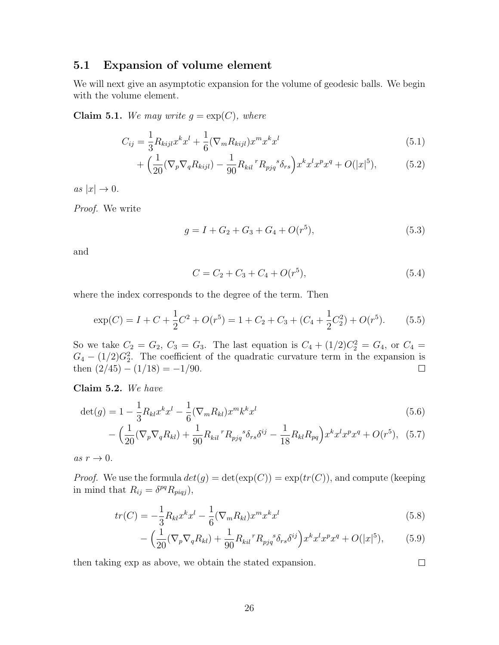### 5.1 Expansion of volume element

We will next give an asymptotic expansion for the volume of geodesic balls. We begin with the volume element.

Claim 5.1. We may write  $g = \exp(C)$ , where

$$
C_{ij} = \frac{1}{3} R_{kijl} x^k x^l + \frac{1}{6} (\nabla_m R_{kijl}) x^m x^k x^l
$$
\n(5.1)

$$
+\left(\frac{1}{20}(\nabla_p \nabla_q R_{kijl}) - \frac{1}{90}R_{kil}{}^{r}R_{pjq}{}^{s}\delta_{rs}\right)x^{k}x^{l}x^{p}x^{q} + O(|x|^5),\tag{5.2}
$$

as  $|x| \to 0$ .

Proof. We write

$$
g = I + G_2 + G_3 + G_4 + O(r^5), \tag{5.3}
$$

and

$$
C = C_2 + C_3 + C_4 + O(r^5), \tag{5.4}
$$

where the index corresponds to the degree of the term. Then

$$
\exp(C) = I + C + \frac{1}{2}C^2 + O(r^5) = 1 + C_2 + C_3 + (C_4 + \frac{1}{2}C_2^2) + O(r^5). \tag{5.5}
$$

So we take  $C_2 = G_2, C_3 = G_3$ . The last equation is  $C_4 + (1/2)C_2^2 = G_4$ , or  $C_4 =$  $G_4 - (1/2)G_2^2$ . The coefficient of the quadratic curvature term in the expansion is then  $(2/45) - (1/18) = -1/90$ .  $\Box$ 

Claim 5.2. We have

$$
\det(g) = 1 - \frac{1}{3} R_{kl} x^k x^l - \frac{1}{6} (\nabla_m R_{kl}) x^m k^k x^l
$$
\n(5.6)

$$
-\left(\frac{1}{20}(\nabla_p \nabla_q R_{kl}) + \frac{1}{90}R_{kil}{}^r R_{pjq}{}^s \delta_{rs} \delta^{ij} - \frac{1}{18}R_{kl}R_{pq}\right)x^k x^l x^p x^q + O(r^5), \tag{5.7}
$$

as  $r \to 0$ .

*Proof.* We use the formula  $det(g) = det(exp(C)) = exp(tr(C))$ , and compute (keeping in mind that  $R_{ij} = \delta^{pq} R_{pij}$ ),

$$
tr(C) = -\frac{1}{3}R_{kl}x^{k}x^{l} - \frac{1}{6}(\nabla_{m}R_{kl})x^{m}x^{k}x^{l}
$$
\n(5.8)

$$
-\left(\frac{1}{20}(\nabla_p \nabla_q R_{kl}) + \frac{1}{90}R_{kil}{}^{r}R_{pjq}{}^{s}\delta_{rs}\delta^{ij}\right)x^{k}x^{l}x^{p}x^{q} + O(|x|^{5}),\tag{5.9}
$$

 $\Box$ 

then taking exp as above, we obtain the stated expansion.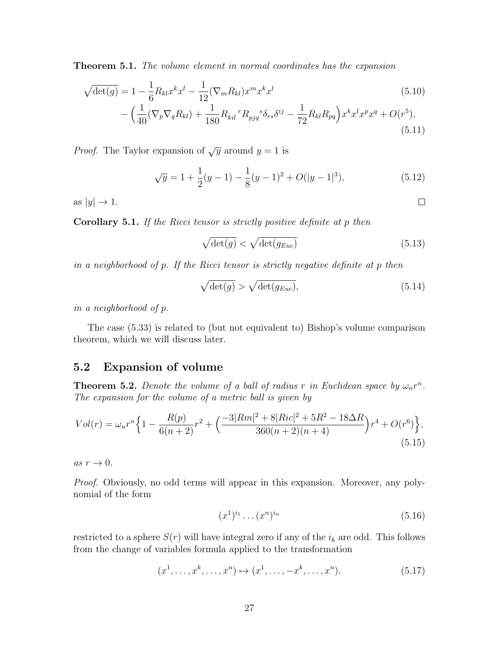Theorem 5.1. The volume element in normal coordinates has the expansion

$$
\sqrt{\det(g)} = 1 - \frac{1}{6} R_{kl} x^k x^l - \frac{1}{12} (\nabla_m R_{kl}) x^m x^k x^l
$$
\n
$$
- \left( \frac{1}{40} (\nabla_p \nabla_q R_{kl}) + \frac{1}{180} R_{kil}^{\ \ r} R_{pjq}^{\ \ s} \delta_{rs} \delta^{ij} - \frac{1}{72} R_{kl} R_{pq} \right) x^k x^l x^p x^q + O(r^5),
$$
\n(5.10)

*Proof.* The Taylor expansion of  $\sqrt{y}$  around  $y = 1$  is

$$
\sqrt{y} = 1 + \frac{1}{2}(y - 1) - \frac{1}{8}(y - 1)^2 + O(|y - 1|^3),
$$
\n(5.12)

as  $|y| \to 1$ .

Corollary 5.1. If the Ricci tensor is strictly positive definite at p then

$$
\sqrt{\det(g)} < \sqrt{\det(g_{Euc})} \tag{5.13}
$$

(5.11)

 $\Box$ 

in a neighborhood of p. If the Ricci tensor is strictly negative definite at p then

$$
\sqrt{\det(g)} > \sqrt{\det(g_{Euc})},\tag{5.14}
$$

in a neighborhood of p.

The case (5.33) is related to (but not equivalent to) Bishop's volume comparison theorem, which we will discuss later.

### 5.2 Expansion of volume

**Theorem 5.2.** Denote the volume of a ball of radius r in Euclidean space by  $\omega_n r^n$ . The expansion for the volume of a metric ball is given by

$$
Vol(r) = \omega_n r^n \left\{ 1 - \frac{R(p)}{6(n+2)} r^2 + \left( \frac{-3|Rm|^2 + 8|Ric|^2 + 5R^2 - 18\Delta R}{360(n+2)(n+4)} \right) r^4 + O(r^6) \right\},\tag{5.15}
$$

as  $r \to 0$ .

Proof. Obviously, no odd terms will appear in this expansion. Moreover, any polynomial of the form

$$
(x^1)^{i_1} \dots (x^n)^{i_n} \tag{5.16}
$$

restricted to a sphere  $S(r)$  will have integral zero if any of the  $i_k$  are odd. This follows from the change of variables formula applied to the transformation

$$
(x1,...,xk,...,xn) \mapsto (x1,...,-xk,...,xn).
$$
 (5.17)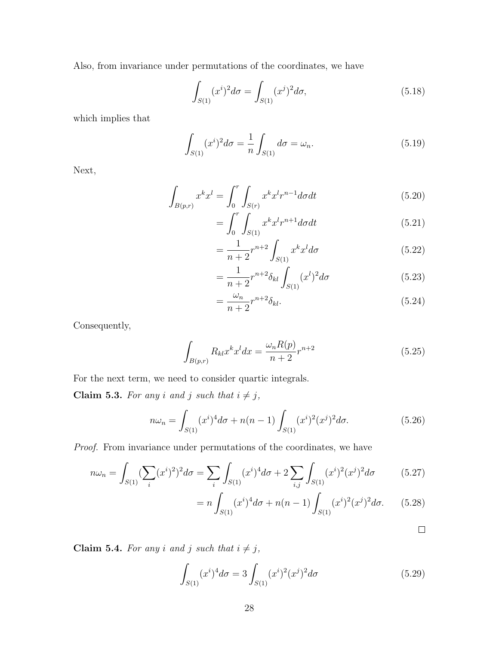Also, from invariance under permutations of the coordinates, we have

$$
\int_{S(1)} (x^i)^2 d\sigma = \int_{S(1)} (x^j)^2 d\sigma,\tag{5.18}
$$

which implies that

$$
\int_{S(1)} (x^i)^2 d\sigma = \frac{1}{n} \int_{S(1)} d\sigma = \omega_n.
$$
\n(5.19)

Next,

$$
\int_{B(p,r)} x^k x^l = \int_0^r \int_{S(r)} x^k x^l r^{n-1} d\sigma dt
$$
\n(5.20)

$$
= \int_{0}^{r} \int_{S(1)} x^{k} x^{l} r^{n+1} d\sigma dt \tag{5.21}
$$

$$
=\frac{1}{n+2}r^{n+2}\int_{S(1)}x^kx^ld\sigma\tag{5.22}
$$

$$
=\frac{1}{n+2}r^{n+2}\delta_{kl}\int_{S(1)}(x^l)^2d\sigma\tag{5.23}
$$

$$
=\frac{\omega_n}{n+2}r^{n+2}\delta_{kl}.\tag{5.24}
$$

Consequently,

$$
\int_{B(p,r)} R_{kl} x^k x^l dx = \frac{\omega_n R(p)}{n+2} r^{n+2}
$$
\n(5.25)

For the next term, we need to consider quartic integrals.

Claim 5.3. For any i and j such that  $i \neq j$ ,

$$
n\omega_n = \int_{S(1)} (x^i)^4 d\sigma + n(n-1) \int_{S(1)} (x^i)^2 (x^j)^2 d\sigma.
$$
 (5.26)

Proof. From invariance under permutations of the coordinates, we have

$$
n\omega_n = \int_{S(1)} (\sum_i (x^i)^2)^2 d\sigma = \sum_i \int_{S(1)} (x^i)^4 d\sigma + 2 \sum_{i,j} \int_{S(1)} (x^i)^2 (x^j)^2 d\sigma \tag{5.27}
$$

$$
= n \int_{S(1)} (x^i)^4 d\sigma + n(n-1) \int_{S(1)} (x^i)^2 (x^j)^2 d\sigma.
$$
 (5.28)

 $\Box$ 

Claim 5.4. For any i and j such that  $i \neq j$ ,

$$
\int_{S(1)} (x^i)^4 d\sigma = 3 \int_{S(1)} (x^i)^2 (x^j)^2 d\sigma \tag{5.29}
$$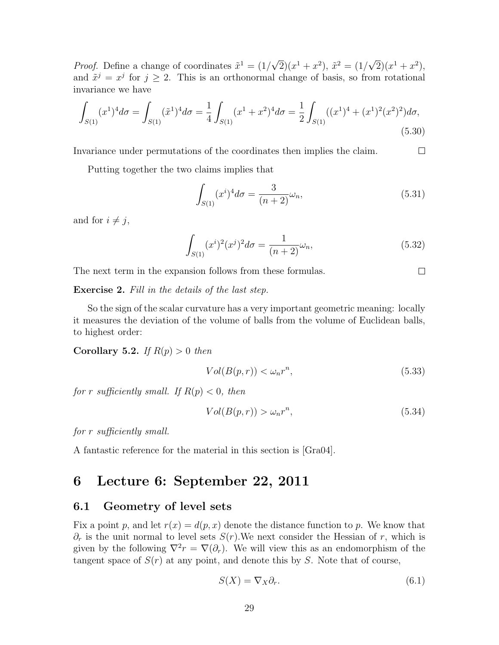*Proof.* Define a change of coordinates  $\tilde{x}^1 = (1/2)$ √  $\overline{2})(x^1+x^2), \tilde{x}^2=(1/$ √  $\overline{2})(x^{1}+x^{2}),$ and  $\tilde{x}^j = x^j$  for  $j \ge 2$ . This is an orthonormal change of basis, so from rotational invariance we have

$$
\int_{S(1)} (x^1)^4 d\sigma = \int_{S(1)} (\tilde{x}^1)^4 d\sigma = \frac{1}{4} \int_{S(1)} (x^1 + x^2)^4 d\sigma = \frac{1}{2} \int_{S(1)} ((x^1)^4 + (x^1)^2 (x^2)^2) d\sigma,
$$
\n(5.30)

Invariance under permutations of the coordinates then implies the claim.  $\Box$ 

Putting together the two claims implies that

$$
\int_{S(1)} (x^i)^4 d\sigma = \frac{3}{(n+2)} \omega_n,
$$
\n(5.31)

and for  $i \neq j$ ,

$$
\int_{S(1)} (x^i)^2 (x^j)^2 d\sigma = \frac{1}{(n+2)} \omega_n,
$$
\n(5.32)

 $\Box$ 

The next term in the expansion follows from these formulas.

**Exercise 2.** Fill in the details of the last step.

So the sign of the scalar curvature has a very important geometric meaning: locally it measures the deviation of the volume of balls from the volume of Euclidean balls, to highest order:

Corollary 5.2. If  $R(p) > 0$  then

$$
Vol(B(p,r)) < \omega_n r^n,
$$
\n(5.33)

for r sufficiently small. If  $R(p) < 0$ , then

$$
Vol(B(p,r)) > \omega_n r^n,
$$
\n(5.34)

for r sufficiently small.

A fantastic reference for the material in this section is [Gra04].

### 6 Lecture 6: September 22, 2011

#### 6.1 Geometry of level sets

Fix a point p, and let  $r(x) = d(p, x)$  denote the distance function to p. We know that  $\partial_r$  is the unit normal to level sets  $S(r)$ . We next consider the Hessian of r, which is given by the following  $\nabla^2 r = \nabla(\partial_r)$ . We will view this as an endomorphism of the tangent space of  $S(r)$  at any point, and denote this by S. Note that of course,

$$
S(X) = \nabla_X \partial_r. \tag{6.1}
$$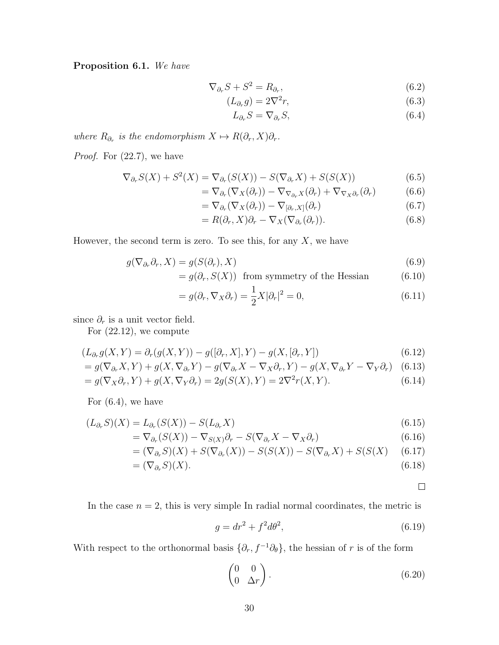Proposition 6.1. We have

$$
\nabla_{\partial_r} S + S^2 = R_{\partial_r},\tag{6.2}
$$

$$
(L_{\partial_r}g) = 2\nabla^2 r,\tag{6.3}
$$

$$
L_{\partial_r} S = \nabla_{\partial_r} S,\tag{6.4}
$$

where  $R_{\partial_r}$  is the endomorphism  $X \mapsto R(\partial_r, X)\partial_r$ .

*Proof.* For  $(22.7)$ , we have

$$
\nabla_{\partial_r} S(X) + S^2(X) = \nabla_{\partial_r} (S(X)) - S(\nabla_{\partial_r} X) + S(S(X))
$$
\n(6.5)

$$
= \nabla_{\partial_r} (\nabla_X(\partial_r)) - \nabla_{\nabla_{\partial_r} X} (\partial_r) + \nabla_{\nabla_X \partial_r} (\partial_r) \tag{6.6}
$$

$$
= \nabla_{\partial_r} (\nabla_X(\partial_r)) - \nabla_{[\partial_r, X]}(\partial_r)
$$
\n(6.7)

$$
= R(\partial_r, X)\partial_r - \nabla_X(\nabla_{\partial_r}(\partial_r)).\tag{6.8}
$$

However, the second term is zero. To see this, for any  $X$ , we have

$$
g(\nabla_{\partial_r} \partial_r, X) = g(S(\partial_r), X) \tag{6.9}
$$

$$
= g(\partial_r, S(X)) \text{ from symmetry of the Hessian} \tag{6.10}
$$

$$
= g(\partial_r, \nabla_X \partial_r) = \frac{1}{2} X |\partial_r|^2 = 0,
$$
\n(6.11)

since  $\partial_r$  is a unit vector field.

For (22.12), we compute

$$
(L_{\partial_r}g(X,Y) = \partial_r(g(X,Y)) - g([\partial_r, X], Y) - g(X, [\partial_r, Y])
$$
\n(6.12)

$$
= g(\nabla_{\partial_r} X, Y) + g(X, \nabla_{\partial_r} Y) - g(\nabla_{\partial_r} X - \nabla_X \partial_r, Y) - g(X, \nabla_{\partial_r} Y - \nabla_Y \partial_r) \tag{6.13}
$$

$$
= g(\nabla_X \partial_r, Y) + g(X, \nabla_Y \partial_r) = 2g(S(X), Y) = 2\nabla^2 r(X, Y). \tag{6.14}
$$

For  $(6.4)$ , we have

$$
(L_{\partial_r}S)(X) = L_{\partial_r}(S(X)) - S(L_{\partial_r}X)
$$
\n(6.15)

$$
= \nabla_{\partial_r}(S(X)) - \nabla_{S(X)}\partial_r - S(\nabla_{\partial_r}X - \nabla_X\partial_r)
$$
\n(6.16)

$$
= (\nabla_{\partial_r} S)(X) + S(\nabla_{\partial_r} (X)) - S(S(X)) - S(\nabla_{\partial_r} X) + S(S(X)) \tag{6.17}
$$

$$
= (\nabla_{\partial_r} S)(X). \tag{6.18}
$$

 $\Box$ 

In the case  $n = 2$ , this is very simple In radial normal coordinates, the metric is

$$
g = dr^2 + f^2 d\theta^2,\tag{6.19}
$$

With respect to the orthonormal basis  $\{\partial_r, f^{-1}\partial_\theta\}$ , the hessian of r is of the form

$$
\begin{pmatrix} 0 & 0 \\ 0 & \Delta r \end{pmatrix}.
$$
 (6.20)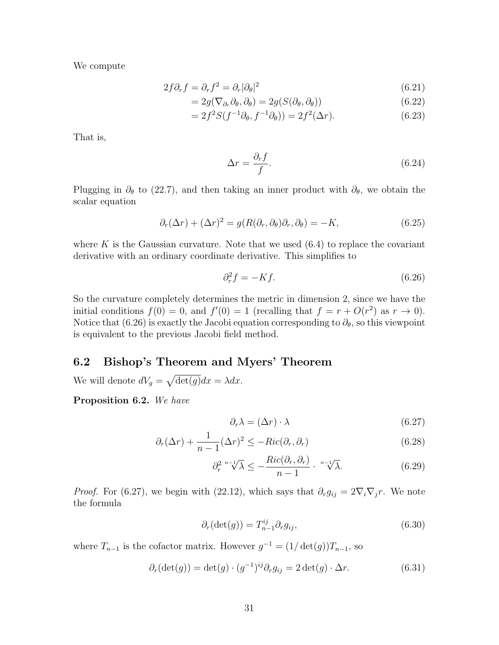We compute

$$
2f\partial_r f = \partial_r f^2 = \partial_r |\partial_\theta|^2 \tag{6.21}
$$

$$
=2g(\nabla_{\partial_r}\partial_\theta,\partial_\theta)=2g(S(\partial_\theta,\partial_\theta))
$$
\n(6.22)

$$
=2f^2S(f^{-1}\partial_\theta, f^{-1}\partial_\theta))=2f^2(\Delta r). \tag{6.23}
$$

That is,

$$
\Delta r = \frac{\partial_r f}{f}.\tag{6.24}
$$

Plugging in  $\partial_{\theta}$  to (22.7), and then taking an inner product with  $\partial_{\theta}$ , we obtain the scalar equation

$$
\partial_r(\Delta r) + (\Delta r)^2 = g(R(\partial_r, \partial_\theta)\partial_r, \partial_\theta) = -K,\tag{6.25}
$$

where K is the Gaussian curvature. Note that we used  $(6.4)$  to replace the covariant derivative with an ordinary coordinate derivative. This simplifies to

$$
\partial_r^2 f = -Kf. \tag{6.26}
$$

So the curvature completely determines the metric in dimension 2, since we have the initial conditions  $f(0) = 0$ , and  $f'(0) = 1$  (recalling that  $f = r + O(r^2)$  as  $r \to 0$ ). Notice that (6.26) is exactly the Jacobi equation corresponding to  $\partial_{\theta}$ , so this viewpoint is equivalent to the previous Jacobi field method.

### 6.2 Bishop's Theorem and Myers' Theorem

We will denote  $dV_g = \sqrt{\det(g)}dx = \lambda dx$ .

Proposition 6.2. We have

$$
\partial_r \lambda = (\Delta r) \cdot \lambda \tag{6.27}
$$

$$
\partial_r(\Delta r) + \frac{1}{n-1} (\Delta r)^2 \le -Ric(\partial_r, \partial_r) \tag{6.28}
$$

$$
\partial_r^{2} \sqrt[n-1]{\lambda} \le -\frac{Ric(\partial_r, \partial_r)}{n-1} \cdot \sqrt[n-1]{\lambda}.
$$
 (6.29)

*Proof.* For (6.27), we begin with (22.12), which says that  $\partial_r g_{ij} = 2 \nabla_i \nabla_j r$ . We note the formula

$$
\partial_r(\det(g)) = T_{n-1}^{ij} \partial_r g_{ij},\tag{6.30}
$$

where  $T_{n-1}$  is the cofactor matrix. However  $g^{-1} = (1/\det(g))T_{n-1}$ , so

$$
\partial_r(\det(g)) = \det(g) \cdot (g^{-1})^{ij} \partial_r g_{ij} = 2 \det(g) \cdot \Delta r. \tag{6.31}
$$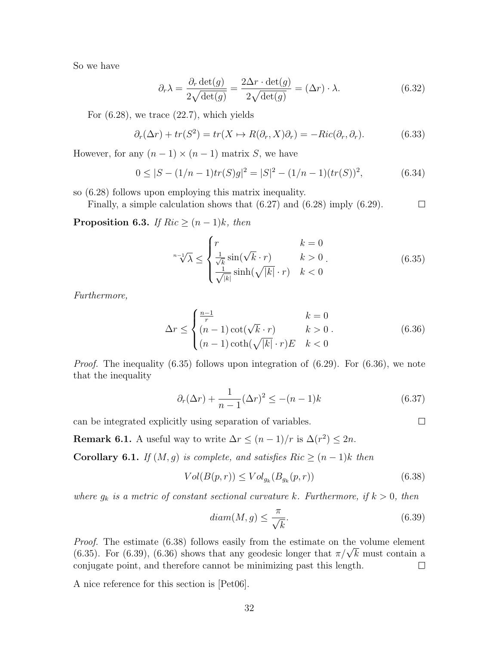So we have

$$
\partial_r \lambda = \frac{\partial_r \det(g)}{2\sqrt{\det(g)}} = \frac{2\Delta r \cdot \det(g)}{2\sqrt{\det(g)}} = (\Delta r) \cdot \lambda.
$$
 (6.32)

For  $(6.28)$ , we trace  $(22.7)$ , which yields

$$
\partial_r(\Delta r) + tr(S^2) = tr(X \to R(\partial_r, X)\partial_r) = -Ric(\partial_r, \partial_r).
$$
 (6.33)

However, for any  $(n-1) \times (n-1)$  matrix S, we have

$$
0 \le |S - (1/n - 1)tr(S)g|^2 = |S|^2 - (1/n - 1)(tr(S))^2, \tag{6.34}
$$

so (6.28) follows upon employing this matrix inequality.

Finally, a simple calculation shows that (6.27) and (6.28) imply (6.29).  $\Box$ 

**Proposition 6.3.** If  $Ric \geq (n-1)k$ , then

$$
\sqrt[n-1]{\lambda} \le \begin{cases} r & k = 0\\ \frac{1}{\sqrt{k}} \sin(\sqrt{k} \cdot r) & k > 0\\ \frac{1}{\sqrt{|k|}} \sinh(\sqrt{|k|} \cdot r) & k < 0 \end{cases}
$$
(6.35)

Furthermore,

$$
\Delta r \le \begin{cases} \frac{n-1}{r} & k = 0\\ (n-1)\cot(\sqrt{k} \cdot r) & k > 0\\ (n-1)\coth(\sqrt{|k|} \cdot r)E & k < 0 \end{cases}
$$
(6.36)

*Proof.* The inequality  $(6.35)$  follows upon integration of  $(6.29)$ . For  $(6.36)$ , we note that the inequality

$$
\partial_r(\Delta r) + \frac{1}{n-1} (\Delta r)^2 \le -(n-1)k \tag{6.37}
$$

can be integrated explicitly using separation of variables.

**Remark 6.1.** A useful way to write  $\Delta r \leq (n-1)/r$  is  $\Delta(r^2) \leq 2n$ .

Corollary 6.1. If  $(M, g)$  is complete, and satisfies Ric  $\geq (n-1)k$  then

$$
Vol(B(p,r)) \leq Vol_{g_k}(B_{g_k}(p,r))
$$
\n(6.38)

where  $g_k$  is a metric of constant sectional curvature k. Furthermore, if  $k > 0$ , then

$$
diam(M, g) \le \frac{\pi}{\sqrt{k}}.\tag{6.39}
$$

 $\Box$ 

Proof. The estimate (6.38) follows easily from the estimate on the volume element *Proof.* The estimate (6.38) follows easily from the estimate on the volume element (6.35). For (6.39), (6.36) shows that any geodesic longer that  $\pi/\sqrt{k}$  must contain a conjugate point, and therefore cannot be minimizing past this length.  $\Box$ 

A nice reference for this section is [Pet06].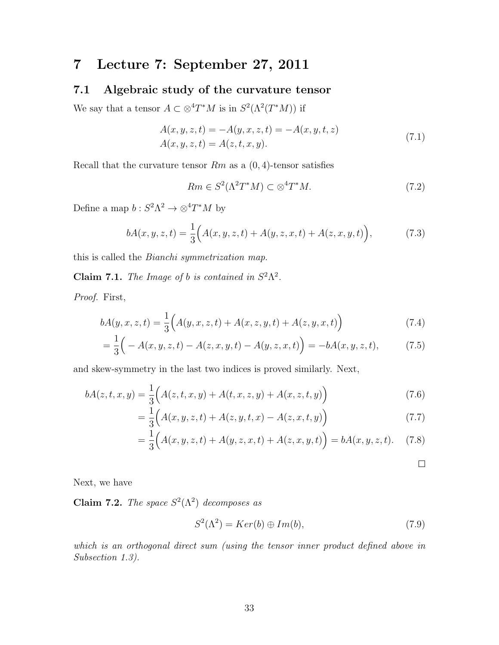### 7 Lecture 7: September 27, 2011

### 7.1 Algebraic study of the curvature tensor

We say that a tensor  $A \subset \otimes^4 T^*M$  is in  $S^2(\Lambda^2(T^*M))$  if

$$
A(x, y, z, t) = -A(y, x, z, t) = -A(x, y, t, z)
$$
  
\n
$$
A(x, y, z, t) = A(z, t, x, y).
$$
\n(7.1)

Recall that the curvature tensor  $Rm$  as a  $(0, 4)$ -tensor satisfies

$$
Rm \in S^2(\Lambda^2 T^*M) \subset \otimes^4 T^*M. \tag{7.2}
$$

Define a map  $b: S^2 \Lambda^2 \to \otimes^4 T^* M$  by

$$
bA(x, y, z, t) = \frac{1}{3} \Big( A(x, y, z, t) + A(y, z, x, t) + A(z, x, y, t) \Big), \tag{7.3}
$$

this is called the Bianchi symmetrization map.

**Claim 7.1.** The Image of b is contained in  $S^2\Lambda^2$ .

Proof. First,

$$
bA(y, x, z, t) = \frac{1}{3} \Big( A(y, x, z, t) + A(x, z, y, t) + A(z, y, x, t) \Big)
$$
(7.4)

$$
= \frac{1}{3} \Big( -A(x, y, z, t) - A(z, x, y, t) - A(y, z, x, t) \Big) = -bA(x, y, z, t), \tag{7.5}
$$

and skew-symmetry in the last two indices is proved similarly. Next,

$$
bA(z, t, x, y) = \frac{1}{3} \Big( A(z, t, x, y) + A(t, x, z, y) + A(x, z, t, y) \Big)
$$
(7.6)

$$
= \frac{1}{3} \Big( A(x, y, z, t) + A(z, y, t, x) - A(z, x, t, y) \Big)
$$
(7.7)

$$
= \frac{1}{3} (A(x, y, z, t) + A(y, z, x, t) + A(z, x, y, t)) = bA(x, y, z, t). \tag{7.8}
$$

 $\Box$ 

Next, we have

**Claim 7.2.** The space  $S^2(\Lambda^2)$  decomposes as

$$
S^{2}(\Lambda^{2}) = Ker(b) \oplus Im(b), \qquad (7.9)
$$

which is an orthogonal direct sum (using the tensor inner product defined above in Subsection 1.3).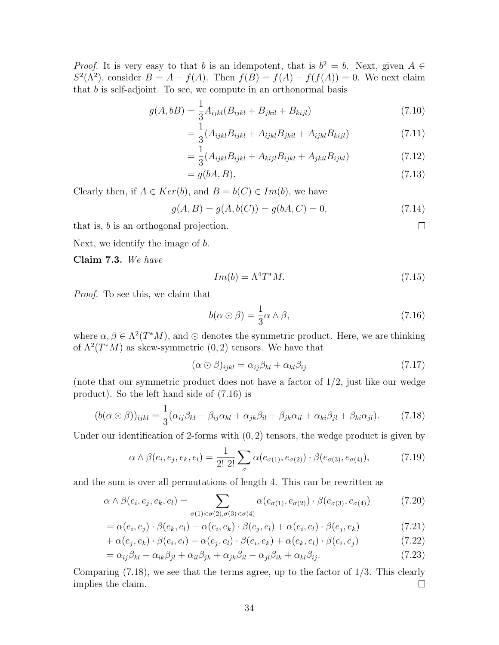*Proof.* It is very easy to that b is an idempotent, that is  $b^2 = b$ . Next, given  $A \in$  $S^2(\Lambda^2)$ , consider  $B = A - f(A)$ . Then  $f(B) = f(A) - f(f(A)) = 0$ . We next claim that  $b$  is self-adjoint. To see, we compute in an orthonormal basis

$$
g(A, bB) = \frac{1}{3} A_{ijkl} (B_{ijkl} + B_{jkil} + B_{kijl})
$$
\n(7.10)

$$
= \frac{1}{3} (A_{ijkl} B_{ijkl} + A_{ijkl} B_{jkil} + A_{ijkl} B_{kijl})
$$
\n(7.11)

$$
= \frac{1}{3} (A_{ijkl} B_{ijkl} + A_{kijl} B_{ijkl} + A_{jkil} B_{ijkl})
$$
\n(7.12)

$$
= g(bA, B). \tag{7.13}
$$

Clearly then, if  $A \in Ker(b)$ , and  $B = b(C) \in Im(b)$ , we have

$$
g(A, B) = g(A, b(C)) = g(bA, C) = 0,
$$
\n(7.14)

that is, b is an orthogonal projection.

Next, we identify the image of b.

Claim 7.3. We have

$$
Im(b) = \Lambda^4 T^* M. \tag{7.15}
$$

 $\Box$ 

Proof. To see this, we claim that

$$
b(\alpha \odot \beta) = \frac{1}{3}\alpha \wedge \beta, \tag{7.16}
$$

where  $\alpha, \beta \in \Lambda^2(T^*M)$ , and  $\odot$  denotes the symmetric product. Here, we are thinking of  $\Lambda^2(T^*M)$  as skew-symmetric  $(0, 2)$  tensors. We have that

$$
(\alpha \odot \beta)_{ijkl} = \alpha_{ij}\beta_{kl} + \alpha_{kl}\beta_{ij}
$$
\n(7.17)

(note that our symmetric product does not have a factor of  $1/2$ , just like our wedge product). So the left hand side of (7.16) is

$$
(b(\alpha \odot \beta))_{ijkl} = \frac{1}{3}(\alpha_{ij}\beta_{kl} + \beta_{ij}\alpha_{kl} + \alpha_{jk}\beta_{il} + \beta_{jk}\alpha_{il} + \alpha_{ki}\beta_{jl} + \beta_{ki}\alpha_{jl}).
$$
 (7.18)

Under our identification of 2-forms with  $(0, 2)$  tensors, the wedge product is given by

$$
\alpha \wedge \beta(e_i, e_j, e_k, e_l) = \frac{1}{2! \ 2!} \sum_{\sigma} \alpha(e_{\sigma(1)}, e_{\sigma(2)}) \cdot \beta(e_{\sigma(3)}, e_{\sigma(4)}), \tag{7.19}
$$

and the sum is over all permutations of length 4. This can be rewritten as

$$
\alpha \wedge \beta(e_i, e_j, e_k, e_l) = \sum_{\sigma(1) < \sigma(2), \sigma(3) < \sigma(4)} \alpha(e_{\sigma(1)}, e_{\sigma(2)}) \cdot \beta(e_{\sigma(3)}, e_{\sigma(4)}) \tag{7.20}
$$

$$
= \alpha(e_i, e_j) \cdot \beta(e_k, e_l) - \alpha(e_i, e_k) \cdot \beta(e_j, e_l) + \alpha(e_i, e_l) \cdot \beta(e_j, e_k)
$$
\n(7.21)

$$
+\alpha(e_j, e_k) \cdot \beta(e_i, e_l) - \alpha(e_j, e_l) \cdot \beta(e_i, e_k) + \alpha(e_k, e_l) \cdot \beta(e_i, e_j)
$$
\n(7.22)

$$
= \alpha_{ij}\beta_{kl} - \alpha_{ik}\beta_{jl} + \alpha_{il}\beta_{jk} + \alpha_{jk}\beta_{il} - \alpha_{jl}\beta_{ik} + \alpha_{kl}\beta_{ij}.
$$
\n(7.23)

Comparing  $(7.18)$ , we see that the terms agree, up to the factor of  $1/3$ . This clearly implies the claim.  $\Box$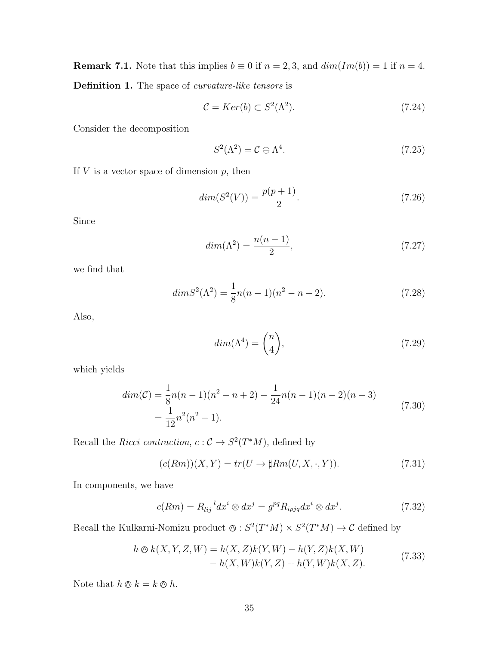**Remark 7.1.** Note that this implies  $b \equiv 0$  if  $n = 2, 3$ , and  $dim(Im(b)) = 1$  if  $n = 4$ .

Definition 1. The space of *curvature-like tensors* is

$$
\mathcal{C} = Ker(b) \subset S^2(\Lambda^2). \tag{7.24}
$$

Consider the decomposition

$$
S^2(\Lambda^2) = \mathcal{C} \oplus \Lambda^4. \tag{7.25}
$$

If  $V$  is a vector space of dimension  $p$ , then

$$
dim(S2(V)) = \frac{p(p+1)}{2}.
$$
\n(7.26)

Since

$$
dim(\Lambda^2) = \frac{n(n-1)}{2},\tag{7.27}
$$

we find that

$$
dim S2(\Lambda2) = \frac{1}{8}n(n-1)(n2 - n + 2).
$$
 (7.28)

Also,

$$
dim(\Lambda^4) = \binom{n}{4},\tag{7.29}
$$

which yields

$$
dim(\mathcal{C}) = \frac{1}{8}n(n-1)(n^2 - n + 2) - \frac{1}{24}n(n-1)(n-2)(n-3)
$$
  
= 
$$
\frac{1}{12}n^2(n^2 - 1).
$$
 (7.30)

Recall the Ricci contraction,  $c: \mathcal{C} \to S^2(T^*M)$ , defined by

$$
(c(Rm))(X,Y) = tr(U \to \sharp Rm(U,X,\cdot,Y)).
$$
\n(7.31)

In components, we have

$$
c(Rm) = R_{lij}{}^{l} dx^{i} \otimes dx^{j} = g^{pq} R_{ipjq} dx^{i} \otimes dx^{j}.
$$
 (7.32)

Recall the Kulkarni-Nomizu product  $\otimes : S^2(T^*M) \times S^2(T^*M) \to \mathcal{C}$  defined by

$$
h \otimes k(X, Y, Z, W) = h(X, Z)k(Y, W) - h(Y, Z)k(X, W) - h(X, W)k(Y, Z) + h(Y, W)k(X, Z).
$$
 (7.33)

Note that  $h \otimes k = k \otimes h$ .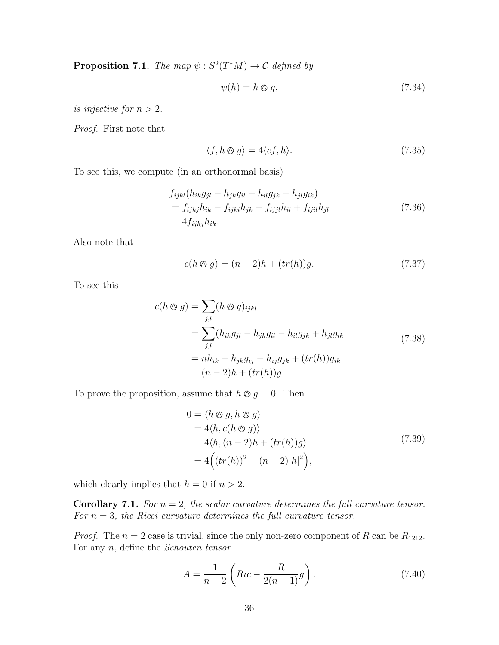**Proposition 7.1.** The map  $\psi : S^2(T^*M) \to \mathcal{C}$  defined by

$$
\psi(h) = h \otimes g,\tag{7.34}
$$

is injective for  $n > 2$ .

Proof. First note that

$$
\langle f, h \otimes g \rangle = 4 \langle cf, h \rangle. \tag{7.35}
$$

To see this, we compute (in an orthonormal basis)

$$
f_{ijkl}(h_{ik}g_{jl} - h_{jk}g_{il} - h_{il}g_{jk} + h_{jl}g_{ik})
$$
  
=  $f_{ijkj}h_{ik} - f_{ijki}h_{jk} - f_{ijjl}h_{il} + f_{ijil}h_{jl}$   
=  $4f_{ijkj}h_{ik}$ . (7.36)

Also note that

$$
c(h \otimes g) = (n-2)h + (tr(h))g.
$$
 (7.37)

To see this

$$
c(h \otimes g) = \sum_{j,l} (h \otimes g)_{ijkl}
$$
  
= 
$$
\sum_{j,l} (h_{ik}g_{jl} - h_{jk}g_{il} - h_{il}g_{jk} + h_{jl}g_{ik}
$$
  
= 
$$
nh_{ik} - h_{jk}g_{ij} - h_{ij}g_{jk} + (tr(h))g_{ik}
$$
  
= 
$$
(n-2)h + (tr(h))g.
$$
 (7.38)

To prove the proposition, assume that  $h \otimes g = 0$ . Then

$$
0 = \langle h \otimes g, h \otimes g \rangle
$$
  
= 4\langle h, c(h \otimes g) \rangle  
= 4\langle h, (n-2)h + (tr(h))g \rangle  
= 4\Big((tr(h))^2 + (n-2)|h|^2\Big), (7.39)

which clearly implies that  $h = 0$  if  $n > 2$ .

**Corollary 7.1.** For  $n = 2$ , the scalar curvature determines the full curvature tensor. For  $n = 3$ , the Ricci curvature determines the full curvature tensor.

*Proof.* The  $n = 2$  case is trivial, since the only non-zero component of R can be  $R_{1212}$ . For any n, define the Schouten tensor

$$
A = \frac{1}{n-2} \left( Ric - \frac{R}{2(n-1)} g \right).
$$
 (7.40)

 $\Box$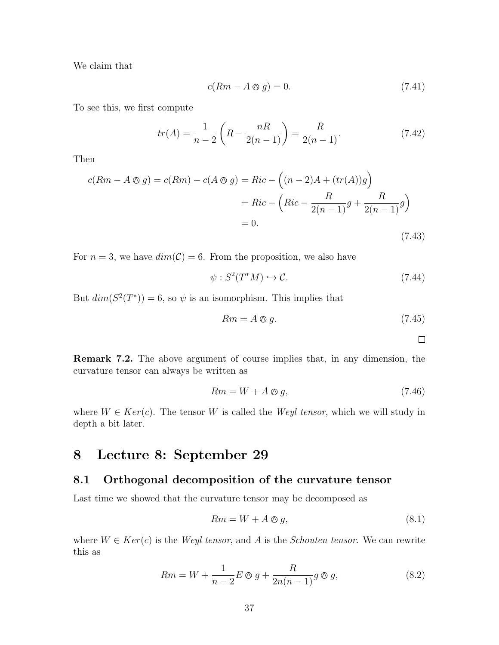We claim that

$$
c(Rm - A \otimes g) = 0. \tag{7.41}
$$

To see this, we first compute

$$
tr(A) = \frac{1}{n-2} \left( R - \frac{nR}{2(n-1)} \right) = \frac{R}{2(n-1)}.
$$
 (7.42)

Then

$$
c(Rm - A \otimes g) = c(Rm) - c(A \otimes g) = Ric - \left( (n-2)A + (tr(A))g \right)
$$

$$
= Ric - \left( Ric - \frac{R}{2(n-1)}g + \frac{R}{2(n-1)}g \right)
$$

$$
= 0.
$$
(7.43)

For  $n = 3$ , we have  $dim(\mathcal{C}) = 6$ . From the proposition, we also have

$$
\psi: S^2(T^*M) \hookrightarrow \mathcal{C}.\tag{7.44}
$$

But  $dim(S^2(T^*))=6$ , so  $\psi$  is an isomorphism. This implies that

$$
Rm = A \otimes g. \tag{7.45}
$$

 $\Box$ 

Remark 7.2. The above argument of course implies that, in any dimension, the curvature tensor can always be written as

$$
Rm = W + A \otimes g,\tag{7.46}
$$

where  $W \in Ker(c)$ . The tensor W is called the Weyl tensor, which we will study in depth a bit later.

# 8 Lecture 8: September 29

### 8.1 Orthogonal decomposition of the curvature tensor

Last time we showed that the curvature tensor may be decomposed as

$$
Rm = W + A \otimes g,\tag{8.1}
$$

where  $W \in Ker(c)$  is the *Weyl tensor*, and A is the *Schouten tensor*. We can rewrite this as

$$
Rm = W + \frac{1}{n-2}E \otimes g + \frac{R}{2n(n-1)}g \otimes g,
$$
\n(8.2)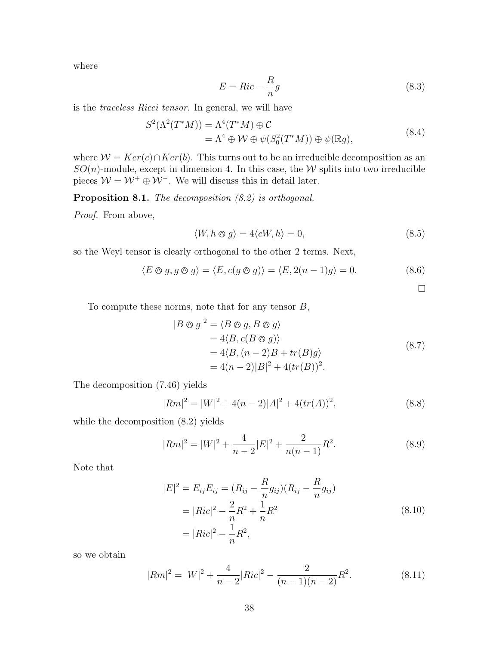where

$$
E = Ric - \frac{R}{n}g\tag{8.3}
$$

is the traceless Ricci tensor. In general, we will have

$$
S^{2}(\Lambda^{2}(T^{*}M)) = \Lambda^{4}(T^{*}M) \oplus C
$$
  
=  $\Lambda^{4} \oplus W \oplus \psi(S_{0}^{2}(T^{*}M)) \oplus \psi(\mathbb{R}g),$  (8.4)

where  $W = Ker(c) \cap Ker(b)$ . This turns out to be an irreducible decomposition as an  $SO(n)$ -module, except in dimension 4. In this case, the W splits into two irreducible pieces  $W = W^+ \oplus W^-$ . We will discuss this in detail later.

Proposition 8.1. The decomposition  $(8.2)$  is orthogonal.

Proof. From above,

$$
\langle W, h \otimes g \rangle = 4 \langle cW, h \rangle = 0, \tag{8.5}
$$

so the Weyl tensor is clearly orthogonal to the other 2 terms. Next,

$$
\langle E \otimes g, g \otimes g \rangle = \langle E, c(g \otimes g) \rangle = \langle E, 2(n-1)g \rangle = 0.
$$
 (8.6)

 $\Box$ 

To compute these norms, note that for any tensor  $B$ ,

$$
|B \otimes g|^2 = \langle B \otimes g, B \otimes g \rangle
$$
  
= 4\langle B, c(B \otimes g) \rangle  
= 4\langle B, (n-2)B + tr(B)g \rangle  
= 4(n-2)|B|^2 + 4(tr(B))^2. (8.7)

The decomposition (7.46) yields

$$
|Rm|^2 = |W|^2 + 4(n-2)|A|^2 + 4(tr(A))^2,
$$
\n(8.8)

while the decomposition (8.2) yields

$$
|Rm|^2 = |W|^2 + \frac{4}{n-2}|E|^2 + \frac{2}{n(n-1)}R^2.
$$
 (8.9)

Note that

$$
|E|^2 = E_{ij}E_{ij} = (R_{ij} - \frac{R}{n}g_{ij})(R_{ij} - \frac{R}{n}g_{ij})
$$
  
=  $|Ric|^2 - \frac{2}{n}R^2 + \frac{1}{n}R^2$   
=  $|Ric|^2 - \frac{1}{n}R^2$ , (8.10)

so we obtain

$$
|Rm|^2 = |W|^2 + \frac{4}{n-2}|Ric|^2 - \frac{2}{(n-1)(n-2)}R^2.
$$
 (8.11)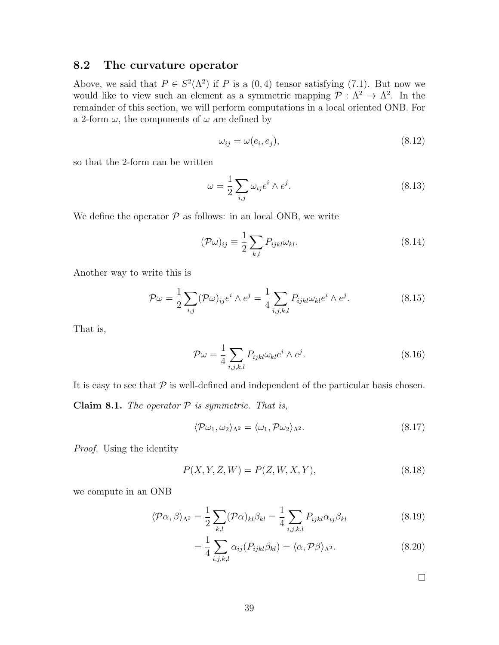### 8.2 The curvature operator

Above, we said that  $P \in S^2(\Lambda^2)$  if P is a  $(0,4)$  tensor satisfying (7.1). But now we would like to view such an element as a symmetric mapping  $\mathcal{P}: \Lambda^2 \to \Lambda^2$ . In the remainder of this section, we will perform computations in a local oriented ONB. For a 2-form  $\omega$ , the components of  $\omega$  are defined by

$$
\omega_{ij} = \omega(e_i, e_j),\tag{8.12}
$$

so that the 2-form can be written

$$
\omega = \frac{1}{2} \sum_{i,j} \omega_{ij} e^i \wedge e^j.
$$
\n(8.13)

We define the operator  $P$  as follows: in an local ONB, we write

$$
(\mathcal{P}\omega)_{ij} \equiv \frac{1}{2} \sum_{k,l} P_{ijkl} \omega_{kl}.
$$
\n(8.14)

Another way to write this is

$$
\mathcal{P}\omega = \frac{1}{2} \sum_{i,j} (\mathcal{P}\omega)_{ij} e^i \wedge e^j = \frac{1}{4} \sum_{i,j,k,l} P_{ijkl} \omega_{kl} e^i \wedge e^j.
$$
 (8.15)

That is,

$$
\mathcal{P}\omega = \frac{1}{4} \sum_{i,j,k,l} P_{ijkl} \omega_{kl} e^i \wedge e^j.
$$
 (8.16)

It is easy to see that  $P$  is well-defined and independent of the particular basis chosen. Claim 8.1. The operator  $P$  is symmetric. That is,

$$
\langle \mathcal{P}\omega_1, \omega_2 \rangle_{\Lambda^2} = \langle \omega_1, \mathcal{P}\omega_2 \rangle_{\Lambda^2}.\tag{8.17}
$$

Proof. Using the identity

$$
P(X, Y, Z, W) = P(Z, W, X, Y),
$$
\n(8.18)

we compute in an ONB

$$
\langle \mathcal{P}\alpha, \beta \rangle_{\Lambda^2} = \frac{1}{2} \sum_{k,l} (\mathcal{P}\alpha)_{kl} \beta_{kl} = \frac{1}{4} \sum_{i,j,k,l} P_{ijkl} \alpha_{ij} \beta_{kl} \tag{8.19}
$$

$$
=\frac{1}{4}\sum_{i,j,k,l}\alpha_{ij}(P_{ijkl}\beta_{kl})=\langle\alpha,\mathcal{P}\beta\rangle_{\Lambda^2}.
$$
\n(8.20)

 $\Box$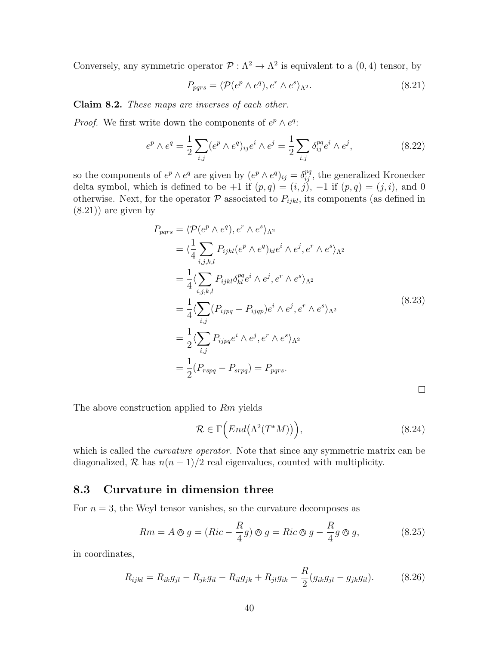Conversely, any symmetric operator  $\mathcal{P} : \Lambda^2 \to \Lambda^2$  is equivalent to a  $(0, 4)$  tensor, by

$$
P_{pqrs} = \langle \mathcal{P}(e^p \wedge e^q), e^r \wedge e^s \rangle_{\Lambda^2}.
$$
 (8.21)

Claim 8.2. These maps are inverses of each other.

*Proof.* We first write down the components of  $e^p \wedge e^q$ :

$$
e^p \wedge e^q = \frac{1}{2} \sum_{i,j} (e^p \wedge e^q)_{ij} e^i \wedge e^j = \frac{1}{2} \sum_{i,j} \delta_{ij}^{pq} e^i \wedge e^j, \tag{8.22}
$$

so the components of  $e^p \wedge e^q$  are given by  $(e^p \wedge e^q)_{ij} = \delta^{pq}_{ij}$ , the generalized Kronecker delta symbol, which is defined to be +1 if  $(p, q) = (i, j)$ ,  $-1$  if  $(p, q) = (j, i)$ , and 0 otherwise. Next, for the operator  $P$  associated to  $P_{ijkl}$ , its components (as defined in (8.21)) are given by

$$
P_{pqrs} = \langle \mathcal{P}(e^p \wedge e^q), e^r \wedge e^s \rangle_{\Lambda^2}
$$
  
\n
$$
= \langle \frac{1}{4} \sum_{i,j,k,l} P_{ijkl} (e^p \wedge e^q)_{kl} e^i \wedge e^j, e^r \wedge e^s \rangle_{\Lambda^2}
$$
  
\n
$$
= \frac{1}{4} \langle \sum_{i,j,k,l} P_{ijkl} \delta_{kl}^{pq} e^i \wedge e^j, e^r \wedge e^s \rangle_{\Lambda^2}
$$
  
\n
$$
= \frac{1}{4} \langle \sum_{i,j} (P_{ijpq} - P_{ijqp}) e^i \wedge e^j, e^r \wedge e^s \rangle_{\Lambda^2}
$$
  
\n
$$
= \frac{1}{2} \langle \sum_{i,j} P_{ijpq} e^i \wedge e^j, e^r \wedge e^s \rangle_{\Lambda^2}
$$
  
\n
$$
= \frac{1}{2} (P_{rspq} - P_{srpq}) = P_{pqrs}.
$$

ш

The above construction applied to Rm yields

$$
\mathcal{R} \in \Gamma\Big(End\big(\Lambda^2(T^*M)\big)\Big),\tag{8.24}
$$

which is called the *curvature operator*. Note that since any symmetric matrix can be diagonalized,  $\mathcal R$  has  $n(n-1)/2$  real eigenvalues, counted with multiplicity.

### 8.3 Curvature in dimension three

For  $n = 3$ , the Weyl tensor vanishes, so the curvature decomposes as

$$
Rm = A \otimes g = (Ric - \frac{R}{4}g) \otimes g = Ric \otimes g - \frac{R}{4}g \otimes g,
$$
\n(8.25)

in coordinates,

$$
R_{ijkl} = R_{ik}g_{jl} - R_{jk}g_{il} - R_{il}g_{jk} + R_{jl}g_{ik} - \frac{R}{2}(g_{ik}g_{jl} - g_{jk}g_{il}).
$$
 (8.26)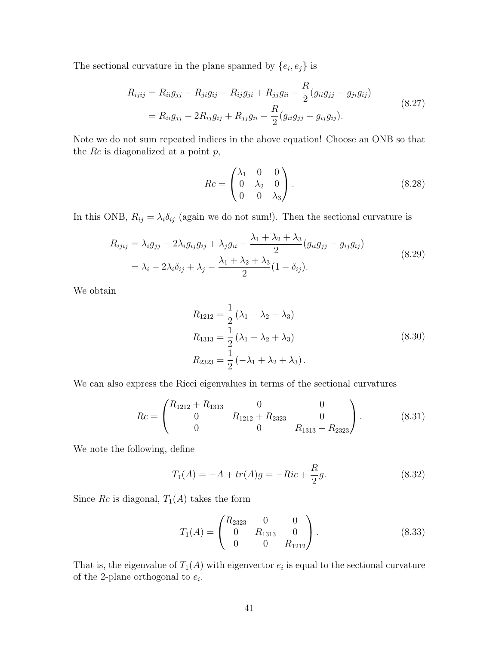The sectional curvature in the plane spanned by  $\{e_i, e_j\}$  is

$$
R_{ijij} = R_{ii}g_{jj} - R_{ji}g_{ij} - R_{ij}g_{ji} + R_{jj}g_{ii} - \frac{R}{2}(g_{ii}g_{jj} - g_{ji}g_{ij})
$$
  
=  $R_{ii}g_{jj} - 2R_{ij}g_{ij} + R_{jj}g_{ii} - \frac{R}{2}(g_{ii}g_{jj} - g_{ij}g_{ij}).$  (8.27)

Note we do not sum repeated indices in the above equation! Choose an ONB so that the  $Rc$  is diagonalized at a point  $p$ ,

$$
Rc = \begin{pmatrix} \lambda_1 & 0 & 0 \\ 0 & \lambda_2 & 0 \\ 0 & 0 & \lambda_3 \end{pmatrix} . \tag{8.28}
$$

In this ONB,  $R_{ij} = \lambda_i \delta_{ij}$  (again we do not sum!). Then the sectional curvature is

$$
R_{ijij} = \lambda_i g_{jj} - 2\lambda_i g_{ij} g_{ij} + \lambda_j g_{ii} - \frac{\lambda_1 + \lambda_2 + \lambda_3}{2} (g_{ii} g_{jj} - g_{ij} g_{ij})
$$
  
=  $\lambda_i - 2\lambda_i \delta_{ij} + \lambda_j - \frac{\lambda_1 + \lambda_2 + \lambda_3}{2} (1 - \delta_{ij}).$  (8.29)

We obtain

$$
R_{1212} = \frac{1}{2} (\lambda_1 + \lambda_2 - \lambda_3)
$$
  
\n
$$
R_{1313} = \frac{1}{2} (\lambda_1 - \lambda_2 + \lambda_3)
$$
  
\n
$$
R_{2323} = \frac{1}{2} (-\lambda_1 + \lambda_2 + \lambda_3).
$$
\n(8.30)

We can also express the Ricci eigenvalues in terms of the sectional curvatures

$$
Rc = \begin{pmatrix} R_{1212} + R_{1313} & 0 & 0 \\ 0 & R_{1212} + R_{2323} & 0 \\ 0 & 0 & R_{1313} + R_{2323} \end{pmatrix}.
$$
 (8.31)

We note the following, define

$$
T_1(A) = -A + tr(A)g = -Ric + \frac{R}{2}g.
$$
 (8.32)

Since  $Rc$  is diagonal,  $T_1(A)$  takes the form

$$
T_1(A) = \begin{pmatrix} R_{2323} & 0 & 0 \\ 0 & R_{1313} & 0 \\ 0 & 0 & R_{1212} \end{pmatrix}.
$$
 (8.33)

That is, the eigenvalue of  $T_1(A)$  with eigenvector  $e_i$  is equal to the sectional curvature of the 2-plane orthogonal to  $e_i$ .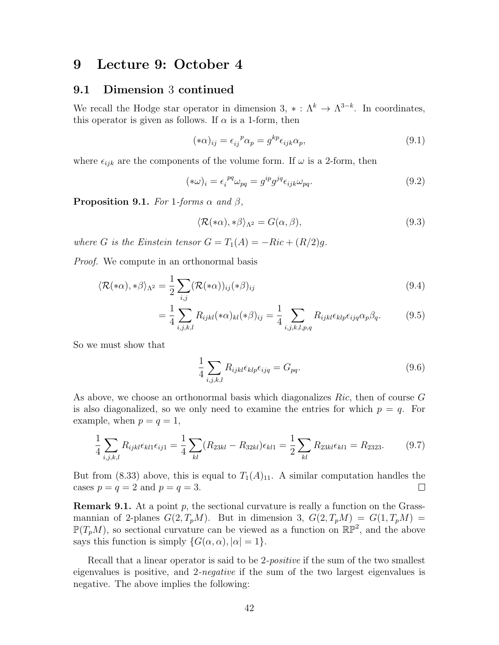# 9 Lecture 9: October 4

#### 9.1 Dimension 3 continued

We recall the Hodge star operator in dimension 3,  $* : \Lambda^k \to \Lambda^{3-k}$ . In coordinates, this operator is given as follows. If  $\alpha$  is a 1-form, then

$$
(*\alpha)_{ij} = \epsilon_{ij}^{\ \ p}\alpha_p = g^{kp}\epsilon_{ijk}\alpha_p,\tag{9.1}
$$

where  $\epsilon_{ijk}$  are the components of the volume form. If  $\omega$  is a 2-form, then

$$
(*\omega)_i = \epsilon_i^{pq} \omega_{pq} = g^{ip} g^{jq} \epsilon_{ijk} \omega_{pq}.
$$
\n(9.2)

**Proposition 9.1.** For 1-forms  $\alpha$  and  $\beta$ ,

$$
\langle \mathcal{R}(*\alpha), *\beta \rangle_{\Lambda^2} = G(\alpha, \beta), \tag{9.3}
$$

where G is the Einstein tensor  $G = T_1(A) = -Ric + (R/2)q$ .

Proof. We compute in an orthonormal basis

$$
\langle \mathcal{R}(*\alpha), *\beta \rangle_{\Lambda^2} = \frac{1}{2} \sum_{i,j} (\mathcal{R}(*\alpha))_{ij} (*\beta)_{ij}
$$
(9.4)

$$
= \frac{1}{4} \sum_{i,j,k,l} R_{ijkl}(*\alpha)_{kl} (*\beta)_{ij} = \frac{1}{4} \sum_{i,j,k,l,p,q} R_{ijkl} \epsilon_{klp} \epsilon_{ijq} \alpha_p \beta_q.
$$
 (9.5)

So we must show that

$$
\frac{1}{4} \sum_{i,j,k,l} R_{ijkl} \epsilon_{klp} \epsilon_{ijq} = G_{pq}.
$$
\n(9.6)

As above, we choose an orthonormal basis which diagonalizes  $Ric$ , then of course G is also diagonalized, so we only need to examine the entries for which  $p = q$ . For example, when  $p = q = 1$ ,

$$
\frac{1}{4} \sum_{i,j,k,l} R_{ijkl} \epsilon_{kl1} \epsilon_{ij1} = \frac{1}{4} \sum_{kl} (R_{23kl} - R_{32kl}) \epsilon_{kl1} = \frac{1}{2} \sum_{kl} R_{23kl} \epsilon_{kl1} = R_{2323}.
$$
 (9.7)

But from (8.33) above, this is equal to  $T_1(A)_{11}$ . A similar computation handles the cases  $p = q = 2$  and  $p = q = 3$ .  $\Box$ 

**Remark 9.1.** At a point p, the sectional curvature is really a function on the Grassmannian of 2-planes  $G(2,T_pM)$ . But in dimension 3,  $G(2,T_pM) = G(1,T_pM) =$  $\mathbb{P}(T_pM)$ , so sectional curvature can be viewed as a function on  $\mathbb{RP}^2$ , and the above says this function is simply  $\{G(\alpha, \alpha), |\alpha| = 1\}.$ 

Recall that a linear operator is said to be 2-*positive* if the sum of the two smallest eigenvalues is positive, and 2-negative if the sum of the two largest eigenvalues is negative. The above implies the following: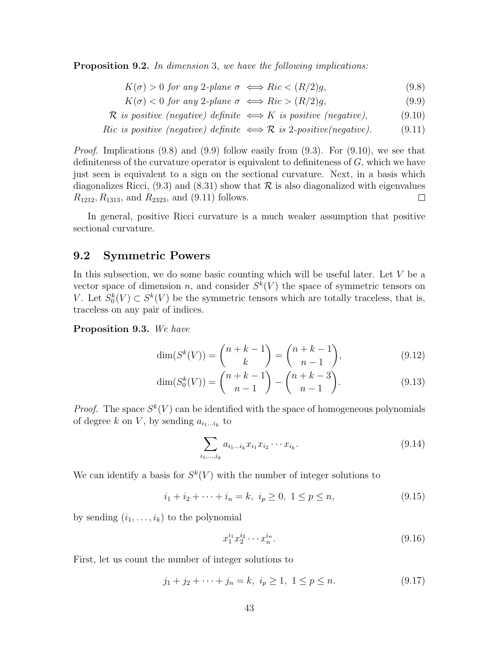**Proposition 9.2.** In dimension 3, we have the following implications:

- $K(\sigma) > 0$  for any 2-plane  $\sigma \iff Ric < (R/2)q$ , (9.8)
- $K(\sigma) < 0$  for any 2-plane  $\sigma \iff Ric > (R/2)g$ , (9.9)
- $\mathcal R$  is positive (negative) definite  $\iff$  K is positive (negative), (9.10)
- Ric is positive (negative) definite  $\iff \mathcal{R}$  is 2-positive(negative). (9.11)

*Proof.* Implications  $(9.8)$  and  $(9.9)$  follow easily from  $(9.3)$ . For  $(9.10)$ , we see that definiteness of the curvature operator is equivalent to definiteness of  $G$ , which we have just seen is equivalent to a sign on the sectional curvature. Next, in a basis which diagonalizes Ricci,  $(9.3)$  and  $(8.31)$  show that R is also diagonalized with eigenvalues  $R_{1212}, R_{1313}$ , and  $R_{2323}$ , and (9.11) follows.  $\Box$ 

In general, positive Ricci curvature is a much weaker assumption that positive sectional curvature.

#### 9.2 Symmetric Powers

In this subsection, we do some basic counting which will be useful later. Let  $V$  be a vector space of dimension n, and consider  $S^k(V)$  the space of symmetric tensors on V. Let  $S_0^k(V) \subset S^k(V)$  be the symmetric tensors which are totally traceless, that is, traceless on any pair of indices.

Proposition 9.3. We have

$$
\dim(S^k(V)) = \binom{n+k-1}{k} = \binom{n+k-1}{n-1},\tag{9.12}
$$

$$
\dim(S_0^k(V)) = \binom{n+k-1}{n-1} - \binom{n+k-3}{n-1}.
$$
\n(9.13)

*Proof.* The space  $S^k(V)$  can be identified with the space of homogeneous polynomials of degree k on V, by sending  $a_{i_1...i_k}$  to

$$
\sum_{i_1,\dots,i_k} a_{i_1\dots i_k} x_{i_1} x_{i_2} \cdots x_{i_k}.
$$
\n(9.14)

We can identify a basis for  $S^k(V)$  with the number of integer solutions to

 $i_1 + i_2 + \cdots + i_n = k, \ i_n \geq 0, \ 1 \leq p \leq n,$  (9.15)

by sending  $(i_1, \ldots, i_k)$  to the polynomial

$$
x_1^{i_1} x_2^{i_2} \cdots x_n^{i_n}.
$$
\n(9.16)

First, let us count the number of integer solutions to

$$
j_1 + j_2 + \dots + j_n = k, \ i_p \ge 1, \ 1 \le p \le n. \tag{9.17}
$$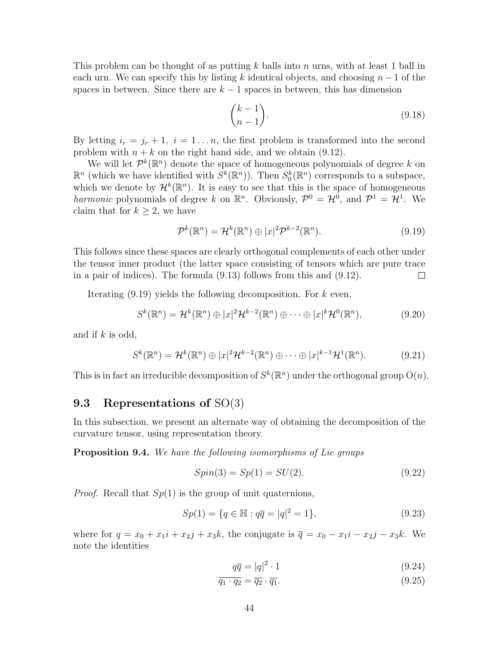This problem can be thought of as putting  $k$  balls into  $n$  urns, with at least 1 ball in each urn. We can specify this by listing k identical objects, and choosing  $n-1$  of the spaces in between. Since there are  $k-1$  spaces in between, this has dimension

$$
\binom{k-1}{n-1}.\tag{9.18}
$$

By letting  $i_r = j_r + 1$ ,  $i = 1...n$ , the first problem is transformed into the second problem with  $n + k$  on the right hand side, and we obtain (9.12).

We will let  $\mathcal{P}^k(\mathbb{R}^n)$  denote the space of homogeneous polynomials of degree k on  $\mathbb{R}^n$  (which we have identified with  $S^k(\mathbb{R}^n)$ ). Then  $S^k_0(\mathbb{R}^n)$  corresponds to a subspace, which we denote by  $\mathcal{H}^k(\mathbb{R}^n)$ . It is easy to see that this is the space of homogeneous harmonic polynomials of degree k on  $\mathbb{R}^n$ . Obviously,  $\mathcal{P}^0 = \mathcal{H}^0$ , and  $\mathcal{P}^1 = \mathcal{H}^1$ . We claim that for  $k \geq 2$ , we have

$$
\mathcal{P}^k(\mathbb{R}^n) = \mathcal{H}^k(\mathbb{R}^n) \oplus |x|^2 \mathcal{P}^{k-2}(\mathbb{R}^n). \tag{9.19}
$$

This follows since these spaces are clearly orthogonal complements of each other under the tensor inner product (the latter space consisting of tensors which are pure trace in a pair of indices). The formula (9.13) follows from this and (9.12).  $\Box$ 

Iterating  $(9.19)$  yields the following decomposition. For k even,

$$
S^k(\mathbb{R}^n) = \mathcal{H}^k(\mathbb{R}^n) \oplus |x|^2 \mathcal{H}^{k-2}(\mathbb{R}^n) \oplus \cdots \oplus |x|^k \mathcal{H}^0(\mathbb{R}^n), \tag{9.20}
$$

and if  $k$  is odd,

$$
S^k(\mathbb{R}^n) = \mathcal{H}^k(\mathbb{R}^n) \oplus |x|^2 \mathcal{H}^{k-2}(\mathbb{R}^n) \oplus \cdots \oplus |x|^{k-1} \mathcal{H}^1(\mathbb{R}^n).
$$
 (9.21)

This is in fact an irreducible decomposition of  $S^k(\mathbb{R}^n)$  under the orthogonal group  $O(n)$ .

### 9.3 Representations of SO(3)

In this subsection, we present an alternate way of obtaining the decomposition of the curvature tensor, using representation theory.

Proposition 9.4. We have the following isomorphisms of Lie groups

$$
Spin(3) = Sp(1) = SU(2). \tag{9.22}
$$

*Proof.* Recall that  $Sp(1)$  is the group of unit quaternions,

$$
Sp(1) = \{q \in \mathbb{H} : q\overline{q} = |q|^2 = 1\},\tag{9.23}
$$

where for  $q = x_0 + x_1i + x_2j + x_3k$ , the conjugate is  $\bar{q} = x_0 - x_1i - x_2j - x_3k$ . We note the identities

$$
q\overline{q} = |q|^2 \cdot 1\tag{9.24}
$$

$$
\overline{q_1 \cdot q_2} = \overline{q_2} \cdot \overline{q_1}.\tag{9.25}
$$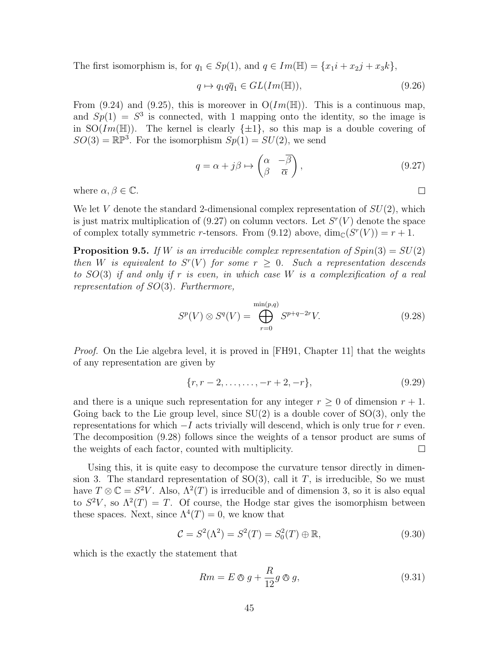The first isomorphism is, for  $q_1 \in Sp(1)$ , and  $q \in Im(\mathbb{H}) = \{x_1i + x_2j + x_3k\},\$ 

$$
q \mapsto q_1 q \overline{q}_1 \in GL(Im(\mathbb{H})),\tag{9.26}
$$

From (9.24) and (9.25), this is moreover in  $O(Im(\mathbb{H}))$ . This is a continuous map, and  $Sp(1) = S<sup>3</sup>$  is connected, with 1 mapping onto the identity, so the image is in  $SO(Im(\mathbb{H}))$ . The kernel is clearly  $\{\pm 1\}$ , so this map is a double covering of  $SO(3) = \mathbb{RP}^3$ . For the isomorphism  $Sp(1) = SU(2)$ , we send

$$
q = \alpha + j\beta \mapsto \begin{pmatrix} \alpha & -\overline{\beta} \\ \beta & \overline{\alpha} \end{pmatrix},\tag{9.27}
$$

 $\Box$ 

where  $\alpha, \beta \in \mathbb{C}$ .

We let V denote the standard 2-dimensional complex representation of  $SU(2)$ , which is just matrix multiplication of  $(9.27)$  on column vectors. Let  $S<sup>r</sup>(V)$  denote the space of complex totally symmetric r-tensors. From (9.12) above,  $\dim_{\mathbb{C}}(S^r(V)) = r + 1$ .

**Proposition 9.5.** If W is an irreducible complex representation of  $Spin(3) = SU(2)$ then W is equivalent to  $S^{r}(V)$  for some  $r \geq 0$ . Such a representation descends to SO(3) if and only if r is even, in which case W is a complexification of a real representation of  $SO(3)$ . Furthermore,

$$
S^{p}(V) \otimes S^{q}(V) = \bigoplus_{r=0}^{\min(p,q)} S^{p+q-2r} V.
$$
 (9.28)

*Proof.* On the Lie algebra level, it is proved in [FH91, Chapter 11] that the weights of any representation are given by

$$
\{r, r-2, \dots, \dots, -r+2, -r\},\tag{9.29}
$$

and there is a unique such representation for any integer  $r \geq 0$  of dimension  $r + 1$ . Going back to the Lie group level, since  $SU(2)$  is a double cover of  $SO(3)$ , only the representations for which  $-I$  acts trivially will descend, which is only true for r even. The decomposition (9.28) follows since the weights of a tensor product are sums of the weights of each factor, counted with multiplicity.  $\Box$ 

Using this, it is quite easy to decompose the curvature tensor directly in dimension 3. The standard representation of  $SO(3)$ , call it T, is irreducible, So we must have  $T \otimes \mathbb{C} = S^2 V$ . Also,  $\Lambda^2(T)$  is irreducible and of dimension 3, so it is also equal to  $S^2V$ , so  $\Lambda^2(T) = T$ . Of course, the Hodge star gives the isomorphism between these spaces. Next, since  $\Lambda^4(T) = 0$ , we know that

$$
C = S^{2}(\Lambda^{2}) = S^{2}(T) = S_{0}^{2}(T) \oplus \mathbb{R}, \qquad (9.30)
$$

which is the exactly the statement that

$$
Rm = E \otimes g + \frac{R}{12} g \otimes g,\tag{9.31}
$$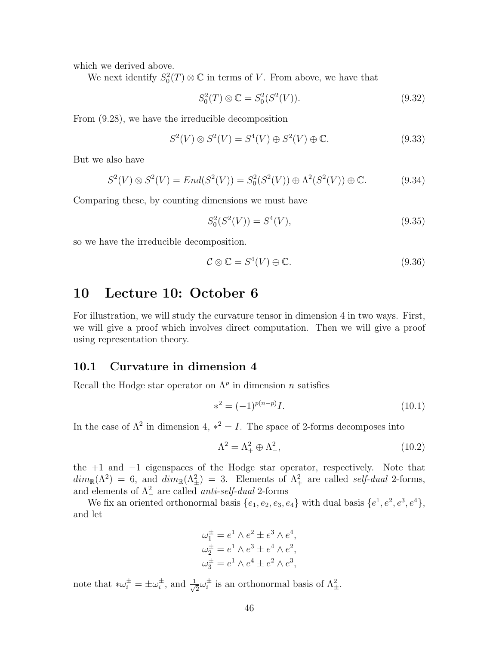which we derived above.

We next identify  $S_0^2(T) \otimes \mathbb{C}$  in terms of V. From above, we have that

$$
S_0^2(T) \otimes \mathbb{C} = S_0^2(S^2(V)).
$$
\n(9.32)

From (9.28), we have the irreducible decomposition

$$
S^{2}(V) \otimes S^{2}(V) = S^{4}(V) \oplus S^{2}(V) \oplus \mathbb{C}.
$$
 (9.33)

But we also have

$$
S^{2}(V) \otimes S^{2}(V) = End(S^{2}(V)) = S_{0}^{2}(S^{2}(V)) \oplus \Lambda^{2}(S^{2}(V)) \oplus \mathbb{C}.
$$
 (9.34)

Comparing these, by counting dimensions we must have

$$
S_0^2(S^2(V)) = S^4(V),\tag{9.35}
$$

so we have the irreducible decomposition.

$$
\mathcal{C} \otimes \mathbb{C} = S^4(V) \oplus \mathbb{C}.\tag{9.36}
$$

# 10 Lecture 10: October 6

For illustration, we will study the curvature tensor in dimension 4 in two ways. First, we will give a proof which involves direct computation. Then we will give a proof using representation theory.

#### 10.1 Curvature in dimension 4

Recall the Hodge star operator on  $\Lambda^p$  in dimension n satisfies

$$
*^2 = (-1)^{p(n-p)}I.
$$
\n(10.1)

In the case of  $\Lambda^2$  in dimension 4,  $*^2 = I$ . The space of 2-forms decomposes into

$$
\Lambda^2 = \Lambda_+^2 \oplus \Lambda_-^2,\tag{10.2}
$$

the +1 and −1 eigenspaces of the Hodge star operator, respectively. Note that  $dim_{\mathbb{R}}(\Lambda^2) = 6$ , and  $dim_{\mathbb{R}}(\Lambda^2_{\pm}) = 3$ . Elements of  $\Lambda^2_{+}$  are called self-dual 2-forms, and elements of  $\Lambda^2$  are called *anti-self-dual* 2-forms

We fix an oriented orthonormal basis  $\{e_1, e_2, e_3, e_4\}$  with dual basis  $\{e^1, e^2, e^3, e^4\}$ , and let

$$
\omega_1^{\pm} = e^1 \wedge e^2 \pm e^3 \wedge e^4,
$$
  

$$
\omega_2^{\pm} = e^1 \wedge e^3 \pm e^4 \wedge e^2,
$$
  

$$
\omega_3^{\pm} = e^1 \wedge e^4 \pm e^2 \wedge e^3,
$$

note that  $*\omega_i^{\pm} = \pm \omega_i^{\pm}$  $\frac{1}{i}$ , and  $\frac{1}{\sqrt{i}}$  $\overline{\overline{2}}\omega_i^\pm$  $\frac{1}{i}$  is an orthonormal basis of  $\Lambda^2_{\pm}$ .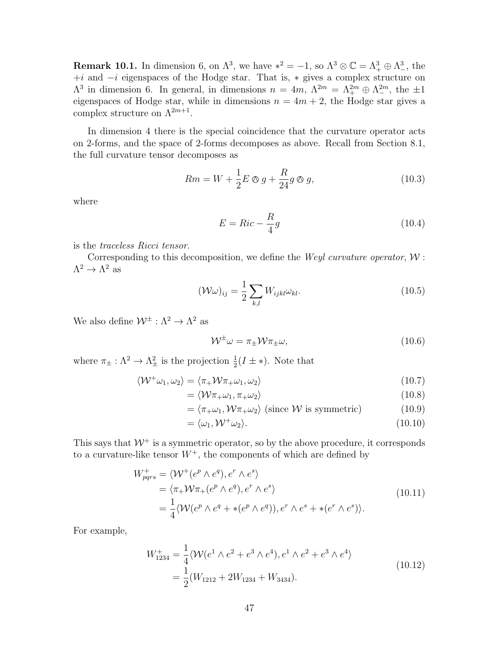**Remark 10.1.** In dimension 6, on  $\Lambda^3$ , we have  $*^2 = -1$ , so  $\Lambda^3 \otimes \mathbb{C} = \Lambda^3_+ \oplus \Lambda^3_-$ , the  $+i$  and  $-i$  eigenspaces of the Hodge star. That is,  $*$  gives a complex structure on  $\Lambda^3$  in dimension 6. In general, in dimensions  $n = 4m$ ,  $\Lambda^{2m} = \Lambda^{2m}_+ \oplus \Lambda^{2m}_-$ , the  $\pm 1$ eigenspaces of Hodge star, while in dimensions  $n = 4m + 2$ , the Hodge star gives a complex structure on  $\Lambda^{2m+1}$ .

In dimension 4 there is the special coincidence that the curvature operator acts on 2-forms, and the space of 2-forms decomposes as above. Recall from Section 8.1, the full curvature tensor decomposes as

$$
Rm = W + \frac{1}{2}E \otimes g + \frac{R}{24}g \otimes g,\tag{10.3}
$$

where

$$
E = Ric - \frac{R}{4}g\tag{10.4}
$$

is the traceless Ricci tensor.

Corresponding to this decomposition, we define the *Weyl curvature operator*,  $W$ :  $\Lambda^2 \to \Lambda^2$  as

$$
(\mathcal{W}\omega)_{ij} = \frac{1}{2} \sum_{k,l} W_{ijkl} \omega_{kl}.
$$
 (10.5)

We also define  $\mathcal{W}^{\pm} : \Lambda^2 \to \Lambda^2$  as

$$
\mathcal{W}^{\pm}\omega = \pi_{\pm}\mathcal{W}\pi_{\pm}\omega, \tag{10.6}
$$

where  $\pi_{\pm} : \Lambda^2 \to \Lambda^2_{\pm}$  is the projection  $\frac{1}{2}(I \pm *)$ . Note that

$$
\langle W^{\dagger} \omega_1, \omega_2 \rangle = \langle \pi_+ W \pi_+ \omega_1, \omega_2 \rangle \tag{10.7}
$$

$$
= \langle \mathcal{W}\pi_+\omega_1, \pi_+\omega_2 \rangle \tag{10.8}
$$

$$
= \langle \pi_+ \omega_1, \mathcal{W} \pi_+ \omega_2 \rangle \text{ (since } \mathcal{W} \text{ is symmetric)}
$$
 (10.9)

$$
= \langle \omega_1, \mathcal{W}^+ \omega_2 \rangle. \tag{10.10}
$$

This says that  $W^+$  is a symmetric operator, so by the above procedure, it corresponds to a curvature-like tensor  $W^+$ , the components of which are defined by

$$
W_{pqrs}^{+} = \langle W^{+}(e^{p} \wedge e^{q}), e^{r} \wedge e^{s} \rangle
$$
  
\n
$$
= \langle \pi_{+} W \pi_{+}(e^{p} \wedge e^{q}), e^{r} \wedge e^{s} \rangle
$$
  
\n
$$
= \frac{1}{4} \langle W(e^{p} \wedge e^{q} + *(e^{p} \wedge e^{q})), e^{r} \wedge e^{s} + *(e^{r} \wedge e^{s}) \rangle.
$$
  
\n(10.11)

For example,

$$
W_{1234}^{+} = \frac{1}{4} \langle \mathcal{W}(e^{1} \wedge e^{2} + e^{3} \wedge e^{4}), e^{1} \wedge e^{2} + e^{3} \wedge e^{4} \rangle
$$
  
=  $\frac{1}{2} (W_{1212} + 2W_{1234} + W_{3434}).$  (10.12)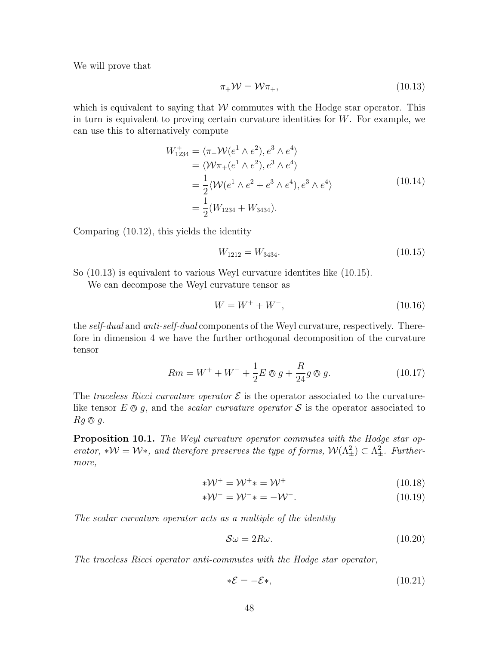We will prove that

$$
\pi_+ \mathcal{W} = \mathcal{W} \pi_+, \tag{10.13}
$$

which is equivalent to saying that  $W$  commutes with the Hodge star operator. This in turn is equivalent to proving certain curvature identities for  $W$ . For example, we can use this to alternatively compute

$$
W_{1234}^{+} = \langle \pi_{+} \mathcal{W}(e^{1} \wedge e^{2}), e^{3} \wedge e^{4} \rangle
$$
  
\n
$$
= \langle \mathcal{W}\pi_{+}(e^{1} \wedge e^{2}), e^{3} \wedge e^{4} \rangle
$$
  
\n
$$
= \frac{1}{2} \langle \mathcal{W}(e^{1} \wedge e^{2} + e^{3} \wedge e^{4}), e^{3} \wedge e^{4} \rangle
$$
  
\n
$$
= \frac{1}{2} (W_{1234} + W_{3434}).
$$
\n(10.14)

Comparing (10.12), this yields the identity

$$
W_{1212} = W_{3434}.\tag{10.15}
$$

So (10.13) is equivalent to various Weyl curvature identites like (10.15).

We can decompose the Weyl curvature tensor as

$$
W = W^{+} + W^{-}, \tag{10.16}
$$

the self-dual and anti-self-dual components of the Weyl curvature, respectively. Therefore in dimension 4 we have the further orthogonal decomposition of the curvature tensor

$$
Rm = W^{+} + W^{-} + \frac{1}{2}E \otimes g + \frac{R}{24}g \otimes g.
$$
 (10.17)

The traceless Ricci curvature operator  $\mathcal E$  is the operator associated to the curvaturelike tensor  $E \otimes q$ , and the *scalar curvature operator*  $S$  is the operator associated to  $Rq \otimes q$ .

**Proposition 10.1.** The Weyl curvature operator commutes with the Hodge star operator, \* $W = W^*$ , and therefore preserves the type of forms,  $W(\Lambda^2_{\pm}) \subset \Lambda^2_{\pm}$ . Furthermore,

$$
*\mathcal{W}^+ = \mathcal{W}^+ * = \mathcal{W}^+ \tag{10.18}
$$

$$
*\mathcal{W}^- = \mathcal{W}^- * = -\mathcal{W}^-.
$$
\n(10.19)

The scalar curvature operator acts as a multiple of the identity

$$
\mathcal{S}\omega = 2R\omega. \tag{10.20}
$$

The traceless Ricci operator anti-commutes with the Hodge star operator,

$$
*\mathcal{E} = -\mathcal{E}*,\tag{10.21}
$$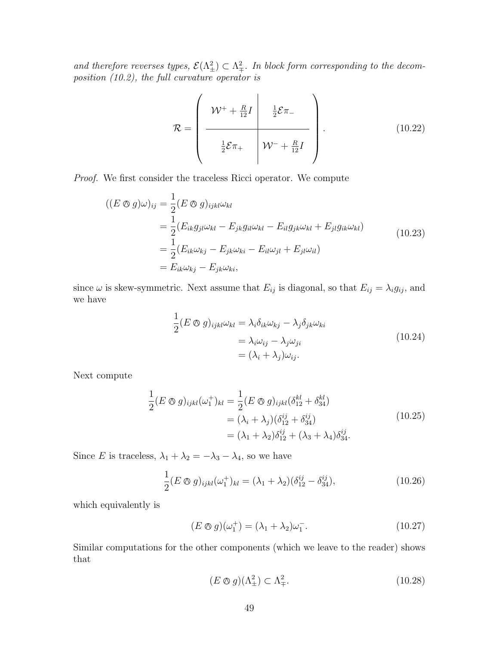and therefore reverses types,  $\mathcal{E}(\Lambda^2_{\pm}) \subset \Lambda^2_{\mp}$ . In block form corresponding to the decomposition (10.2), the full curvature operator is

$$
\mathcal{R} = \left(\begin{array}{c|c}\n\mathcal{W}^+ + \frac{R}{12}I & \frac{1}{2}\mathcal{E}\pi_-\n\hline\n\frac{1}{2}\mathcal{E}\pi_+ & \mathcal{W}^- + \frac{R}{12}I\n\end{array}\right).
$$
\n(10.22)

Proof. We first consider the traceless Ricci operator. We compute

$$
((E \otimes g)\omega)_{ij} = \frac{1}{2}(E \otimes g)_{ijkl}\omega_{kl}
$$
  
\n
$$
= \frac{1}{2}(E_{ik}g_{jl}\omega_{kl} - E_{jk}g_{il}\omega_{kl} - E_{il}g_{jk}\omega_{kl} + E_{jl}g_{ik}\omega_{kl})
$$
  
\n
$$
= \frac{1}{2}(E_{ik}\omega_{kj} - E_{jk}\omega_{ki} - E_{il}\omega_{jl} + E_{jl}\omega_{il})
$$
  
\n
$$
= E_{ik}\omega_{kj} - E_{jk}\omega_{ki},
$$
  
\n(10.23)

since  $\omega$  is skew-symmetric. Next assume that  $E_{ij}$  is diagonal, so that  $E_{ij} = \lambda_i g_{ij}$ , and we have

$$
\frac{1}{2}(E \otimes g)_{ijkl}\omega_{kl} = \lambda_i \delta_{ik}\omega_{kj} - \lambda_j \delta_{jk}\omega_{ki}
$$
\n
$$
= \lambda_i \omega_{ij} - \lambda_j \omega_{ji}
$$
\n
$$
= (\lambda_i + \lambda_j)\omega_{ij}.
$$
\n(10.24)

Next compute

$$
\frac{1}{2}(E \otimes g)_{ijkl}(\omega_1^+)_{kl} = \frac{1}{2}(E \otimes g)_{ijkl}(\delta_{12}^{kl} + \delta_{34}^{kl})
$$
  
=  $(\lambda_i + \lambda_j)(\delta_{12}^{ij} + \delta_{34}^{ij})$   
=  $(\lambda_1 + \lambda_2)\delta_{12}^{ij} + (\lambda_3 + \lambda_4)\delta_{34}^{ij}$ . (10.25)

Since E is traceless,  $\lambda_1 + \lambda_2 = -\lambda_3 - \lambda_4$ , so we have

$$
\frac{1}{2}(E \otimes g)_{ijkl}(\omega_1^+)_{kl} = (\lambda_1 + \lambda_2)(\delta_{12}^{ij} - \delta_{34}^{ij}),
$$
\n(10.26)

which equivalently is

$$
(E \otimes g)(\omega_1^+) = (\lambda_1 + \lambda_2)\omega_1^-.
$$
\n
$$
(10.27)
$$

Similar computations for the other components (which we leave to the reader) shows that

$$
(E \otimes g)(\Lambda_{\pm}^2) \subset \Lambda_{\mp}^2. \tag{10.28}
$$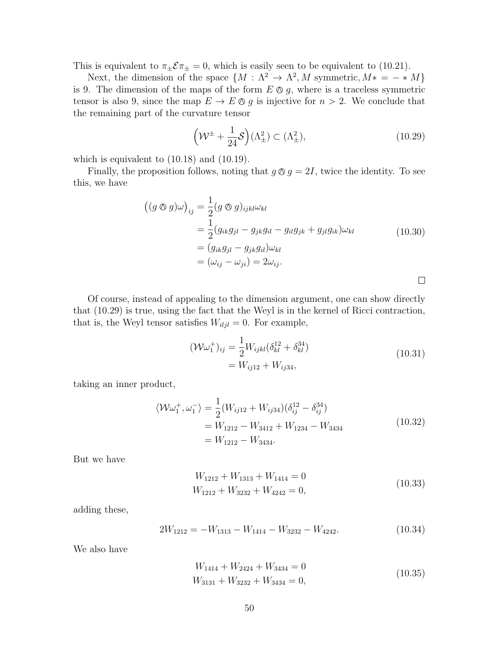This is equivalent to  $\pi_{\pm} \mathcal{E} \pi_{\pm} = 0$ , which is easily seen to be equivalent to (10.21).

Next, the dimension of the space  $\{M : \Lambda^2 \to \Lambda^2, M \text{ symmetric}, M^* = - * M\}$ is 9. The dimension of the maps of the form  $E \otimes g$ , where is a traceless symmetric tensor is also 9, since the map  $E \to E \otimes g$  is injective for  $n > 2$ . We conclude that the remaining part of the curvature tensor

$$
\left(\mathcal{W}^{\pm} + \frac{1}{24}\mathcal{S}\right)(\Lambda_{\pm}^{2}) \subset (\Lambda_{\pm}^{2}),\tag{10.29}
$$

which is equivalent to  $(10.18)$  and  $(10.19)$ .

Finally, the proposition follows, noting that  $g \otimes g = 2I$ , twice the identity. To see this, we have

$$
\begin{aligned}\n\left( (g \otimes g)\omega \right)_{ij} &= \frac{1}{2} (g \otimes g)_{ijkl} \omega_{kl} \\
&= \frac{1}{2} (g_{ik}g_{jl} - g_{jk}g_{il} - g_{il}g_{jk} + g_{jl}g_{ik}) \omega_{kl} \\
&= (g_{ik}g_{jl} - g_{jk}g_{il}) \omega_{kl} \\
&= (\omega_{ij} - \omega_{ji}) = 2\omega_{ij}.\n\end{aligned} \tag{10.30}
$$

Of course, instead of appealing to the dimension argument, one can show directly that (10.29) is true, using the fact that the Weyl is in the kernel of Ricci contraction, that is, the Weyl tensor satisfies  $W_{i l j l} = 0$ . For example,

$$
(\mathcal{W}\omega_1^+)_{ij} = \frac{1}{2} W_{ijkl} (\delta_{kl}^{12} + \delta_{kl}^{34})
$$
  
=  $W_{ij12} + W_{ij34}$ , (10.31)

taking an inner product,

$$
\langle W\omega_1^+, \omega_1^- \rangle = \frac{1}{2} (W_{ij12} + W_{ij34}) (\delta_{ij}^{12} - \delta_{ij}^{34})
$$
  
=  $W_{1212} - W_{3412} + W_{1234} - W_{3434}$   
=  $W_{1212} - W_{3434}$ . (10.32)

But we have

$$
W_{1212} + W_{1313} + W_{1414} = 0
$$
  
\n
$$
W_{1212} + W_{3232} + W_{4242} = 0,
$$
\n(10.33)

adding these,

$$
2W_{1212} = -W_{1313} - W_{1414} - W_{3232} - W_{4242}.
$$
 (10.34)

We also have

$$
W_{1414} + W_{2424} + W_{3434} = 0
$$
  
\n
$$
W_{3131} + W_{3232} + W_{3434} = 0,
$$
\n(10.35)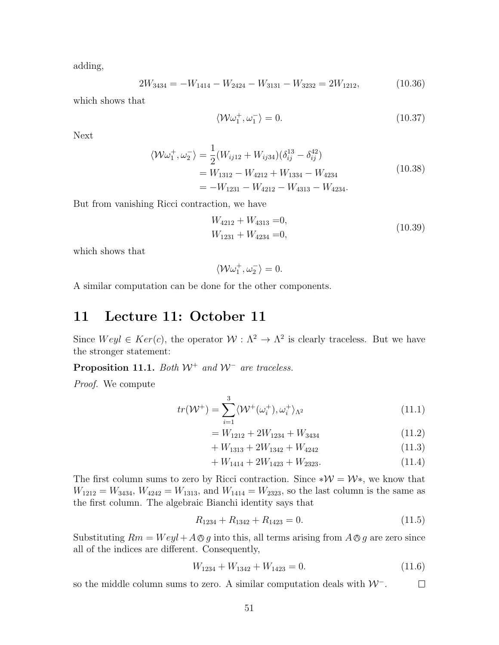adding,

$$
2W_{3434} = -W_{1414} - W_{2424} - W_{3131} - W_{3232} = 2W_{1212},
$$
\n(10.36)

which shows that

$$
\langle \mathcal{W}\omega_1^+, \omega_1^- \rangle = 0. \tag{10.37}
$$

Next

$$
\langle W\omega_1^+, \omega_2^- \rangle = \frac{1}{2} (W_{ij12} + W_{ij34}) (\delta_{ij}^{13} - \delta_{ij}^{42})
$$
  
=  $W_{1312} - W_{4212} + W_{1334} - W_{4234}$   
=  $-W_{1231} - W_{4212} - W_{4313} - W_{4234}$ . (10.38)

But from vanishing Ricci contraction, we have

$$
W_{4212} + W_{4313} = 0,
$$
  
\n
$$
W_{1231} + W_{4234} = 0,
$$
\n(10.39)

which shows that

$$
\langle \mathcal{W}\omega_1^+, \omega_2^- \rangle = 0.
$$

A similar computation can be done for the other components.

# 11 Lecture 11: October 11

Since  $Weyl \in Ker(c)$ , the operator  $W: \Lambda^2 \to \Lambda^2$  is clearly traceless. But we have the stronger statement:

Proposition 11.1. Both  $W^+$  and  $W^-$  are traceless.

Proof. We compute

$$
tr(\mathcal{W}^+) = \sum_{i=1}^3 \langle \mathcal{W}^+(\omega_i^+), \omega_i^+\rangle_{\Lambda^2}
$$
\n(11.1)

$$
= W_{1212} + 2W_{1234} + W_{3434} \tag{11.2}
$$

$$
+ W_{1313} + 2W_{1342} + W_{4242} \tag{11.3}
$$

$$
+ W_{1414} + 2W_{1423} + W_{2323}.
$$
\n<sup>(11.4)</sup>

The first column sums to zero by Ricci contraction. Since  $*\mathcal{W} = \mathcal{W}^*$ , we know that  $W_{1212} = W_{3434}$ ,  $W_{4242} = W_{1313}$ , and  $W_{1414} = W_{2323}$ , so the last column is the same as the first column. The algebraic Bianchi identity says that

$$
R_{1234} + R_{1342} + R_{1423} = 0. \t(11.5)
$$

Substituting  $Rm = Weyl + A\otimes g$  into this, all terms arising from  $A\otimes g$  are zero since all of the indices are different. Consequently,

$$
W_{1234} + W_{1342} + W_{1423} = 0. \t(11.6)
$$

so the middle column sums to zero. A similar computation deals with  $W^-$ .  $\Box$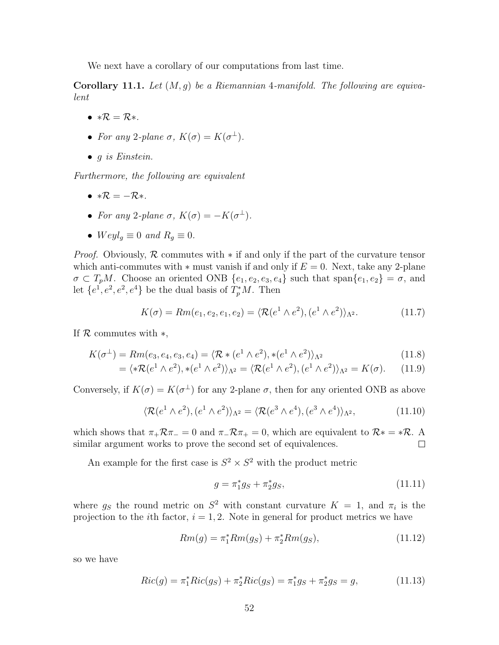We next have a corollary of our computations from last time.

**Corollary 11.1.** Let  $(M, g)$  be a Riemannian 4-manifold. The following are equivalent

- $*R = R*$ .
- For any 2-plane  $\sigma$ ,  $K(\sigma) = K(\sigma^{\perp})$ .
- $\bullet$  g is Einstein.

Furthermore, the following are equivalent

- $*R = -R*$ .
- For any 2-plane  $\sigma$ ,  $K(\sigma) = -K(\sigma^{\perp}).$
- $Weyl<sub>g</sub> \equiv 0$  and  $R<sub>g</sub> \equiv 0$ .

*Proof.* Obviously,  $\mathcal{R}$  commutes with  $*$  if and only if the part of the curvature tensor which anti-commutes with  $*$  must vanish if and only if  $E = 0$ . Next, take any 2-plane  $\sigma \subset T_pM$ . Choose an oriented ONB  $\{e_1, e_2, e_3, e_4\}$  such that  $\text{span}\{e_1, e_2\} = \sigma$ , and let  $\{e^1, e^2, e^2, e^4\}$  be the dual basis of  $T_p^*M$ . Then

$$
K(\sigma) = Rm(e_1, e_2, e_1, e_2) = \langle \mathcal{R}(e^1 \wedge e^2), (e^1 \wedge e^2) \rangle_{\Lambda^2}.
$$
 (11.7)

If  $\mathcal R$  commutes with  $*,$ 

$$
K(\sigma^{\perp}) = Rm(e_3, e_4, e_3, e_4) = \langle \mathcal{R} * (e^1 \wedge e^2), * (e^1 \wedge e^2) \rangle_{\Lambda^2}
$$
\n(11.8)

$$
= \langle *R(e^1 \wedge e^2), * (e^1 \wedge e^2) \rangle_{\Lambda^2} = \langle R(e^1 \wedge e^2), (e^1 \wedge e^2) \rangle_{\Lambda^2} = K(\sigma). \tag{11.9}
$$

Conversely, if  $K(\sigma) = K(\sigma^{\perp})$  for any 2-plane  $\sigma$ , then for any oriented ONB as above

$$
\langle \mathcal{R}(e^1 \wedge e^2), (e^1 \wedge e^2) \rangle_{\Lambda^2} = \langle \mathcal{R}(e^3 \wedge e^4), (e^3 \wedge e^4) \rangle_{\Lambda^2}, \tag{11.10}
$$

which shows that  $\pi_+ \mathcal{R} \pi_- = 0$  and  $\pi_- \mathcal{R} \pi_+ = 0$ , which are equivalent to  $\mathcal{R}^* = * \mathcal{R}$ . A similar argument works to prove the second set of equivalences.  $\Box$ 

An example for the first case is  $S^2 \times S^2$  with the product metric

$$
g = \pi_1^* g_S + \pi_2^* g_S,\tag{11.11}
$$

where  $g_S$  the round metric on  $S^2$  with constant curvature  $K = 1$ , and  $\pi_i$  is the projection to the *i*th factor,  $i = 1, 2$ . Note in general for product metrics we have

$$
Rm(g) = \pi_1^* Rm(g_S) + \pi_2^* Rm(g_S), \qquad (11.12)
$$

so we have

$$
Ric(g) = \pi_1^* Ric(g_S) + \pi_2^* Ric(g_S) = \pi_1^* g_S + \pi_2^* g_S = g,
$$
\n(11.13)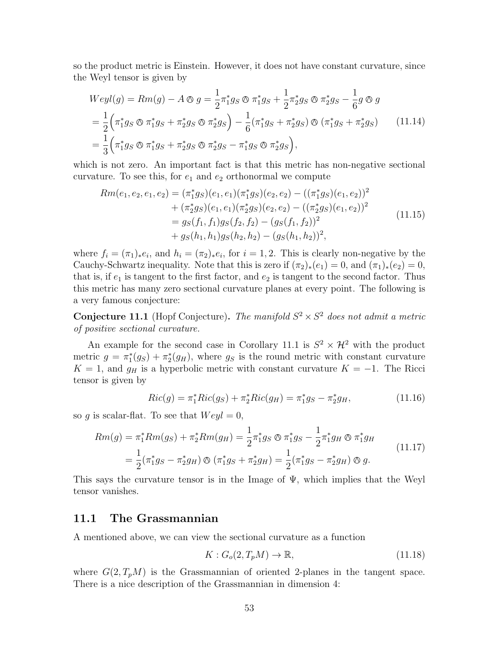so the product metric is Einstein. However, it does not have constant curvature, since the Weyl tensor is given by

$$
Weyl(g) = Rm(g) - A \otimes g = \frac{1}{2}\pi_1^* g_S \otimes \pi_1^* g_S + \frac{1}{2}\pi_2^* g_S \otimes \pi_2^* g_S - \frac{1}{6}g \otimes g
$$
  
=  $\frac{1}{2} \left( \pi_1^* g_S \otimes \pi_1^* g_S + \pi_2^* g_S \otimes \pi_2^* g_S \right) - \frac{1}{6} (\pi_1^* g_S + \pi_2^* g_S) \otimes (\pi_1^* g_S + \pi_2^* g_S) \qquad (11.14)$   
=  $\frac{1}{3} \left( \pi_1^* g_S \otimes \pi_1^* g_S + \pi_2^* g_S \otimes \pi_2^* g_S - \pi_1^* g_S \otimes \pi_2^* g_S \right),$ 

which is not zero. An important fact is that this metric has non-negative sectional curvature. To see this, for  $e_1$  and  $e_2$  orthonormal we compute

$$
Rm(e_1, e_2, e_1, e_2) = (\pi_1^* g_S)(e_1, e_1)(\pi_1^* g_S)(e_2, e_2) - ((\pi_1^* g_S)(e_1, e_2))^2 + (\pi_2^* g_S)(e_1, e_1)(\pi_2^* g_S)(e_2, e_2) - ((\pi_2^* g_S)(e_1, e_2))^2 = g_S(f_1, f_1)g_S(f_2, f_2) - (g_S(f_1, f_2))^2 + g_S(h_1, h_1)g_S(h_2, h_2) - (g_S(h_1, h_2))^2,
$$
\n(11.15)

where  $f_i = (\pi_1)_* e_i$ , and  $h_i = (\pi_2)_* e_i$ , for  $i = 1, 2$ . This is clearly non-negative by the Cauchy-Schwartz inequality. Note that this is zero if  $(\pi_2)_*(e_1) = 0$ , and  $(\pi_1)_*(e_2) = 0$ , that is, if  $e_1$  is tangent to the first factor, and  $e_2$  is tangent to the second factor. Thus this metric has many zero sectional curvature planes at every point. The following is a very famous conjecture:

**Conjecture 11.1** (Hopf Conjecture). The manifold  $S^2 \times S^2$  does not admit a metric of positive sectional curvature.

An example for the second case in Corollary 11.1 is  $S^2 \times \mathcal{H}^2$  with the product metric  $g = \pi_1^*(g_S) + \pi_2^*(g_H)$ , where  $g_S$  is the round metric with constant curvature  $K = 1$ , and  $g_H$  is a hyperbolic metric with constant curvature  $K = -1$ . The Ricci tensor is given by

$$
Ric(g) = \pi_1^* Ric(g_S) + \pi_2^* Ric(g_H) = \pi_1^* g_S - \pi_2^* g_H,
$$
\n(11.16)

so g is scalar-flat. To see that  $Weyl = 0$ ,

$$
Rm(g) = \pi_1^* Rm(g_S) + \pi_2^* Rm(g_H) = \frac{1}{2} \pi_1^* g_S \otimes \pi_1^* g_S - \frac{1}{2} \pi_1^* g_H \otimes \pi_1^* g_H
$$
  
=  $\frac{1}{2} (\pi_1^* g_S - \pi_2^* g_H) \otimes (\pi_1^* g_S + \pi_2^* g_H) = \frac{1}{2} (\pi_1^* g_S - \pi_2^* g_H) \otimes g.$  (11.17)

This says the curvature tensor is in the Image of  $\Psi$ , which implies that the Weyl tensor vanishes.

#### 11.1 The Grassmannian

A mentioned above, we can view the sectional curvature as a function

$$
K: G_o(2, T_pM) \to \mathbb{R},\tag{11.18}
$$

where  $G(2, T_pM)$  is the Grassmannian of oriented 2-planes in the tangent space. There is a nice description of the Grassmannian in dimension 4: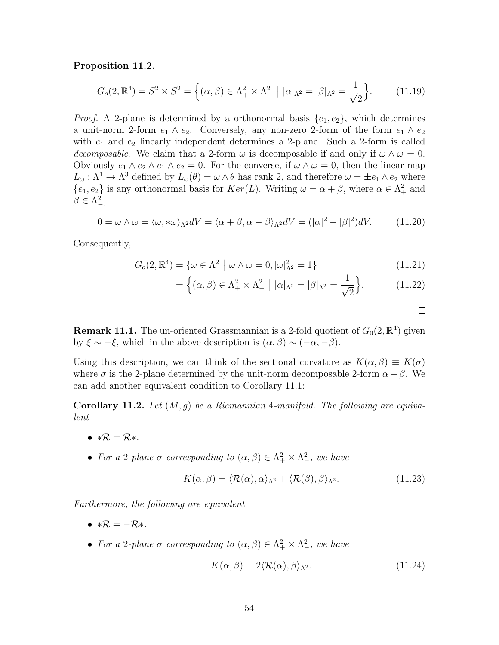#### Proposition 11.2.

$$
G_o(2,\mathbb{R}^4) = S^2 \times S^2 = \left\{ (\alpha, \beta) \in \Lambda^2_+ \times \Lambda^2_- \mid |\alpha|_{\Lambda^2} = |\beta|_{\Lambda^2} = \frac{1}{\sqrt{2}} \right\}.
$$
 (11.19)

*Proof.* A 2-plane is determined by a orthonormal basis  $\{e_1, e_2\}$ , which determines a unit-norm 2-form  $e_1 \wedge e_2$ . Conversely, any non-zero 2-form of the form  $e_1 \wedge e_2$ with  $e_1$  and  $e_2$  linearly independent determines a 2-plane. Such a 2-form is called decomposable. We claim that a 2-form  $\omega$  is decomposable if and only if  $\omega \wedge \omega = 0$ . Obviously  $e_1 \wedge e_2 \wedge e_1 \wedge e_2 = 0$ . For the converse, if  $\omega \wedge \omega = 0$ , then the linear map  $L_{\omega} : \Lambda^1 \to \Lambda^3$  defined by  $L_{\omega}(\theta) = \omega \wedge \theta$  has rank 2, and therefore  $\omega = \pm e_1 \wedge e_2$  where  $\{e_1, e_2\}$  is any orthonormal basis for  $Ker(L)$ . Writing  $\omega = \alpha + \beta$ , where  $\alpha \in \Lambda^2_+$  and  $\beta \in \Lambda^2_-,$ 

$$
0 = \omega \wedge \omega = \langle \omega, * \omega \rangle_{\Lambda^2} dV = \langle \alpha + \beta, \alpha - \beta \rangle_{\Lambda^2} dV = (|\alpha|^2 - |\beta|^2) dV. \tag{11.20}
$$

Consequently,

$$
G_o(2,\mathbb{R}^4) = \{ \omega \in \Lambda^2 \mid \omega \wedge \omega = 0, |\omega|_{\Lambda^2}^2 = 1 \}
$$
\n(11.21)

$$
= \left\{ (\alpha, \beta) \in \Lambda^2_+ \times \Lambda^2_- \mid |\alpha|_{\Lambda^2} = |\beta|_{\Lambda^2} = \frac{1}{\sqrt{2}} \right\}.
$$
 (11.22)

 $\Box$ 

**Remark 11.1.** The un-oriented Grassmannian is a 2-fold quotient of  $G_0(2,\mathbb{R}^4)$  given by  $\xi \sim -\xi$ , which in the above description is  $(\alpha, \beta) \sim (-\alpha, -\beta)$ .

Using this description, we can think of the sectional curvature as  $K(\alpha, \beta) \equiv K(\sigma)$ where  $\sigma$  is the 2-plane determined by the unit-norm decomposable 2-form  $\alpha + \beta$ . We can add another equivalent condition to Corollary 11.1:

**Corollary 11.2.** Let  $(M, g)$  be a Riemannian 4-manifold. The following are equivalent

- $*R = R*$ .
- For a 2-plane  $\sigma$  corresponding to  $(\alpha, \beta) \in \Lambda^2_+ \times \Lambda^2_-$ , we have

$$
K(\alpha, \beta) = \langle \mathcal{R}(\alpha), \alpha \rangle_{\Lambda^2} + \langle \mathcal{R}(\beta), \beta \rangle_{\Lambda^2}.
$$
 (11.23)

Furthermore, the following are equivalent

- $*\mathcal{R} = -\mathcal{R} *$ .
- For a 2-plane  $\sigma$  corresponding to  $(\alpha, \beta) \in \Lambda^2_+ \times \Lambda^2_-$ , we have

$$
K(\alpha, \beta) = 2\langle \mathcal{R}(\alpha), \beta \rangle_{\Lambda^2}.
$$
\n(11.24)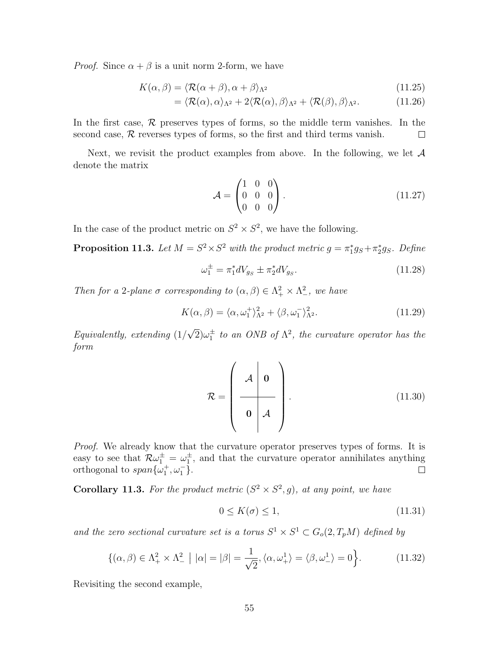*Proof.* Since  $\alpha + \beta$  is a unit norm 2-form, we have

$$
K(\alpha, \beta) = \langle \mathcal{R}(\alpha + \beta), \alpha + \beta \rangle_{\Lambda^2}
$$
\n(11.25)

$$
= \langle \mathcal{R}(\alpha), \alpha \rangle_{\Lambda^2} + 2 \langle \mathcal{R}(\alpha), \beta \rangle_{\Lambda^2} + \langle \mathcal{R}(\beta), \beta \rangle_{\Lambda^2}.
$$
 (11.26)

In the first case,  $\mathcal R$  preserves types of forms, so the middle term vanishes. In the second case,  $R$  reverses types of forms, so the first and third terms vanish.  $\Box$ 

Next, we revisit the product examples from above. In the following, we let  $A$ denote the matrix

$$
\mathcal{A} = \begin{pmatrix} 1 & 0 & 0 \\ 0 & 0 & 0 \\ 0 & 0 & 0 \end{pmatrix} . \tag{11.27}
$$

In the case of the product metric on  $S^2 \times S^2$ , we have the following.

**Proposition 11.3.** Let  $M = S^2 \times S^2$  with the product metric  $g = \pi_1^* g_S + \pi_2^* g_S$ . Define

$$
\omega_1^{\pm} = \pi_1^* dV_{gs} \pm \pi_2^* dV_{gs}.
$$
\n(11.28)

Then for a 2-plane  $\sigma$  corresponding to  $(\alpha, \beta) \in \Lambda^2_+ \times \Lambda^2$ , we have

$$
K(\alpha, \beta) = \langle \alpha, \omega_1^+ \rangle_{\Lambda^2}^2 + \langle \beta, \omega_1^- \rangle_{\Lambda^2}^2. \tag{11.29}
$$

Equivalently, extending (1/ √  $\overline{2})\omega_1^{\pm}$  to an ONB of  $\Lambda^2$ , the curvature operator has the form

$$
\mathcal{R} = \left(\begin{array}{c|c}\n\mathcal{A} & \mathbf{0} \\
\hline\n\mathbf{0} & \mathcal{A}\n\end{array}\right).
$$
\n(11.30)

Proof. We already know that the curvature operator preserves types of forms. It is easy to see that  $\mathcal{R}\omega_1^{\pm} = \omega_1^{\pm}$ , and that the curvature operator annihilates anything orthogonal to  $span{\{\omega_1^+, \omega_1^-\}}$ .

**Corollary 11.3.** For the product metric  $(S^2 \times S^2, g)$ , at any point, we have

$$
0 \le K(\sigma) \le 1,\tag{11.31}
$$

and the zero sectional curvature set is a torus  $S^1 \times S^1 \subset G_o(2,T_pM)$  defined by

$$
\{(\alpha,\beta)\in\Lambda^2_+\times\Lambda^2_-\mid|\alpha|=|\beta|=\frac{1}{\sqrt{2}},\langle\alpha,\omega^1_+\rangle=\langle\beta,\omega^1_-\rangle=0\Big\}.
$$
 (11.32)

Revisiting the second example,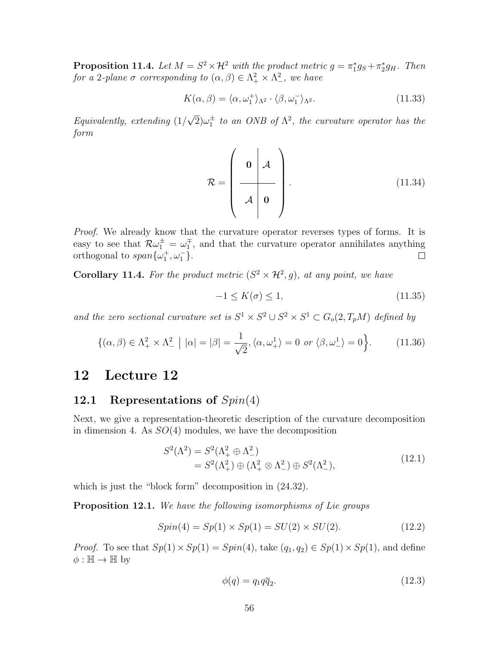**Proposition 11.4.** Let  $M = S^2 \times \mathcal{H}^2$  with the product metric  $g = \pi_1^* g_S + \pi_2^* g_H$ . Then for a 2-plane  $\sigma$  corresponding to  $(\alpha, \beta) \in \Lambda^2_+ \times \Lambda^2_-$ , we have

$$
K(\alpha, \beta) = \langle \alpha, \omega_1^+ \rangle_{\Lambda^2} \cdot \langle \beta, \omega_1^- \rangle_{\Lambda^2}.
$$
 (11.33)

Equivalently, extending (1/ √  $\overline{2})\omega_1^{\pm}$  to an ONB of  $\Lambda^2$ , the curvature operator has the form

$$
\mathcal{R} = \left(\begin{array}{c|c}\n\mathbf{0} & A \\
\hline\n\mathcal{A} & \mathbf{0}\n\end{array}\right).
$$
\n(11.34)

*Proof.* We already know that the curvature operator reverses types of forms. It is easy to see that  $\mathcal{R}\omega_1^{\pm} = \omega_1^{\mp}$ , and that the curvature operator annihilates anything orthogonal to  $span{\{\omega_1^+, \omega_1^-\}}$ .  $\Box$ 

**Corollary 11.4.** For the product metric  $(S^2 \times \mathcal{H}^2, g)$ , at any point, we have

$$
-1 \le K(\sigma) \le 1,\tag{11.35}
$$

and the zero sectional curvature set is  $S^1 \times S^2 \cup S^2 \times S^1 \subset G_o(2,T_pM)$  defined by

$$
\{(\alpha,\beta)\in\Lambda^2_+\times\Lambda^2_-\mid|\alpha|=|\beta|=\frac{1}{\sqrt{2}},\langle\alpha,\omega^1_+\rangle=0 \text{ or } \langle\beta,\omega^1_-\rangle=0\big\}.
$$
 (11.36)

# 12 Lecture 12

### 12.1 Representations of  $Spin(4)$

Next, we give a representation-theoretic description of the curvature decomposition in dimension 4. As  $SO(4)$  modules, we have the decomposition

$$
S^{2}(\Lambda^{2}) = S^{2}(\Lambda^{2}_{+} \oplus \Lambda^{2}_{-})
$$
  
=  $S^{2}(\Lambda^{2}_{+}) \oplus (\Lambda^{2}_{+} \otimes \Lambda^{2}_{-}) \oplus S^{2}(\Lambda^{2}_{-}),$  (12.1)

which is just the "block form" decomposition in  $(24.32)$ .

Proposition 12.1. We have the following isomorphisms of Lie groups

$$
Spin(4) = Sp(1) \times Sp(1) = SU(2) \times SU(2). \tag{12.2}
$$

*Proof.* To see that  $Sp(1) \times Sp(1) = Spin(4)$ , take  $(q_1, q_2) \in Sp(1) \times Sp(1)$ , and define  $\phi : \mathbb{H} \to \mathbb{H}$  by

$$
\phi(q) = q_1 q \overline{q}_2. \tag{12.3}
$$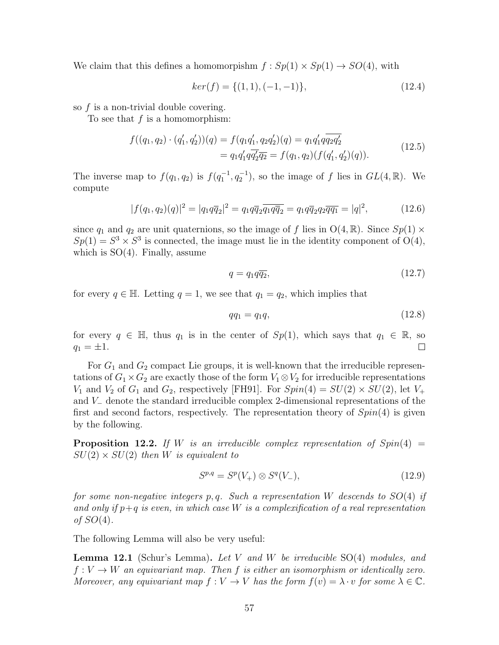We claim that this defines a homomorpishm  $f : Sp(1) \times Sp(1) \rightarrow SO(4)$ , with

$$
ker(f) = \{(1, 1), (-1, -1)\},\tag{12.4}
$$

so f is a non-trivial double covering.

To see that  $f$  is a homomorphism:

$$
f((q_1, q_2) \cdot (q'_1, q'_2))(q) = f(q_1 q'_1, q_2 q'_2)(q) = q_1 q'_1 q_2 q'_2
$$
  
=  $q_1 q'_1 q_2 q'_2 q_2 = f(q_1, q_2)(f(q'_1, q'_2)(q)).$  (12.5)

The inverse map to  $f(q_1, q_2)$  is  $f(q_1^{-1}, q_2^{-1})$ , so the image of f lies in  $GL(4, \mathbb{R})$ . We compute

$$
|f(q_1, q_2)(q)|^2 = |q_1 q \overline{q}_2|^2 = q_1 q \overline{q}_2 \overline{q_1 q \overline{q}_2} = q_1 q \overline{q}_2 q_2 \overline{q} \overline{q}_1 = |q|^2, \qquad (12.6)
$$

since  $q_1$  and  $q_2$  are unit quaternions, so the image of f lies in  $O(4, \mathbb{R})$ . Since  $Sp(1) \times$  $Sp(1) = S<sup>3</sup> \times S<sup>3</sup>$  is connected, the image must lie in the identity component of O(4), which is  $SO(4)$ . Finally, assume

$$
q = q_1 q \overline{q_2},\tag{12.7}
$$

for every  $q \in \mathbb{H}$ . Letting  $q = 1$ , we see that  $q_1 = q_2$ , which implies that

$$
qq_1 = q_1q,\tag{12.8}
$$

for every  $q \in \mathbb{H}$ , thus  $q_1$  is in the center of  $Sp(1)$ , which says that  $q_1 \in \mathbb{R}$ , so  $q_1 = \pm 1.$  $\Box$ 

For  $G_1$  and  $G_2$  compact Lie groups, it is well-known that the irreducible representations of  $G_1 \times G_2$  are exactly those of the form  $V_1 \otimes V_2$  for irreducible representations  $V_1$  and  $V_2$  of  $G_1$  and  $G_2$ , respectively [FH91]. For  $Spin(4) = SU(2) \times SU(2)$ , let  $V_+$ and V<sup>−</sup> denote the standard irreducible complex 2-dimensional representations of the first and second factors, respectively. The representation theory of  $Spin(4)$  is given by the following.

**Proposition 12.2.** If W is an irreducible complex representation of  $Spin(4)$  =  $SU(2) \times SU(2)$  then W is equivalent to

$$
S^{p,q} = S^p(V_+) \otimes S^q(V_-), \tag{12.9}
$$

for some non-negative integers p, q. Such a representation W descends to  $SO(4)$  if and only if  $p+q$  is even, in which case W is a complexification of a real representation of  $SO(4)$ .

The following Lemma will also be very useful:

**Lemma 12.1** (Schur's Lemma). Let V and W be irreducible  $SO(4)$  modules, and  $f: V \to W$  an equivariant map. Then f is either an isomorphism or identically zero. Moreover, any equivariant map  $f: V \to V$  has the form  $f(v) = \lambda \cdot v$  for some  $\lambda \in \mathbb{C}$ .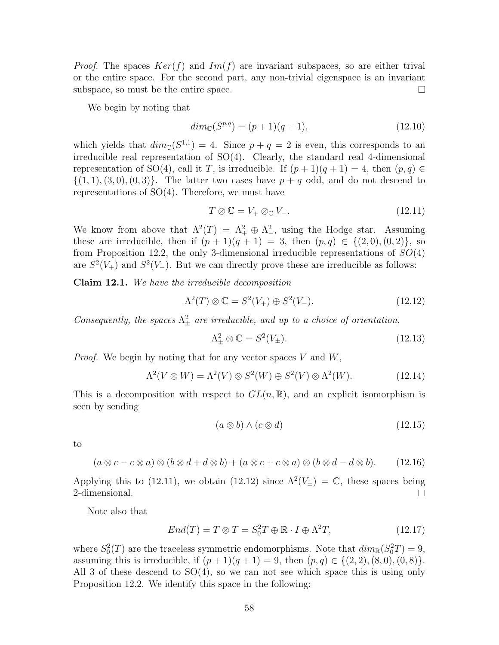*Proof.* The spaces  $Ker(f)$  and  $Im(f)$  are invariant subspaces, so are either trival or the entire space. For the second part, any non-trivial eigenspace is an invariant subspace, so must be the entire space.  $\Box$ 

We begin by noting that

$$
dim_{\mathbb{C}}(S^{p,q}) = (p+1)(q+1),\tag{12.10}
$$

which yields that  $dim_{\mathbb{C}}(S^{1,1}) = 4$ . Since  $p + q = 2$  is even, this corresponds to an irreducible real representation of SO(4). Clearly, the standard real 4-dimensional representation of SO(4), call it T, is irreducible. If  $(p+1)(q+1) = 4$ , then  $(p,q) \in$  $\{(1, 1), (3, 0), (0, 3)\}.$  The latter two cases have  $p + q$  odd, and do not descend to representations of  $SO(4)$ . Therefore, we must have

$$
T \otimes \mathbb{C} = V_+ \otimes_{\mathbb{C}} V_-.
$$
\n(12.11)

We know from above that  $\Lambda^2(T) = \Lambda^2_+ \oplus \Lambda^2_-,$  using the Hodge star. Assuming these are irreducible, then if  $(p + 1)(q + 1) = 3$ , then  $(p, q) \in \{(2, 0), (0, 2)\}\)$ , so from Proposition 12.2, the only 3-dimensional irreducible representations of  $SO(4)$ are  $S^2(V_+)$  and  $S^2(V_-)$ . But we can directly prove these are irreducible as follows:

Claim 12.1. We have the irreducible decomposition

$$
\Lambda^2(T) \otimes \mathbb{C} = S^2(V_+) \oplus S^2(V_-). \tag{12.12}
$$

Consequently, the spaces  $\Lambda^2_{\pm}$  are irreducible, and up to a choice of orientation,

$$
\Lambda^2_{\pm} \otimes \mathbb{C} = S^2(V_{\pm}).\tag{12.13}
$$

*Proof.* We begin by noting that for any vector spaces  $V$  and  $W$ ,

$$
\Lambda^2(V \otimes W) = \Lambda^2(V) \otimes S^2(W) \oplus S^2(V) \otimes \Lambda^2(W). \tag{12.14}
$$

This is a decomposition with respect to  $GL(n,\mathbb{R})$ , and an explicit isomorphism is seen by sending

$$
(a \otimes b) \wedge (c \otimes d) \tag{12.15}
$$

to

$$
(a \otimes c - c \otimes a) \otimes (b \otimes d + d \otimes b) + (a \otimes c + c \otimes a) \otimes (b \otimes d - d \otimes b). \qquad (12.16)
$$

Applying this to (12.11), we obtain (12.12) since  $\Lambda^2(V_\pm) = \mathbb{C}$ , these spaces being 2-dimensional.  $\Box$ 

Note also that

$$
End(T) = T \otimes T = S_0^2 T \oplus \mathbb{R} \cdot I \oplus \Lambda^2 T,
$$
\n(12.17)

where  $S_0^2(T)$  are the traceless symmetric endomorphisms. Note that  $dim_{\mathbb{R}}(S_0^2T) = 9$ , assuming this is irreducible, if  $(p+1)(q+1) = 9$ , then  $(p,q) \in \{(2,2), (8,0), (0,8)\}.$ All 3 of these descend to  $SO(4)$ , so we can not see which space this is using only Proposition 12.2. We identify this space in the following: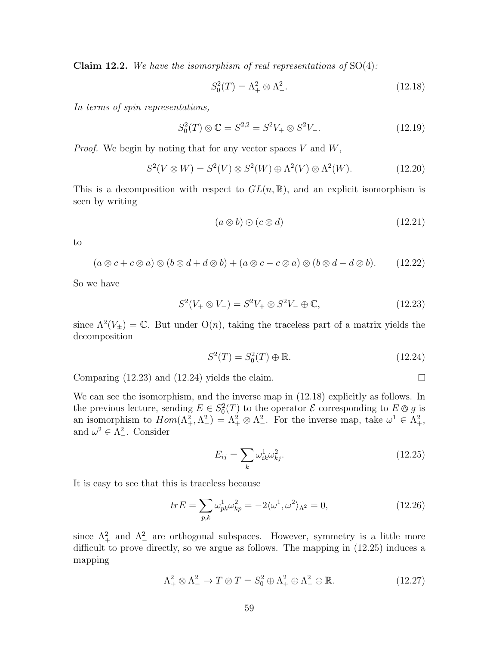**Claim 12.2.** We have the isomorphism of real representations of  $SO(4)$ :

$$
S_0^2(T) = \Lambda_+^2 \otimes \Lambda_-^2. \tag{12.18}
$$

In terms of spin representations,

$$
S_0^2(T) \otimes \mathbb{C} = S^{2,2} = S^2 V_+ \otimes S^2 V_-. \tag{12.19}
$$

*Proof.* We begin by noting that for any vector spaces  $V$  and  $W$ ,

$$
S^{2}(V \otimes W) = S^{2}(V) \otimes S^{2}(W) \oplus \Lambda^{2}(V) \otimes \Lambda^{2}(W). \tag{12.20}
$$

This is a decomposition with respect to  $GL(n,\mathbb{R})$ , and an explicit isomorphism is seen by writing

$$
(a \otimes b) \odot (c \otimes d) \tag{12.21}
$$

to

$$
(a\otimes c+c\otimes a)\otimes (b\otimes d+d\otimes b)+(a\otimes c-c\otimes a)\otimes (b\otimes d-d\otimes b). \qquad (12.22)
$$

So we have

$$
S^2(V_+\otimes V_-) = S^2V_+\otimes S^2V_-\oplus \mathbb{C},\tag{12.23}
$$

since  $\Lambda^2(V_{\pm}) = \mathbb{C}$ . But under  $O(n)$ , taking the traceless part of a matrix yields the decomposition

$$
S^2(T) = S_0^2(T) \oplus \mathbb{R}.
$$
 (12.24)

 $\Box$ 

Comparing (12.23) and (12.24) yields the claim.

We can see the isomorphism, and the inverse map in (12.18) explicitly as follows. In the previous lecture, sending  $E \in S_0^2$ the previous lecture, sending  $E \in S_0^2(T)$  to the operator  $\mathcal E$  corresponding to  $E \otimes g$  is<br>an isomorphism to  $Hom(\Lambda^2_+, \Lambda^2_-) = \Lambda^2_+ \otimes \Lambda^2_-$ . For the inverse map, take  $\omega^1 \in \Lambda^2_+$ , and  $\omega^2 \in \Lambda^2$ . Consider

$$
E_{ij} = \sum_{k} \omega_{ik}^1 \omega_{kj}^2.
$$
\n(12.25)

It is easy to see that this is traceless because

$$
trE = \sum_{p,k} \omega_{pk}^1 \omega_{kp}^2 = -2\langle \omega^1, \omega^2 \rangle_{\Lambda^2} = 0,
$$
\n(12.26)

since  $\Lambda^2_+$  and  $\Lambda^2_-$  are orthogonal subspaces. However, symmetry is a little more difficult to prove directly, so we argue as follows. The mapping in (12.25) induces a mapping

$$
\Lambda^2_+ \otimes \Lambda^2_- \to T \otimes T = S_0^2 \oplus \Lambda^2_+ \oplus \Lambda^2_- \oplus \mathbb{R}.\tag{12.27}
$$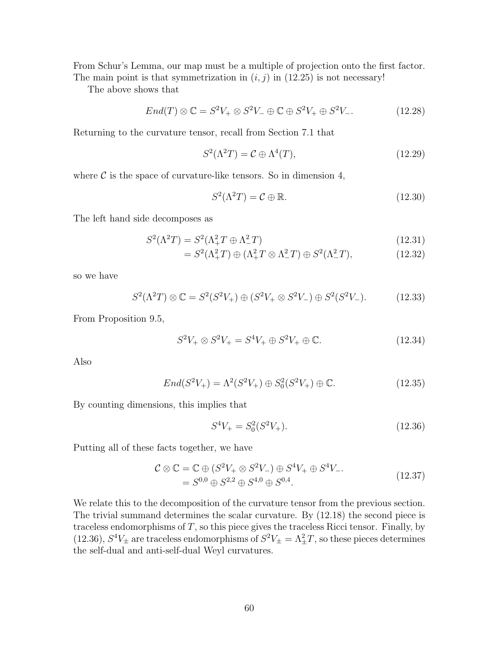From Schur's Lemma, our map must be a multiple of projection onto the first factor. The main point is that symmetrization in  $(i, j)$  in (12.25) is not necessary!

The above shows that

$$
End(T) \otimes \mathbb{C} = S^2 V_+ \otimes S^2 V_- \oplus \mathbb{C} \oplus S^2 V_+ \oplus S^2 V_-.
$$
 (12.28)

Returning to the curvature tensor, recall from Section 7.1 that

$$
S^2(\Lambda^2 T) = \mathcal{C} \oplus \Lambda^4(T), \tag{12.29}
$$

where  $\mathcal C$  is the space of curvature-like tensors. So in dimension 4,

$$
S^2(\Lambda^2 T) = \mathcal{C} \oplus \mathbb{R}.\tag{12.30}
$$

The left hand side decomposes as

$$
S^2(\Lambda^2 T) = S^2(\Lambda^2_+ T \oplus \Lambda^2_- T) \tag{12.31}
$$

$$
= S^{2}(\Lambda_{+}^{2}T) \oplus (\Lambda_{+}^{2}T \otimes \Lambda_{-}^{2}T) \oplus S^{2}(\Lambda_{-}^{2}T), \qquad (12.32)
$$

so we have

$$
S^{2}(\Lambda^{2}T) \otimes \mathbb{C} = S^{2}(S^{2}V_{+}) \oplus (S^{2}V_{+} \otimes S^{2}V_{-}) \oplus S^{2}(S^{2}V_{-}). \tag{12.33}
$$

From Proposition 9.5,

$$
S^2V_+ \otimes S^2V_+ = S^4V_+ \oplus S^2V_+ \oplus \mathbb{C}.\tag{12.34}
$$

Also

$$
End(S^{2}V_{+}) = \Lambda^{2}(S^{2}V_{+}) \oplus S_{0}^{2}(S^{2}V_{+}) \oplus \mathbb{C}.
$$
 (12.35)

By counting dimensions, this implies that

$$
S^4 V_+ = S_0^2 (S^2 V_+). \tag{12.36}
$$

Putting all of these facts together, we have

$$
\mathcal{C} \otimes \mathbb{C} = \mathbb{C} \oplus (S^2 V_+ \otimes S^2 V_-) \oplus S^4 V_+ \oplus S^4 V_-.
$$
  
=  $S^{0,0} \oplus S^{2,2} \oplus S^{4,0} \oplus S^{0,4}.$  (12.37)

We relate this to the decomposition of the curvature tensor from the previous section. The trivial summand determines the scalar curvature. By (12.18) the second piece is traceless endomorphisms of  $T$ , so this piece gives the traceless Ricci tensor. Finally, by (12.36),  $S^4V_{\pm}$  are traceless endomorphisms of  $S^2V_{\pm} = \Lambda_{\pm}^2T$ , so these pieces determines the self-dual and anti-self-dual Weyl curvatures.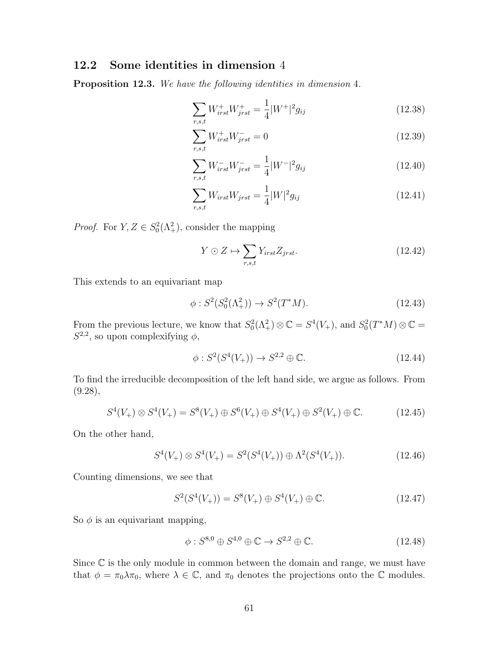### 12.2 Some identities in dimension 4

Proposition 12.3. We have the following identities in dimension 4.

$$
\sum_{r,s,t} W_{irst}^+ W_{jrst}^+ = \frac{1}{4} |W^+|^2 g_{ij}
$$
\n(12.38)

$$
\sum_{r,s,t} W_{irst}^+ W_{jrst}^- = 0 \tag{12.39}
$$

$$
\sum_{r,s,t} W_{irst}^- W_{jrst}^- = \frac{1}{4} |W^-|^2 g_{ij} \tag{12.40}
$$

$$
\sum_{r,s,t} W_{irst} W_{jrst} = \frac{1}{4} |W|^2 g_{ij}
$$
 (12.41)

*Proof.* For  $Y, Z \in S_0^2(\Lambda_+^2)$ , consider the mapping

$$
Y \odot Z \mapsto \sum_{r,s,t} Y_{irst} Z_{jrst}.\tag{12.42}
$$

This extends to an equivariant map

$$
\phi: S^2(S_0^2(\Lambda_+^2)) \to S^2(T^*M). \tag{12.43}
$$

From the previous lecture, we know that  $S_0^2(\Lambda^2_+) \otimes \mathbb{C} = S^4(V_+),$  and  $S_0^2(T^*M) \otimes \mathbb{C} =$  $S^{2,2}$ , so upon complexifying  $\phi$ ,

$$
\phi: S^2(S^4(V_+)) \to S^{2,2} \oplus \mathbb{C}.\tag{12.44}
$$

To find the irreducible decomposition of the left hand side, we argue as follows. From  $(9.28),$ 

$$
S^{4}(V_{+}) \otimes S^{4}(V_{+}) = S^{8}(V_{+}) \oplus S^{6}(V_{+}) \oplus S^{4}(V_{+}) \oplus S^{2}(V_{+}) \oplus \mathbb{C}.
$$
 (12.45)

On the other hand,

$$
S^{4}(V_{+}) \otimes S^{4}(V_{+}) = S^{2}(S^{4}(V_{+})) \oplus \Lambda^{2}(S^{4}(V_{+})). \tag{12.46}
$$

Counting dimensions, we see that

$$
S^{2}(S^{4}(V_{+})) = S^{8}(V_{+}) \oplus S^{4}(V_{+}) \oplus \mathbb{C}.
$$
 (12.47)

So  $\phi$  is an equivariant mapping,

$$
\phi: S^{8,0} \oplus S^{4,0} \oplus \mathbb{C} \to S^{2,2} \oplus \mathbb{C}.\tag{12.48}
$$

Since  $\mathbb C$  is the only module in common between the domain and range, we must have that  $\phi = \pi_0 \lambda \pi_0$ , where  $\lambda \in \mathbb{C}$ , and  $\pi_0$  denotes the projections onto the  $\mathbb C$  modules.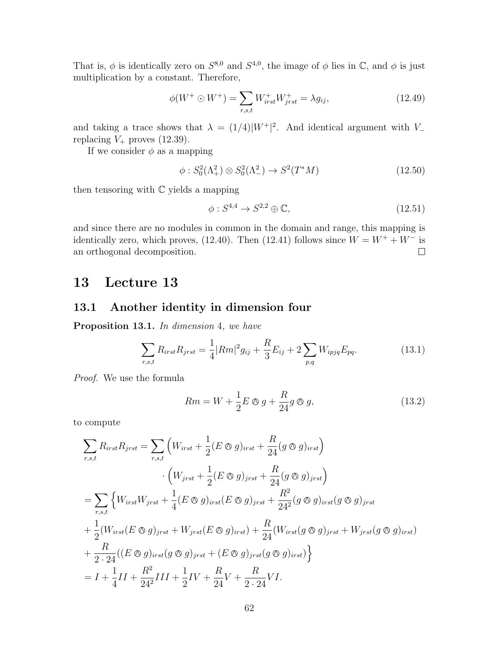That is,  $\phi$  is identically zero on  $S^{8,0}$  and  $S^{4,0}$ , the image of  $\phi$  lies in  $\mathbb{C}$ , and  $\phi$  is just multiplication by a constant. Therefore,

$$
\phi(W^+ \odot W^+) = \sum_{r,s,t} W^+_{irst} W^+_{jrst} = \lambda g_{ij},\tag{12.49}
$$

and taking a trace shows that  $\lambda = (1/4)|W^+|^2$ . And identical argument with V<sub>-</sub> replacing  $V_+$  proves (12.39).

If we consider  $\phi$  as a mapping

$$
\phi: S_0^2(\Lambda_+^2) \otimes S_0^2(\Lambda_-^2) \to S^2(T^*M) \tag{12.50}
$$

then tensoring with  $\mathbb C$  yields a mapping

$$
\phi: S^{4,4} \to S^{2,2} \oplus \mathbb{C},\tag{12.51}
$$

and since there are no modules in common in the domain and range, this mapping is identically zero, which proves, (12.40). Then (12.41) follows since  $W = W^+ + W^-$  is  $\Box$ an orthogonal decomposition.

# 13 Lecture 13

### 13.1 Another identity in dimension four

Proposition 13.1. In dimension 4, we have

$$
\sum_{r,s,t} R_{irst} R_{jrst} = \frac{1}{4} |Rm|^2 g_{ij} + \frac{R}{3} E_{ij} + 2 \sum_{p,q} W_{ipjq} E_{pq}.
$$
 (13.1)

Proof. We use the formula

$$
Rm = W + \frac{1}{2}E \otimes g + \frac{R}{24}g \otimes g,\tag{13.2}
$$

to compute

$$
\sum_{r,s,t} R_{irst} R_{jrst} = \sum_{r,s,t} \left( W_{irst} + \frac{1}{2} (E \otimes g)_{irst} + \frac{R}{24} (g \otimes g)_{irst} \right)
$$
  

$$
\cdot \left( W_{jrst} + \frac{1}{2} (E \otimes g)_{jrst} + \frac{R}{24} (g \otimes g)_{jrst} \right)
$$
  

$$
= \sum_{r,s,t} \left\{ W_{irst} W_{jrst} + \frac{1}{4} (E \otimes g)_{irst} (E \otimes g)_{jrst} + \frac{R^2}{24^2} (g \otimes g)_{irst} (g \otimes g)_{jrst}
$$
  

$$
+ \frac{1}{2} (W_{irst} (E \otimes g)_{jrst} + W_{jrst} (E \otimes g)_{irst}) + \frac{R}{24} (W_{irst} (g \otimes g)_{jrst} + W_{jrst} (g \otimes g)_{irst})
$$
  

$$
+ \frac{R}{2 \cdot 24} ((E \otimes g)_{irst} (g \otimes g)_{jrst} + (E \otimes g)_{jrst} (g \otimes g)_{irst}) \right\}
$$
  

$$
= I + \frac{1}{4} II + \frac{R^2}{24^2} III + \frac{1}{2} IV + \frac{R}{24} V + \frac{R}{2 \cdot 24} VI.
$$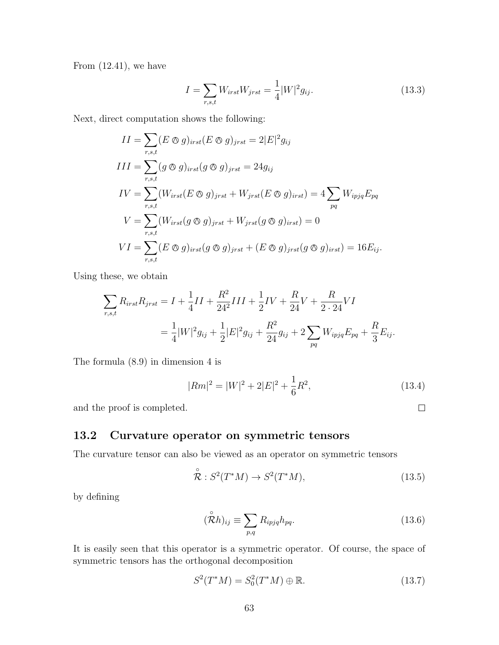From  $(12.41)$ , we have

$$
I = \sum_{r,s,t} W_{irst} W_{jrst} = \frac{1}{4} |W|^2 g_{ij}.
$$
 (13.3)

Next, direct computation shows the following:

$$
II = \sum_{r,s,t} (E \otimes g)_{irst} (E \otimes g)_{jrst} = 2|E|^2 g_{ij}
$$
  
\n
$$
III = \sum_{r,s,t} (g \otimes g)_{irst} (g \otimes g)_{jrst} = 24g_{ij}
$$
  
\n
$$
IV = \sum_{r,s,t} (W_{irst}(E \otimes g)_{jrst} + W_{jrst}(E \otimes g)_{irst}) = 4 \sum_{pq} W_{ipjq} E_{pq}
$$
  
\n
$$
V = \sum_{r,s,t} (W_{irst}(g \otimes g)_{jrst} + W_{jrst}(g \otimes g)_{irst}) = 0
$$
  
\n
$$
VI = \sum_{r,s,t} (E \otimes g)_{irst}(g \otimes g)_{jrst} + (E \otimes g)_{jrst}(g \otimes g)_{irst}) = 16E_{ij}.
$$

Using these, we obtain

$$
\sum_{r,s,t} R_{irst} R_{jrst} = I + \frac{1}{4} II + \frac{R^2}{24^2} III + \frac{1}{2} IV + \frac{R}{24} V + \frac{R}{2 \cdot 24} VI
$$
  
=  $\frac{1}{4} |W|^2 g_{ij} + \frac{1}{2} |E|^2 g_{ij} + \frac{R^2}{24} g_{ij} + 2 \sum_{pq} W_{ipjq} E_{pq} + \frac{R}{3} E_{ij}.$ 

The formula (8.9) in dimension 4 is

$$
|Rm|^2 = |W|^2 + 2|E|^2 + \frac{1}{6}R^2,
$$
\n(13.4)

 $\Box$ 

and the proof is completed.

### 13.2 Curvature operator on symmetric tensors

The curvature tensor can also be viewed as an operator on symmetric tensors

$$
\stackrel{\circ}{\mathcal{R}}: S^2(T^*M) \to S^2(T^*M), \tag{13.5}
$$

by defining

$$
(\overset{\circ}{\mathcal{R}}h)_{ij} \equiv \sum_{p,q} R_{ipjq} h_{pq}.
$$
 (13.6)

It is easily seen that this operator is a symmetric operator. Of course, the space of symmetric tensors has the orthogonal decomposition

$$
S^2(T^*M) = S_0^2(T^*M) \oplus \mathbb{R}.
$$
 (13.7)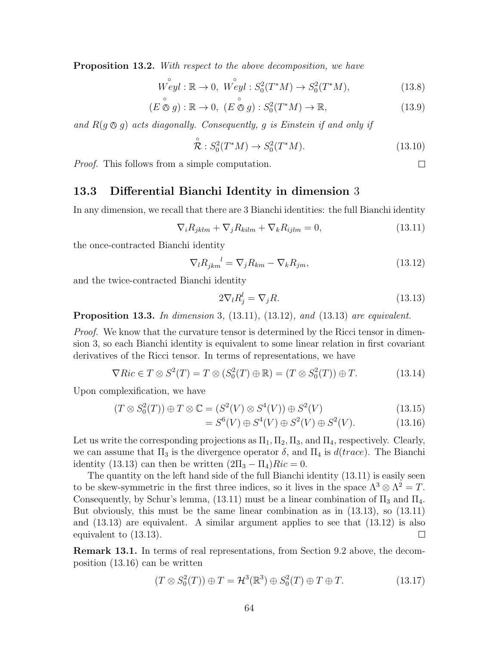**Proposition 13.2.** With respect to the above decomposition, we have

$$
\overset{\circ}{Weyl} : \mathbb{R} \to 0, \ \overset{\circ}{Weyl} : S_0^2(T^*M) \to S_0^2(T^*M), \tag{13.8}
$$

$$
(E \overset{\circ}{\otimes} g) : \mathbb{R} \to 0, \ (E \overset{\circ}{\otimes} g) : S_0^2(T^*M) \to \mathbb{R}, \tag{13.9}
$$

and  $R(g \otimes g)$  acts diagonally. Consequently, g is Einstein if and only if

$$
\stackrel{\circ}{\mathcal{R}}: S_0^2(T^*M) \to S_0^2(T^*M). \tag{13.10}
$$

Proof. This follows from a simple computation.

#### 13.3 Differential Bianchi Identity in dimension 3

In any dimension, we recall that there are 3 Bianchi identities: the full Bianchi identity

$$
\nabla_i R_{jklm} + \nabla_j R_{kilm} + \nabla_k R_{ijlm} = 0,
$$
\n(13.11)

the once-contracted Bianchi identity

$$
\nabla_l R_{jkm}^{\quad l} = \nabla_j R_{km} - \nabla_k R_{jm},\tag{13.12}
$$

and the twice-contracted Bianchi identity

$$
2\nabla_l R_j^l = \nabla_j R. \tag{13.13}
$$

**Proposition 13.3.** In dimension 3,  $(13.11)$ ,  $(13.12)$ , and  $(13.13)$  are equivalent.

*Proof.* We know that the curvature tensor is determined by the Ricci tensor in dimension 3, so each Bianchi identity is equivalent to some linear relation in first covariant derivatives of the Ricci tensor. In terms of representations, we have

$$
\nabla Ric \in T \otimes S^2(T) = T \otimes (S_0^2(T) \oplus \mathbb{R}) = (T \otimes S_0^2(T)) \oplus T.
$$
 (13.14)

Upon complexification, we have

$$
(T \otimes S_0^2(T)) \oplus T \otimes \mathbb{C} = (S^2(V) \otimes S^4(V)) \oplus S^2(V)
$$
\n(13.15)

$$
= S^{6}(V) \oplus S^{4}(V) \oplus S^{2}(V) \oplus S^{2}(V). \tag{13.16}
$$

Let us write the corresponding projections as  $\Pi_1$ ,  $\Pi_2$ ,  $\Pi_3$ , and  $\Pi_4$ , respectively. Clearly, we can assume that  $\Pi_3$  is the divergence operator  $\delta$ , and  $\Pi_4$  is  $d(trace)$ . The Bianchi identity (13.13) can then be written  $(2\Pi_3 - \Pi_4)Ric = 0$ .

The quantity on the left hand side of the full Bianchi identity (13.11) is easily seen to be skew-symmetric in the first three indices, so it lives in the space  $\Lambda^3 \otimes \Lambda^2 = T$ . Consequently, by Schur's lemma,  $(13.11)$  must be a linear combination of  $\Pi_3$  and  $\Pi_4$ . But obviously, this must be the same linear combination as in (13.13), so (13.11) and  $(13.13)$  are equivalent. A similar argument applies to see that  $(13.12)$  is also equivalent to (13.13).  $\Box$ 

Remark 13.1. In terms of real representations, from Section 9.2 above, the decomposition (13.16) can be written

$$
(T \otimes S_0^2(T)) \oplus T = \mathcal{H}^3(\mathbb{R}^3) \oplus S_0^2(T) \oplus T \oplus T.
$$
 (13.17)

 $\Box$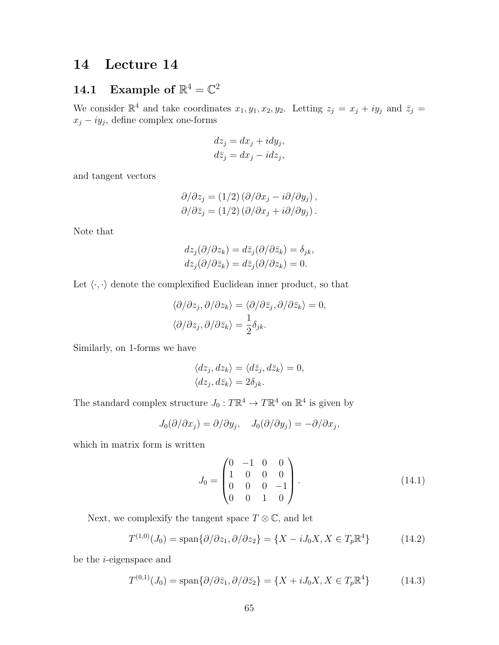# 14 Lecture 14

# 14.1 Example of  $\mathbb{R}^4 = \mathbb{C}^2$

We consider  $\mathbb{R}^4$  and take coordinates  $x_1, y_1, x_2, y_2$ . Letting  $z_j = x_j + iy_j$  and  $\bar{z}_j = z_j$  $x_j - iy_j$ , define complex one-forms

$$
dz_j = dx_j + idy_j,
$$
  

$$
d\bar{z}_j = dx_j - idz_j,
$$

and tangent vectors

$$
\partial/\partial z_j = (1/2) (\partial/\partial x_j - i \partial/\partial y_j), \n\partial/\partial \bar{z}_j = (1/2) (\partial/\partial x_j + i \partial/\partial y_j).
$$

Note that

$$
dz_j(\partial/\partial z_k) = d\overline{z}_j(\partial/\partial \overline{z}_k) = \delta_{jk},
$$
  
\n
$$
dz_j(\partial/\partial \overline{z}_k) = d\overline{z}_j(\partial/\partial z_k) = 0.
$$

Let  $\langle \cdot, \cdot \rangle$  denote the complexified Euclidean inner product, so that

$$
\langle \partial/\partial z_j, \partial/\partial z_k \rangle = \langle \partial/\partial \bar{z}_j, \partial/\partial \bar{z}_k \rangle = 0,
$$
  

$$
\langle \partial/\partial z_j, \partial/\partial \bar{z}_k \rangle = \frac{1}{2} \delta_{jk}.
$$

Similarly, on 1-forms we have

$$
\langle dz_j, dz_k \rangle = \langle d\bar{z}_j, d\bar{z}_k \rangle = 0, \langle dz_j, d\bar{z}_k \rangle = 2\delta_{jk}.
$$

The standard complex structure  $J_0: T\mathbb{R}^4 \to T\mathbb{R}^4$  on  $\mathbb{R}^4$  is given by

$$
J_0(\partial/\partial x_j) = \partial/\partial y_j, \quad J_0(\partial/\partial y_j) = -\partial/\partial x_j,
$$

which in matrix form is written

$$
J_0 = \begin{pmatrix} 0 & -1 & 0 & 0 \\ 1 & 0 & 0 & 0 \\ 0 & 0 & 0 & -1 \\ 0 & 0 & 1 & 0 \end{pmatrix} .
$$
 (14.1)

Next, we complexify the tangent space  $T \otimes \mathbb{C}$ , and let

$$
T^{(1,0)}(J_0) = \text{span}\{\partial/\partial z_1, \partial/\partial z_2\} = \{X - iJ_0X, X \in T_p\mathbb{R}^4\}
$$
(14.2)

be the i-eigenspace and

$$
T^{(0,1)}(J_0) = \text{span}\{\partial/\partial \bar{z}_1, \partial/\partial \bar{z}_2\} = \{X + iJ_0X, X \in T_p\mathbb{R}^4\}
$$
(14.3)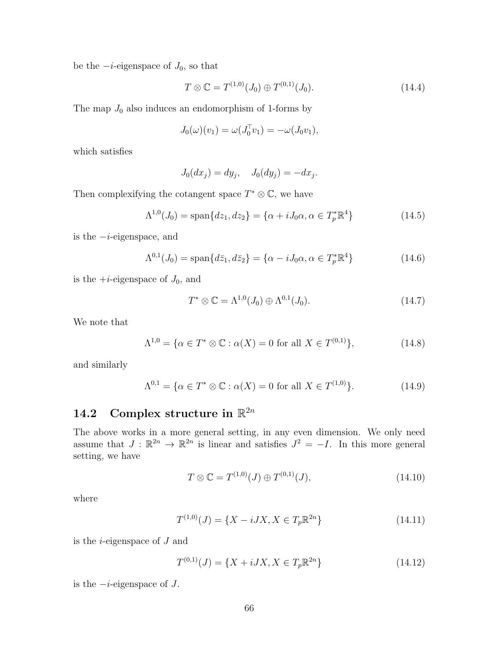be the  $-i$ -eigenspace of  $J_0$ , so that

$$
T \otimes \mathbb{C} = T^{(1,0)}(J_0) \oplus T^{(0,1)}(J_0). \tag{14.4}
$$

The map  $J_0$  also induces an endomorphism of 1-forms by

$$
J_0(\omega)(v_1) = \omega(J_0^{\mathsf{T}} v_1) = -\omega(J_0 v_1),
$$

which satisfies

$$
J_0(dx_j) = dy_j, \quad J_0(dy_j) = -dx_j.
$$

Then complexifying the cotangent space  $T^* \otimes \mathbb{C}$ , we have

$$
\Lambda^{1,0}(J_0) = \text{span}\{dz_1, dz_2\} = \{\alpha + iJ_0\alpha, \alpha \in T_p^*\mathbb{R}^4\}
$$
 (14.5)

is the  $-i$ -eigenspace, and

$$
\Lambda^{0,1}(J_0) = \text{span}\{d\bar{z}_1, d\bar{z}_2\} = \{\alpha - iJ_0\alpha, \alpha \in T_p^*\mathbb{R}^4\}
$$
(14.6)

is the  $+i$ -eigenspace of  $J_0$ , and

$$
T^* \otimes \mathbb{C} = \Lambda^{1,0}(J_0) \oplus \Lambda^{0,1}(J_0).
$$
 (14.7)

We note that

$$
\Lambda^{1,0} = \{ \alpha \in T^* \otimes \mathbb{C} : \alpha(X) = 0 \text{ for all } X \in T^{(0,1)} \},\tag{14.8}
$$

and similarly

$$
\Lambda^{0,1} = \{ \alpha \in T^* \otimes \mathbb{C} : \alpha(X) = 0 \text{ for all } X \in T^{(1,0)} \}. \tag{14.9}
$$

# 14.2 Complex structure in  $\mathbb{R}^{2n}$

The above works in a more general setting, in any even dimension. We only need assume that  $J : \mathbb{R}^{2n} \to \mathbb{R}^{2n}$  is linear and satisfies  $J^2 = -I$ . In this more general setting, we have

$$
T \otimes \mathbb{C} = T^{(1,0)}(J) \oplus T^{(0,1)}(J), \tag{14.10}
$$

where

$$
T^{(1,0)}(J) = \{X - iJX, X \in T_p \mathbb{R}^{2n}\}\tag{14.11}
$$

is the  $i$ -eigenspace of  $J$  and

$$
T^{(0,1)}(J) = \{X + iJX, X \in T_p \mathbb{R}^{2n}\}\tag{14.12}
$$

is the  $-i$ -eigenspace of  $J$ .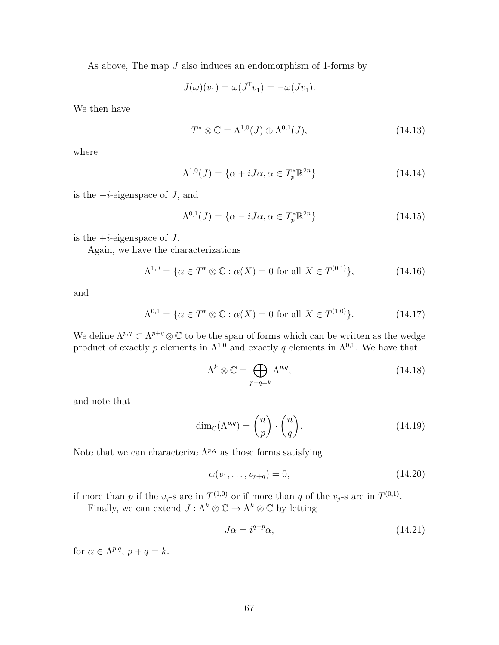As above, The map J also induces an endomorphism of 1-forms by

$$
J(\omega)(v_1) = \omega(J^{\top}v_1) = -\omega(Jv_1).
$$

We then have

$$
T^* \otimes \mathbb{C} = \Lambda^{1,0}(J) \oplus \Lambda^{0,1}(J),\tag{14.13}
$$

where

$$
\Lambda^{1,0}(J) = \{ \alpha + iJ\alpha, \alpha \in T_p^* \mathbb{R}^{2n} \}
$$
\n(14.14)

is the  $-i$ -eigenspace of J, and

$$
\Lambda^{0,1}(J) = \{ \alpha - iJ\alpha, \alpha \in T_p^* \mathbb{R}^{2n} \}
$$
\n(14.15)

is the  $+i$ -eigenspace of J.

Again, we have the characterizations

$$
\Lambda^{1,0} = \{ \alpha \in T^* \otimes \mathbb{C} : \alpha(X) = 0 \text{ for all } X \in T^{(0,1)} \},\tag{14.16}
$$

and

$$
\Lambda^{0,1} = \{ \alpha \in T^* \otimes \mathbb{C} : \alpha(X) = 0 \text{ for all } X \in T^{(1,0)} \}. \tag{14.17}
$$

We define  $\Lambda^{p,q} \subset \Lambda^{p+q} \otimes \mathbb{C}$  to be the span of forms which can be written as the wedge product of exactly p elements in  $\Lambda^{1,0}$  and exactly q elements in  $\Lambda^{0,1}$ . We have that

$$
\Lambda^k \otimes \mathbb{C} = \bigoplus_{p+q=k} \Lambda^{p,q},\tag{14.18}
$$

and note that

$$
\dim_{\mathbb{C}}(\Lambda^{p,q}) = \binom{n}{p} \cdot \binom{n}{q}.\tag{14.19}
$$

Note that we can characterize  $\Lambda^{p,q}$  as those forms satisfying

$$
\alpha(v_1, \dots, v_{p+q}) = 0,\tag{14.20}
$$

if more than p if the  $v_j$ -s are in  $T^{(1,0)}$  or if more than q of the  $v_j$ -s are in  $T^{(0,1)}$ .

Finally, we can extend  $J : \Lambda^k \otimes \mathbb{C} \to \Lambda^k \otimes \mathbb{C}$  by letting

$$
J\alpha = i^{q-p}\alpha,\tag{14.21}
$$

for  $\alpha \in \Lambda^{p,q}, p+q=k$ .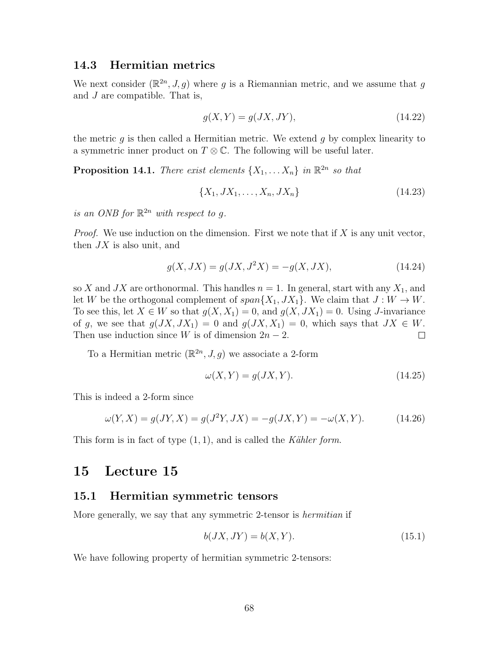### 14.3 Hermitian metrics

We next consider  $(\mathbb{R}^{2n}, J, g)$  where g is a Riemannian metric, and we assume that g and J are compatible. That is,

$$
g(X,Y) = g(JX,JY),\tag{14.22}
$$

the metric  $q$  is then called a Hermitian metric. We extend  $q$  by complex linearity to a symmetric inner product on  $T \otimes \mathbb{C}$ . The following will be useful later.

**Proposition 14.1.** There exist elements  $\{X_1, \ldots X_n\}$  in  $\mathbb{R}^{2n}$  so that

$$
\{X_1, JX_1, \dots, X_n, JX_n\} \tag{14.23}
$$

is an ONB for  $\mathbb{R}^{2n}$  with respect to g.

*Proof.* We use induction on the dimension. First we note that if  $X$  is any unit vector, then  $JX$  is also unit, and

$$
g(X, JX) = g(JX, J^2X) = -g(X, JX),
$$
\n(14.24)

so X and JX are orthonormal. This handles  $n = 1$ . In general, start with any  $X_1$ , and let W be the orthogonal complement of  $span{X_1, JX_1}$ . We claim that  $J: W \to W$ . To see this, let  $X \in W$  so that  $g(X, X_1) = 0$ , and  $g(X, JX_1) = 0$ . Using J-invariance of g, we see that  $g(JX, JX_1) = 0$  and  $g(JX, X_1) = 0$ , which says that  $JX \in W$ . Then use induction since W is of dimension  $2n - 2$ .  $\Box$ 

To a Hermitian metric  $(\mathbb{R}^{2n}, J, g)$  we associate a 2-form

$$
\omega(X, Y) = g(JX, Y). \tag{14.25}
$$

This is indeed a 2-form since

$$
\omega(Y, X) = g(JY, X) = g(J^2Y, JX) = -g(JX, Y) = -\omega(X, Y). \tag{14.26}
$$

This form is in fact of type  $(1, 1)$ , and is called the Kähler form.

## 15 Lecture 15

#### 15.1 Hermitian symmetric tensors

More generally, we say that any symmetric 2-tensor is hermitian if

$$
b(JX, JY) = b(X, Y). \tag{15.1}
$$

We have following property of hermitian symmetric 2-tensors: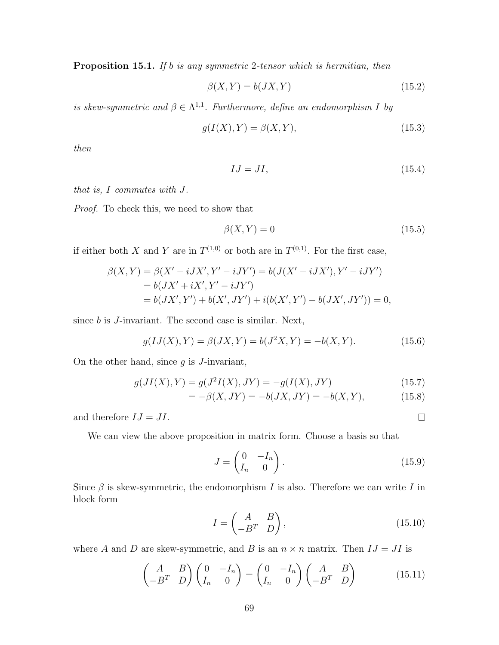Proposition 15.1. If b is any symmetric 2-tensor which is hermitian, then

$$
\beta(X, Y) = b(JX, Y) \tag{15.2}
$$

is skew-symmetric and  $\beta \in \Lambda^{1,1}$ . Furthermore, define an endomorphism I by

$$
g(I(X),Y) = \beta(X,Y),\tag{15.3}
$$

then

$$
IJ = JI, \tag{15.4}
$$

that is, I commutes with J.

Proof. To check this, we need to show that

$$
\beta(X,Y) = 0\tag{15.5}
$$

if either both X and Y are in  $T^{(1,0)}$  or both are in  $T^{(0,1)}$ . For the first case,

$$
\beta(X,Y) = \beta(X' - iJX', Y' - iJY') = b(J(X' - iJX'), Y' - iJY')
$$
  
=  $b(JX' + iX', Y' - iJY')$   
=  $b(JX', Y') + b(X', JY') + i(b(X', Y') - b(JX', JY')) = 0,$ 

since  $b$  is  $J$ -invariant. The second case is similar. Next,

$$
g(IJ(X),Y) = \beta(JX,Y) = b(J^2X,Y) = -b(X,Y).
$$
 (15.6)

On the other hand, since  $g$  is  $J$ -invariant,

$$
g(JI(X),Y) = g(J^2I(X),JY) = -g(I(X),JY)
$$
\n(15.7)

$$
= -\beta(X, JY) = -b(JX, JY) = -b(X, Y), \tag{15.8}
$$

and therefore  $IJ = JI$ .

We can view the above proposition in matrix form. Choose a basis so that

$$
J = \begin{pmatrix} 0 & -I_n \\ I_n & 0 \end{pmatrix}.
$$
 (15.9)

Since  $\beta$  is skew-symmetric, the endomorphism I is also. Therefore we can write I in block form

$$
I = \begin{pmatrix} A & B \\ -B^T & D \end{pmatrix},\tag{15.10}
$$

where A and D are skew-symmetric, and B is an  $n \times n$  matrix. Then  $IJ = JI$  is

$$
\begin{pmatrix} A & B \\ -B^T & D \end{pmatrix} \begin{pmatrix} 0 & -I_n \\ I_n & 0 \end{pmatrix} = \begin{pmatrix} 0 & -I_n \\ I_n & 0 \end{pmatrix} \begin{pmatrix} A & B \\ -B^T & D \end{pmatrix}
$$
(15.11)

 $\Box$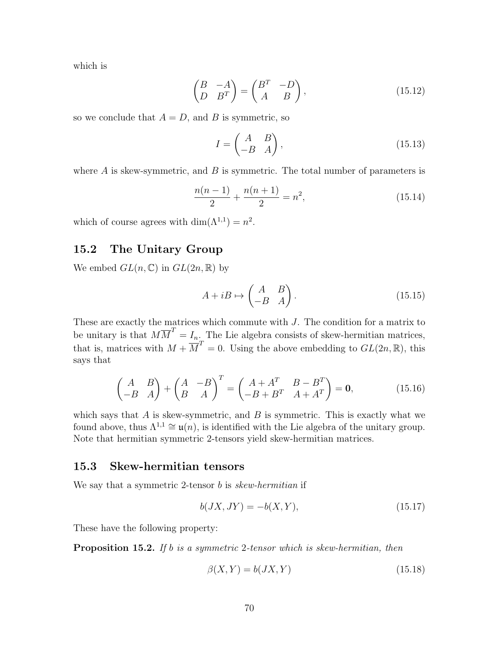which is

$$
\begin{pmatrix} B & -A \\ D & B^T \end{pmatrix} = \begin{pmatrix} B^T & -D \\ A & B \end{pmatrix},
$$
\n(15.12)

so we conclude that  $A = D$ , and B is symmetric, so

$$
I = \begin{pmatrix} A & B \\ -B & A \end{pmatrix},\tag{15.13}
$$

where  $A$  is skew-symmetric, and  $B$  is symmetric. The total number of parameters is

$$
\frac{n(n-1)}{2} + \frac{n(n+1)}{2} = n^2,
$$
\n(15.14)

which of course agrees with  $\dim(\Lambda^{1,1}) = n^2$ .

### 15.2 The Unitary Group

We embed  $GL(n,\mathbb{C})$  in  $GL(2n,\mathbb{R})$  by

$$
A + iB \mapsto \begin{pmatrix} A & B \\ -B & A \end{pmatrix}.
$$
 (15.15)

These are exactly the matrices which commute with J. The condition for a matrix to be unitary is that  $M\overline{M}^T = I_n$ . The Lie algebra consists of skew-hermitian matrices, that is, matrices with  $M + \overline{M}^T = 0$ . Using the above embedding to  $GL(2n, \mathbb{R})$ , this says that

$$
\begin{pmatrix} A & B \ -B & A \end{pmatrix} + \begin{pmatrix} A & -B \ B & A \end{pmatrix}^T = \begin{pmatrix} A + A^T & B - B^T \ -B + B^T & A + A^T \end{pmatrix} = \mathbf{0},
$$
(15.16)

which says that  $A$  is skew-symmetric, and  $B$  is symmetric. This is exactly what we found above, thus  $\Lambda^{1,1} \cong \mathfrak{u}(n)$ , is identified with the Lie algebra of the unitary group. Note that hermitian symmetric 2-tensors yield skew-hermitian matrices.

#### 15.3 Skew-hermitian tensors

We say that a symmetric 2-tensor  $b$  is skew-hermitian if

$$
b(JX, JY) = -b(X, Y),
$$
\n(15.17)

These have the following property:

Proposition 15.2. If b is a symmetric 2-tensor which is skew-hermitian, then

$$
\beta(X, Y) = b(JX, Y) \tag{15.18}
$$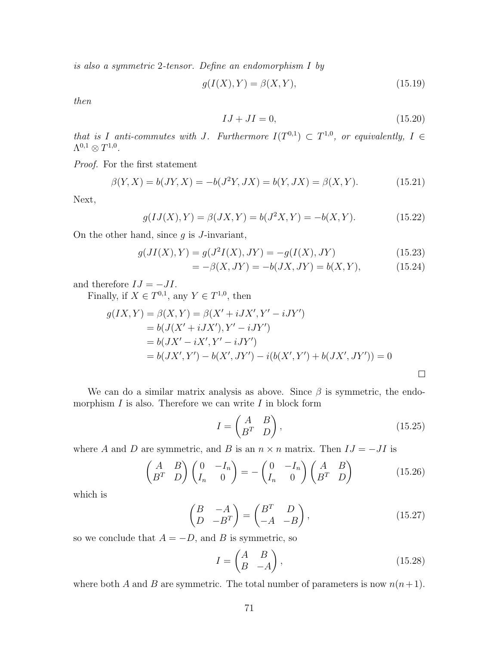is also a symmetric 2-tensor. Define an endomorphism I by

$$
g(I(X),Y) = \beta(X,Y),\tag{15.19}
$$

then

$$
IJ + JI = 0,\t(15.20)
$$

that is I anti-commutes with J. Furthermore  $I(T^{0,1}) \subset T^{1,0}$ , or equivalently,  $I \in$  $\Lambda^{0,1}\otimes T^{1,0}.$ 

Proof. For the first statement

$$
\beta(Y, X) = b(JY, X) = -b(J^2Y, JX) = b(Y, JX) = \beta(X, Y). \tag{15.21}
$$

Next,

$$
g(IJ(X),Y) = \beta(JX,Y) = b(J^2X,Y) = -b(X,Y).
$$
 (15.22)

On the other hand, since  $g$  is  $J$ -invariant,

$$
g(JI(X),Y) = g(J^2I(X),JY) = -g(I(X),JY)
$$
\n(15.23)

$$
= -\beta(X, JY) = -b(JX, JY) = b(X, Y), \qquad (15.24)
$$

and therefore  $IJ = -JI$ .

Finally, if  $X \in T^{0,1}$ , any  $Y \in T^{1,0}$ , then

$$
g(IX, Y) = \beta(X, Y) = \beta(X' + iJX', Y' - iJY')
$$
  
=  $b(J(X' + iJX'), Y' - iJY')$   
=  $b(JX' - iX', Y' - iJY')$   
=  $b(JX', Y') - b(X', JY') - i(b(X', Y') + b(JX', JY')) = 0$ 

We can do a similar matrix analysis as above. Since  $\beta$  is symmetric, the endomorphism  $I$  is also. Therefore we can write  $I$  in block form

$$
I = \begin{pmatrix} A & B \\ B^T & D \end{pmatrix},\tag{15.25}
$$

where A and D are symmetric, and B is an  $n \times n$  matrix. Then  $IJ = -JI$  is

$$
\begin{pmatrix} A & B \\ B^T & D \end{pmatrix} \begin{pmatrix} 0 & -I_n \\ I_n & 0 \end{pmatrix} = -\begin{pmatrix} 0 & -I_n \\ I_n & 0 \end{pmatrix} \begin{pmatrix} A & B \\ B^T & D \end{pmatrix}
$$
(15.26)

which is

$$
\begin{pmatrix} B & -A \\ D & -B^T \end{pmatrix} = \begin{pmatrix} B^T & D \\ -A & -B \end{pmatrix},
$$
\n(15.27)

so we conclude that  $A = -D$ , and B is symmetric, so

$$
I = \begin{pmatrix} A & B \\ B & -A \end{pmatrix},\tag{15.28}
$$

where both A and B are symmetric. The total number of parameters is now  $n(n+1)$ .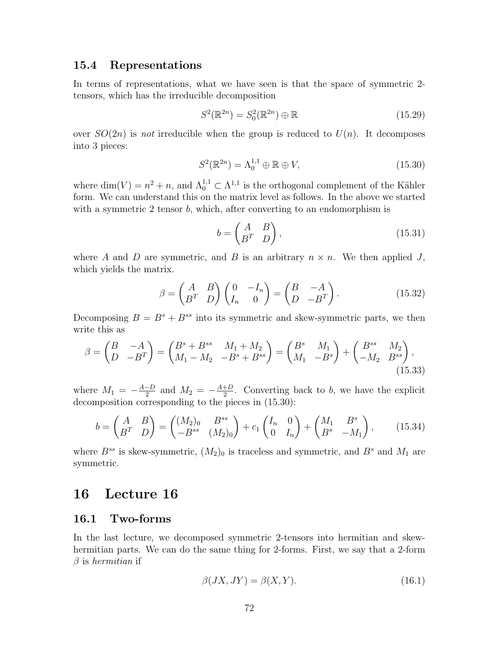#### 15.4 Representations

In terms of representations, what we have seen is that the space of symmetric 2 tensors, which has the irreducible decomposition

$$
S^2(\mathbb{R}^{2n}) = S_0^2(\mathbb{R}^{2n}) \oplus \mathbb{R}
$$
\n
$$
(15.29)
$$

over  $SO(2n)$  is not irreducible when the group is reduced to  $U(n)$ . It decomposes into 3 pieces:

$$
S^2(\mathbb{R}^{2n}) = \Lambda_0^{1,1} \oplus \mathbb{R} \oplus V,\tag{15.30}
$$

where  $\dim(V) = n^2 + n$ , and  $\Lambda_0^{1,1} \subset \Lambda^{1,1}$  is the orthogonal complement of the Kähler form. We can understand this on the matrix level as follows. In the above we started with a symmetric 2 tensor  $b$ , which, after converting to an endomorphism is

$$
b = \begin{pmatrix} A & B \\ B^T & D \end{pmatrix},\tag{15.31}
$$

where A and D are symmetric, and B is an arbitrary  $n \times n$ . We then applied J, which yields the matrix.

$$
\beta = \begin{pmatrix} A & B \\ B^T & D \end{pmatrix} \begin{pmatrix} 0 & -I_n \\ I_n & 0 \end{pmatrix} = \begin{pmatrix} B & -A \\ D & -B^T \end{pmatrix}.
$$
 (15.32)

Decomposing  $B = B^s + B^{ss}$  into its symmetric and skew-symmetric parts, we then write this as

$$
\beta = \begin{pmatrix} B & -A \\ D & -B^T \end{pmatrix} = \begin{pmatrix} B^s + B^{ss} & M_1 + M_2 \\ M_1 - M_2 & -B^s + B^{ss} \end{pmatrix} = \begin{pmatrix} B^s & M_1 \\ M_1 & -B^s \end{pmatrix} + \begin{pmatrix} B^{ss} & M_2 \\ -M_2 & B^{ss} \end{pmatrix},
$$
\n(15.33)

where  $M_1 = -\frac{A-D}{2}$  $\frac{-D}{2}$  and  $M_2 = -\frac{A+D}{2}$  $\frac{+D}{2}$ . Converting back to b, we have the explicit decomposition corresponding to the pieces in (15.30):

$$
b = \begin{pmatrix} A & B \\ B^T & D \end{pmatrix} = \begin{pmatrix} (M_2)_0 & B^{ss} \\ -B^{ss} & (M_2)_0 \end{pmatrix} + c_1 \begin{pmatrix} I_n & 0 \\ 0 & I_n \end{pmatrix} + \begin{pmatrix} M_1 & B^s \\ B^s & -M_1 \end{pmatrix},
$$
(15.34)

where  $B^{ss}$  is skew-symmetric,  $(M_2)_0$  is traceless and symmetric, and  $B^s$  and  $M_1$  are symmetric.

# 16 Lecture 16

#### 16.1 Two-forms

In the last lecture, we decomposed symmetric 2-tensors into hermitian and skewhermitian parts. We can do the same thing for 2-forms. First, we say that a 2-form  $\beta$  is hermitian if

$$
\beta(JX, JY) = \beta(X, Y). \tag{16.1}
$$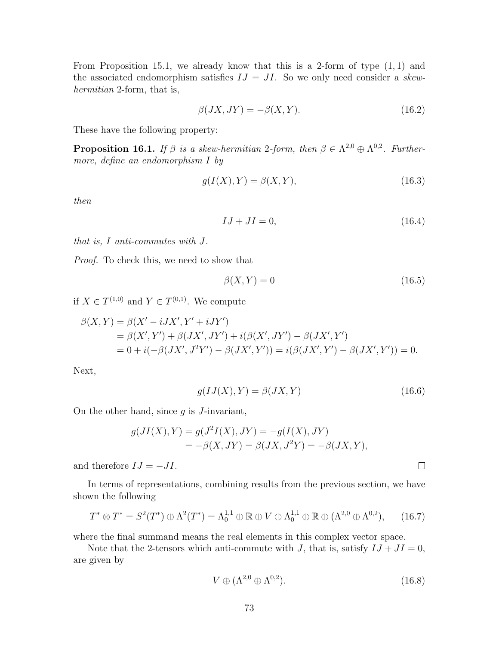From Proposition 15.1, we already know that this is a 2-form of type  $(1, 1)$  and the associated endomorphism satisfies  $IJ = JI$ . So we only need consider a skewhermitian 2-form, that is,

$$
\beta(JX, JY) = -\beta(X, Y). \tag{16.2}
$$

These have the following property:

**Proposition 16.1.** If  $\beta$  is a skew-hermitian 2-form, then  $\beta \in \Lambda^{2,0} \oplus \Lambda^{0,2}$ . Furthermore, define an endomorphism I by

$$
g(I(X),Y) = \beta(X,Y),\tag{16.3}
$$

then

$$
IJ + JI = 0,\t(16.4)
$$

that is, I anti-commutes with J.

Proof. To check this, we need to show that

$$
\beta(X,Y) = 0\tag{16.5}
$$

if  $X \in T^{(1,0)}$  and  $Y \in T^{(0,1)}$ . We compute

$$
\beta(X,Y) = \beta(X' - iJX', Y' + iJY')
$$
  
=  $\beta(X', Y') + \beta(JX', JY') + i(\beta(X', JY') - \beta(JX', Y'))$   
=  $0 + i(-\beta(JX', J^2Y') - \beta(JX', Y')) = i(\beta(JX', Y') - \beta(JX', Y')) = 0.$ 

Next,

$$
g(IJ(X),Y) = \beta(JX,Y) \tag{16.6}
$$

 $\Box$ 

On the other hand, since  $g$  is  $J$ -invariant,

$$
g(JI(X), Y) = g(J^2I(X), JY) = -g(I(X), JY)
$$
  
=  $-\beta(X, JY) = \beta(JX, J^2Y) = -\beta(JX, Y),$ 

and therefore  $IJ = -JI$ .

In terms of representations, combining results from the previous section, we have shown the following

$$
T^* \otimes T^* = S^2(T^*) \oplus \Lambda^2(T^*) = \Lambda_0^{1,1} \oplus \mathbb{R} \oplus V \oplus \Lambda_0^{1,1} \oplus \mathbb{R} \oplus (\Lambda^{2,0} \oplus \Lambda^{0,2}), \qquad (16.7)
$$

where the final summand means the real elements in this complex vector space.

Note that the 2-tensors which anti-commute with J, that is, satisfy  $IJ +JI = 0$ , are given by

$$
V \oplus (\Lambda^{2,0} \oplus \Lambda^{0,2}). \tag{16.8}
$$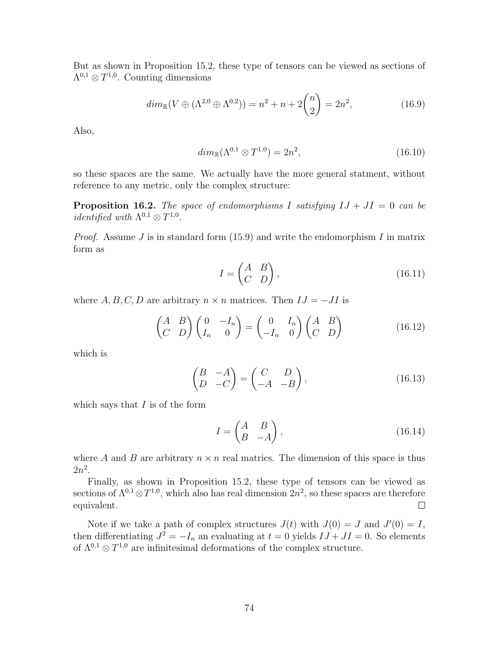But as shown in Proposition 15.2, these type of tensors can be viewed as sections of  $\Lambda^{0,1}\otimes T^{1,0}$ . Counting dimensions

$$
dim_{\mathbb{R}}(V \oplus (\Lambda^{2,0} \oplus \Lambda^{0,2})) = n^2 + n + 2\binom{n}{2} = 2n^2,
$$
\n(16.9)

Also,

$$
dim_{\mathbb{R}}(\Lambda^{0,1}\otimes T^{1,0})=2n^2,
$$
\n(16.10)

so these spaces are the same. We actually have the more general statment, without reference to any metric, only the complex structure:

**Proposition 16.2.** The space of endomorphisms I satisfying  $IJ + JI = 0$  can be *identified with*  $\Lambda^{0,1} \otimes T^{1,0}$ .

*Proof.* Assume  $J$  is in standard form (15.9) and write the endomorphism  $I$  in matrix form as

$$
I = \begin{pmatrix} A & B \\ C & D \end{pmatrix},\tag{16.11}
$$

where  $A, B, C, D$  are arbitrary  $n \times n$  matrices. Then  $IJ = -JI$  is

$$
\begin{pmatrix} A & B \\ C & D \end{pmatrix} \begin{pmatrix} 0 & -I_n \\ I_n & 0 \end{pmatrix} = \begin{pmatrix} 0 & I_n \\ -I_n & 0 \end{pmatrix} \begin{pmatrix} A & B \\ C & D \end{pmatrix}
$$
(16.12)

which is

$$
\begin{pmatrix} B & -A \\ D & -C \end{pmatrix} = \begin{pmatrix} C & D \\ -A & -B \end{pmatrix},
$$
\n(16.13)

which says that  $I$  is of the form

$$
I = \begin{pmatrix} A & B \\ B & -A \end{pmatrix},\tag{16.14}
$$

where A and B are arbitrary  $n \times n$  real matrics. The dimension of this space is thus  $2n^2$ .

Finally, as shown in Proposition 15.2, these type of tensors can be viewed as sections of  $\Lambda^{0,1} \otimes T^{1,0}$ , which also has real dimension  $2n^2$ , so these spaces are therefore equivalent.  $\Box$ 

Note if we take a path of complex structures  $J(t)$  with  $J(0) = J$  and  $J'(0) = I$ , then differentiating  $J^2 = -I_n$  an evaluating at  $t = 0$  yields  $IJ +JI = 0$ . So elements of  $\Lambda^{0,1} \otimes T^{1,0}$  are infinitesimal deformations of the complex structure.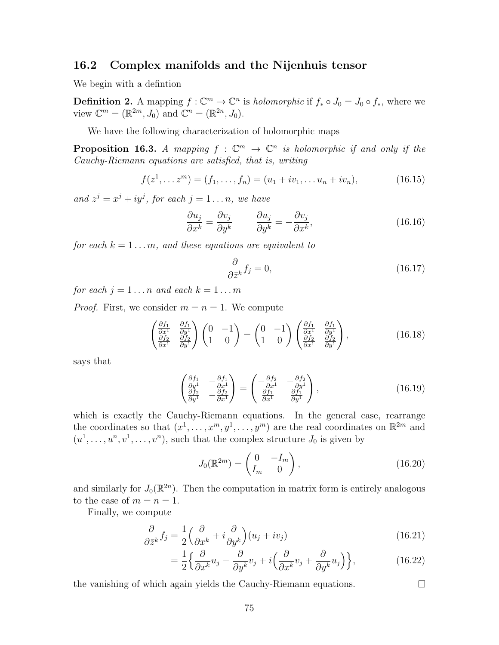#### 16.2 Complex manifolds and the Nijenhuis tensor

We begin with a defintion

**Definition 2.** A mapping  $f: \mathbb{C}^m \to \mathbb{C}^n$  is holomorphic if  $f_* \circ J_0 = J_0 \circ f_*,$  where we view  $\mathbb{C}^m = (\mathbb{R}^{2m}, J_0)$  and  $\mathbb{C}^n = (\mathbb{R}^{2n}, J_0)$ .

We have the following characterization of holomorphic maps

**Proposition 16.3.** A mapping  $f : \mathbb{C}^m \to \mathbb{C}^n$  is holomorphic if and only if the Cauchy-Riemann equations are satisfied, that is, writing

$$
f(z^1, \dots z^m) = (f_1, \dots, f_n) = (u_1 + iv_1, \dots u_n + iv_n), \tag{16.15}
$$

and  $z^j = x^j + iy^j$ , for each  $j = 1 \ldots n$ , we have

$$
\frac{\partial u_j}{\partial x^k} = \frac{\partial v_j}{\partial y^k} \qquad \frac{\partial u_j}{\partial y^k} = -\frac{\partial v_j}{\partial x^k},\tag{16.16}
$$

for each  $k = 1 \ldots m$ , and these equations are equivalent to

$$
\frac{\partial}{\partial \bar{z}^k} f_j = 0,\tag{16.17}
$$

for each  $j = 1 \ldots n$  and each  $k = 1 \ldots m$ 

*Proof.* First, we consider  $m = n = 1$ . We compute

$$
\begin{pmatrix}\n\frac{\partial f_1}{\partial x^1} & \frac{\partial f_1}{\partial y^1} \\
\frac{\partial f_2}{\partial x^1} & \frac{\partial f_2}{\partial y^1}\n\end{pmatrix}\n\begin{pmatrix}\n0 & -1 \\
1 & 0\n\end{pmatrix}\n=\n\begin{pmatrix}\n0 & -1 \\
1 & 0\n\end{pmatrix}\n\begin{pmatrix}\n\frac{\partial f_1}{\partial x^1} & \frac{\partial f_1}{\partial y^1} \\
\frac{\partial f_2}{\partial x^1} & \frac{\partial f_2}{\partial y^1}\n\end{pmatrix},
$$
\n(16.18)

says that

$$
\begin{pmatrix}\n\frac{\partial f_1}{\partial y^1} & -\frac{\partial f_1}{\partial x^1} \\
\frac{\partial f_2}{\partial y^1} & -\frac{\partial f_2}{\partial x^1}\n\end{pmatrix} = \begin{pmatrix}\n-\frac{\partial f_2}{\partial x^1} & -\frac{\partial f_2}{\partial y^1} \\
\frac{\partial f_1}{\partial x^1} & \frac{\partial f_1}{\partial y^1}\n\end{pmatrix},
$$
\n(16.19)

which is exactly the Cauchy-Riemann equations. In the general case, rearrange the coordinates so that  $(x^1, \ldots, x^m, y^1, \ldots, y^m)$  are the real coordinates on  $\mathbb{R}^{2m}$  and  $(u^1, \ldots, u^n, v^1, \ldots, v^n)$ , such that the complex structure  $J_0$  is given by

$$
J_0(\mathbb{R}^{2m}) = \begin{pmatrix} 0 & -I_m \\ I_m & 0 \end{pmatrix},\tag{16.20}
$$

and similarly for  $J_0(\mathbb{R}^{2n})$ . Then the computation in matrix form is entirely analogous to the case of  $m = n = 1$ .

Finally, we compute

$$
\frac{\partial}{\partial \bar{z}^k} f_j = \frac{1}{2} \left( \frac{\partial}{\partial x^k} + i \frac{\partial}{\partial y^k} \right) (u_j + iv_j)
$$
\n(16.21)

$$
= \frac{1}{2} \left\{ \frac{\partial}{\partial x^k} u_j - \frac{\partial}{\partial y^k} v_j + i \left( \frac{\partial}{\partial x^k} v_j + \frac{\partial}{\partial y^k} u_j \right) \right\},
$$
(16.22)

 $\Box$ 

the vanishing of which again yields the Cauchy-Riemann equations.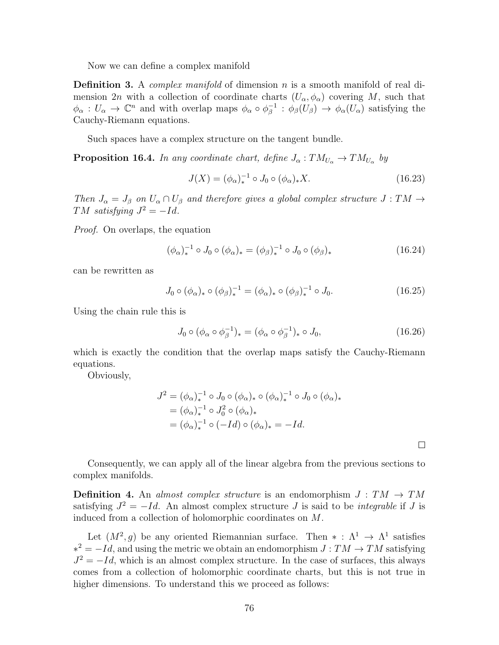Now we can define a complex manifold

**Definition 3.** A *complex manifold* of dimension n is a smooth manifold of real dimension 2n with a collection of coordinate charts  $(U_{\alpha}, \phi_{\alpha})$  covering M, such that  $\phi_{\alpha}: U_{\alpha} \to \mathbb{C}^n$  and with overlap maps  $\phi_{\alpha} \circ \phi_{\beta}^{-1}$  $\phi_{\beta}^{-1}$  :  $\phi_{\beta}(U_{\beta}) \rightarrow \phi_{\alpha}(U_{\alpha})$  satisfying the Cauchy-Riemann equations.

Such spaces have a complex structure on the tangent bundle.

**Proposition 16.4.** In any coordinate chart, define  $J_{\alpha}: TM_{U_{\alpha}} \to TM_{U_{\alpha}}$  by

$$
J(X) = (\phi_{\alpha})_*^{-1} \circ J_0 \circ (\phi_{\alpha})_* X.
$$
 (16.23)

Then  $J_{\alpha} = J_{\beta}$  on  $U_{\alpha} \cap U_{\beta}$  and therefore gives a global complex structure  $J : TM \rightarrow$ TM satisfying  $J^2 = -Id$ .

Proof. On overlaps, the equation

$$
(\phi_{\alpha})_{*}^{-1} \circ J_{0} \circ (\phi_{\alpha})_{*} = (\phi_{\beta})_{*}^{-1} \circ J_{0} \circ (\phi_{\beta})_{*}
$$
\n(16.24)

can be rewritten as

$$
J_0 \circ (\phi_\alpha)_* \circ (\phi_\beta)_*^{-1} = (\phi_\alpha)_* \circ (\phi_\beta)_*^{-1} \circ J_0. \tag{16.25}
$$

Using the chain rule this is

$$
J_0 \circ (\phi_\alpha \circ \phi_\beta^{-1})_* = (\phi_\alpha \circ \phi_\beta^{-1})_* \circ J_0, \qquad (16.26)
$$

which is exactly the condition that the overlap maps satisfy the Cauchy-Riemann equations.

Obviously,

$$
J^{2} = (\phi_{\alpha})_{*}^{-1} \circ J_{0} \circ (\phi_{\alpha})_{*} \circ (\phi_{\alpha})_{*}^{-1} \circ J_{0} \circ (\phi_{\alpha})_{*}
$$
  
=  $(\phi_{\alpha})_{*}^{-1} \circ J_{0}^{2} \circ (\phi_{\alpha})_{*}$   
=  $(\phi_{\alpha})_{*}^{-1} \circ (-Id) \circ (\phi_{\alpha})_{*} = -Id.$ 

 $\Box$ 

Consequently, we can apply all of the linear algebra from the previous sections to complex manifolds.

**Definition 4.** An almost complex structure is an endomorphism  $J : TM \rightarrow TM$ satisfying  $J^2 = -Id$ . An almost complex structure J is said to be *integrable* if J is induced from a collection of holomorphic coordinates on M.

Let  $(M^2, g)$  be any oriented Riemannian surface. Then  $* : \Lambda^1 \to \Lambda^1$  satisfies  $*^2 = -Id$ , and using the metric we obtain an endomorphism  $J: TM \rightarrow TM$  satisfying  $J^2 = -Id$ , which is an almost complex structure. In the case of surfaces, this always comes from a collection of holomorphic coordinate charts, but this is not true in higher dimensions. To understand this we proceed as follows: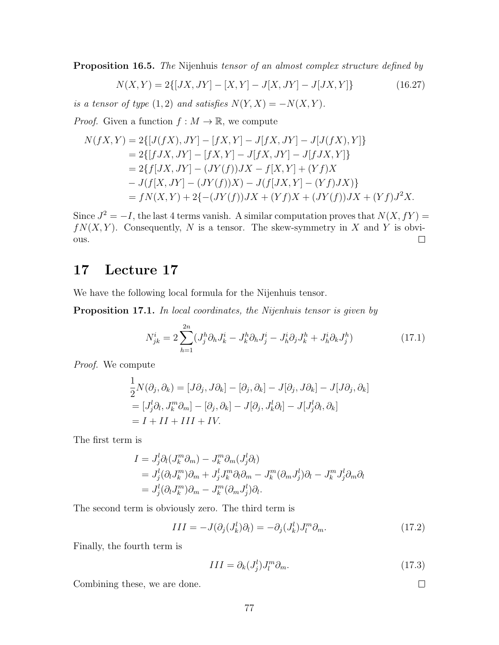**Proposition 16.5.** The Nijenhuis tensor of an almost complex structure defined by

$$
N(X,Y) = 2\{ [JX, JY] - [X,Y] - J[X,JY] - J[JX,Y] \}
$$
\n(16.27)

is a tensor of type  $(1, 2)$  and satisfies  $N(Y, X) = -N(X, Y)$ .

*Proof.* Given a function  $f : M \to \mathbb{R}$ , we compute

$$
N(fX,Y) = 2\{[J(fX),JY] - [fX,Y] - J[fX,JY] - J[J(fX),Y]\}
$$
  
= 2\{[fJX,JY] - [fX,Y] - J[fX,JY] - J[fJX,Y]\}  
= 2\{f[JX,JY] - (JY(f))JX - f[X,Y] + (Yf)X  
- J(f[X,JY] - (JY(f))X) - J(f[JX,Y] - (Yf)JX)\}  
= fN(X,Y) + 2\{-(JY(f))JX + (Yf)X + (JY(f))JX + (Yf)J^2X.

Since  $J^2 = -I$ , the last 4 terms vanish. A similar computation proves that  $N(X, fY) =$  $fN(X, Y)$ . Consequently, N is a tensor. The skew-symmetry in X and Y is obvi- $\Box$ ous.

# 17 Lecture 17

We have the following local formula for the Nijenhuis tensor.

Proposition 17.1. In local coordinates, the Nijenhuis tensor is given by

$$
N_{jk}^{i} = 2\sum_{h=1}^{2n} (J_{j}^{h} \partial_{h} J_{k}^{i} - J_{k}^{h} \partial_{h} J_{j}^{i} - J_{h}^{i} \partial_{j} J_{k}^{h} + J_{h}^{i} \partial_{k} J_{j}^{h})
$$
(17.1)

Proof. We compute

$$
\frac{1}{2}N(\partial_j, \partial_k) = [J\partial_j, J\partial_k] - [\partial_j, \partial_k] - J[\partial_j, J\partial_k] - J[J\partial_j, \partial_k]
$$
  
\n
$$
= [J_j^l \partial_l, J_k^m \partial_m] - [\partial_j, \partial_k] - J[\partial_j, J_k^l \partial_l] - J[J_j^l \partial_l, \partial_k]
$$
  
\n
$$
= I + II + III + IV.
$$

The first term is

$$
I = J_j^l \partial_l (J_k^m \partial_m) - J_k^m \partial_m (J_j^l \partial_l)
$$
  
=  $J_j^l (\partial_l J_k^m) \partial_m + J_j^l J_k^m \partial_l \partial_m - J_k^m (\partial_m J_j^l) \partial_l - J_k^m J_j^l \partial_m \partial_l$   
=  $J_j^l (\partial_l J_k^m) \partial_m - J_k^m (\partial_m J_j^l) \partial_l.$ 

The second term is obviously zero. The third term is

$$
III = -J(\partial_j(J_k^l)\partial_l) = -\partial_j(J_k^l)J_l^m\partial_m.
$$
\n(17.2)

Finally, the fourth term is

$$
III = \partial_k (J_j^l) J_l^m \partial_m.
$$
 (17.3)

Combining these, we are done.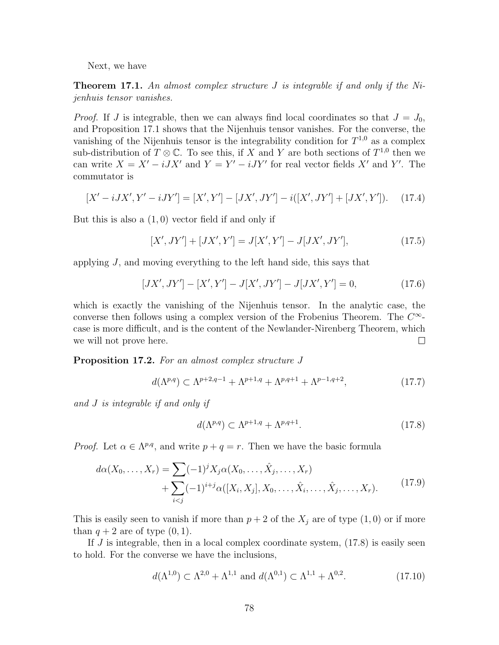Next, we have

**Theorem 17.1.** An almost complex structure J is integrable if and only if the Nijenhuis tensor vanishes.

*Proof.* If J is integrable, then we can always find local coordinates so that  $J = J_0$ , and Proposition 17.1 shows that the Nijenhuis tensor vanishes. For the converse, the vanishing of the Nijenhuis tensor is the integrability condition for  $T^{1,0}$  as a complex sub-distribution of  $T \otimes \mathbb{C}$ . To see this, if X and Y are both sections of  $T^{1,0}$  then we can write  $X = X' - iJX'$  and  $Y = Y' - iJY'$  for real vector fields X' and Y'. The commutator is

$$
[X' - iJX', Y' - iJY'] = [X', Y'] - [JX', JY'] - i([X', JY'] + [JX', Y']). \quad (17.4)
$$

But this is also a  $(1,0)$  vector field if and only if

$$
[X', JY'] + [JX', Y'] = J[X', Y'] - J[JX', JY'], \qquad (17.5)
$$

applying  $J$ , and moving everything to the left hand side, this says that

$$
[JX', JY'] - [X', Y'] - J[X', JY'] - J[JX', Y'] = 0,
$$
\n(17.6)

which is exactly the vanishing of the Nijenhuis tensor. In the analytic case, the converse then follows using a complex version of the Frobenius Theorem. The  $C^{\infty}$ case is more difficult, and is the content of the Newlander-Nirenberg Theorem, which we will not prove here.  $\Box$ 

Proposition 17.2. For an almost complex structure J

$$
d(\Lambda^{p,q}) \subset \Lambda^{p+2,q-1} + \Lambda^{p+1,q} + \Lambda^{p,q+1} + \Lambda^{p-1,q+2},\tag{17.7}
$$

and J is integrable if and only if

$$
d(\Lambda^{p,q}) \subset \Lambda^{p+1,q} + \Lambda^{p,q+1}.\tag{17.8}
$$

*Proof.* Let  $\alpha \in \Lambda^{p,q}$ , and write  $p + q = r$ . Then we have the basic formula

$$
d\alpha(X_0, \dots, X_r) = \sum (-1)^j X_j \alpha(X_0, \dots, \hat{X}_j, \dots, X_r)
$$
  
+ 
$$
\sum_{i < j} (-1)^{i+j} \alpha([X_i, X_j], X_0, \dots, \hat{X}_i, \dots, \hat{X}_j, \dots, X_r). \tag{17.9}
$$

This is easily seen to vanish if more than  $p + 2$  of the  $X_j$  are of type  $(1, 0)$  or if more than  $q + 2$  are of type  $(0, 1)$ .

If  $J$  is integrable, then in a local complex coordinate system,  $(17.8)$  is easily seen to hold. For the converse we have the inclusions,

$$
d(\Lambda^{1,0}) \subset \Lambda^{2,0} + \Lambda^{1,1} \text{ and } d(\Lambda^{0,1}) \subset \Lambda^{1,1} + \Lambda^{0,2}.
$$
 (17.10)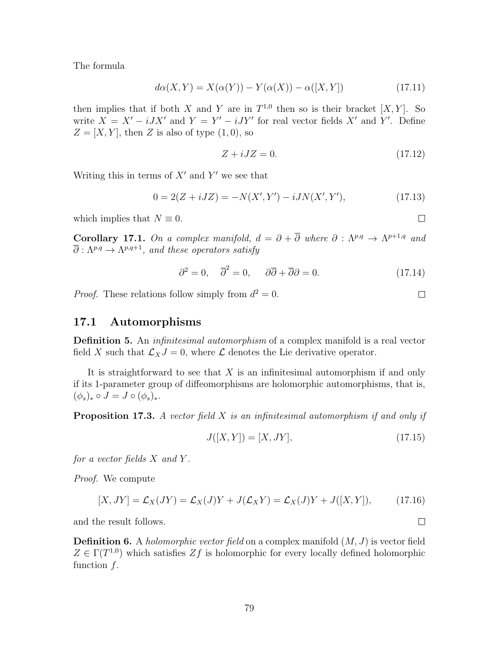The formula

$$
d\alpha(X,Y) = X(\alpha(Y)) - Y(\alpha(X)) - \alpha([X,Y])
$$
\n(17.11)

then implies that if both X and Y are in  $T^{1,0}$  then so is their bracket  $[X, Y]$ . So write  $X = X' - iJX'$  and  $Y = Y' - iJY'$  for real vector fields X' and Y'. Define  $Z = [X, Y]$ , then Z is also of type  $(1, 0)$ , so

$$
Z + iJZ = 0.\t(17.12)
$$

Writing this in terms of  $X'$  and  $Y'$  we see that

$$
0 = 2(Z + iJZ) = -N(X', Y') - iJN(X', Y'), \qquad (17.13)
$$

which implies that  $N \equiv 0$ .

**Corollary 17.1.** On a complex manifold,  $d = \partial + \overline{\partial}$  where  $\partial : \Lambda^{p,q} \to \Lambda^{p+1,q}$  and  $\overline{\partial}:\Lambda^{p,q}\to \Lambda^{p,q+1},$  and these operators satisfy

$$
\partial^2 = 0, \quad \overline{\partial}^2 = 0, \quad \partial \overline{\partial} + \overline{\partial} \partial = 0. \tag{17.14}
$$

*Proof.* These relations follow simply from  $d^2 = 0$ .

#### 17.1 Automorphisms

**Definition 5.** An *infinitesimal automorphism* of a complex manifold is a real vector field X such that  $\mathcal{L}_XJ = 0$ , where  $\mathcal L$  denotes the Lie derivative operator.

It is straightforward to see that  $X$  is an infinitesimal automorphism if and only if its 1-parameter group of diffeomorphisms are holomorphic automorphisms, that is,  $(\phi_s)_* \circ J = J \circ (\phi_s)_*.$ 

**Proposition 17.3.** A vector field  $X$  is an infinitesimal automorphism if and only if

$$
J([X,Y]) = [X, JY],
$$
\n(17.15)

for a vector fields  $X$  and  $Y$ .

Proof. We compute

$$
[X, JY] = \mathcal{L}_X(JY) = \mathcal{L}_X(J)Y + J(\mathcal{L}_XY) = \mathcal{L}_X(J)Y + J([X, Y]),
$$
\n(17.16)

and the result follows.

**Definition 6.** A *holomorphic vector field* on a complex manifold  $(M, J)$  is vector field  $Z \in \Gamma(T^{1,0})$  which satisfies  $Zf$  is holomorphic for every locally defined holomorphic function f.

 $\Box$ 

 $\Box$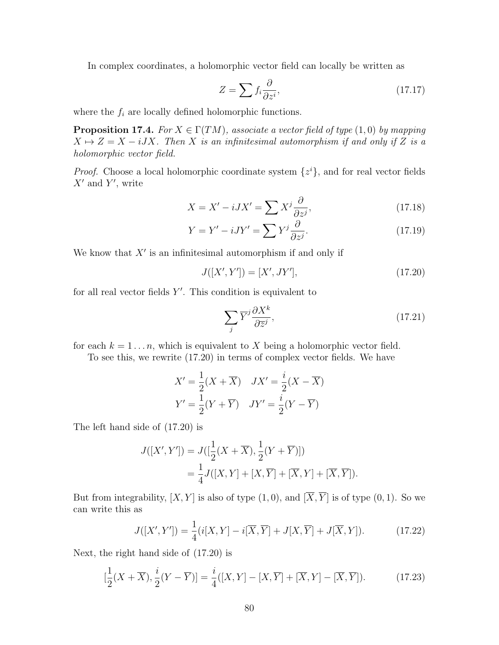In complex coordinates, a holomorphic vector field can locally be written as

$$
Z = \sum f_i \frac{\partial}{\partial z^i},\tag{17.17}
$$

where the  $f_i$  are locally defined holomorphic functions.

**Proposition 17.4.** For  $X \in \Gamma(TM)$ , associate a vector field of type  $(1,0)$  by mapping  $X \mapsto Z = X - iJX$ . Then X is an infinitesimal automorphism if and only if Z is a holomorphic vector field.

*Proof.* Choose a local holomorphic coordinate system  $\{z^i\}$ , and for real vector fields  $X'$  and  $Y'$ , write

$$
X = X' - iJX' = \sum X^j \frac{\partial}{\partial z^j},\tag{17.18}
$$

$$
Y = Y' - iJY' = \sum Y^j \frac{\partial}{\partial z^j}.
$$
\n(17.19)

We know that  $X'$  is an infinitesimal automorphism if and only if

$$
J([X', Y']) = [X', JY'], \qquad (17.20)
$$

for all real vector fields  $Y'$ . This condition is equivalent to

$$
\sum_{j} \overline{Y}^{j} \frac{\partial X^{k}}{\partial \overline{z}^{j}},\tag{17.21}
$$

for each  $k = 1 \ldots n$ , which is equivalent to X being a holomorphic vector field.

To see this, we rewrite (17.20) in terms of complex vector fields. We have

$$
X' = \frac{1}{2}(X + \overline{X}) \quad JX' = \frac{i}{2}(X - \overline{X})
$$

$$
Y' = \frac{1}{2}(Y + \overline{Y}) \quad JY' = \frac{i}{2}(Y - \overline{Y})
$$

The left hand side of (17.20) is

$$
J([X', Y']) = J([\frac{1}{2}(X + \overline{X}), \frac{1}{2}(Y + \overline{Y})])
$$
  
=  $\frac{1}{4}J([X, Y] + [X, \overline{Y}] + [\overline{X}, Y] + [\overline{X}, \overline{Y}]).$ 

But from integrability,  $[X, Y]$  is also of type  $(1, 0)$ , and  $[\overline{X}, \overline{Y}]$  is of type  $(0, 1)$ . So we can write this as

$$
J([X', Y']) = \frac{1}{4}(i[X, Y] - i[\overline{X}, \overline{Y}] + J[X, \overline{Y}] + J[\overline{X}, Y]).
$$
 (17.22)

Next, the right hand side of (17.20) is

$$
[\frac{1}{2}(X+\overline{X}), \frac{i}{2}(Y-\overline{Y})] = \frac{i}{4}([X,Y]-[X,\overline{Y}]+[\overline{X},Y]-[\overline{X},\overline{Y}]).
$$
 (17.23)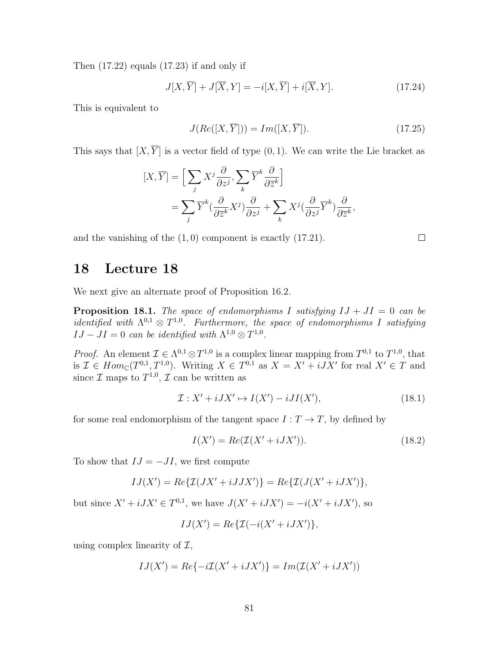Then (17.22) equals (17.23) if and only if

$$
J[X,\overline{Y}] + J[\overline{X},Y] = -i[X,\overline{Y}] + i[\overline{X},Y].
$$
\n(17.24)

This is equivalent to

$$
J(Re([X,\overline{Y}])) = Im([X,\overline{Y}]).
$$
\n(17.25)

 $\Box$ 

This says that  $[X, \overline{Y}]$  is a vector field of type  $(0, 1)$ . We can write the Lie bracket as

$$
[X,\overline{Y}] = \Big[\sum_{j} X^{j} \frac{\partial}{\partial z^{j}}, \sum_{k} \overline{Y}^{k} \frac{\partial}{\partial \overline{z}^{k}}\Big] = \sum_{j} \overline{Y}^{k} \left(\frac{\partial}{\partial \overline{z}^{k}} X^{j}\right) \frac{\partial}{\partial z^{j}} + \sum_{k} X^{j} \left(\frac{\partial}{\partial z^{j}} \overline{Y}^{k}\right) \frac{\partial}{\partial \overline{z}^{k}},
$$

and the vanishing of the (1, 0) component is exactly (17.21).

### 18 Lecture 18

We next give an alternate proof of Proposition 16.2.

**Proposition 18.1.** The space of endomorphisms I satisfying  $IJ + JI = 0$  can be *identified with*  $\Lambda^{0,1} \otimes T^{1,0}$ . Furthermore, the space of endomorphisms I satisfying  $IJ -JI = 0$  can be identified with  $\Lambda^{1,0} \otimes T^{1,0}$ .

*Proof.* An element  $\mathcal{I} \in \Lambda^{0,1} \otimes T^{1,0}$  is a complex linear mapping from  $T^{0,1}$  to  $T^{1,0}$ , that is  $\mathcal{I} \in Hom_{\mathbb{C}}(T^{0,1}, T^{1,0})$ . Writing  $X \in T^{0,1}$  as  $X = X' + iJX'$  for real  $X' \in T$  and since  $\mathcal I$  maps to  $T^{1,0}, \mathcal I$  can be written as

$$
\mathcal{I}: X' + iJX' \mapsto I(X') - iJI(X'),\tag{18.1}
$$

for some real endomorphism of the tangent space  $I: T \to T$ , by defined by

$$
I(X') = Re(\mathcal{I}(X' + iJX')).
$$
\n(18.2)

To show that  $IJ = -JI$ , we first compute

$$
IJ(X') = Re\{\mathcal{I}(JX' + iJJX')\} = Re\{\mathcal{I}(J(X' + iJX'))\},\
$$

but since  $X' + iJX' \in T^{0,1}$ , we have  $J(X' + iJX') = -i(X' + iJX')$ , so

$$
IJ(X') = Re\{\mathcal{I}(-i(X'+iJX')\},\
$$

using complex linearity of  $\mathcal{I}$ ,

$$
IJ(X')=Re\{-i\mathcal{I}(X'+iJX')\}=Im(\mathcal{I}(X'+iJX'))
$$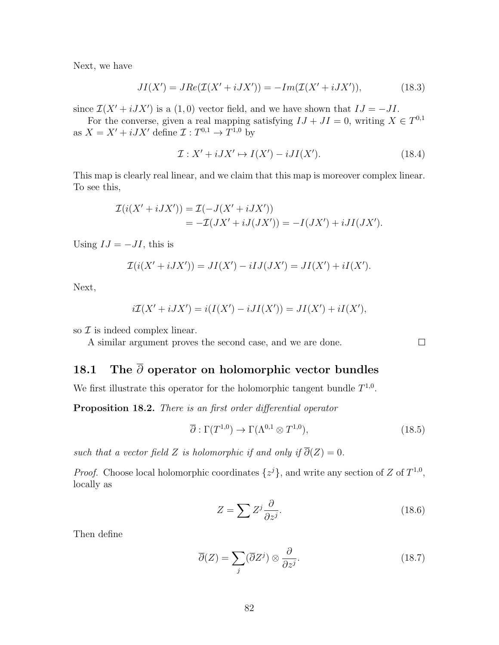Next, we have

$$
JI(X') = JRe(\mathcal{I}(X' + iJX')) = -Im(\mathcal{I}(X' + iJX')), \qquad (18.3)
$$

since  $\mathcal{I}(X' + iJX')$  is a (1,0) vector field, and we have shown that  $IJ = -JI$ .

For the converse, given a real mapping satisfying  $IJ + JI = 0$ , writing  $X \in T^{0,1}$ as  $X = X' + iJX'$  define  $\mathcal{I}: T^{0,1} \to T^{1,0}$  by

$$
\mathcal{I}: X' + iJX' \mapsto I(X') - iJI(X'). \tag{18.4}
$$

This map is clearly real linear, and we claim that this map is moreover complex linear. To see this,

$$
\mathcal{I}(i(X' + iJX')) = \mathcal{I}(-J(X' + iJX'))
$$
  
= 
$$
-\mathcal{I}(JX' + iJ(JX')) = -I(JX') + iJI(JX').
$$

Using  $IJ = -JI$ , this is

$$
\mathcal{I}(i(X' + iJX')) = JI(X') - iIJ(JX') = JI(X') + iI(X').
$$

Next,

$$
i\mathcal{I}(X'+iJX')=i(I(X')-iJI(X'))=JI(X')+iI(X'),
$$

so  $\mathcal I$  is indeed complex linear.

A similar argument proves the second case, and we are done.

# 18.1 The  $\bar{\partial}$  operator on holomorphic vector bundles

We first illustrate this operator for the holomorphic tangent bundle  $T^{1,0}$ .

Proposition 18.2. There is an first order differential operator

$$
\overline{\partial}: \Gamma(T^{1,0}) \to \Gamma(\Lambda^{0,1} \otimes T^{1,0}), \tag{18.5}
$$

such that a vector field Z is holomorphic if and only if  $\overline{\partial}(Z) = 0$ .

*Proof.* Choose local holomorphic coordinates  $\{z^{j}\}\$ , and write any section of Z of  $T^{1,0}$ , locally as

$$
Z = \sum Z^j \frac{\partial}{\partial z^j}.
$$
 (18.6)

Then define

$$
\overline{\partial}(Z) = \sum_{j} (\overline{\partial}Z^{j}) \otimes \frac{\partial}{\partial z^{j}}.
$$
\n(18.7)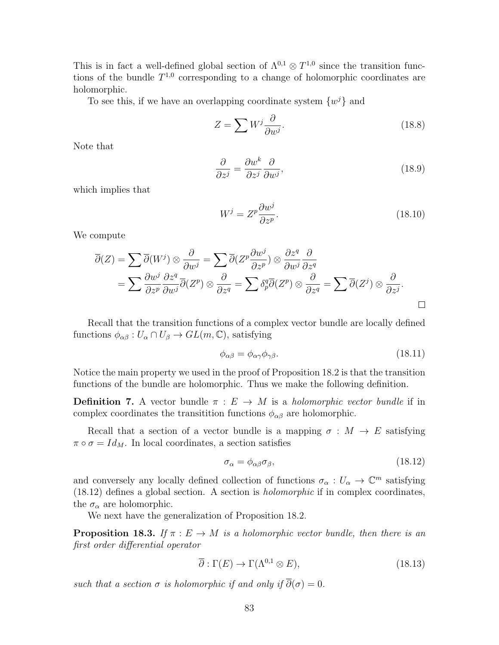This is in fact a well-defined global section of  $\Lambda^{0,1} \otimes T^{1,0}$  since the transition functions of the bundle  $T^{1,0}$  corresponding to a change of holomorphic coordinates are holomorphic.

To see this, if we have an overlapping coordinate system  $\{w^{j}\}\$ and

$$
Z = \sum W^j \frac{\partial}{\partial w^j}.
$$
\n(18.8)

Note that

$$
\frac{\partial}{\partial z^j} = \frac{\partial w^k}{\partial z^j} \frac{\partial}{\partial w^j},\tag{18.9}
$$

which implies that

$$
W^j = Z^p \frac{\partial w^j}{\partial z^p}.
$$
\n(18.10)

We compute

$$
\overline{\partial}(Z) = \sum \overline{\partial}(W^j) \otimes \frac{\partial}{\partial w^j} = \sum \overline{\partial}(Z^p \frac{\partial w^j}{\partial z^p}) \otimes \frac{\partial z^q}{\partial w^j} \frac{\partial}{\partial z^q}
$$
  
= 
$$
\sum \frac{\partial w^j}{\partial z^p} \frac{\partial z^q}{\partial w^j} \overline{\partial}(Z^p) \otimes \frac{\partial}{\partial z^q} = \sum \delta^q_p \overline{\partial}(Z^p) \otimes \frac{\partial}{\partial z^q} = \sum \overline{\partial}(Z^j) \otimes \frac{\partial}{\partial z^j}.
$$

Recall that the transition functions of a complex vector bundle are locally defined functions  $\phi_{\alpha\beta}: U_{\alpha}\cap U_{\beta}\to GL(m,\mathbb{C}),$  satisfying

$$
\phi_{\alpha\beta} = \phi_{\alpha\gamma}\phi_{\gamma\beta}.\tag{18.11}
$$

Notice the main property we used in the proof of Proposition 18.2 is that the transition functions of the bundle are holomorphic. Thus we make the following definition.

**Definition 7.** A vector bundle  $\pi : E \to M$  is a *holomorphic vector bundle* if in complex coordinates the transition functions  $\phi_{\alpha\beta}$  are holomorphic.

Recall that a section of a vector bundle is a mapping  $\sigma : M \to E$  satisfying  $\pi \circ \sigma = Id_M$ . In local coordinates, a section satisfies

$$
\sigma_{\alpha} = \phi_{\alpha\beta}\sigma_{\beta},\tag{18.12}
$$

and conversely any locally defined collection of functions  $\sigma_{\alpha}: U_{\alpha} \to \mathbb{C}^m$  satisfying (18.12) defines a global section. A section is holomorphic if in complex coordinates, the  $\sigma_{\alpha}$  are holomorphic.

We next have the generalization of Proposition 18.2.

**Proposition 18.3.** If  $\pi : E \to M$  is a holomorphic vector bundle, then there is an first order differential operator

$$
\overline{\partial}: \Gamma(E) \to \Gamma(\Lambda^{0,1} \otimes E), \tag{18.13}
$$

such that a section  $\sigma$  is holomorphic if and only if  $\overline{\partial}(\sigma) = 0$ .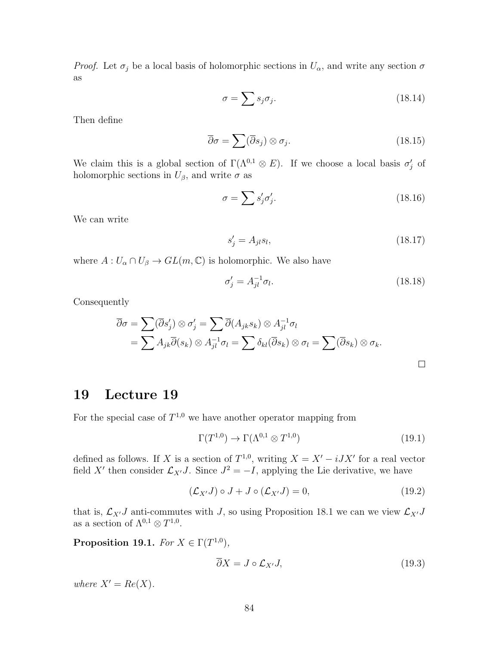*Proof.* Let  $\sigma_j$  be a local basis of holomorphic sections in  $U_\alpha$ , and write any section  $\sigma$ as

$$
\sigma = \sum s_j \sigma_j. \tag{18.14}
$$

Then define

$$
\overline{\partial}\sigma = \sum (\overline{\partial}s_j) \otimes \sigma_j. \tag{18.15}
$$

We claim this is a global section of  $\Gamma(\Lambda^{0,1} \otimes E)$ . If we choose a local basis  $\sigma'_j$  of holomorphic sections in  $U_{\beta}$ , and write  $\sigma$  as

$$
\sigma = \sum s'_j \sigma'_j. \tag{18.16}
$$

We can write

$$
s_j' = A_{jl} s_l,\tag{18.17}
$$

where  $A: U_{\alpha} \cap U_{\beta} \to GL(m, \mathbb{C})$  is holomorphic. We also have

$$
\sigma_j' = A_{jl}^{-1} \sigma_l. \tag{18.18}
$$

Consequently

$$
\overline{\partial}\sigma = \sum (\overline{\partial}s'_j) \otimes \sigma'_j = \sum \overline{\partial}(A_{jk}s_k) \otimes A_{jl}^{-1}\sigma_l
$$
  
=  $\sum A_{jk}\overline{\partial}(s_k) \otimes A_{jl}^{-1}\sigma_l = \sum \delta_{kl}(\overline{\partial}s_k) \otimes \sigma_l = \sum (\overline{\partial}s_k) \otimes \sigma_k.$ 

### 19 Lecture 19

For the special case of  $T^{1,0}$  we have another operator mapping from

$$
\Gamma(T^{1,0}) \to \Gamma(\Lambda^{0,1} \otimes T^{1,0})
$$
\n(19.1)

defined as follows. If X is a section of  $T^{1,0}$ , writing  $X = X' - iJX'$  for a real vector field X' then consider  $\mathcal{L}_{X'}J$ . Since  $J^2 = -I$ , applying the Lie derivative, we have

$$
(\mathcal{L}_{X'}J) \circ J + J \circ (\mathcal{L}_{X'}J) = 0, \qquad (19.2)
$$

that is,  $\mathcal{L}_{X'}J$  anti-commutes with J, so using Proposition 18.1 we can we view  $\mathcal{L}_{X'}J$ as a section of  $\Lambda^{0,1} \otimes T^{1,0}$ .

Proposition 19.1. For  $X \in \Gamma(T^{1,0}),$ 

$$
\overline{\partial}X = J \circ \mathcal{L}_{X'}J,\tag{19.3}
$$

where  $X' = Re(X)$ .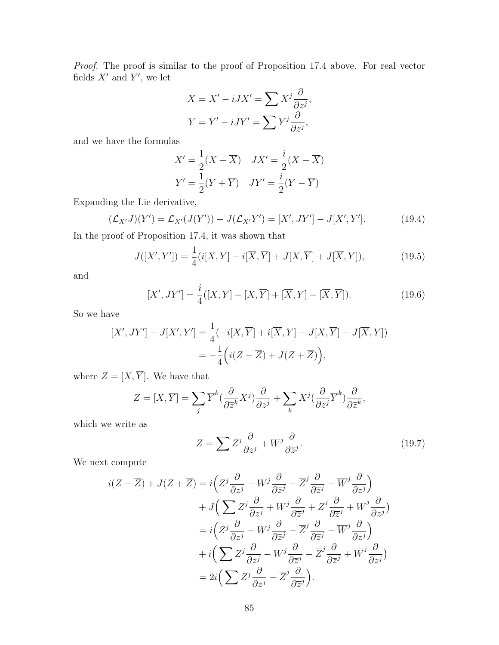Proof. The proof is similar to the proof of Proposition 17.4 above. For real vector fields  $X'$  and  $Y'$ , we let

$$
X = X' - iJX' = \sum X^j \frac{\partial}{\partial z^j},
$$
  

$$
Y = Y' - iJY' = \sum Y^j \frac{\partial}{\partial z^j},
$$

and we have the formulas

$$
X' = \frac{1}{2}(X + \overline{X}) \quad JX' = \frac{i}{2}(X - \overline{X})
$$

$$
Y' = \frac{1}{2}(Y + \overline{Y}) \quad JY' = \frac{i}{2}(Y - \overline{Y})
$$

Expanding the Lie derivative,

$$
(\mathcal{L}_{X'}J)(Y') = \mathcal{L}_{X'}(J(Y')) - J(\mathcal{L}_{X'}Y') = [X', JY'] - J[X', Y'].
$$
 (19.4)

In the proof of Proposition 17.4, it was shown that

$$
J([X', Y']) = \frac{1}{4}(i[X, Y] - i[\overline{X}, \overline{Y}] + J[X, \overline{Y}] + J[\overline{X}, Y]),
$$
\n(19.5)

and

$$
[X', JY'] = \frac{i}{4}([X, Y] - [X, \overline{Y}] + [\overline{X}, Y] - [\overline{X}, \overline{Y}]).
$$
 (19.6)

So we have

$$
[X',JY'] - J[X',Y'] = \frac{1}{4}(-i[X,\overline{Y}] + i[\overline{X},Y] - J[X,\overline{Y}] - J[\overline{X},Y])
$$
  
= 
$$
-\frac{1}{4}(i(Z-\overline{Z}) + J(Z+\overline{Z})),
$$

where  $Z = [X, \overline{Y}]$ . We have that

$$
Z = [X, \overline{Y}] = \sum_{j} \overline{Y}^{k} \left( \frac{\partial}{\partial \overline{z}^{k}} X^{j} \right) \frac{\partial}{\partial z^{j}} + \sum_{k} X^{j} \left( \frac{\partial}{\partial z^{j}} \overline{Y}^{k} \right) \frac{\partial}{\partial \overline{z}^{k}},
$$

which we write as

$$
Z = \sum Z^j \frac{\partial}{\partial z^j} + W^j \frac{\partial}{\partial \overline{z}^j}.
$$
 (19.7)

We next compute

$$
i(Z - \overline{Z}) + J(Z + \overline{Z}) = i\left(Z^j \frac{\partial}{\partial z^j} + W^j \frac{\partial}{\partial \overline{z}^j} - \overline{Z}^j \frac{\partial}{\partial \overline{z}^j} - \overline{W}^j \frac{\partial}{\partial z^j}\right) + J\left(\sum Z^j \frac{\partial}{\partial z^j} + W^j \frac{\partial}{\partial \overline{z}^j} + \overline{Z}^j \frac{\partial}{\partial \overline{z}^j} + \overline{W}^j \frac{\partial}{\partial z^j}\right) = i\left(Z^j \frac{\partial}{\partial z^j} + W^j \frac{\partial}{\partial \overline{z}^j} - \overline{Z}^j \frac{\partial}{\partial \overline{z}^j} - \overline{W}^j \frac{\partial}{\partial z^j}\right) + i\left(\sum Z^j \frac{\partial}{\partial z^j} - W^j \frac{\partial}{\partial \overline{z}^j} - \overline{Z}^j \frac{\partial}{\partial \overline{z}^j} + \overline{W}^j \frac{\partial}{\partial z^j}\right) = 2i\left(\sum Z^j \frac{\partial}{\partial z^j} - \overline{Z}^j \frac{\partial}{\partial \overline{z}^j}\right).
$$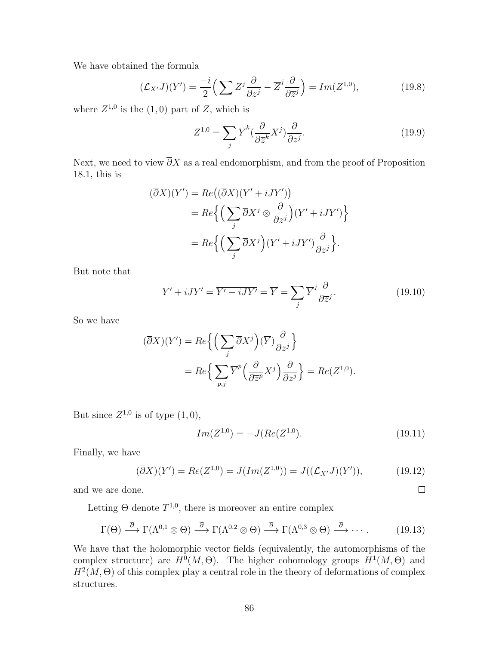We have obtained the formula

$$
(\mathcal{L}_{X'}J)(Y') = \frac{-i}{2} \left( \sum Z^j \frac{\partial}{\partial z^j} - \overline{Z}^j \frac{\partial}{\partial \overline{z}^j} \right) = Im(Z^{1,0}),\tag{19.8}
$$

where  $Z^{1,0}$  is the  $(1,0)$  part of Z, which is

$$
Z^{1,0} = \sum_{j} \overline{Y}^{k} \left(\frac{\partial}{\partial \overline{z}^{k}} X^{j}\right) \frac{\partial}{\partial z^{j}}.
$$
\n(19.9)

Next, we need to view  $\overline{\partial}X$  as a real endomorphism, and from the proof of Proposition 18.1, this is

$$
(\overline{\partial}X)(Y') = Re((\overline{\partial}X)(Y' + iJY'))
$$
  
= Re $\left\{ \left( \sum_{j} \overline{\partial}X^{j} \otimes \frac{\partial}{\partial z^{j}} \right) (Y' + iJY') \right\}$   
= Re $\left\{ \left( \sum_{j} \overline{\partial}X^{j} \right) (Y' + iJY') \frac{\partial}{\partial z^{j}} \right\}.$ 

But note that

$$
Y' + iJY' = \overline{Y' - iJY'} = \overline{Y} = \sum_{j} \overline{Y}^{j} \frac{\partial}{\partial \overline{z}^{j}}.
$$
 (19.10)

So we have

$$
(\overline{\partial}X)(Y') = Re\left\{ \left( \sum_{j} \overline{\partial}X^{j} \right) (\overline{Y}) \frac{\partial}{\partial z^{j}} \right\}
$$
  
=  $Re\left\{ \sum_{p,j} \overline{Y}^{p} \left( \frac{\partial}{\partial \overline{z}^{p}} X^{j} \right) \frac{\partial}{\partial z^{j}} \right\} = Re(Z^{1,0}).$ 

But since  $Z^{1,0}$  is of type  $(1,0)$ ,

$$
Im(Z^{1,0}) = -J(Re(Z^{1,0}). \tag{19.11}
$$

 $\Box$ 

Finally, we have

$$
(\overline{\partial}X)(Y') = Re(Z^{1,0}) = J(Im(Z^{1,0})) = J((\mathcal{L}_{X'}J)(Y')), \qquad (19.12)
$$

and we are done.

Letting  $\Theta$  denote  $T^{1,0}$ , there is moreover an entire complex

$$
\Gamma(\Theta) \stackrel{\overline{\partial}}{\longrightarrow} \Gamma(\Lambda^{0,1} \otimes \Theta) \stackrel{\overline{\partial}}{\longrightarrow} \Gamma(\Lambda^{0,2} \otimes \Theta) \stackrel{\overline{\partial}}{\longrightarrow} \Gamma(\Lambda^{0,3} \otimes \Theta) \stackrel{\overline{\partial}}{\longrightarrow} \cdots. \tag{19.13}
$$

We have that the holomorphic vector fields (equivalently, the automorphisms of the complex structure) are  $H^0(M, \Theta)$ . The higher cohomology groups  $H^1(M, \Theta)$  and  $H^2(M, \Theta)$  of this complex play a central role in the theory of deformations of complex structures.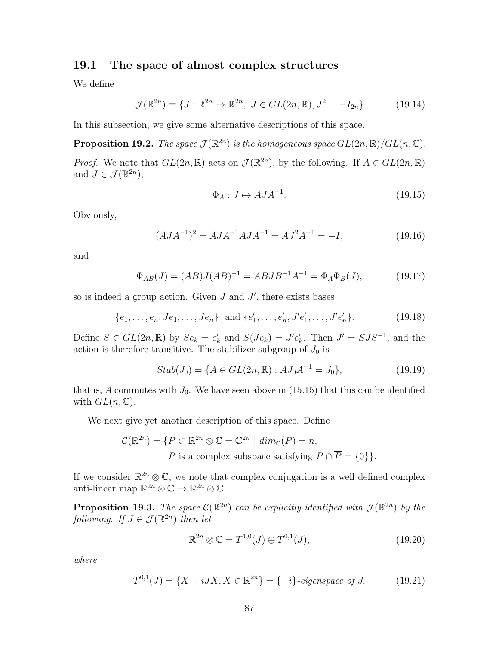### 19.1 The space of almost complex structures

We define

$$
\mathcal{J}(\mathbb{R}^{2n}) \equiv \{ J : \mathbb{R}^{2n} \to \mathbb{R}^{2n}, \ J \in GL(2n, \mathbb{R}), J^2 = -I_{2n} \}
$$
(19.14)

In this subsection, we give some alternative descriptions of this space.

**Proposition 19.2.** The space  $\mathcal{J}(\mathbb{R}^{2n})$  is the homogeneous space  $GL(2n,\mathbb{R})/GL(n,\mathbb{C})$ .

*Proof.* We note that  $GL(2n,\mathbb{R})$  acts on  $\mathcal{J}(\mathbb{R}^{2n})$ , by the following. If  $A \in GL(2n,\mathbb{R})$ and  $J \in \mathcal{J}(\mathbb{R}^{2n}),$ 

$$
\Phi_A: J \mapsto AJA^{-1}.\tag{19.15}
$$

Obviously,

$$
(A J A^{-1})^2 = A J A^{-1} A J A^{-1} = A J^2 A^{-1} = -I,
$$
\n(19.16)

and

$$
\Phi_{AB}(J) = (AB)J(AB)^{-1} = ABJB^{-1}A^{-1} = \Phi_A \Phi_B(J), \tag{19.17}
$$

so is indeed a group action. Given  $J$  and  $J'$ , there exists bases

$$
\{e_1, \ldots, e_n, Je_1, \ldots, Je_n\} \text{ and } \{e'_1, \ldots, e'_n, J'e'_1, \ldots, J'e'_n\}. \tag{19.18}
$$

Define  $S \in GL(2n, \mathbb{R})$  by  $Se_k = e'_k$  and  $S(Je_k) = J'e'_k$ . Then  $J' = SJS^{-1}$ , and the action is therefore transitive. The stabilizer subgroup of  $J_0$  is

$$
Stab(J_0) = \{ A \in GL(2n, \mathbb{R}) : AJ_0A^{-1} = J_0 \},
$$
\n(19.19)

that is, A commutes with  $J_0$ . We have seen above in (15.15) that this can be identified with  $GL(n,\mathbb{C})$ .  $\Box$ 

We next give yet another description of this space. Define

$$
\mathcal{C}(\mathbb{R}^{2n}) = \{ P \subset \mathbb{R}^{2n} \otimes \mathbb{C} = \mathbb{C}^{2n} \mid dim_{\mathbb{C}}(P) = n,
$$
  
 P is a complex subspace satisfying  $P \cap \overline{P} = \{0\} \}.$ 

If we consider  $\mathbb{R}^{2n} \otimes \mathbb{C}$ , we note that complex conjugation is a well defined complex anti-linear map  $\mathbb{R}^{2n} \otimes \mathbb{C} \to \mathbb{R}^{2n} \otimes \mathbb{C}$ .

**Proposition 19.3.** The space  $\mathcal{C}(\mathbb{R}^{2n})$  can be explicitly identified with  $\mathcal{J}(\mathbb{R}^{2n})$  by the following. If  $J \in \mathcal{J}(\mathbb{R}^{2n})$  then let

$$
\mathbb{R}^{2n} \otimes \mathbb{C} = T^{1,0}(J) \oplus T^{0,1}(J),\tag{19.20}
$$

where

$$
T^{0,1}(J) = \{X + iJX, X \in \mathbb{R}^{2n}\} = \{-i\} \text{ -eigenspace of } J. \tag{19.21}
$$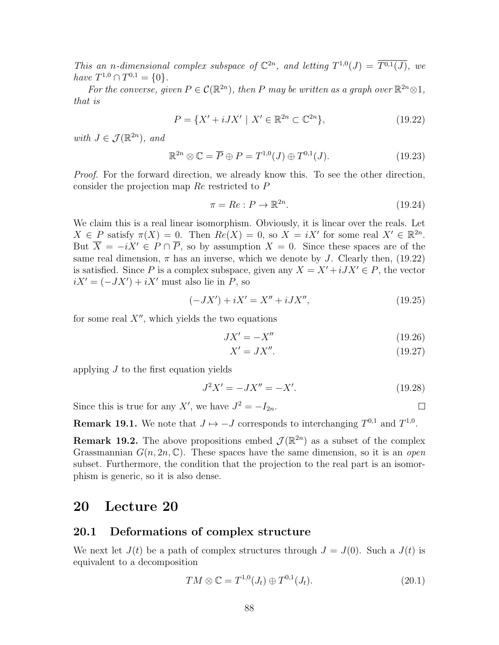This an n-dimensional complex subspace of  $\mathbb{C}^{2n}$ , and letting  $T^{1,0}(J) = \overline{T^{0,1}(J)}$ , we have  $T^{1,0} \cap T^{0,1} = \{0\}.$ 

For the converse, given  $P \in C(\mathbb{R}^{2n})$ , then P may be written as a graph over  $\mathbb{R}^{2n} \otimes 1$ , that is

$$
P = \{ X' + iJX' \mid X' \in \mathbb{R}^{2n} \subset \mathbb{C}^{2n} \},
$$
\n(19.22)

with  $J \in \mathcal{J}(\mathbb{R}^{2n})$ , and

$$
\mathbb{R}^{2n} \otimes \mathbb{C} = \overline{P} \oplus P = T^{1,0}(J) \oplus T^{0,1}(J). \tag{19.23}
$$

Proof. For the forward direction, we already know this. To see the other direction, consider the projection map Re restricted to P

$$
\pi = Re : P \to \mathbb{R}^{2n}.
$$
\n
$$
(19.24)
$$

We claim this is a real linear isomorphism. Obviously, it is linear over the reals. Let  $X \in P$  satisfy  $\pi(X) = 0$ . Then  $Re(X) = 0$ , so  $X = iX'$  for some real  $X' \in \mathbb{R}^{2n}$ . But  $\overline{X} = -iX' \in P \cap \overline{P}$ , so by assumption  $X = 0$ . Since these spaces are of the same real dimension,  $\pi$  has an inverse, which we denote by J. Clearly then, (19.22) is satisfied. Since P is a complex subspace, given any  $X = X' + iJX' \in P$ , the vector  $iX' = (-JX') + iX'$  must also lie in P, so

$$
(-JX') + iX' = X'' + iJX'',
$$
\n(19.25)

for some real  $X''$ , which yields the two equations

$$
JX' = -X''
$$
\n<sup>(19.26)</sup>

$$
X' = JX''.
$$
\n<sup>(19.27)</sup>

applying J to the first equation yields

$$
J^2 X' = -JX'' = -X'.\tag{19.28}
$$

Since this is true for any X', we have  $J^2 = -I_{2n}$ .

**Remark 19.1.** We note that  $J \mapsto -J$  corresponds to interchanging  $T^{0,1}$  and  $T^{1,0}$ .

**Remark 19.2.** The above propositions embed  $\mathcal{J}(\mathbb{R}^{2n})$  as a subset of the complex Grassmannian  $G(n, 2n, \mathbb{C})$ . These spaces have the same dimension, so it is an *open* subset. Furthermore, the condition that the projection to the real part is an isomorphism is generic, so it is also dense.

### 20 Lecture 20

#### 20.1 Deformations of complex structure

We next let  $J(t)$  be a path of complex structures through  $J = J(0)$ . Such a  $J(t)$  is equivalent to a decomposition

$$
TM \otimes \mathbb{C} = T^{1,0}(J_t) \oplus T^{0,1}(J_t). \tag{20.1}
$$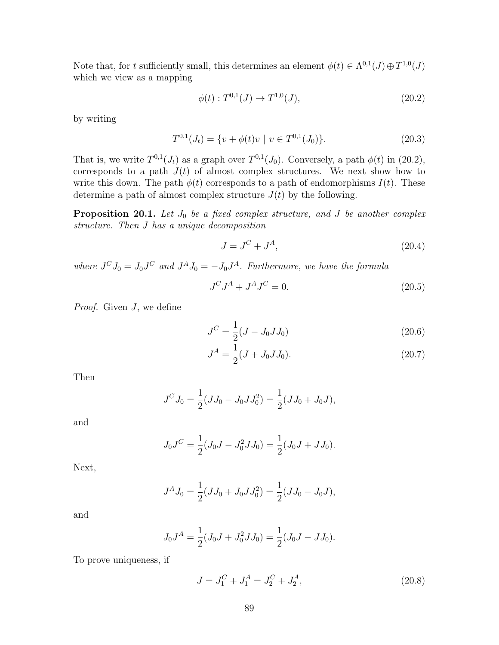Note that, for t sufficiently small, this determines an element  $\phi(t) \in \Lambda^{0,1}(J) \oplus T^{1,0}(J)$ which we view as a mapping

$$
\phi(t) : T^{0,1}(J) \to T^{1,0}(J), \tag{20.2}
$$

by writing

$$
T^{0,1}(J_t) = \{ v + \phi(t)v \mid v \in T^{0,1}(J_0) \}. \tag{20.3}
$$

That is, we write  $T^{0,1}(J_t)$  as a graph over  $T^{0,1}(J_0)$ . Conversely, a path  $\phi(t)$  in (20.2), corresponds to a path  $J(t)$  of almost complex structures. We next show how to write this down. The path  $\phi(t)$  corresponds to a path of endomorphisms  $I(t)$ . These determine a path of almost complex structure  $J(t)$  by the following.

**Proposition 20.1.** Let  $J_0$  be a fixed complex structure, and  $J$  be another complex structure. Then J has a unique decomposition

$$
J = J^C + J^A,\tag{20.4}
$$

where  $J^C J_0 = J_0 J^C$  and  $J^A J_0 = -J_0 J^A$ . Furthermore, we have the formula

$$
J^C J^A + J^A J^C = 0.
$$
\n(20.5)

Proof. Given J, we define

$$
J^C = \frac{1}{2}(J - J_0 J J_0) \tag{20.6}
$$

$$
J^A = \frac{1}{2}(J + J_0 J J_0). \tag{20.7}
$$

Then

$$
J^C J_0 = \frac{1}{2}(JJ_0 - J_0JJ_0^2) = \frac{1}{2}(JJ_0 + J_0J),
$$

and

$$
J_0 J^C = \frac{1}{2}(J_0 J - J_0^2 J J_0) = \frac{1}{2}(J_0 J + J J_0).
$$

Next,

$$
J^A J_0 = \frac{1}{2}(JJ_0 + J_0JJ_0^2) = \frac{1}{2}(JJ_0 - J_0J),
$$

and

$$
J_0 J^A = \frac{1}{2} (J_0 J + J_0^2 J J_0) = \frac{1}{2} (J_0 J - J J_0).
$$

To prove uniqueness, if

$$
J = J_1^C + J_1^A = J_2^C + J_2^A,\tag{20.8}
$$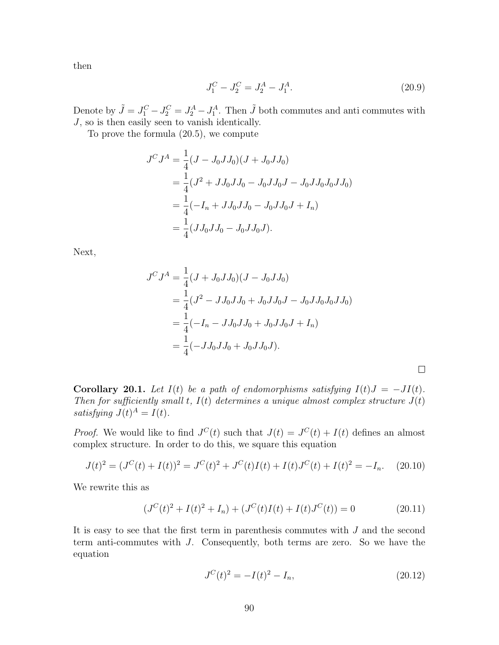then

$$
J_1^C - J_2^C = J_2^A - J_1^A. \tag{20.9}
$$

Denote by  $\tilde{J} = J_1^C - J_2^C = J_2^A - J_1^A$ . Then  $\tilde{J}$  both commutes and anti-commutes with  $J$ , so is then easily seen to vanish identically.

To prove the formula (20.5), we compute

$$
J^C J^A = \frac{1}{4} (J - J_0 J J_0)(J + J_0 J J_0)
$$
  
=  $\frac{1}{4} (J^2 + J J_0 J J_0 - J_0 J J_0 J - J_0 J J_0 J_0 J_0)$   
=  $\frac{1}{4} (-I_n + J J_0 J J_0 - J_0 J J_0 J + I_n)$   
=  $\frac{1}{4} (J J_0 J J_0 - J_0 J J_0 J).$ 

Next,

$$
J^C J^A = \frac{1}{4} (J + J_0 J J_0) (J - J_0 J J_0)
$$
  
=  $\frac{1}{4} (J^2 - J J_0 J J_0 + J_0 J J_0 J - J_0 J J_0 J_0 J J_0)$   
=  $\frac{1}{4} (-I_n - J J_0 J J_0 + J_0 J J_0 J + I_n)$   
=  $\frac{1}{4} (-J J_0 J J_0 + J_0 J J_0 J).$ 

Corollary 20.1. Let  $I(t)$  be a path of endomorphisms satisfying  $I(t)J = -JI(t)$ . Then for sufficiently small t,  $I(t)$  determines a unique almost complex structure  $J(t)$ satisfying  $J(t)^A = I(t)$ .

*Proof.* We would like to find  $J^{C}(t)$  such that  $J(t) = J^{C}(t) + I(t)$  defines an almost complex structure. In order to do this, we square this equation

$$
J(t)^{2} = (J^{C}(t) + I(t))^{2} = J^{C}(t)^{2} + J^{C}(t)I(t) + I(t)J^{C}(t) + I(t)^{2} = -I_{n}.
$$
 (20.10)

We rewrite this as

$$
(J^{C}(t)^{2} + I(t)^{2} + I_{n}) + (J^{C}(t)I(t) + I(t)J^{C}(t)) = 0
$$
\n(20.11)

It is easy to see that the first term in parenthesis commutes with J and the second term anti-commutes with J. Consequently, both terms are zero. So we have the equation

$$
J^{C}(t)^{2} = -I(t)^{2} - I_{n},
$$
\n(20.12)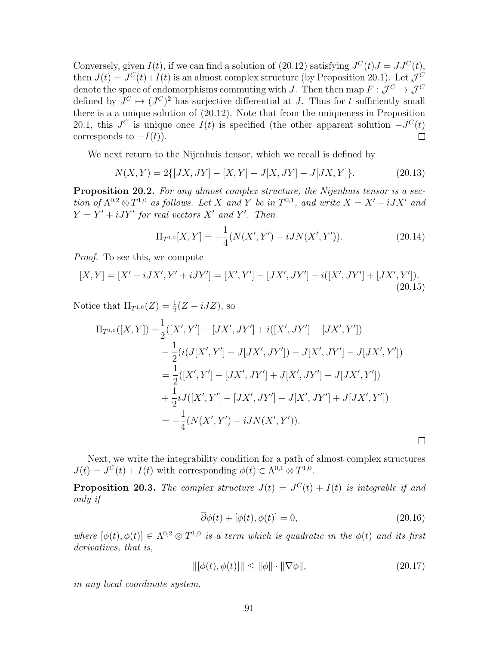Conversely, given  $I(t)$ , if we can find a solution of (20.12) satisfying  $J^{C}(t)J = JJ^{C}(t)$ , then  $J(t) = J^{C}(t) + I(t)$  is an almost complex structure (by Proposition 20.1). Let  $\mathcal{J}^{C}$ denote the space of endomorphisms commuting with J. Then then map  $F: \mathcal{J}^C \to \mathcal{J}^C$ defined by  $J^C \mapsto (J^C)^2$  has surjective differential at J. Thus for t sufficiently small there is a a unique solution of (20.12). Note that from the uniqueness in Proposition 20.1, this  $J^C$  is unique once  $I(t)$  is specified (the other apparent solution  $-J^C(t)$ ) corresponds to  $-I(t)$ ).  $\Box$ 

We next return to the Nijenhuis tensor, which we recall is defined by

$$
N(X,Y) = 2\{ [JX, JY] - [X,Y] - J[X,JY] - J[JX,Y] \}.
$$
 (20.13)

Proposition 20.2. For any almost complex structure, the Nijenhuis tensor is a section of  $\Lambda^{0,2} \otimes T^{1,0}$  as follows. Let X and Y be in  $T^{0,1}$ , and write  $X = X' + iJX'$  and  $Y = Y' + iJY'$  for real vectors X' and Y'. Then

$$
\Pi_{T^{1,0}}[X,Y] = -\frac{1}{4}(N(X',Y') - iJN(X',Y')).
$$
\n(20.14)

Proof. To see this, we compute

$$
[X,Y] = [X' + iJX', Y' + iJY'] = [X', Y'] - [JX', JY'] + i([X', JY'] + [JX', Y']). \tag{20.15}
$$

Notice that  $\Pi_{T^{1,0}}(Z) = \frac{1}{2}(Z - iJZ)$ , so

$$
\Pi_{T^{1,0}}([X,Y]) = \frac{1}{2}([X',Y'] - [JX',JY'] + i([X',JY'] + [JX',Y'])
$$
  
\n
$$
- \frac{1}{2}(i(J[X',Y'] - J[JX',JY']) - J[X',JY'] - J[JX',Y'])
$$
  
\n
$$
= \frac{1}{2}([X',Y'] - [JX',JY'] + J[X',JY'] + J[JX',Y'])
$$
  
\n
$$
+ \frac{1}{2}iJ([X',Y'] - [JX',JY'] + J[X',JY'] + J[JX',Y'])
$$
  
\n
$$
= -\frac{1}{4}(N(X',Y') - iJN(X',Y')).
$$

Next, we write the integrability condition for a path of almost complex structures  $J(t) = J^C(t) + I(t)$  with corresponding  $\phi(t) \in \Lambda^{0,1} \otimes T^{1,0}$ .

**Proposition 20.3.** The complex structure  $J(t) = J^{C}(t) + I(t)$  is integrable if and only if

$$
\overline{\partial}\phi(t) + [\phi(t), \phi(t)] = 0,\tag{20.16}
$$

 $\Box$ 

where  $[\phi(t), \phi(t)] \in \Lambda^{0,2} \otimes T^{1,0}$  is a term which is quadratic in the  $\phi(t)$  and its first derivatives, that is,

$$
\|[\phi(t), \phi(t)]\| \le \|\phi\| \cdot \|\nabla \phi\|,\tag{20.17}
$$

in any local coordinate system.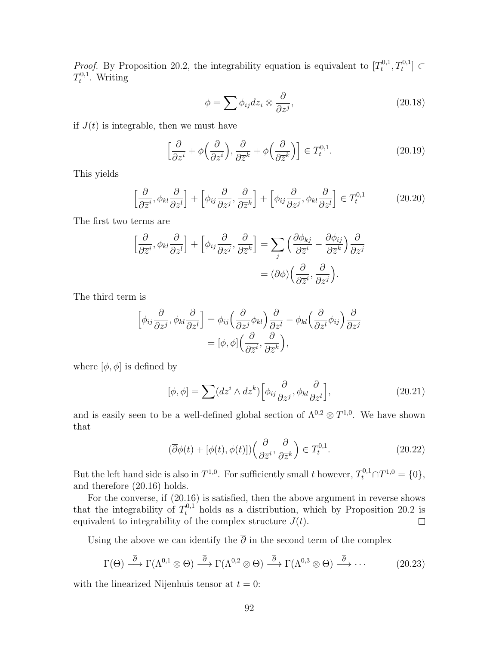*Proof.* By Proposition 20.2, the integrability equation is equivalent to  $[T_t^{0,1}]$  $T_t^{0,1}, T_t^{0,1}] \subset$  $T_t^{0,1}$  $t^{0,1}$ . Writing

$$
\phi = \sum \phi_{ij} d\overline{z}_i \otimes \frac{\partial}{\partial z^j},\tag{20.18}
$$

if  $J(t)$  is integrable, then we must have

$$
\left[\frac{\partial}{\partial \overline{z}^i} + \phi\left(\frac{\partial}{\partial \overline{z}^i}\right), \frac{\partial}{\partial \overline{z}^k} + \phi\left(\frac{\partial}{\partial \overline{z}^k}\right)\right] \in T_t^{0,1}.
$$
 (20.19)

This yields

$$
\left[\frac{\partial}{\partial \overline{z}^i}, \phi_{kl} \frac{\partial}{\partial z^l}\right] + \left[\phi_{ij} \frac{\partial}{\partial z^j}, \frac{\partial}{\partial \overline{z}^k}\right] + \left[\phi_{ij} \frac{\partial}{\partial z^j}, \phi_{kl} \frac{\partial}{\partial z^l}\right] \in T_t^{0,1}
$$
(20.20)

The first two terms are

$$
\left[\frac{\partial}{\partial \overline{z}^i}, \phi_{kl} \frac{\partial}{\partial z^l}\right] + \left[\phi_{ij} \frac{\partial}{\partial z^j}, \frac{\partial}{\partial \overline{z}^k}\right] = \sum_j \left(\frac{\partial \phi_{kj}}{\partial \overline{z}^i} - \frac{\partial \phi_{ij}}{\partial \overline{z}^k}\right) \frac{\partial}{\partial z^j}
$$

$$
= (\overline{\partial}\phi) \left(\frac{\partial}{\partial \overline{z}^i}, \frac{\partial}{\partial z^j}\right).
$$

The third term is

$$
\begin{aligned}\n\left[\phi_{ij}\frac{\partial}{\partial z^j}, \phi_{kl}\frac{\partial}{\partial z^l}\right] &= \phi_{ij}\left(\frac{\partial}{\partial z^j}\phi_{kl}\right)\frac{\partial}{\partial z^l} - \phi_{kl}\left(\frac{\partial}{\partial z^l}\phi_{ij}\right)\frac{\partial}{\partial z^j} \\
&= [\phi, \phi]\left(\frac{\partial}{\partial \overline{z}^i}, \frac{\partial}{\partial \overline{z}^k}\right),\n\end{aligned}
$$

where  $[\phi, \phi]$  is defined by

$$
[\phi, \phi] = \sum (d\overline{z}^i \wedge d\overline{z}^k) \Big[ \phi_{ij} \frac{\partial}{\partial z^j}, \phi_{kl} \frac{\partial}{\partial z^l} \Big], \tag{20.21}
$$

and is easily seen to be a well-defined global section of  $\Lambda^{0,2} \otimes T^{1,0}$ . We have shown that

$$
(\overline{\partial}\phi(t) + [\phi(t), \phi(t)])\left(\frac{\partial}{\partial \overline{z}^i}, \frac{\partial}{\partial \overline{z}^k}\right) \in T_t^{0,1}.
$$
 (20.22)

But the left hand side is also in  $T^{1,0}$ . For sufficiently small t however,  $T_t^{0,1} \cap T^{1,0} = \{0\},\$ and therefore (20.16) holds.

For the converse, if (20.16) is satisfied, then the above argument in reverse shows that the integrability of  $T_t^{0,1}$  holds as a distribution, which by Proposition 20.2 is equivalent to integrability of the complex structure  $J(t)$ .  $\Box$ 

Using the above we can identify the  $\overline{\partial}$  in the second term of the complex

$$
\Gamma(\Theta) \stackrel{\overline{\partial}}{\longrightarrow} \Gamma(\Lambda^{0,1} \otimes \Theta) \stackrel{\overline{\partial}}{\longrightarrow} \Gamma(\Lambda^{0,2} \otimes \Theta) \stackrel{\overline{\partial}}{\longrightarrow} \Gamma(\Lambda^{0,3} \otimes \Theta) \stackrel{\overline{\partial}}{\longrightarrow} \cdots
$$
 (20.23)

with the linearized Nijenhuis tensor at  $t = 0$ :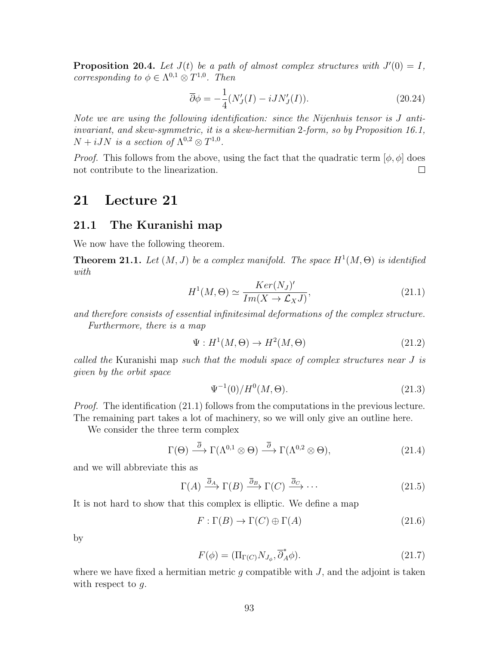**Proposition 20.4.** Let  $J(t)$  be a path of almost complex structures with  $J'(0) = I$ , corresponding to  $\phi \in \Lambda^{0,1} \otimes T^{1,0}$ . Then

$$
\overline{\partial}\phi = -\frac{1}{4}(N_J'(I) - iJN_J'(I)).\tag{20.24}
$$

Note we are using the following identification: since the Nijenhuis tensor is J antiinvariant, and skew-symmetric, it is a skew-hermitian 2-form, so by Proposition 16.1,  $N + iJN$  is a section of  $\Lambda^{0,2} \otimes T^{1,0}$ .

*Proof.* This follows from the above, using the fact that the quadratic term  $[\phi, \phi]$  does not contribute to the linearization.  $\Box$ 

## 21 Lecture 21

#### 21.1 The Kuranishi map

We now have the following theorem.

**Theorem 21.1.** Let  $(M, J)$  be a complex manifold. The space  $H^1(M, \Theta)$  is identified with

$$
H^{1}(M,\Theta) \simeq \frac{Ker(N_{J})'}{Im(X \to \mathcal{L}_{X}J)},
$$
\n(21.1)

and therefore consists of essential infinitesimal deformations of the complex structure. Furthermore, there is a map

$$
\Psi: H^1(M, \Theta) \to H^2(M, \Theta) \tag{21.2}
$$

called the Kuranishi map such that the moduli space of complex structures near J is given by the orbit space

$$
\Psi^{-1}(0)/H^0(M,\Theta). \tag{21.3}
$$

*Proof.* The identification (21.1) follows from the computations in the previous lecture. The remaining part takes a lot of machinery, so we will only give an outline here.

We consider the three term complex

$$
\Gamma(\Theta) \stackrel{\overline{\partial}}{\longrightarrow} \Gamma(\Lambda^{0,1} \otimes \Theta) \stackrel{\overline{\partial}}{\longrightarrow} \Gamma(\Lambda^{0,2} \otimes \Theta), \tag{21.4}
$$

and we will abbreviate this as

$$
\Gamma(A) \xrightarrow{\overline{\partial}_A} \Gamma(B) \xrightarrow{\overline{\partial}_B} \Gamma(C) \xrightarrow{\overline{\partial}_C} \cdots
$$
 (21.5)

It is not hard to show that this complex is elliptic. We define a map

$$
F: \Gamma(B) \to \Gamma(C) \oplus \Gamma(A) \tag{21.6}
$$

by

$$
F(\phi) = (\Pi_{\Gamma(C)} N_{J_{\phi}}, \overline{\partial}_{A}^{*} \phi). \tag{21.7}
$$

where we have fixed a hermitian metric  $g$  compatible with  $J$ , and the adjoint is taken with respect to  $q$ .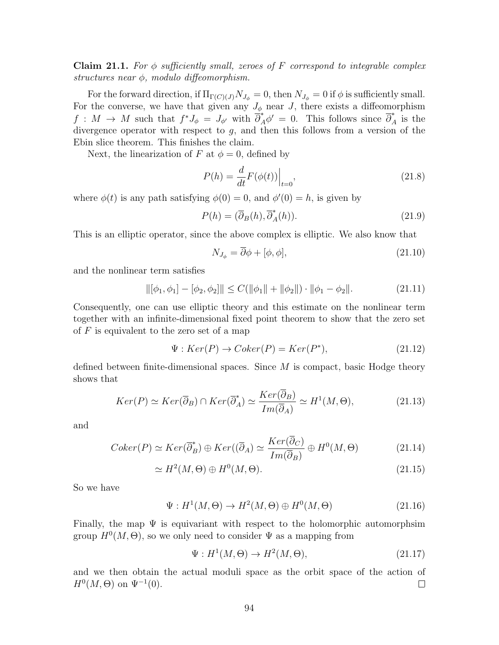**Claim 21.1.** For  $\phi$  sufficiently small, zeroes of F correspond to integrable complex structures near  $\phi$ , modulo diffeomorphism.

For the forward direction, if  $\Pi_{\Gamma(C)(J)}N_{J_{\phi}}=0$ , then  $N_{J_{\phi}}=0$  if  $\phi$  is sufficiently small. For the converse, we have that given any  $J_{\phi}$  near J, there exists a diffeomorphism  $f: M \to M$  such that  $f^*J_{\phi} = J_{\phi'}$  with  $\overline{\partial}^*_{A} \phi' = 0$ . This follows since  $\overline{\partial}^*_{A}$  is the divergence operator with respect to  $q$ , and then this follows from a version of the Ebin slice theorem. This finishes the claim.

Next, the linearization of F at  $\phi = 0$ , defined by

$$
P(h) = \frac{d}{dt} F(\phi(t)) \Big|_{t=0},\tag{21.8}
$$

where  $\phi(t)$  is any path satisfying  $\phi(0) = 0$ , and  $\phi'(0) = h$ , is given by

$$
P(h) = (\overline{\partial}_B(h), \overline{\partial}_A^*(h)).
$$
\n(21.9)

This is an elliptic operator, since the above complex is elliptic. We also know that

$$
N_{J_{\phi}} = \overline{\partial}\phi + [\phi, \phi],\tag{21.10}
$$

and the nonlinear term satisfies

$$
\|[\phi_1, \phi_1] - [\phi_2, \phi_2]\| \le C(\|\phi_1\| + \|\phi_2\|) \cdot \|\phi_1 - \phi_2\|.
$$
 (21.11)

Consequently, one can use elliptic theory and this estimate on the nonlinear term together with an infinite-dimensional fixed point theorem to show that the zero set of  $F$  is equivalent to the zero set of a map

$$
\Psi : Ker(P) \to Coker(P) = Ker(P^*), \tag{21.12}
$$

defined between finite-dimensional spaces. Since  $M$  is compact, basic Hodge theory shows that

$$
Ker(P) \simeq Ker(\overline{\partial}_B) \cap Ker(\overline{\partial}_A^*) \simeq \frac{Ker(\overline{\partial}_B)}{Im(\overline{\partial}_A)} \simeq H^1(M, \Theta), \tag{21.13}
$$

and

$$
Coker(P) \simeq Ker(\overline{\partial}_B^*) \oplus Ker((\overline{\partial}_A) \simeq \frac{Ker(\overline{\partial}_C)}{Im(\overline{\partial}_B)} \oplus H^0(M, \Theta)
$$
(21.14)

$$
\simeq H^2(M,\Theta) \oplus H^0(M,\Theta). \tag{21.15}
$$

So we have

$$
\Psi: H^1(M, \Theta) \to H^2(M, \Theta) \oplus H^0(M, \Theta)
$$
\n(21.16)

Finally, the map  $\Psi$  is equivariant with respect to the holomorphic automorphsim group  $H^0(M, \Theta)$ , so we only need to consider  $\Psi$  as a mapping from

$$
\Psi: H^1(M, \Theta) \to H^2(M, \Theta), \tag{21.17}
$$

and we then obtain the actual moduli space as the orbit space of the action of  $H^0(M, \Theta)$  on  $\Psi^{-1}(0)$ .  $\Box$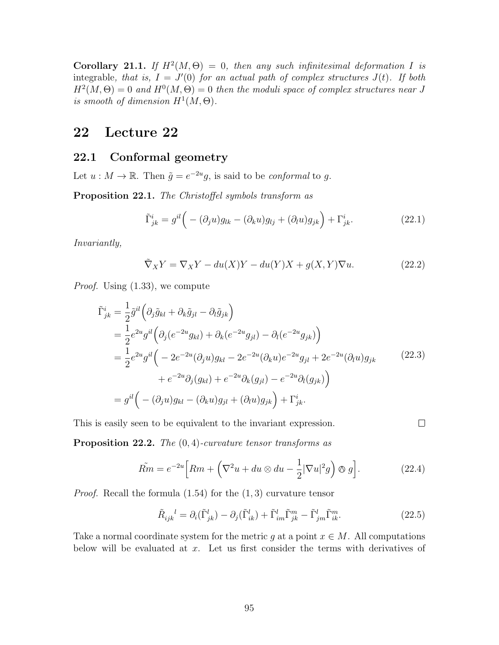Corollary 21.1. If  $H^2(M, \Theta) = 0$ , then any such infinitesimal deformation I is integrable, that is,  $I = J'(0)$  for an actual path of complex structures  $J(t)$ . If both  $H^2(M, \Theta) = 0$  and  $H^0(M, \Theta) = 0$  then the moduli space of complex structures near J is smooth of dimension  $H^1(M, \Theta)$ .

# 22 Lecture 22

#### 22.1 Conformal geometry

Let  $u : M \to \mathbb{R}$ . Then  $\tilde{g} = e^{-2u}g$ , is said to be *conformal* to g.

Proposition 22.1. The Christoffel symbols transform as

$$
\tilde{\Gamma}^i_{jk} = g^{il} \Big( - (\partial_j u) g_{lk} - (\partial_k u) g_{lj} + (\partial_l u) g_{jk} \Big) + \Gamma^i_{jk}.
$$
\n(22.1)

Invariantly,

$$
\tilde{\nabla}_X Y = \nabla_X Y - du(X)Y - du(Y)X + g(X,Y)\nabla u.
$$
\n(22.2)

Proof. Using (1.33), we compute

$$
\tilde{\Gamma}^{i}_{jk} = \frac{1}{2} \tilde{g}^{il} \left( \partial_{j} \tilde{g}_{kl} + \partial_{k} \tilde{g}_{jl} - \partial_{l} \tilde{g}_{jk} \right)
$$
\n
$$
= \frac{1}{2} e^{2u} g^{il} \left( \partial_{j} (e^{-2u} g_{kl}) + \partial_{k} (e^{-2u} g_{jl}) - \partial_{l} (e^{-2u} g_{jk}) \right)
$$
\n
$$
= \frac{1}{2} e^{2u} g^{il} \left( -2e^{-2u} (\partial_{j} u) g_{kl} - 2e^{-2u} (\partial_{k} u) e^{-2u} g_{jl} + 2e^{-2u} (\partial_{l} u) g_{jk} \right)
$$
\n
$$
+ e^{-2u} \partial_{j} (g_{kl}) + e^{-2u} \partial_{k} (g_{jl}) - e^{-2u} \partial_{l} (g_{jk}) \right)
$$
\n
$$
= g^{il} \left( -(\partial_{j} u) g_{kl} - (\partial_{k} u) g_{jl} + (\partial_{l} u) g_{jk} \right) + \Gamma^{i}_{jk}.
$$
\n(22.3)

This is easily seen to be equivalent to the invariant expression.

**Proposition 22.2.** The  $(0, 4)$ -curvature tensor transforms as

$$
\tilde{Rm} = e^{-2u} \Big[ Rm + \left( \nabla^2 u + du \otimes du - \frac{1}{2} |\nabla u|^2 g \right) \otimes g \Big]. \tag{22.4}
$$

*Proof.* Recall the formula  $(1.54)$  for the  $(1, 3)$  curvature tensor

$$
\tilde{R}_{ijk}^{\quad l} = \partial_i(\tilde{\Gamma}_{jk}^l) - \partial_j(\tilde{\Gamma}_{ik}^l) + \tilde{\Gamma}_{im}^l \tilde{\Gamma}_{jk}^m - \tilde{\Gamma}_{jm}^l \tilde{\Gamma}_{ik}^m. \tag{22.5}
$$

 $\Box$ 

Take a normal coordinate system for the metric g at a point  $x \in M$ . All computations below will be evaluated at  $x$ . Let us first consider the terms with derivatives of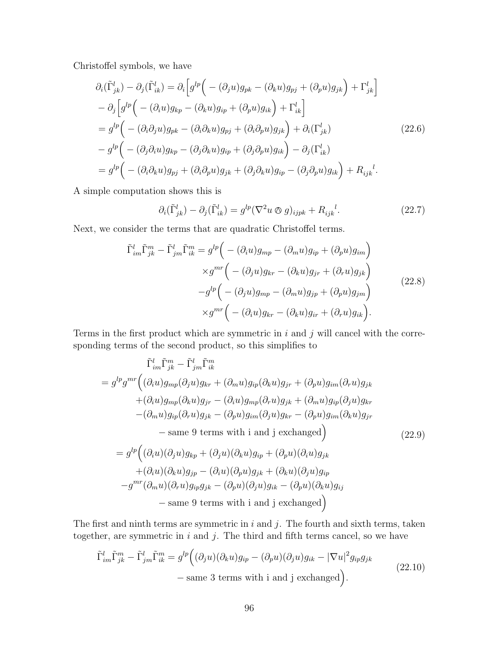Christoffel symbols, we have

$$
\partial_i(\tilde{\Gamma}^l_{jk}) - \partial_j(\tilde{\Gamma}^l_{ik}) = \partial_i \Big[ g^{lp} \Big( -(\partial_j u) g_{pk} - (\partial_k u) g_{pj} + (\partial_p u) g_{jk} \Big) + \Gamma^l_{jk} \Big] \n- \partial_j \Big[ g^{lp} \Big( -(\partial_i u) g_{kp} - (\partial_k u) g_{ip} + (\partial_p u) g_{ik} \Big) + \Gamma^l_{ik} \Big] \n= g^{lp} \Big( -(\partial_i \partial_j u) g_{pk} - (\partial_i \partial_k u) g_{pj} + (\partial_i \partial_p u) g_{jk} \Big) + \partial_i(\Gamma^l_{jk}) \n- g^{lp} \Big( -(\partial_j \partial_i u) g_{kp} - (\partial_j \partial_k u) g_{ip} + (\partial_j \partial_p u) g_{ik} \Big) - \partial_j(\Gamma^l_{ik}) \n= g^{lp} \Big( -(\partial_i \partial_k u) g_{pj} + (\partial_i \partial_p u) g_{jk} + (\partial_j \partial_k u) g_{ip} - (\partial_j \partial_p u) g_{ik} \Big) + R_{ijk}^l.
$$
\n
$$
(22.6)
$$

A simple computation shows this is

$$
\partial_i(\tilde{\Gamma}^l_{jk}) - \partial_j(\tilde{\Gamma}^l_{ik}) = g^{lp}(\nabla^2 u \otimes g)_{ijpk} + R_{ijk}^{\quad l}.
$$
 (22.7)

Next, we consider the terms that are quadratic Christoffel terms.

$$
\tilde{\Gamma}_{im}^{l}\tilde{\Gamma}_{jk}^{m} - \tilde{\Gamma}_{jm}^{l}\tilde{\Gamma}_{ik}^{m} = g^{lp} \Big( -(\partial_{i}u)g_{mp} - (\partial_{m}u)g_{ip} + (\partial_{p}u)g_{im} \Big) \times g^{mr} \Big( -(\partial_{j}u)g_{kr} - (\partial_{k}u)g_{jr} + (\partial_{r}u)g_{jk} \Big) \n-g^{lp} \Big( -(\partial_{j}u)g_{mp} - (\partial_{m}u)g_{jp} + (\partial_{p}u)g_{jm} \Big) \times g^{mr} \Big( -(\partial_{i}u)g_{kr} - (\partial_{k}u)g_{ir} + (\partial_{r}u)g_{ik} \Big).
$$
\n(22.8)

Terms in the first product which are symmetric in  $i$  and  $j$  will cancel with the corresponding terms of the second product, so this simplifies to

$$
\tilde{\Gamma}_{im}^{l}\tilde{\Gamma}_{jk}^{m} - \tilde{\Gamma}_{jm}^{l}\tilde{\Gamma}_{ik}^{m}
$$
\n
$$
= g^{lp}g^{mr} \Big( (\partial_{i}u)g_{mp}(\partial_{j}u)g_{kr} + (\partial_{m}u)g_{ip}(\partial_{k}u)g_{jr} + (\partial_{p}u)g_{im}(\partial_{r}u)g_{jk} + (\partial_{i}u)g_{mp}(\partial_{k}u)g_{jr} - (\partial_{i}u)g_{mp}(\partial_{r}u)g_{jk} + (\partial_{m}u)g_{ip}(\partial_{j}u)g_{kr} - (\partial_{m}u)g_{ip}(\partial_{r}u)g_{jk} - (\partial_{p}u)g_{im}(\partial_{j}u)g_{kr} - (\partial_{p}u)g_{im}(\partial_{k}u)g_{jr} - \text{same 9 terms with i and j exchanged} \Big) \qquad (22.9)
$$
\n
$$
= g^{lp} \Big( (\partial_{i}u)(\partial_{j}u)g_{kp} + (\partial_{j}u)(\partial_{k}u)g_{ip} + (\partial_{p}u)(\partial_{i}u)g_{jk} + (\partial_{i}u)(\partial_{k}u)g_{jp} - (\partial_{i}u)(\partial_{p}u)g_{jk} + (\partial_{k}u)(\partial_{j}u)g_{ip} - g^{mr}(\partial_{m}u)(\partial_{r}u)g_{ip}g_{jk} - (\partial_{p}u)(\partial_{j}u)g_{ik} - (\partial_{p}u)(\partial_{k}u)g_{ij} - \text{same 9 terms with i and j exchanged} \Big)
$$

The first and ninth terms are symmetric in  $i$  and  $j$ . The fourth and sixth terms, taken together, are symmetric in  $i$  and  $j$ . The third and fifth terms cancel, so we have

$$
\tilde{\Gamma}_{im}^{l}\tilde{\Gamma}_{jk}^{m} - \tilde{\Gamma}_{jm}^{l}\tilde{\Gamma}_{ik}^{m} = g^{lp}((\partial_j u)(\partial_k u)g_{ip} - (\partial_p u)(\partial_j u)g_{ik} - |\nabla u|^2 g_{ip}g_{jk}
$$
\n
$$
-\text{same 3 terms with i and j exchanged}\bigg). \tag{22.10}
$$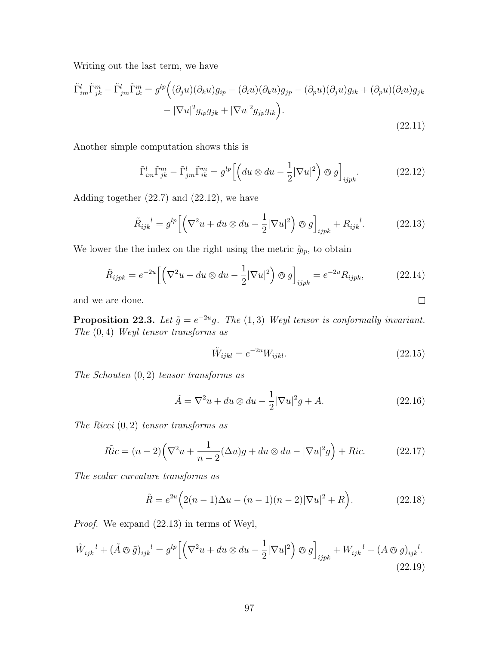Writing out the last term, we have

$$
\tilde{\Gamma}_{im}^l \tilde{\Gamma}_{jk}^m - \tilde{\Gamma}_{jm}^l \tilde{\Gamma}_{ik}^m = g^{lp} \Big( (\partial_j u)(\partial_k u) g_{ip} - (\partial_i u)(\partial_k u) g_{jp} - (\partial_p u)(\partial_j u) g_{ik} + (\partial_p u)(\partial_i u) g_{jk} - |\nabla u|^2 g_{ip} g_{jk} + |\nabla u|^2 g_{jp} g_{ik} \Big).
$$
\n(22.11)

Another simple computation shows this is

$$
\tilde{\Gamma}_{im}^l \tilde{\Gamma}_{jk}^m - \tilde{\Gamma}_{jm}^l \tilde{\Gamma}_{ik}^m = g^{lp} \left[ \left( du \otimes du - \frac{1}{2} |\nabla u|^2 \right) \otimes g \right]_{ijpk}.
$$
 (22.12)

Adding together (22.7) and (22.12), we have

$$
\tilde{R}_{ijk}^{\quad l} = g^{lp} \left[ \left( \nabla^2 u + du \otimes du - \frac{1}{2} |\nabla u|^2 \right) \otimes g \right]_{ijpk} + R_{ijk}^{\quad l}.\tag{22.13}
$$

We lower the the index on the right using the metric  $\tilde{g}_{lp}$ , to obtain

$$
\tilde{R}_{ijpk} = e^{-2u} \left[ \left( \nabla^2 u + du \otimes du - \frac{1}{2} |\nabla u|^2 \right) \otimes g \right]_{ijpk} = e^{-2u} R_{ijpk}, \tag{22.14}
$$

and we are done.

**Proposition 22.3.** Let  $\tilde{g} = e^{-2u}g$ . The (1,3) Weyl tensor is conformally invariant. The  $(0, 4)$  Weyl tensor transforms as

$$
\tilde{W}_{ijkl} = e^{-2u} W_{ijkl}.
$$
\n(22.15)

 $\Box$ 

The Schouten  $(0, 2)$  tensor transforms as

$$
\tilde{A} = \nabla^2 u + du \otimes du - \frac{1}{2} |\nabla u|^2 g + A.
$$
\n(22.16)

The Ricci  $(0, 2)$  tensor transforms as

$$
\tilde{Ric} = (n-2)\left(\nabla^2 u + \frac{1}{n-2}(\Delta u)g + du \otimes du - |\nabla u|^2 g\right) + Ric.
$$
 (22.17)

The scalar curvature transforms as

$$
\tilde{R} = e^{2u} \left( 2(n-1)\Delta u - (n-1)(n-2)|\nabla u|^2 + R \right).
$$
 (22.18)

Proof. We expand (22.13) in terms of Weyl,

$$
\tilde{W}_{ijk}^l + (\tilde{A} \otimes \tilde{g})_{ijk}^l = g^{lp} \Big[ \Big( \nabla^2 u + du \otimes du - \frac{1}{2} |\nabla u|^2 \Big) \otimes g \Big]_{ijpk} + W_{ijk}^l + (A \otimes g)_{ijk}^l.
$$
\n(22.19)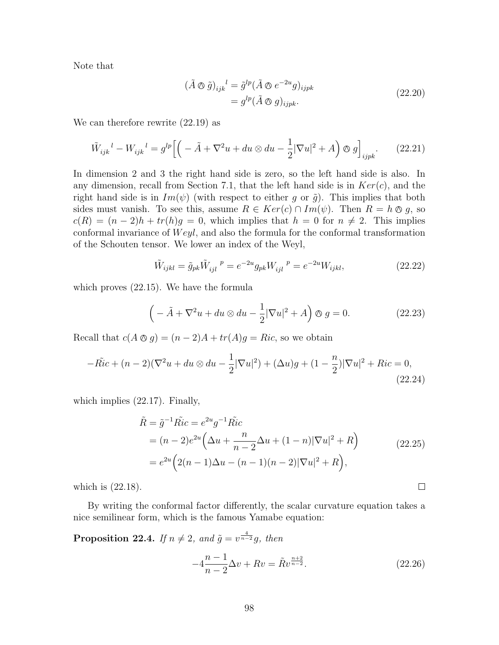Note that

$$
(\tilde{A} \otimes \tilde{g})_{ijk}^{\quad l} = \tilde{g}^{lp} (\tilde{A} \otimes e^{-2u} g)_{ijpk}
$$
  
=  $g^{lp} (\tilde{A} \otimes g)_{ijpk}.$  (22.20)

We can therefore rewrite (22.19) as

$$
\tilde{W}_{ijk}^l - W_{ijk}^l = g^{lp} \Big[ \Big( -\tilde{A} + \nabla^2 u + du \otimes du - \frac{1}{2} |\nabla u|^2 + A \Big) \otimes g \Big]_{ijpk}.
$$
 (22.21)

In dimension 2 and 3 the right hand side is zero, so the left hand side is also. In any dimension, recall from Section 7.1, that the left hand side is in  $Ker(c)$ , and the right hand side is in  $Im(\psi)$  (with respect to either g or  $\tilde{g}$ ). This implies that both sides must vanish. To see this, assume  $R \in Ker(c) \cap Im(\psi)$ . Then  $R = h \otimes g$ , so  $c(R) = (n-2)h + tr(h)g = 0$ , which implies that  $h = 0$  for  $n \neq 2$ . This implies conformal invariance of  $Weyl$ , and also the formula for the conformal transformation of the Schouten tensor. We lower an index of the Weyl,

$$
\tilde{W}_{ijkl} = \tilde{g}_{pk} \tilde{W}_{ijl}^{\ \ p} = e^{-2u} g_{pk} W_{ijl}^{\ \ p} = e^{-2u} W_{ijkl},\tag{22.22}
$$

which proves (22.15). We have the formula

$$
\left(-\tilde{A} + \nabla^2 u + du \otimes du - \frac{1}{2}|\nabla u|^2 + A\right) \otimes g = 0.
$$
 (22.23)

Recall that  $c(A \otimes g) = (n-2)A + tr(A)g = Ric$ , so we obtain

$$
-\tilde{Ric} + (n-2)(\nabla^2 u + du \otimes du - \frac{1}{2}|\nabla u|^2) + (\Delta u)g + (1 - \frac{n}{2})|\nabla u|^2 + Ric = 0,
$$
\n(22.24)

which implies (22.17). Finally,

$$
\tilde{R} = \tilde{g}^{-1} \tilde{Ric} = e^{2u} g^{-1} \tilde{Ric} \n= (n-2)e^{2u} \left( \Delta u + \frac{n}{n-2} \Delta u + (1-n) |\nabla u|^2 + R \right) \n= e^{2u} \left( 2(n-1) \Delta u - (n-1)(n-2) |\nabla u|^2 + R \right),
$$
\n(22.25)

which is (22.18).

By writing the conformal factor differently, the scalar curvature equation takes a nice semilinear form, which is the famous Yamabe equation:

**Proposition 22.4.** If  $n \neq 2$ , and  $\tilde{g} = v^{\frac{4}{n-2}}g$ , then

$$
-4\frac{n-1}{n-2}\Delta v + Rv = \tilde{R}v^{\frac{n+2}{n-2}}.
$$
\n(22.26)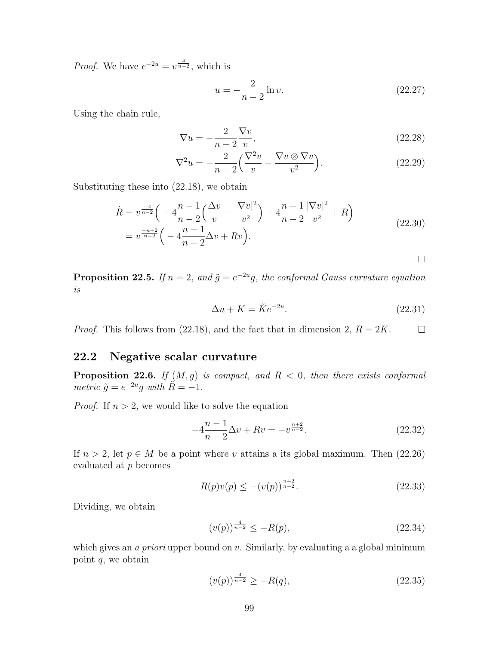*Proof.* We have  $e^{-2u} = v^{\frac{4}{n-2}}$ , which is

$$
u = -\frac{2}{n-2}\ln v.
$$
 (22.27)

Using the chain rule,

$$
\nabla u = -\frac{2}{n-2} \frac{\nabla v}{v},\tag{22.28}
$$

$$
\nabla^2 u = -\frac{2}{n-2} \left( \frac{\nabla^2 v}{v} - \frac{\nabla v \otimes \nabla v}{v^2} \right).
$$
 (22.29)

Substituting these into (22.18), we obtain

$$
\tilde{R} = v^{\frac{-4}{n-2}} \left( -4 \frac{n-1}{n-2} \left( \frac{\Delta v}{v} - \frac{|\nabla v|^2}{v^2} \right) - 4 \frac{n-1}{n-2} \frac{|\nabla v|^2}{v^2} + R \right)
$$
\n
$$
= v^{\frac{-n+2}{n-2}} \left( -4 \frac{n-1}{n-2} \Delta v + R v \right).
$$
\n(22.30)

 $\Box$ 

**Proposition 22.5.** If  $n = 2$ , and  $\tilde{g} = e^{-2u}g$ , the conformal Gauss curvature equation is

$$
\Delta u + K = \tilde{K}e^{-2u}.\tag{22.31}
$$

*Proof.* This follows from (22.18), and the fact that in dimension 2,  $R = 2K$ .  $\Box$ 

### 22.2 Negative scalar curvature

**Proposition 22.6.** If  $(M, g)$  is compact, and  $R < 0$ , then there exists conformal metric  $\tilde{g} = e^{-2u}g$  with  $\tilde{R} = -1$ .

*Proof.* If  $n > 2$ , we would like to solve the equation

$$
-4\frac{n-1}{n-2}\Delta v + Rv = -v^{\frac{n+2}{n-2}}.\t(22.32)
$$

If  $n > 2$ , let  $p \in M$  be a point where v attains a its global maximum. Then (22.26) evaluated at p becomes

$$
R(p)v(p) \le -(v(p))^{\frac{n+2}{n-2}}.\t(22.33)
$$

Dividing, we obtain

$$
(v(p))^{\frac{4}{n-2}} \le -R(p),\tag{22.34}
$$

which gives an *a priori* upper bound on  $v$ . Similarly, by evaluating a a global minimum point  $q$ , we obtain

$$
(v(p))^{\frac{4}{n-2}} \ge -R(q),\tag{22.35}
$$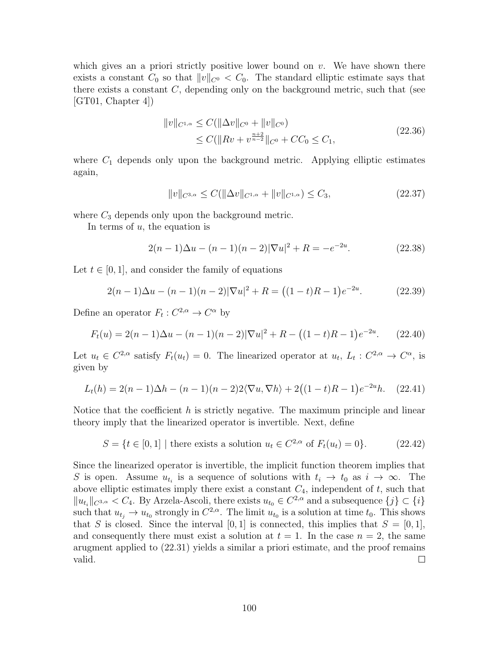which gives an a priori strictly positive lower bound on  $v$ . We have shown there exists a constant  $C_0$  so that  $||v||_{C^0} < C_0$ . The standard elliptic estimate says that there exists a constant  $C$ , depending only on the background metric, such that (see  $|GT01, Chapter 4|$ 

$$
||v||_{C^{1,\alpha}} \leq C(||\Delta v||_{C^0} + ||v||_{C^0})
$$
  
\n
$$
\leq C(||Rv + v^{\frac{n+2}{n-2}}||_{C^0} + CC_0 \leq C_1,
$$
\n(22.36)

where  $C_1$  depends only upon the background metric. Applying elliptic estimates again,

$$
||v||_{C^{3,\alpha}} \le C(||\Delta v||_{C^{1,\alpha}} + ||v||_{C^{1,\alpha}}) \le C_3,
$$
\n(22.37)

where  $C_3$  depends only upon the background metric.

In terms of  $u$ , the equation is

$$
2(n-1)\Delta u - (n-1)(n-2)|\nabla u|^2 + R = -e^{-2u}.
$$
 (22.38)

Let  $t \in [0, 1]$ , and consider the family of equations

$$
2(n-1)\Delta u - (n-1)(n-2)|\nabla u|^2 + R = ((1-t)R - 1)e^{-2u}.
$$
 (22.39)

Define an operator  $F_t: C^{2,\alpha} \to C^{\alpha}$  by

$$
F_t(u) = 2(n-1)\Delta u - (n-1)(n-2)|\nabla u|^2 + R - ((1-t)R - 1)e^{-2u}.
$$
 (22.40)

Let  $u_t \in C^{2,\alpha}$  satisfy  $F_t(u_t) = 0$ . The linearized operator at  $u_t$ ,  $L_t: C^{2,\alpha} \to C^{\alpha}$ , is given by

$$
L_t(h) = 2(n-1)\Delta h - (n-1)(n-2)2\langle \nabla u, \nabla h \rangle + 2((1-t)R - 1)e^{-2u}h. \quad (22.41)
$$

Notice that the coefficient  $h$  is strictly negative. The maximum principle and linear theory imply that the linearized operator is invertible. Next, define

$$
S = \{ t \in [0, 1] \mid \text{there exists a solution } u_t \in C^{2, \alpha} \text{ of } F_t(u_t) = 0 \}. \tag{22.42}
$$

Since the linearized operator is invertible, the implicit function theorem implies that S is open. Assume  $u_{t_i}$  is a sequence of solutions with  $t_i \to t_0$  as  $i \to \infty$ . The above elliptic estimates imply there exist a constant  $C_4$ , independent of  $t$ , such that  $||u_{t_i}||_{C^{3,\alpha}} < C_4$ . By Arzela-Ascoli, there exists  $u_{t_0} \in C^{2,\alpha}$  and a subsequence  $\{j\} \subset \{i\}$ such that  $u_{t_j} \to u_{t_0}$  strongly in  $C^{2,\alpha}$ . The limit  $u_{t_0}$  is a solution at time  $t_0$ . This shows that S is closed. Since the interval [0, 1] is connected, this implies that  $S = [0, 1]$ , and consequently there must exist a solution at  $t = 1$ . In the case  $n = 2$ , the same arugment applied to (22.31) yields a similar a priori estimate, and the proof remains valid.  $\Box$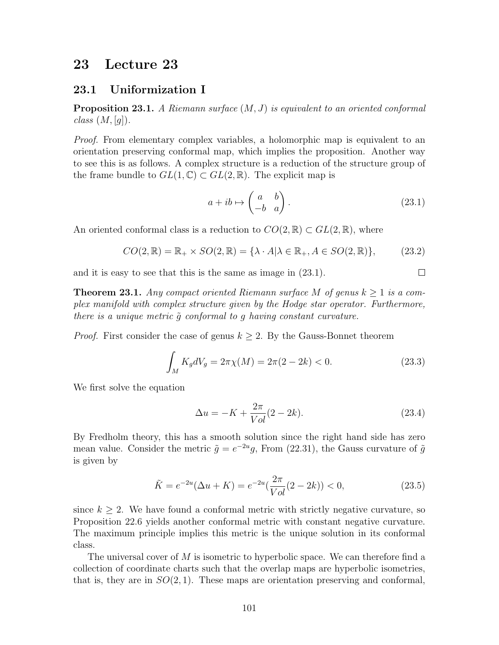## 23 Lecture 23

#### 23.1 Uniformization I

**Proposition 23.1.** A Riemann surface  $(M, J)$  is equivalent to an oriented conformal  $class (M, [g])$ .

Proof. From elementary complex variables, a holomorphic map is equivalent to an orientation preserving conformal map, which implies the proposition. Another way to see this is as follows. A complex structure is a reduction of the structure group of the frame bundle to  $GL(1,\mathbb{C})\subset GL(2,\mathbb{R})$ . The explicit map is

$$
a + ib \mapsto \begin{pmatrix} a & b \\ -b & a \end{pmatrix}.
$$
 (23.1)

 $\Box$ 

An oriented conformal class is a reduction to  $CO(2,\mathbb{R}) \subset GL(2,\mathbb{R})$ , where

$$
CO(2,\mathbb{R}) = \mathbb{R}_+ \times SO(2,\mathbb{R}) = \{ \lambda \cdot A | \lambda \in \mathbb{R}_+, A \in SO(2,\mathbb{R}) \},\tag{23.2}
$$

and it is easy to see that this is the same as image in (23.1).

**Theorem 23.1.** Any compact oriented Riemann surface M of genus  $k \geq 1$  is a complex manifold with complex structure given by the Hodge star operator. Furthermore, there is a unique metric  $\tilde{q}$  conformal to q having constant curvature.

*Proof.* First consider the case of genus  $k \geq 2$ . By the Gauss-Bonnet theorem

$$
\int_{M} K_{g} dV_{g} = 2\pi \chi(M) = 2\pi (2 - 2k) < 0. \tag{23.3}
$$

We first solve the equation

$$
\Delta u = -K + \frac{2\pi}{Vol}(2 - 2k).
$$
 (23.4)

By Fredholm theory, this has a smooth solution since the right hand side has zero mean value. Consider the metric  $\tilde{g} = e^{-2u}g$ , From (22.31), the Gauss curvature of  $\tilde{g}$ is given by

$$
\tilde{K} = e^{-2u}(\Delta u + K) = e^{-2u}(\frac{2\pi}{Vol}(2 - 2k)) < 0,\tag{23.5}
$$

since  $k \geq 2$ . We have found a conformal metric with strictly negative curvature, so Proposition 22.6 yields another conformal metric with constant negative curvature. The maximum principle implies this metric is the unique solution in its conformal class.

The universal cover of M is isometric to hyperbolic space. We can therefore find a collection of coordinate charts such that the overlap maps are hyperbolic isometries, that is, they are in  $SO(2,1)$ . These maps are orientation preserving and conformal,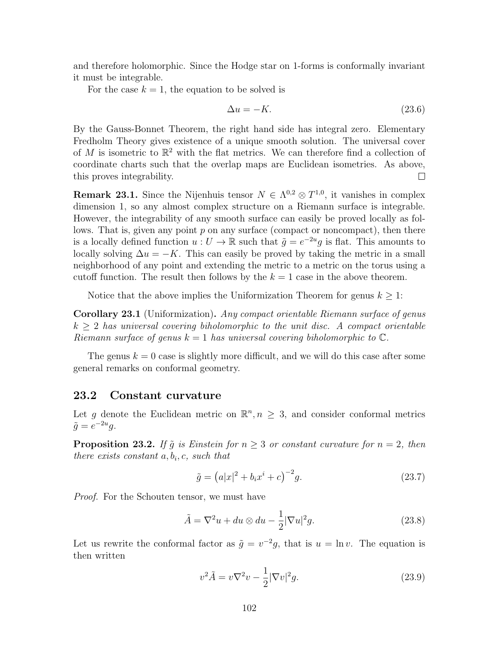and therefore holomorphic. Since the Hodge star on 1-forms is conformally invariant it must be integrable.

For the case  $k = 1$ , the equation to be solved is

$$
\Delta u = -K.\tag{23.6}
$$

By the Gauss-Bonnet Theorem, the right hand side has integral zero. Elementary Fredholm Theory gives existence of a unique smooth solution. The universal cover of M is isometric to  $\mathbb{R}^2$  with the flat metrics. We can therefore find a collection of coordinate charts such that the overlap maps are Euclidean isometries. As above, this proves integrability.  $\Box$ 

**Remark 23.1.** Since the Nijenhuis tensor  $N \in \Lambda^{0,2} \otimes T^{1,0}$ , it vanishes in complex dimension 1, so any almost complex structure on a Riemann surface is integrable. However, the integrability of any smooth surface can easily be proved locally as follows. That is, given any point  $p$  on any surface (compact or noncompact), then there is a locally defined function  $u: U \to \mathbb{R}$  such that  $\tilde{g} = e^{-2u}g$  is flat. This amounts to locally solving  $\Delta u = -K$ . This can easily be proved by taking the metric in a small neighborhood of any point and extending the metric to a metric on the torus using a cutoff function. The result then follows by the  $k = 1$  case in the above theorem.

Notice that the above implies the Uniformization Theorem for genus  $k \geq 1$ :

Corollary 23.1 (Uniformization). Any compact orientable Riemann surface of genus  $k \geq 2$  has universal covering biholomorphic to the unit disc. A compact orientable Riemann surface of genus  $k = 1$  has universal covering biholomorphic to  $\mathbb{C}$ .

The genus  $k = 0$  case is slightly more difficult, and we will do this case after some general remarks on conformal geometry.

#### 23.2 Constant curvature

Let g denote the Euclidean metric on  $\mathbb{R}^n, n \geq 3$ , and consider conformal metrics  $\tilde{g} = e^{-2u}g.$ 

**Proposition 23.2.** If  $\tilde{g}$  is Einstein for  $n \geq 3$  or constant curvature for  $n = 2$ , then there exists constant  $a, b_i, c$ , such that

$$
\tilde{g} = (a|x|^2 + b_i x^i + c)^{-2} g.
$$
\n(23.7)

Proof. For the Schouten tensor, we must have

$$
\tilde{A} = \nabla^2 u + du \otimes du - \frac{1}{2} |\nabla u|^2 g.
$$
\n(23.8)

Let us rewrite the conformal factor as  $\tilde{g} = v^{-2}g$ , that is  $u = \ln v$ . The equation is then written

$$
v^2 \tilde{A} = v \nabla^2 v - \frac{1}{2} |\nabla v|^2 g. \tag{23.9}
$$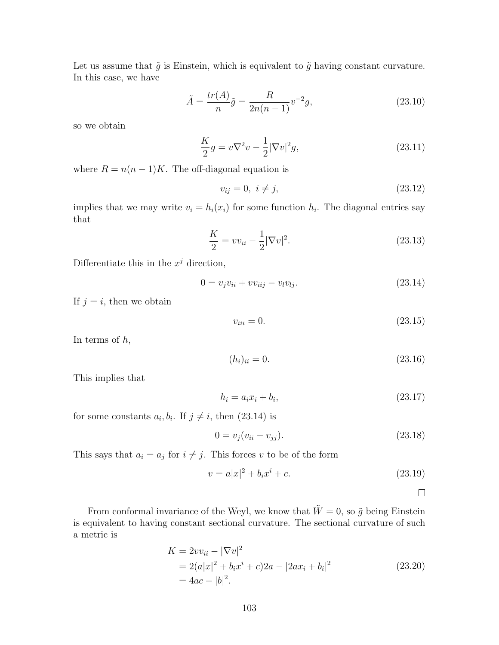Let us assume that  $\tilde{g}$  is Einstein, which is equivalent to  $\tilde{g}$  having constant curvature. In this case, we have

$$
\tilde{A} = \frac{tr(A)}{n}\tilde{g} = \frac{R}{2n(n-1)}v^{-2}g,
$$
\n(23.10)

so we obtain

$$
\frac{K}{2}g = v\nabla^2 v - \frac{1}{2}|\nabla v|^2 g,\tag{23.11}
$$

where  $R = n(n-1)K$ . The off-diagonal equation is

$$
v_{ij} = 0, \ i \neq j,
$$
\n(23.12)

implies that we may write  $v_i = h_i(x_i)$  for some function  $h_i$ . The diagonal entries say that

$$
\frac{K}{2} = v v_{ii} - \frac{1}{2} |\nabla v|^2.
$$
\n(23.13)

Differentiate this in the  $x^j$  direction,

$$
0 = v_j v_{ii} + v v_{iij} - v_l v_{lj}.
$$
\n(23.14)

If  $j = i$ , then we obtain

 $v_{ii} = 0.$  (23.15)

In terms of  $h$ ,

$$
(h_i)_{ii} = 0.\t(23.16)
$$

This implies that

$$
h_i = a_i x_i + b_i, \t\t(23.17)
$$

for some constants  $a_i, b_i$ . If  $j \neq i$ , then  $(23.14)$  is

$$
0 = v_j(v_{ii} - v_{jj}).
$$
\n(23.18)

This says that  $a_i = a_j$  for  $i \neq j$ . This forces v to be of the form

$$
v = a|x|^2 + b_i x^i + c.
$$
 (23.19)

 $\Box$ 

From conformal invariance of the Weyl, we know that  $\tilde{W} = 0$ , so  $\tilde{g}$  being Einstein is equivalent to having constant sectional curvature. The sectional curvature of such a metric is

$$
K = 2vv_{ii} - |\nabla v|^2
$$
  
= 2(a|x|<sup>2</sup> + b<sub>i</sub>x<sup>i</sup> + c)2a - |2ax<sub>i</sub> + b<sub>i</sub>|<sup>2</sup>  
= 4ac - |b|<sup>2</sup>. (23.20)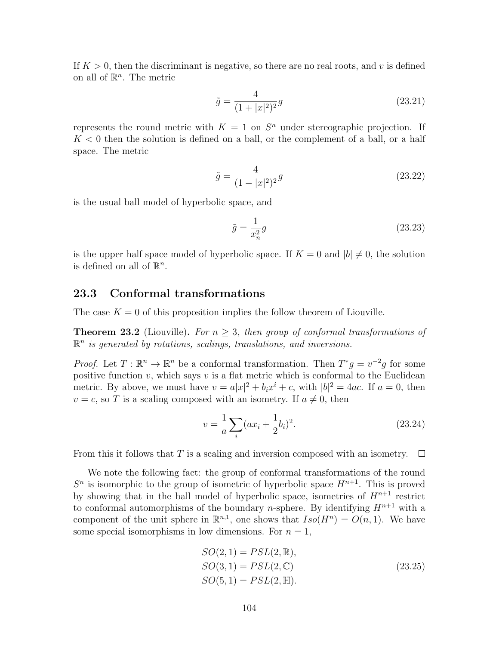If  $K > 0$ , then the discriminant is negative, so there are no real roots, and v is defined on all of  $\mathbb{R}^n$ . The metric

$$
\tilde{g} = \frac{4}{(1+|x|^2)^2}g\tag{23.21}
$$

represents the round metric with  $K = 1$  on  $S<sup>n</sup>$  under stereographic projection. If  $K < 0$  then the solution is defined on a ball, or the complement of a ball, or a half space. The metric

$$
\tilde{g} = \frac{4}{(1 - |x|^2)^2} g \tag{23.22}
$$

is the usual ball model of hyperbolic space, and

$$
\tilde{g} = \frac{1}{x_n^2} g \tag{23.23}
$$

is the upper half space model of hyperbolic space. If  $K = 0$  and  $|b| \neq 0$ , the solution is defined on all of  $\mathbb{R}^n$ .

#### 23.3 Conformal transformations

The case  $K = 0$  of this proposition implies the follow theorem of Liouville.

**Theorem 23.2** (Liouville). For  $n > 3$ , then group of conformal transformations of  $\mathbb{R}^n$  is generated by rotations, scalings, translations, and inversions.

*Proof.* Let  $T : \mathbb{R}^n \to \mathbb{R}^n$  be a conformal transformation. Then  $T^*g = v^{-2}g$  for some positive function  $v$ , which says  $v$  is a flat metric which is conformal to the Euclidean metric. By above, we must have  $v = a|x|^2 + b_i x^i + c$ , with  $|b|^2 = 4ac$ . If  $a = 0$ , then  $v = c$ , so T is a scaling composed with an isometry. If  $a \neq 0$ , then

$$
v = \frac{1}{a} \sum_{i} (ax_i + \frac{1}{2}b_i)^2.
$$
 (23.24)

From this it follows that T is a scaling and inversion composed with an isometry.  $\Box$ 

We note the following fact: the group of conformal transformations of the round  $S<sup>n</sup>$  is isomorphic to the group of isometric of hyperbolic space  $H<sup>n+1</sup>$ . This is proved by showing that in the ball model of hyperbolic space, isometries of  $H^{n+1}$  restrict to conformal automorphisms of the boundary *n*-sphere. By identifying  $H^{n+1}$  with a component of the unit sphere in  $\mathbb{R}^{n,1}$ , one shows that  $Iso(H^n) = O(n,1)$ . We have some special isomorphisms in low dimensions. For  $n = 1$ ,

$$
SO(2, 1) = PSL(2, \mathbb{R}),\nSO(3, 1) = PSL(2, \mathbb{C})\nSO(5, 1) = PSL(2, \mathbb{H}).
$$
\n(23.25)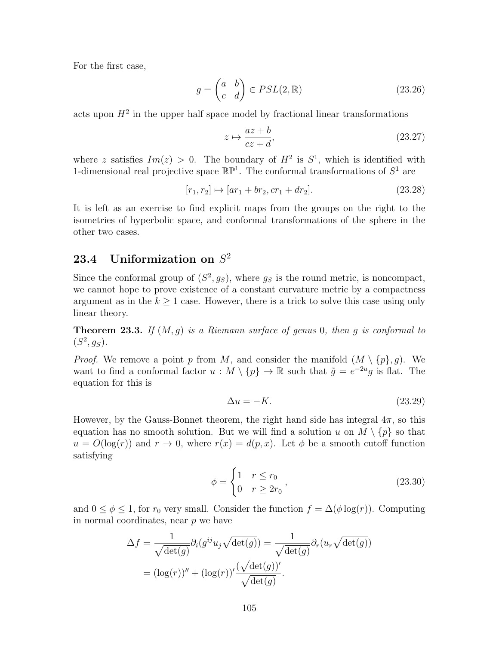For the first case,

$$
g = \begin{pmatrix} a & b \\ c & d \end{pmatrix} \in PSL(2, \mathbb{R})
$$
 (23.26)

acts upon  $H^2$  in the upper half space model by fractional linear transformations

$$
z \mapsto \frac{az+b}{cz+d},\tag{23.27}
$$

where z satisfies  $Im(z) > 0$ . The boundary of  $H^2$  is  $S^1$ , which is identified with 1-dimensional real projective space  $\mathbb{RP}^1$ . The conformal transformations of  $S^1$  are

$$
[r_1, r_2] \mapsto [ar_1 + br_2, cr_1 + dr_2]. \tag{23.28}
$$

It is left as an exercise to find explicit maps from the groups on the right to the isometries of hyperbolic space, and conformal transformations of the sphere in the other two cases.

## 23.4 Uniformization on  $S^2$

Since the conformal group of  $(S^2, g_S)$ , where  $g_S$  is the round metric, is noncompact, we cannot hope to prove existence of a constant curvature metric by a compactness argument as in the  $k \geq 1$  case. However, there is a trick to solve this case using only linear theory.

**Theorem 23.3.** If  $(M, g)$  is a Riemann surface of genus 0, then g is conformal to  $(S^2, g_S).$ 

*Proof.* We remove a point p from M, and consider the manifold  $(M \setminus \{p\}, g)$ . We want to find a conformal factor  $u : M \setminus \{p\} \to \mathbb{R}$  such that  $\tilde{g} = e^{-2u}g$  is flat. The equation for this is

$$
\Delta u = -K.\tag{23.29}
$$

However, by the Gauss-Bonnet theorem, the right hand side has integral  $4\pi$ , so this equation has no smooth solution. But we will find a solution u on  $M \setminus \{p\}$  so that  $u = O(\log(r))$  and  $r \to 0$ , where  $r(x) = d(p, x)$ . Let  $\phi$  be a smooth cutoff function satisfying

$$
\phi = \begin{cases} 1 & r \le r_0 \\ 0 & r \ge 2r_0 \end{cases},
$$
\n(23.30)

and  $0 \le \phi \le 1$ , for  $r_0$  very small. Consider the function  $f = \Delta(\phi \log(r))$ . Computing in normal coordinates, near p we have

$$
\Delta f = \frac{1}{\sqrt{\det(g)}} \partial_i(g^{ij} u_j \sqrt{\det(g)}) = \frac{1}{\sqrt{\det(g)}} \partial_r(u_r \sqrt{\det(g)})
$$

$$
= (\log(r))'' + (\log(r))' \frac{(\sqrt{\det(g)})'}{\sqrt{\det(g)}}.
$$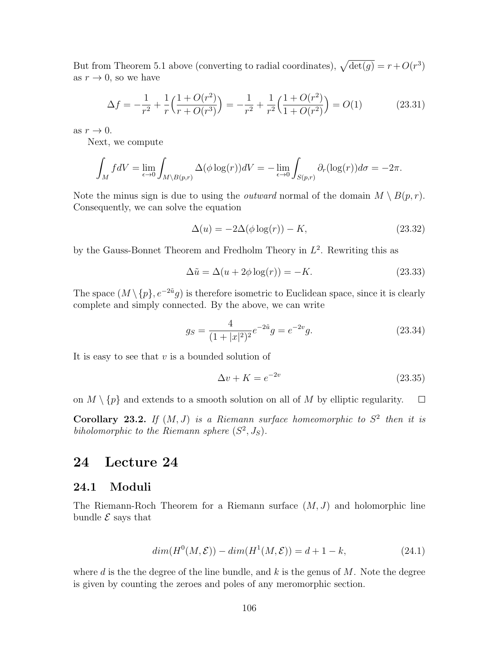But from Theorem 5.1 above (converting to radial coordinates),  $\sqrt{\det(g)} = r + O(r^3)$ as  $r \to 0$ , so we have

$$
\Delta f = -\frac{1}{r^2} + \frac{1}{r} \left( \frac{1 + O(r^2)}{r + O(r^3)} \right) = -\frac{1}{r^2} + \frac{1}{r^2} \left( \frac{1 + O(r^2)}{1 + O(r^2)} \right) = O(1) \tag{23.31}
$$

as  $r \to 0$ .

Next, we compute

$$
\int_M f dV = \lim_{\epsilon \to 0} \int_{M \setminus B(p,r)} \Delta(\phi \log(r)) dV = -\lim_{\epsilon \to 0} \int_{S(p,r)} \partial_r(\log(r)) d\sigma = -2\pi.
$$

Note the minus sign is due to using the *outward* normal of the domain  $M \setminus B(p,r)$ . Consequently, we can solve the equation

$$
\Delta(u) = -2\Delta(\phi \log(r)) - K,\tag{23.32}
$$

by the Gauss-Bonnet Theorem and Fredholm Theory in  $L^2$ . Rewriting this as

$$
\Delta \tilde{u} = \Delta(u + 2\phi \log(r)) = -K. \tag{23.33}
$$

The space  $(M \setminus \{p\}, e^{-2\tilde{u}}g)$  is therefore isometric to Euclidean space, since it is clearly complete and simply connected. By the above, we can write

$$
g_S = \frac{4}{(1+|x|^2)^2} e^{-2\tilde{u}} g = e^{-2v} g.
$$
 (23.34)

It is easy to see that  $v$  is a bounded solution of

$$
\Delta v + K = e^{-2v} \tag{23.35}
$$

on  $M \setminus \{p\}$  and extends to a smooth solution on all of M by elliptic regularity.  $\Box$ 

Corollary 23.2. If  $(M, J)$  is a Riemann surface homeomorphic to  $S<sup>2</sup>$  then it is biholomorphic to the Riemann sphere  $(S^2, J_S)$ .

### 24 Lecture 24

#### 24.1 Moduli

The Riemann-Roch Theorem for a Riemann surface  $(M, J)$  and holomorphic line bundle  $\mathcal E$  says that

$$
dim(H^{0}(M,\mathcal{E})) - dim(H^{1}(M,\mathcal{E})) = d + 1 - k,
$$
\n(24.1)

where d is the the degree of the line bundle, and k is the genus of  $M$ . Note the degree is given by counting the zeroes and poles of any meromorphic section.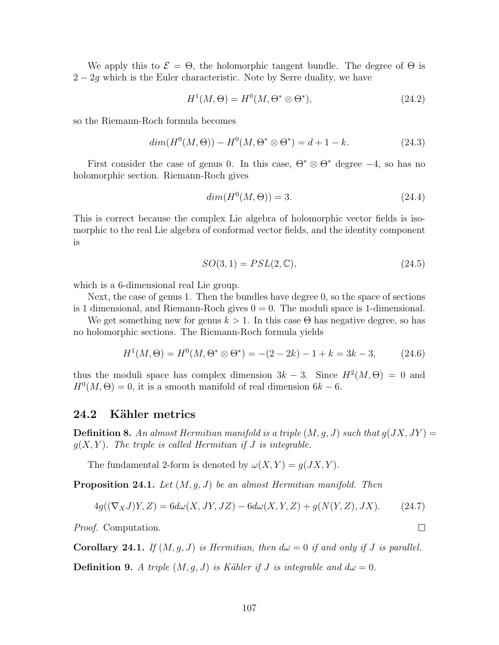We apply this to  $\mathcal{E} = \Theta$ , the holomorphic tangent bundle. The degree of  $\Theta$  is  $2 - 2g$  which is the Euler characteristic. Note by Serre duality, we have

$$
H^1(M, \Theta) = H^0(M, \Theta^* \otimes \Theta^*),\tag{24.2}
$$

so the Riemann-Roch formula becomes

$$
dim(H^{0}(M,\Theta)) - H^{0}(M,\Theta^{*} \otimes \Theta^{*}) = d + 1 - k.
$$
 (24.3)

First consider the case of genus 0. In this case,  $\Theta^* \otimes \Theta^*$  degree  $-4$ , so has no holomorphic section. Riemann-Roch gives

$$
dim(H^0(M,\Theta)) = 3.
$$
\n
$$
(24.4)
$$

This is correct because the complex Lie algebra of holomorphic vector fields is isomorphic to the real Lie algebra of conformal vector fields, and the identity component is

$$
SO(3,1) = PSL(2,\mathbb{C}),\tag{24.5}
$$

which is a 6-dimensional real Lie group.

Next, the case of genus 1. Then the bundles have degree 0, so the space of sections is 1 dimensional, and Riemann-Roch gives  $0 = 0$ . The moduli space is 1-dimensional.

We get something new for genus  $k > 1$ . In this case  $\Theta$  has negative degree, so has no holomorphic sections. The Riemann-Roch formula yields

$$
H^{1}(M,\Theta) = H^{0}(M,\Theta^{*} \otimes \Theta^{*}) = -(2 - 2k) - 1 + k = 3k - 3, \qquad (24.6)
$$

thus the moduli space has complex dimension  $3k-3$ . Since  $H^2(M, \Theta) = 0$  and  $H^0(M, \Theta) = 0$ , it is a smooth manifold of real dimension  $6k - 6$ .

#### 24.2 Kähler metrics

**Definition 8.** An almost Hermitian manifold is a triple  $(M, g, J)$  such that  $g(JX, JY) =$  $q(X, Y)$ . The triple is called Hermitian if J is integrable.

The fundamental 2-form is denoted by  $\omega(X, Y) = g(JX, Y)$ .

**Proposition 24.1.** Let  $(M, g, J)$  be an almost Hermitian manifold. Then

$$
4g((\nabla_X J)Y,Z) = 6d\omega(X,JY,JZ) - 6d\omega(X,Y,Z) + g(N(Y,Z),JX). \tag{24.7}
$$

Proof. Computation.

**Corollary 24.1.** If  $(M, g, J)$  is Hermitian, then  $d\omega = 0$  if and only if J is parallel.

**Definition 9.** A triple  $(M, g, J)$  is Kähler if J is integrable and  $d\omega = 0$ .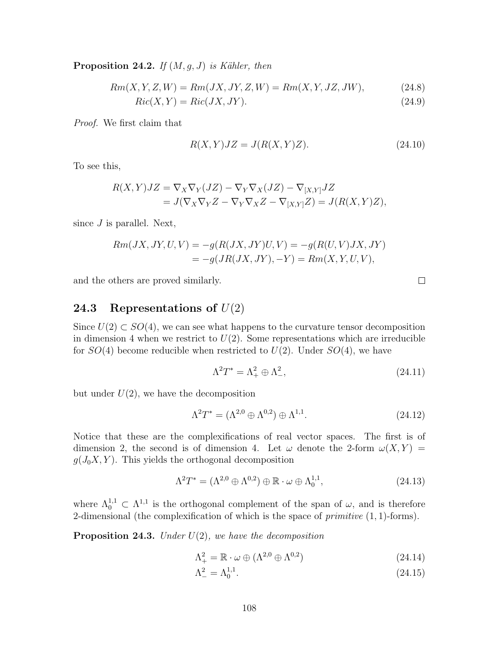**Proposition 24.2.** If  $(M, g, J)$  is Kähler, then

 $Rm(X, Y, Z, W) = Rm(JX, JY, Z, W) = Rm(X, Y, JZ, JW),$  (24.8)

 $Ric(X, Y) = Ric(JX, JY).$  (24.9)

Proof. We first claim that

$$
R(X,Y)JZ = J(R(X,Y)Z). \tag{24.10}
$$

To see this,

$$
R(X,Y)JZ = \nabla_X \nabla_Y (JZ) - \nabla_Y \nabla_X (JZ) - \nabla_{[X,Y]} JZ
$$
  
=  $J(\nabla_X \nabla_Y Z - \nabla_Y \nabla_X Z - \nabla_{[X,Y]} Z) = J(R(X,Y)Z),$ 

since  $J$  is parallel. Next,

$$
Rm(JX, JY, U, V) = -g(R(JX, JY)U, V) = -g(R(U, V)JX, JY)
$$
  
= 
$$
-g(JR(JX, JY), -Y) = Rm(X, Y, U, V),
$$

and the others are proved similarly.

### 24.3 Representations of  $U(2)$

Since  $U(2) \subset SO(4)$ , we can see what happens to the curvature tensor decomposition in dimension 4 when we restrict to  $U(2)$ . Some representations which are irreducible for  $SO(4)$  become reducible when restricted to  $U(2)$ . Under  $SO(4)$ , we have

$$
\Lambda^2 T^* = \Lambda^2_+ \oplus \Lambda^2_-, \tag{24.11}
$$

but under  $U(2)$ , we have the decomposition

$$
\Lambda^2 T^* = (\Lambda^{2,0} \oplus \Lambda^{0,2}) \oplus \Lambda^{1,1}.
$$
\n
$$
(24.12)
$$

Notice that these are the complexifications of real vector spaces. The first is of dimension 2, the second is of dimension 4. Let  $\omega$  denote the 2-form  $\omega(X, Y) =$  $g(J_0X, Y)$ . This yields the orthogonal decomposition

$$
\Lambda^2 T^* = (\Lambda^{2,0} \oplus \Lambda^{0,2}) \oplus \mathbb{R} \cdot \omega \oplus \Lambda^{1,1}_0,
$$
\n(24.13)

where  $\Lambda_0^{1,1} \subset \Lambda^{1,1}$  is the orthogonal complement of the span of  $\omega$ , and is therefore 2-dimensional (the complexification of which is the space of  $primitive (1, 1)$ -forms).

**Proposition 24.3.** Under  $U(2)$ , we have the decomposition

$$
\Lambda^2_+ = \mathbb{R} \cdot \omega \oplus (\Lambda^{2,0} \oplus \Lambda^{0,2}) \tag{24.14}
$$

$$
\Lambda^2_- = \Lambda_0^{1,1}.\tag{24.15}
$$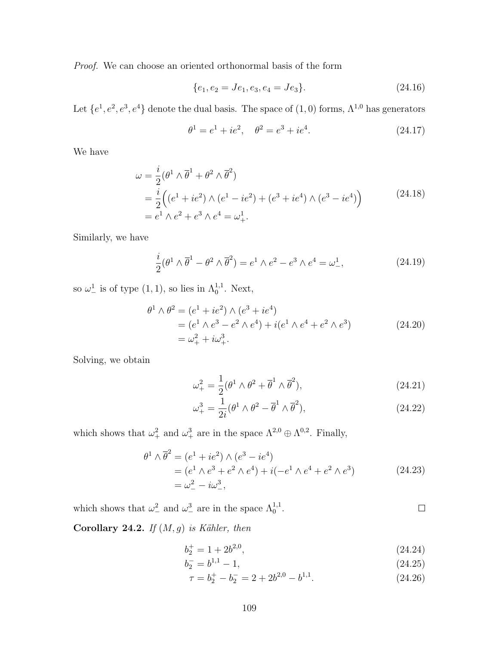Proof. We can choose an oriented orthonormal basis of the form

$$
\{e_1, e_2 = Je_1, e_3, e_4 = Je_3\}.
$$
\n(24.16)

Let  $\{e^1, e^2, e^3, e^4\}$  denote the dual basis. The space of  $(1,0)$  forms,  $\Lambda^{1,0}$  has generators

$$
\theta^1 = e^1 + ie^2, \quad \theta^2 = e^3 + ie^4.
$$
 (24.17)

We have

$$
\omega = \frac{i}{2} (\theta^1 \wedge \overline{\theta}^1 + \theta^2 \wedge \overline{\theta}^2)
$$
  
=  $\frac{i}{2} ((e^1 + ie^2) \wedge (e^1 - ie^2) + (e^3 + ie^4) \wedge (e^3 - ie^4))$   
=  $e^1 \wedge e^2 + e^3 \wedge e^4 = \omega_+^1$ . (24.18)

Similarly, we have

$$
\frac{i}{2}(\theta^1 \wedge \overline{\theta}^1 - \theta^2 \wedge \overline{\theta}^2) = e^1 \wedge e^2 - e^3 \wedge e^4 = \omega^1_-,
$$
 (24.19)

so  $\omega^1$  is of type  $(1,1)$ , so lies in  $\Lambda_0^{1,1}$ . Next,

$$
\theta^{1} \wedge \theta^{2} = (e^{1} + ie^{2}) \wedge (e^{3} + ie^{4})
$$
  
=  $(e^{1} \wedge e^{3} - e^{2} \wedge e^{4}) + i(e^{1} \wedge e^{4} + e^{2} \wedge e^{3})$   
=  $\omega_{+}^{2} + i\omega_{+}^{3}$ . (24.20)

Solving, we obtain

$$
\omega_+^2 = \frac{1}{2} (\theta^1 \wedge \theta^2 + \overline{\theta}^1 \wedge \overline{\theta}^2), \qquad (24.21)
$$

$$
\omega_+^3 = \frac{1}{2i} (\theta^1 \wedge \theta^2 - \overline{\theta}^1 \wedge \overline{\theta}^2), \qquad (24.22)
$$

which shows that  $\omega_+^2$  and  $\omega_+^3$  are in the space  $\Lambda^{2,0} \oplus \Lambda^{0,2}$ . Finally,

$$
\theta^{1} \wedge \overline{\theta}^{2} = (e^{1} + ie^{2}) \wedge (e^{3} - ie^{4})
$$
  
=  $(e^{1} \wedge e^{3} + e^{2} \wedge e^{4}) + i(-e^{1} \wedge e^{4} + e^{2} \wedge e^{3})$   
=  $\omega_{-}^{2} - i\omega_{-}^{3}$ , (24.23)

which shows that  $\omega_-^2$  and  $\omega_-^3$  are in the space  $\Lambda_0^{1,1}$ .

Corollary 24.2. If  $(M, g)$  is Kähler, then

$$
b_2^+ = 1 + 2b^{2,0},\tag{24.24}
$$

 $\Box$ 

$$
b_2^- = b^{1,1} - 1,\tag{24.25}
$$

$$
\tau = b_2^+ - b_2^- = 2 + 2b^{2,0} - b^{1,1}.\tag{24.26}
$$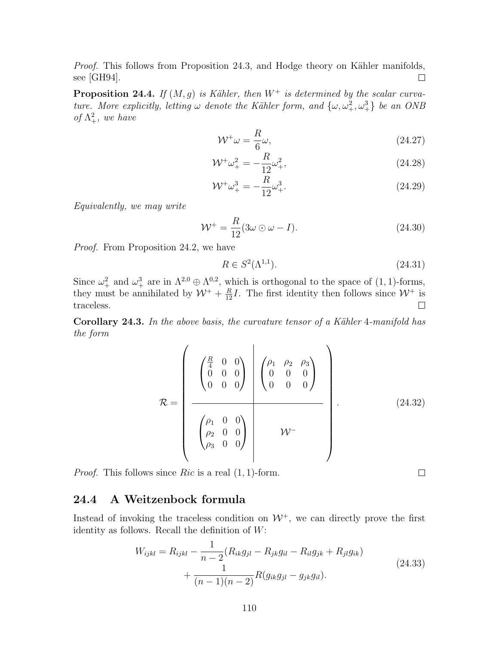*Proof.* This follows from Proposition 24.3, and Hodge theory on Kähler manifolds, see [GH94].  $\Box$ 

**Proposition 24.4.** If  $(M, g)$  is Kähler, then  $W^+$  is determined by the scalar curvature. More explicitly, letting  $\omega$  denote the Kähler form, and  $\{\omega, \omega_+^2, \omega_+^3\}$  be an ONB of  $\Lambda^2_+$ , we have

$$
\mathcal{W}^+\omega = \frac{R}{6}\omega,\tag{24.27}
$$

$$
\mathcal{W}^{\dagger} \omega_{+}^{2} = -\frac{R}{12} \omega_{+}^{2},\tag{24.28}
$$

$$
\mathcal{W}^{\dagger} \omega_{+}^{3} = -\frac{R}{12} \omega_{+}^{3}.
$$
 (24.29)

Equivalently, we may write

$$
\mathcal{W}^+ = \frac{R}{12} (3\omega \odot \omega - I). \tag{24.30}
$$

Proof. From Proposition 24.2, we have

$$
R \in S^2(\Lambda^{1,1}).
$$
\n(24.31)

 $\Box$ 

Since  $\omega_+^2$  and  $\omega_+^3$  are in  $\Lambda^{2,0} \oplus \Lambda^{0,2}$ , which is orthogonal to the space of  $(1,1)$ -forms, they must be annihilated by  $W^+ + \frac{R}{12}I$ . The first identity then follows since  $W^+$  is traceless.

Corollary 24.3. In the above basis, the curvature tensor of a Kähler 4-manifold has the form

$$
\mathcal{R} = \begin{pmatrix} \begin{pmatrix} \frac{R}{4} & 0 & 0 \\ 0 & 0 & 0 \\ 0 & 0 & 0 \end{pmatrix} & \begin{pmatrix} \rho_1 & \rho_2 & \rho_3 \\ 0 & 0 & 0 \\ 0 & 0 & 0 \end{pmatrix} \\ \begin{pmatrix} \rho_1 & 0 & 0 \\ \rho_2 & 0 & 0 \\ \rho_3 & 0 & 0 \end{pmatrix} & \mathcal{W}^- \end{pmatrix} . \tag{24.32}
$$

*Proof.* This follows since  $Ric$  is a real  $(1, 1)$ -form.

### 24.4 A Weitzenbock formula

Instead of invoking the traceless condition on  $W^+$ , we can directly prove the first identity as follows. Recall the definition of  $W$ :

$$
W_{ijkl} = R_{ijkl} - \frac{1}{n-2} (R_{ik}g_{jl} - R_{jk}g_{il} - R_{il}g_{jk} + R_{jl}g_{ik})
$$
  
+ 
$$
\frac{1}{(n-1)(n-2)} R(g_{ik}g_{jl} - g_{jk}g_{il}).
$$
 (24.33)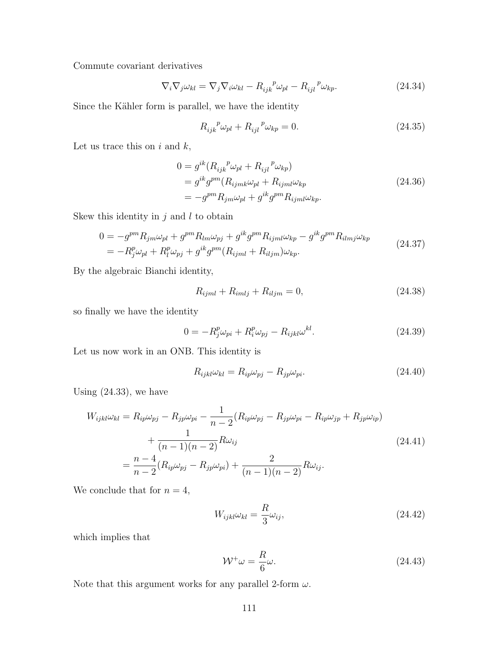Commute covariant derivatives

$$
\nabla_i \nabla_j \omega_{kl} = \nabla_j \nabla_i \omega_{kl} - R_{ijk}^{\ \ p} \omega_{pl} - R_{ijl}^{\ \ p} \omega_{kp}.
$$
 (24.34)

Since the Kähler form is parallel, we have the identity

$$
R_{ijk}^{\ \ p}\omega_{pl} + R_{ijl}^{\ \ p}\omega_{kp} = 0. \tag{24.35}
$$

Let us trace this on  $i$  and  $k$ ,

$$
0 = g^{ik} (R_{ijk}^{\ \ p}\omega_{pl} + R_{ijl}^{\ \ p}\omega_{kp})
$$
  
=  $g^{ik} g^{pm} (R_{ijmk}\omega_{pl} + R_{ijml}\omega_{kp})$   
=  $-g^{pm} R_{jm}\omega_{pl} + g^{ik} g^{pm} R_{ijml}\omega_{kp}.$  (24.36)

Skew this identity in  $j$  and  $l$  to obtain

$$
0 = -g^{pm}R_{jm}\omega_{pl} + g^{pm}R_{lm}\omega_{pj} + g^{ik}g^{pm}R_{ijml}\omega_{kp} - g^{ik}g^{pm}R_{ilmj}\omega_{kp}
$$
  

$$
= -R_{j}^{p}\omega_{pl} + R_{l}^{p}\omega_{pj} + g^{ik}g^{pm}(R_{ijml} + R_{iljm})\omega_{kp}.
$$
 (24.37)

By the algebraic Bianchi identity,

$$
R_{ijml} + R_{imlj} + R_{iljm} = 0,
$$
\n(24.38)

so finally we have the identity

$$
0 = -R_j^p \omega_{pi} + R_i^p \omega_{pj} - R_{ijkl} \omega^{kl}.
$$
\n(24.39)

Let us now work in an ONB. This identity is

$$
R_{ijkl}\omega_{kl} = R_{ip}\omega_{pj} - R_{jp}\omega_{pi}.
$$
\n(24.40)

Using  $(24.33)$ , we have

$$
W_{ijkl}\omega_{kl} = R_{ip}\omega_{pj} - R_{jp}\omega_{pi} - \frac{1}{n-2}(R_{ip}\omega_{pj} - R_{jp}\omega_{pi} - R_{ip}\omega_{jp} + R_{jp}\omega_{ip})
$$
  
+ 
$$
\frac{1}{(n-1)(n-2)}R\omega_{ij}
$$
  
= 
$$
\frac{n-4}{n-2}(R_{ip}\omega_{pj} - R_{jp}\omega_{pi}) + \frac{2}{(n-1)(n-2)}R\omega_{ij}.
$$
 (24.41)

We conclude that for  $n = 4$ ,

$$
W_{ijkl}\omega_{kl} = \frac{R}{3}\omega_{ij},\tag{24.42}
$$

which implies that

$$
\mathcal{W}^+\omega = \frac{R}{6}\omega.
$$
\n(24.43)

Note that this argument works for any parallel 2-form  $\omega$ .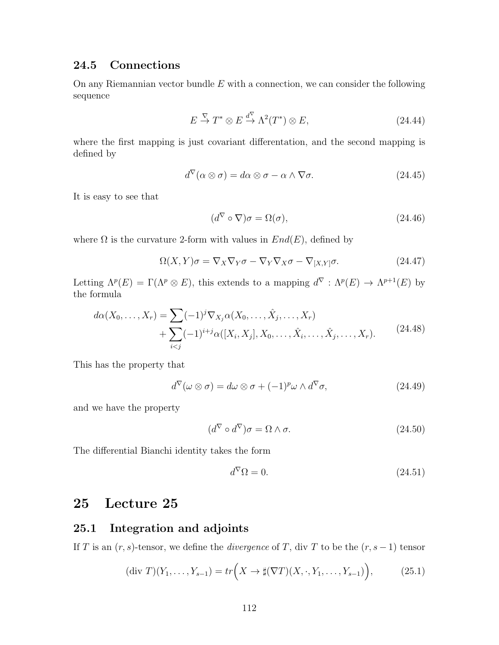#### 24.5 Connections

On any Riemannian vector bundle  $E$  with a connection, we can consider the following sequence

$$
E \stackrel{\nabla}{\to} T^* \otimes E \stackrel{d^{\nabla}}{\to} \Lambda^2(T^*) \otimes E, \tag{24.44}
$$

where the first mapping is just covariant differentation, and the second mapping is defined by

$$
d^{\nabla}(\alpha \otimes \sigma) = d\alpha \otimes \sigma - \alpha \wedge \nabla \sigma.
$$
 (24.45)

It is easy to see that

$$
(d^{\nabla} \circ \nabla)\sigma = \Omega(\sigma),\tag{24.46}
$$

where  $\Omega$  is the curvature 2-form with values in  $End(E)$ , defined by

$$
\Omega(X, Y)\sigma = \nabla_X \nabla_Y \sigma - \nabla_Y \nabla_X \sigma - \nabla_{[X, Y]} \sigma.
$$
\n(24.47)

Letting  $\Lambda^p(E) = \Gamma(\Lambda^p \otimes E)$ , this extends to a mapping  $d^{\nabla} : \Lambda^p(E) \to \Lambda^{p+1}(E)$  by the formula

$$
d\alpha(X_0, ..., X_r) = \sum (-1)^j \nabla_{X_j} \alpha(X_0, ..., \hat{X}_j, ..., X_r)
$$
  
+ 
$$
\sum_{i < j} (-1)^{i+j} \alpha([X_i, X_j], X_0, ..., \hat{X}_i, ..., \hat{X}_j, ..., X_r).
$$
 (24.48)

This has the property that

$$
d^{\nabla}(\omega \otimes \sigma) = d\omega \otimes \sigma + (-1)^p \omega \wedge d^{\nabla} \sigma,
$$
\n(24.49)

and we have the property

$$
(d^{\nabla} \circ d^{\nabla})\sigma = \Omega \wedge \sigma. \tag{24.50}
$$

The differential Bianchi identity takes the form

$$
d^{\nabla} \Omega = 0. \tag{24.51}
$$

## 25 Lecture 25

#### 25.1 Integration and adjoints

If T is an  $(r, s)$ -tensor, we define the *divergence* of T, div T to be the  $(r, s - 1)$  tensor

$$
(\text{div } T)(Y_1, \dots, Y_{s-1}) = tr\left(X \to \sharp(\nabla T)(X, \cdot, Y_1, \dots, Y_{s-1})\right),\tag{25.1}
$$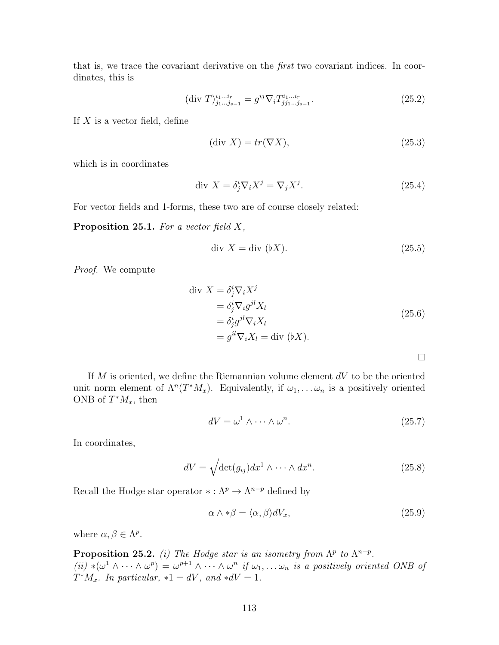that is, we trace the covariant derivative on the first two covariant indices. In coordinates, this is

$$
(\text{div } T)^{i_1 \dots i_r}_{j_1 \dots j_{s-1}} = g^{ij} \nabla_i T^{i_1 \dots i_r}_{j j_1 \dots j_{s-1}}.
$$
\n(25.2)

If  $X$  is a vector field, define

$$
(\text{div } X) = tr(\nabla X),\tag{25.3}
$$

which is in coordinates

$$
\text{div } X = \delta_j^i \nabla_i X^j = \nabla_j X^j. \tag{25.4}
$$

For vector fields and 1-forms, these two are of course closely related:

**Proposition 25.1.** For a vector field  $X$ ,

$$
\text{div } X = \text{div } (\flat X). \tag{25.5}
$$

Proof. We compute

div 
$$
X = \delta_j^i \nabla_i X^j
$$
  
\n
$$
= \delta_j^i \nabla_i g^{jl} X_l
$$
\n
$$
= \delta_j^i g^{jl} \nabla_i X_l
$$
\n
$$
= g^{il} \nabla_i X_l = \text{div } (\flat X).
$$
\n
$$
\Box
$$

If  $M$  is oriented, we define the Riemannian volume element  $dV$  to be the oriented unit norm element of  $\Lambda^n(T^*M_x)$ . Equivalently, if  $\omega_1, \ldots \omega_n$  is a positively oriented ONB of  $T^*M_x$ , then

$$
dV = \omega^1 \wedge \dots \wedge \omega^n. \tag{25.7}
$$

In coordinates,

$$
dV = \sqrt{\det(g_{ij})} dx^{1} \wedge \dots \wedge dx^{n}.
$$
 (25.8)

Recall the Hodge star operator  $* : \Lambda^p \to \Lambda^{n-p}$  defined by

$$
\alpha \wedge * \beta = \langle \alpha, \beta \rangle dV_x,\tag{25.9}
$$

where  $\alpha, \beta \in \Lambda^p$ .

**Proposition 25.2.** (i) The Hodge star is an isometry from  $\Lambda^p$  to  $\Lambda^{n-p}$ . (ii) \* $(\omega^1 \wedge \cdots \wedge \omega^p) = \omega^{p+1} \wedge \cdots \wedge \omega^n$  if  $\omega_1, \ldots \omega_n$  is a positively oriented ONB of  $T^*M_x$ . In particular,  $*1 = dV$ , and  $*dV = 1$ .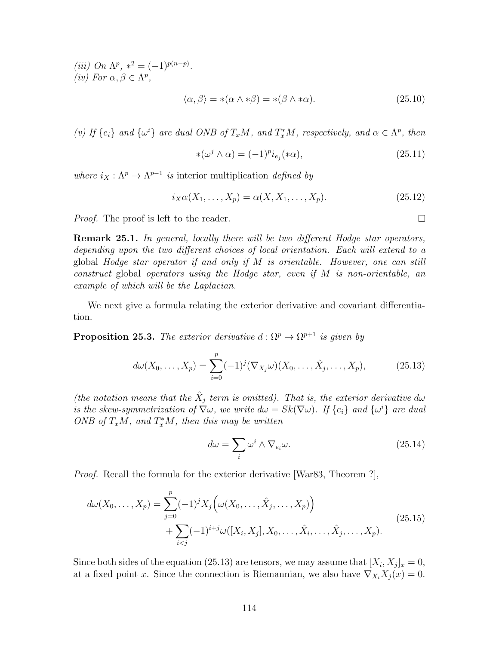(iii) On  $\Lambda^p$ ,  $*^2 = (-1)^{p(n-p)}$ . (iv) For  $\alpha, \beta \in \Lambda^p$ ,

$$
\langle \alpha, \beta \rangle = *(\alpha \wedge * \beta) = *(\beta \wedge * \alpha). \tag{25.10}
$$

(v) If  $\{e_i\}$  and  $\{\omega^i\}$  are dual ONB of  $T_xM$ , and  $T_x^*M$ , respectively, and  $\alpha \in \Lambda^p$ , then

$$
\ast(\omega^j \wedge \alpha) = (-1)^p i_{e_j}(\ast \alpha),\tag{25.11}
$$

where  $i_X : \Lambda^p \to \Lambda^{p-1}$  is interior multiplication defined by

$$
i_X\alpha(X_1,\ldots,X_p) = \alpha(X,X_1,\ldots,X_p). \tag{25.12}
$$

Proof. The proof is left to the reader.

**Remark 25.1.** In general, locally there will be two different Hodge star operators, depending upon the two different choices of local orientation. Each will extend to a global Hodge star operator if and only if M is orientable. However, one can still construct global operators using the Hodge star, even if M is non-orientable, an example of which will be the Laplacian.

We next give a formula relating the exterior derivative and covariant differentiation.

**Proposition 25.3.** The exterior derivative  $d : \Omega^p \to \Omega^{p+1}$  is given by

$$
d\omega(X_0, \dots, X_p) = \sum_{i=0}^p (-1)^j (\nabla_{X_j} \omega)(X_0, \dots, \hat{X}_j, \dots, X_p),
$$
 (25.13)

(the notation means that the  $\hat{X}_j$  term is omitted). That is, the exterior derivative dw is the skew-symmetrization of  $\nabla \omega$ , we write  $d\omega = Sk(\nabla \omega)$ . If  $\{e_i\}$  and  $\{\omega^i\}$  are dual ONB of  $T_xM$ , and  $T_x^*M$ , then this may be written

$$
d\omega = \sum_{i} \omega^{i} \wedge \nabla_{e_{i}} \omega.
$$
 (25.14)

Proof. Recall the formula for the exterior derivative [War83, Theorem ?],

$$
d\omega(X_0, ..., X_p) = \sum_{j=0}^p (-1)^j X_j \left( \omega(X_0, ..., \hat{X}_j, ..., X_p) \right) + \sum_{i < j} (-1)^{i+j} \omega([X_i, X_j], X_0, ..., \hat{X}_i, ..., \hat{X}_j, ..., X_p).
$$
\n(25.15)

Since both sides of the equation (25.13) are tensors, we may assume that  $[X_i, X_j]_x = 0$ , at a fixed point x. Since the connection is Riemannian, we also have  $\nabla_{X_i} X_j(x) = 0$ .

 $\Box$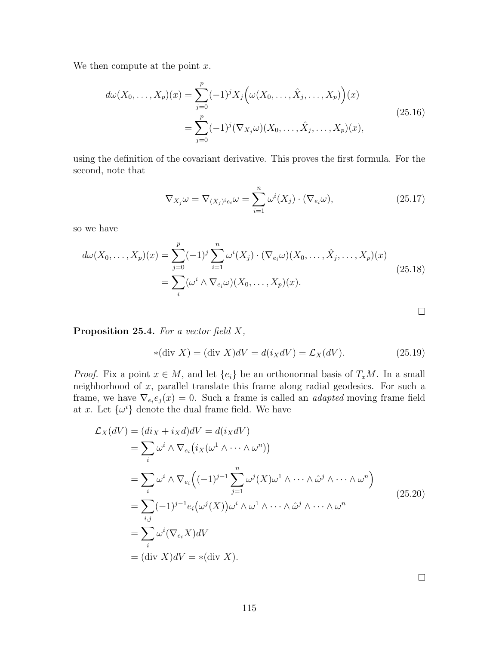We then compute at the point  $x$ .

$$
d\omega(X_0, ..., X_p)(x) = \sum_{j=0}^p (-1)^j X_j \left( \omega(X_0, ..., \hat{X}_j, ..., X_p) \right)(x)
$$
  
= 
$$
\sum_{j=0}^p (-1)^j (\nabla_{X_j} \omega)(X_0, ..., \hat{X}_j, ..., X_p)(x),
$$
 (25.16)

using the definition of the covariant derivative. This proves the first formula. For the second, note that

$$
\nabla_{X_j}\omega = \nabla_{(X_j)^i e_i}\omega = \sum_{i=1}^n \omega^i(X_j) \cdot (\nabla_{e_i}\omega), \qquad (25.17)
$$

so we have

$$
d\omega(X_0, ..., X_p)(x) = \sum_{j=0}^p (-1)^j \sum_{i=1}^n \omega^i(X_j) \cdot (\nabla_{e_i}\omega)(X_0, ..., \hat{X}_j, ..., X_p)(x)
$$
  
= 
$$
\sum_i (\omega^i \wedge \nabla_{e_i}\omega)(X_0, ..., X_p)(x).
$$
 (25.18)

**Proposition 25.4.** For a vector field  $X$ ,

$$
*(\text{div } X) = (\text{div } X)dV = d(i_XdV) = \mathcal{L}_X(dV). \tag{25.19}
$$

*Proof.* Fix a point  $x \in M$ , and let  $\{e_i\}$  be an orthonormal basis of  $T_xM$ . In a small neighborhood of x, parallel translate this frame along radial geodesics. For such a frame, we have  $\nabla_{e_i} e_j(x) = 0$ . Such a frame is called an *adapted* moving frame field at x. Let  $\{\omega^i\}$  denote the dual frame field. We have

$$
\mathcal{L}_X(dV) = (di_X + i_X d)dV = d(i_X dV)
$$
  
\n
$$
= \sum_i \omega^i \wedge \nabla_{e_i} (i_X(\omega^1 \wedge \cdots \wedge \omega^n))
$$
  
\n
$$
= \sum_i \omega^i \wedge \nabla_{e_i} ((-1)^{j-1} \sum_{j=1}^n \omega^j(X)\omega^1 \wedge \cdots \wedge \hat{\omega}^j \wedge \cdots \wedge \omega^n)
$$
  
\n
$$
= \sum_{i,j} (-1)^{j-1} e_i (\omega^j(X)) \omega^i \wedge \omega^1 \wedge \cdots \wedge \hat{\omega}^j \wedge \cdots \wedge \omega^n
$$
  
\n
$$
= \sum_i \omega^i(\nabla_{e_i} X)dV
$$
  
\n
$$
= (\text{div } X)dV = *( \text{div } X).
$$
 (25.20)

 $\Box$ 

 $\Box$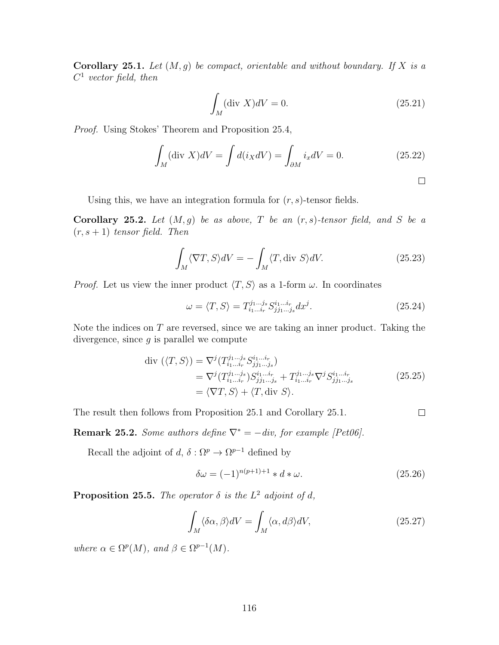**Corollary 25.1.** Let  $(M, g)$  be compact, orientable and without boundary. If X is a  $C^1$  vector field, then

$$
\int_{M} (\text{div } X)dV = 0. \tag{25.21}
$$

Proof. Using Stokes' Theorem and Proposition 25.4,

$$
\int_{M} (\text{div } X)dV = \int d(i_{X}dV) = \int_{\partial M} i_{x}dV = 0.
$$
\n(25.22)

Using this, we have an integration formula for  $(r, s)$ -tensor fields.

Corollary 25.2. Let  $(M, g)$  be as above, T be an  $(r, s)$ -tensor field, and S be a  $(r, s + 1)$  tensor field. Then

$$
\int_{M} \langle \nabla T, S \rangle dV = -\int_{M} \langle T, \text{div } S \rangle dV. \tag{25.23}
$$

*Proof.* Let us view the inner product  $\langle T, S \rangle$  as a 1-form  $\omega$ . In coordinates

$$
\omega = \langle T, S \rangle = T_{i_1 \dots i_r}^{j_1 \dots j_s} S_{j j_1 \dots j_s}^{i_1 \dots i_r} dx^j.
$$
\n(25.24)

Note the indices on  $T$  are reversed, since we are taking an inner product. Taking the divergence, since  $g$  is parallel we compute

$$
\begin{split} \text{div } (\langle T, S \rangle) &= \nabla^j (T_{i_1 \dots i_r}^{j_1 \dots j_s} S_{j j_1 \dots j_s}^{i_1 \dots i_r}) \\ &= \nabla^j (T_{i_1 \dots i_r}^{j_1 \dots j_s} S_{j j_1 \dots j_s}^{i_1 \dots i_r} + T_{i_1 \dots i_r}^{j_1 \dots j_s} \nabla^j S_{j j_1 \dots j_s}^{i_1 \dots i_r} \\ &= \langle \nabla T, S \rangle + \langle T, \text{div } S \rangle. \end{split} \tag{25.25}
$$

The result then follows from Proposition 25.1 and Corollary 25.1.

Remark 25.2. Some authors define  $\nabla^* = -div$ , for example [Pet06].

Recall the adjoint of  $d, \delta : \Omega^p \to \Omega^{p-1}$  defined by

$$
\delta\omega = (-1)^{n(p+1)+1} * d * \omega.
$$
\n(25.26)

 $\Box$ 

**Proposition 25.5.** The operator  $\delta$  is the  $L^2$  adjoint of d,

$$
\int_{M} \langle \delta \alpha, \beta \rangle dV = \int_{M} \langle \alpha, d\beta \rangle dV, \tag{25.27}
$$

where  $\alpha \in \Omega^p(M)$ , and  $\beta \in \Omega^{p-1}(M)$ .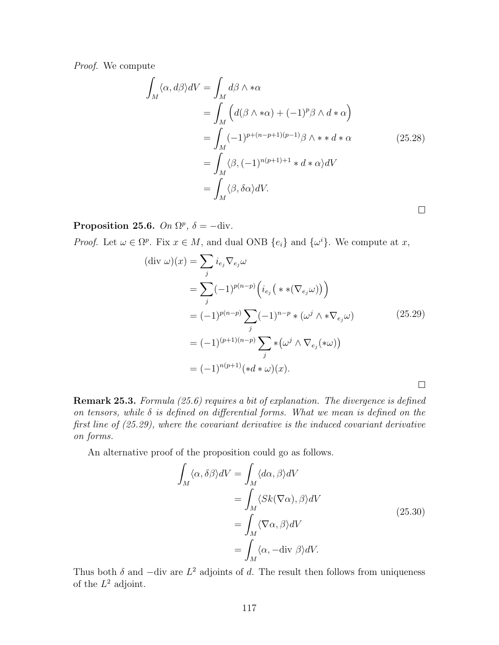Proof. We compute

$$
\int_{M} \langle \alpha, d\beta \rangle dV = \int_{M} d\beta \wedge * \alpha
$$
\n
$$
= \int_{M} \left( d(\beta \wedge * \alpha) + (-1)^{p} \beta \wedge d * \alpha \right)
$$
\n
$$
= \int_{M} (-1)^{p+(n-p+1)(p-1)} \beta \wedge * d * \alpha \qquad (25.28)
$$
\n
$$
= \int_{M} \langle \beta, (-1)^{n(p+1)+1} * d * \alpha \rangle dV
$$
\n
$$
= \int_{M} \langle \beta, \delta \alpha \rangle dV.
$$

Proposition 25.6. On  $\Omega^p$ ,  $\delta = -\text{div}.$ 

*Proof.* Let  $\omega \in \Omega^p$ . Fix  $x \in M$ , and dual ONB  $\{e_i\}$  and  $\{\omega^i\}$ . We compute at x,

$$
(\text{div }\omega)(x) = \sum_{j} i_{e_j} \nabla_{e_j} \omega
$$
  
= 
$$
\sum_{j} (-1)^{p(n-p)} \left( i_{e_j} \left( * \left( \nabla_{e_j} \omega \right) \right) \right)
$$
  
= 
$$
(-1)^{p(n-p)} \sum_{j} (-1)^{n-p} \left( \omega^j \wedge * \nabla_{e_j} \omega \right)
$$
  
= 
$$
(-1)^{(p+1)(n-p)} \sum_{j} \left( \omega^j \wedge \nabla_{e_j} \left( * \omega \right) \right)
$$
  
= 
$$
(-1)^{n(p+1)} \left( *d * \omega \right)(x).
$$

Remark 25.3. Formula (25.6) requires a bit of explanation. The divergence is defined on tensors, while  $\delta$  is defined on differential forms. What we mean is defined on the first line of (25.29), where the covariant derivative is the induced covariant derivative on forms.

An alternative proof of the proposition could go as follows.

$$
\int_{M} \langle \alpha, \delta \beta \rangle dV = \int_{M} \langle d\alpha, \beta \rangle dV
$$
\n
$$
= \int_{M} \langle Sk(\nabla \alpha), \beta \rangle dV
$$
\n
$$
= \int_{M} \langle \nabla \alpha, \beta \rangle dV
$$
\n
$$
= \int_{M} \langle \alpha, -\text{div } \beta \rangle dV.
$$
\n(25.30)

Thus both  $\delta$  and  $-\text{div}$  are  $L^2$  adjoints of d. The result then follows from uniqueness of the  $L^2$  adjoint.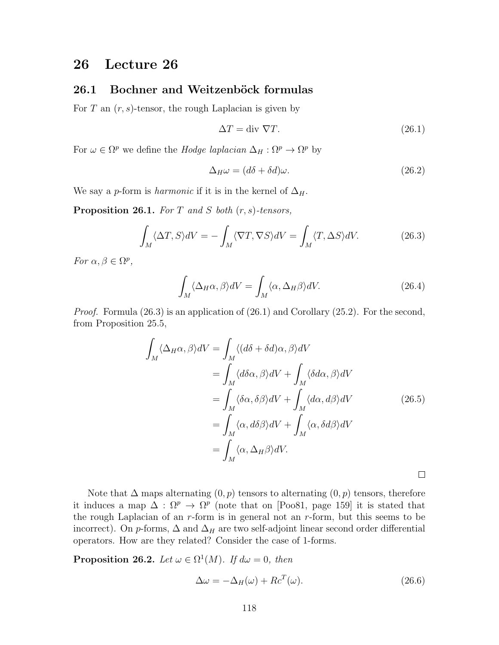### 26 Lecture 26

### 26.1 Bochner and Weitzenböck formulas

For T an  $(r, s)$ -tensor, the rough Laplacian is given by

$$
\Delta T = \text{div } \nabla T. \tag{26.1}
$$

For  $\omega \in \Omega^p$  we define the *Hodge laplacian*  $\Delta_H : \Omega^p \to \Omega^p$  by

$$
\Delta_H \omega = (d\delta + \delta d)\omega. \tag{26.2}
$$

We say a p-form is *harmonic* if it is in the kernel of  $\Delta_H$ .

**Proposition 26.1.** For T and S both  $(r, s)$ -tensors,

$$
\int_{M} \langle \Delta T, S \rangle dV = -\int_{M} \langle \nabla T, \nabla S \rangle dV = \int_{M} \langle T, \Delta S \rangle dV. \tag{26.3}
$$

For  $\alpha, \beta \in \Omega^p$ ,

$$
\int_{M} \langle \Delta_{H}\alpha, \beta \rangle dV = \int_{M} \langle \alpha, \Delta_{H}\beta \rangle dV. \tag{26.4}
$$

*Proof.* Formula (26.3) is an application of (26.1) and Corollary (25.2). For the second, from Proposition 25.5,

$$
\int_{M} \langle \Delta_{H}\alpha, \beta \rangle dV = \int_{M} \langle (d\delta + \delta d)\alpha, \beta \rangle dV
$$
\n
$$
= \int_{M} \langle d\delta \alpha, \beta \rangle dV + \int_{M} \langle \delta d\alpha, \beta \rangle dV
$$
\n
$$
= \int_{M} \langle \delta \alpha, \delta \beta \rangle dV + \int_{M} \langle d\alpha, d\beta \rangle dV
$$
\n
$$
= \int_{M} \langle \alpha, d\delta \beta \rangle dV + \int_{M} \langle \alpha, \delta d\beta \rangle dV
$$
\n
$$
= \int_{M} \langle \alpha, \Delta_{H}\beta \rangle dV.
$$
\n(26.5)

Note that  $\Delta$  maps alternating  $(0, p)$  tensors to alternating  $(0, p)$  tensors, therefore it induces a map  $\Delta : \Omega^p \to \Omega^p$  (note that on [Poo81, page 159] it is stated that the rough Laplacian of an  $r$ -form is in general not an  $r$ -form, but this seems to be incorrect). On p-forms,  $\Delta$  and  $\Delta_H$  are two self-adjoint linear second order differential operators. How are they related? Consider the case of 1-forms.

**Proposition 26.2.** Let  $\omega \in \Omega^1(M)$ . If  $d\omega = 0$ , then

$$
\Delta \omega = -\Delta_H(\omega) + R c^T(\omega). \tag{26.6}
$$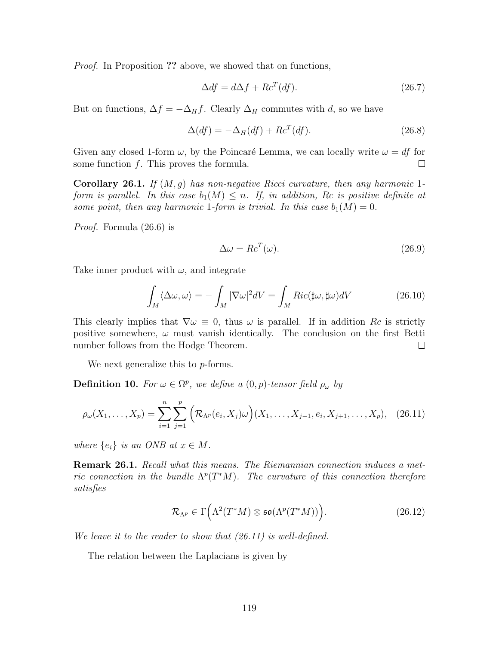Proof. In Proposition ?? above, we showed that on functions,

$$
\Delta df = d\Delta f + R c^T (df). \tag{26.7}
$$

But on functions,  $\Delta f = -\Delta_H f$ . Clearly  $\Delta_H$  commutes with d, so we have

$$
\Delta(df) = -\Delta_H(df) + Rc^T(df). \tag{26.8}
$$

Given any closed 1-form  $\omega$ , by the Poincaré Lemma, we can locally write  $\omega = df$  for some function  $f$ . This proves the formula.  $\Box$ 

**Corollary 26.1.** If  $(M, g)$  has non-negative Ricci curvature, then any harmonic 1form is parallel. In this case  $b_1(M) \leq n$ . If, in addition, Rc is positive definite at some point, then any harmonic 1-form is trivial. In this case  $b_1(M) = 0$ .

Proof. Formula (26.6) is

$$
\Delta \omega = R c^T(\omega). \tag{26.9}
$$

Take inner product with  $\omega$ , and integrate

$$
\int_{M} \langle \Delta \omega, \omega \rangle = -\int_{M} |\nabla \omega|^{2} dV = \int_{M} Ric(\sharp \omega, \sharp \omega) dV
$$
\n(26.10)

This clearly implies that  $\nabla \omega \equiv 0$ , thus  $\omega$  is parallel. If in addition Rc is strictly positive somewhere,  $\omega$  must vanish identically. The conclusion on the first Betti number follows from the Hodge Theorem.  $\Box$ 

We next generalize this to *p*-forms.

**Definition 10.** For  $\omega \in \Omega^p$ , we define a  $(0, p)$ -tensor field  $\rho_{\omega}$  by

$$
\rho_{\omega}(X_1, \ldots, X_p) = \sum_{i=1}^n \sum_{j=1}^p \left( \mathcal{R}_{\Lambda^p}(e_i, X_j) \omega \right) (X_1, \ldots, X_{j-1}, e_i, X_{j+1}, \ldots, X_p), \quad (26.11)
$$

where  $\{e_i\}$  is an ONB at  $x \in M$ .

**Remark 26.1.** Recall what this means. The Riemannian connection induces a metric connection in the bundle  $\Lambda^p(T^*M)$ . The curvature of this connection therefore satisfies

$$
\mathcal{R}_{\Lambda^p} \in \Gamma\Big(\Lambda^2(T^*M) \otimes \mathfrak{so}(\Lambda^p(T^*M))\Big). \tag{26.12}
$$

We leave it to the reader to show that (26.11) is well-defined.

The relation between the Laplacians is given by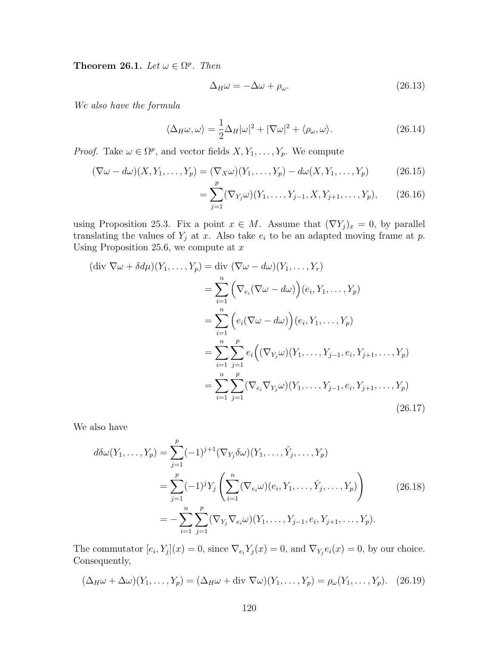Theorem 26.1. Let  $\omega \in \Omega^p$ . Then

$$
\Delta_H \omega = -\Delta \omega + \rho_\omega. \tag{26.13}
$$

We also have the formula

$$
\langle \Delta_H \omega, \omega \rangle = \frac{1}{2} \Delta_H |\omega|^2 + |\nabla \omega|^2 + \langle \rho_\omega, \omega \rangle. \tag{26.14}
$$

*Proof.* Take  $\omega \in \Omega^p$ , and vector fields  $X, Y_1, \ldots, Y_p$ . We compute

$$
(\nabla \omega - d\omega)(X, Y_1, \dots, Y_p) = (\nabla_X \omega)(Y_1, \dots, Y_p) - d\omega(X, Y_1, \dots, Y_p)
$$
(26.15)

$$
= \sum_{j=1}^{r} (\nabla_{Y_j} \omega)(Y_1, \dots, Y_{j-1}, X, Y_{j+1}, \dots, Y_p), \qquad (26.16)
$$

using Proposition 25.3. Fix a point  $x \in M$ . Assume that  $(\nabla Y_j)_x = 0$ , by parallel translating the values of  $Y_j$  at x. Also take  $e_i$  to be an adapted moving frame at p. Using Proposition 25.6, we compute at  $x$ 

$$
(\text{div }\nabla\omega + \delta d\mu)(Y_1, ..., Y_p) = \text{div } (\nabla\omega - d\omega)(Y_1, ..., Y_r)
$$
  
\n
$$
= \sum_{i=1}^n \left( \nabla_{e_i} (\nabla\omega - d\omega) \right) (e_i, Y_1, ..., Y_p)
$$
  
\n
$$
= \sum_{i=1}^n \left( e_i (\nabla\omega - d\omega) \right) (e_i, Y_1, ..., Y_p)
$$
  
\n
$$
= \sum_{i=1}^n \sum_{j=1}^p e_i \left( (\nabla_{Y_j}\omega)(Y_1, ..., Y_{j-1}, e_i, Y_{j+1}, ..., Y_p) \right)
$$
  
\n
$$
= \sum_{i=1}^n \sum_{j=1}^p (\nabla_{e_i} \nabla_{Y_j}\omega)(Y_1, ..., Y_{j-1}, e_i, Y_{j+1}, ..., Y_p)
$$
  
\n(26.17)

We also have

$$
d\delta\omega(Y_1, ..., Y_p) = \sum_{j=1}^p (-1)^{j+1} (\nabla_{Y_j} \delta\omega)(Y_1, ..., \hat{Y}_j, ..., Y_p)
$$
  
= 
$$
\sum_{j=1}^p (-1)^j Y_j \left( \sum_{i=1}^n (\nabla_{e_i} \omega)(e_i, Y_1, ..., \hat{Y}_j, ..., Y_p) \right)
$$
  
= 
$$
- \sum_{i=1}^n \sum_{j=1}^p (\nabla_{Y_j} \nabla_{e_i} \omega)(Y_1, ..., Y_{j-1}, e_i, Y_{j+1}, ..., Y_p).
$$
 (26.18)

The commutator  $[e_i, Y_j](x) = 0$ , since  $\nabla_{e_i} Y_j(x) = 0$ , and  $\nabla_{Y_j} e_i(x) = 0$ , by our choice. Consequently,

$$
(\Delta_H \omega + \Delta \omega)(Y_1, \dots, Y_p) = (\Delta_H \omega + \text{div } \nabla \omega)(Y_1, \dots, Y_p) = \rho_\omega(Y_1, \dots, Y_p). \quad (26.19)
$$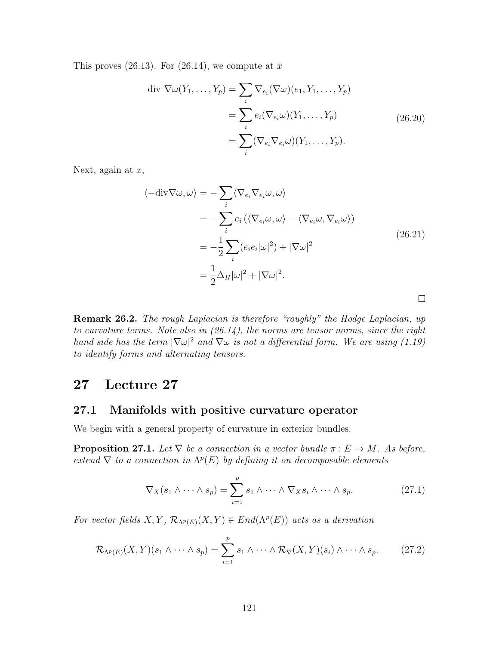This proves  $(26.13)$ . For  $(26.14)$ , we compute at x

$$
\text{div } \nabla \omega(Y_1, \dots, Y_p) = \sum_i \nabla_{e_i} (\nabla \omega)(e_1, Y_1, \dots, Y_p)
$$

$$
= \sum_i e_i (\nabla_{e_i} \omega)(Y_1, \dots, Y_p)
$$

$$
= \sum_i (\nabla_{e_i} \nabla_{e_i} \omega)(Y_1, \dots, Y_p).
$$
(26.20)

Next, again at  $x$ ,

$$
\langle -\mathrm{div}\nabla\omega, \omega \rangle = -\sum_{i} \langle \nabla_{e_i} \nabla_{e_i} \omega, \omega \rangle
$$
  

$$
= -\sum_{i} e_i \left( \langle \nabla_{e_i} \omega, \omega \rangle - \langle \nabla_{e_i} \omega, \nabla_{e_i} \omega \rangle \right)
$$
  

$$
= -\frac{1}{2} \sum_{i} (e_i e_i |\omega|^2) + |\nabla \omega|^2
$$
  

$$
= \frac{1}{2} \Delta_H |\omega|^2 + |\nabla \omega|^2.
$$
 (26.21)

**Remark 26.2.** The rough Laplacian is therefore "roughly" the Hodge Laplacian, up to curvature terms. Note also in  $(26.14)$ , the norms are tensor norms, since the right hand side has the term  $|\nabla \omega|^2$  and  $\nabla \omega$  is not a differential form. We are using (1.19) to identify forms and alternating tensors.

### 27 Lecture 27

#### 27.1 Manifolds with positive curvature operator

We begin with a general property of curvature in exterior bundles.

**Proposition 27.1.** Let  $\nabla$  be a connection in a vector bundle  $\pi : E \to M$ . As before, extend  $\nabla$  to a connection in  $\Lambda^p(E)$  by defining it on decomposable elements

$$
\nabla_X(s_1 \wedge \cdots \wedge s_p) = \sum_{i=1}^p s_1 \wedge \cdots \wedge \nabla_X s_i \wedge \cdots \wedge s_p.
$$
 (27.1)

For vector fields  $X, Y, \mathcal{R}_{\Lambda^p(E)}(X, Y) \in End(\Lambda^p(E))$  acts as a derivation

$$
\mathcal{R}_{\Lambda^p(E)}(X,Y)(s_1 \wedge \cdots \wedge s_p) = \sum_{i=1}^p s_1 \wedge \cdots \wedge \mathcal{R}_{\nabla}(X,Y)(s_i) \wedge \cdots \wedge s_p. \tag{27.2}
$$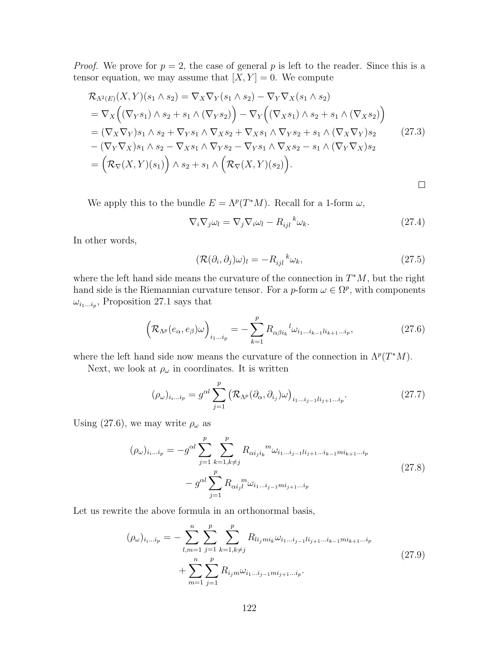*Proof.* We prove for  $p = 2$ , the case of general p is left to the reader. Since this is a tensor equation, we may assume that  $[X, Y] = 0$ . We compute

$$
\mathcal{R}_{\Lambda^{2}(E)}(X,Y)(s_{1}\wedge s_{2}) = \nabla_{X}\nabla_{Y}(s_{1}\wedge s_{2}) - \nabla_{Y}\nabla_{X}(s_{1}\wedge s_{2})
$$
\n
$$
= \nabla_{X}\Big((\nabla_{Y}s_{1})\wedge s_{2} + s_{1}\wedge(\nabla_{Y}s_{2})\Big) - \nabla_{Y}\Big((\nabla_{X}s_{1})\wedge s_{2} + s_{1}\wedge(\nabla_{X}s_{2})\Big)
$$
\n
$$
= (\nabla_{X}\nabla_{Y})s_{1}\wedge s_{2} + \nabla_{Y}s_{1}\wedge \nabla_{X}s_{2} + \nabla_{X}s_{1}\wedge \nabla_{Y}s_{2} + s_{1}\wedge(\nabla_{X}\nabla_{Y})s_{2} \qquad (27.3)
$$
\n
$$
- (\nabla_{Y}\nabla_{X})s_{1}\wedge s_{2} - \nabla_{X}s_{1}\wedge \nabla_{Y}s_{2} - \nabla_{Y}s_{1}\wedge \nabla_{X}s_{2} - s_{1}\wedge(\nabla_{Y}\nabla_{X})s_{2}
$$
\n
$$
= \left(\mathcal{R}_{\nabla}(X,Y)(s_{1})\right)\wedge s_{2} + s_{1}\wedge\left(\mathcal{R}_{\nabla}(X,Y)(s_{2})\right).
$$

We apply this to the bundle  $E = \Lambda^p(T^*M)$ . Recall for a 1-form  $\omega$ ,

$$
\nabla_i \nabla_j \omega_l = \nabla_j \nabla_i \omega_l - R_{ijl}^{\ \ k} \omega_k. \tag{27.4}
$$

In other words,

$$
(\mathcal{R}(\partial_i, \partial_j)\omega)_l = -R_{ijl}^{\ \ k}\omega_k,\tag{27.5}
$$

where the left hand side means the curvature of the connection in  $T^*M$ , but the right hand side is the Riemannian curvature tensor. For a *p*-form  $\omega \in \Omega^p$ , with components  $\omega_{i_1...i_p}$ , Proposition 27.1 says that

$$
\left(\mathcal{R}_{\Lambda^p}(e_{\alpha}, e_{\beta})\omega\right)_{i_1...i_p} = -\sum_{k=1}^p R_{\alpha\beta i_k}{}^l \omega_{i_1...i_{k-1}l i_{k+1}...i_p},\tag{27.6}
$$

where the left hand side now means the curvature of the connection in  $\Lambda^p(T^*M)$ .

Next, we look at  $\rho_\omega$  in coordinates. It is written

$$
(\rho_{\omega})_{i_1\ldots i_p} = g^{\alpha l} \sum_{j=1}^p \left( \mathcal{R}_{\Lambda^p}(\partial_{\alpha}, \partial_{i_j}) \omega \right)_{i_1\ldots i_{j-1}!i_{j+1}\ldots i_p}.
$$
 (27.7)

Using (27.6), we may write  $\rho_{\omega}$  as

$$
(\rho_{\omega})_{i_i...i_p} = -g^{\alpha l} \sum_{j=1}^p \sum_{k=1, k \neq j}^p R_{\alpha i_j i_k}{}^m \omega_{i_1...i_{j-1}l i_{j+1}...i_{k-1}m i_{k+1}...i_p}
$$
  

$$
-g^{\alpha l} \sum_{j=1}^p R_{\alpha i_j l}{}^m \omega_{i_1...i_{j-1}m i_{j+1}...i_p}
$$
 (27.8)

Let us rewrite the above formula in an orthonormal basis,

$$
(\rho_{\omega})_{i_i...i_p} = -\sum_{l,m=1}^{n} \sum_{j=1}^{p} \sum_{k=1, k \neq j}^{p} R_{li_jmi_k} \omega_{i_1...i_{j-1}li_{j+1}...i_{k-1}mi_{k+1}...i_p}
$$
  
+ 
$$
\sum_{m=1}^{n} \sum_{j=1}^{p} R_{i_jm} \omega_{i_1...i_{j-1}mi_{j+1}...i_p}.
$$
 (27.9)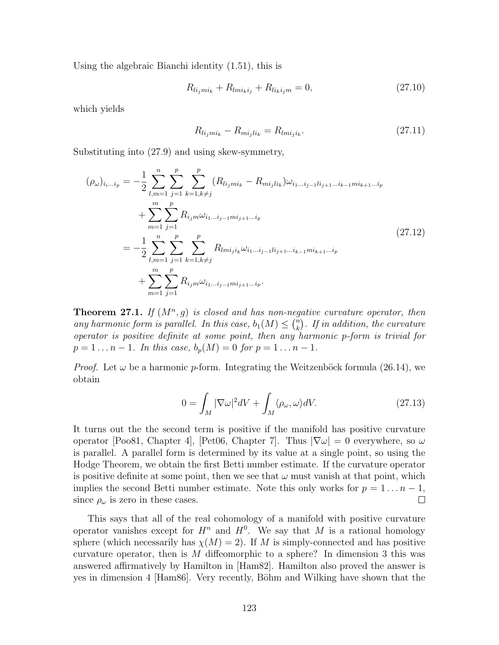Using the algebraic Bianchi identity (1.51), this is

$$
R_{li_jmi_k} + R_{lmi_ki_j} + R_{li_ki_jm} = 0,
$$
\n(27.10)

which yields

$$
R_{li_jmi_k} - R_{mi_jli_k} = R_{lmi_ji_k}.\t\t(27.11)
$$

Substituting into (27.9) and using skew-symmetry,

$$
(\rho_{\omega})_{i_{i}...i_{p}} = -\frac{1}{2} \sum_{l,m=1}^{n} \sum_{j=1}^{p} \sum_{k=1,k\neq j}^{p} (R_{li_{j}mi_{k}} - R_{mi_{j}li_{k}}) \omega_{i_{1}...i_{j-1}li_{j+1}...i_{k-1}mi_{k+1}...i_{p}}
$$
  
+ 
$$
\sum_{m=1}^{m} \sum_{j=1}^{p} R_{i_{j}m} \omega_{i_{1}...i_{j-1}mi_{j+1}...i_{p}}
$$
  
= 
$$
-\frac{1}{2} \sum_{l,m=1}^{n} \sum_{j=1}^{p} \sum_{k=1,k\neq j}^{p} R_{lmij_{i}k} \omega_{i_{1}...i_{j-1}li_{j+1}...i_{k-1}mi_{k+1}...i_{p}}
$$
  
+ 
$$
\sum_{m=1}^{m} \sum_{j=1}^{p} R_{i_{j}m} \omega_{i_{1}...i_{j-1}mi_{j+1}...i_{p}}.
$$
 (27.12)

**Theorem 27.1.** If  $(M^n, g)$  is closed and has non-negative curvature operator, then any harmonic form is parallel. In this case,  $b_1(M) \leq {n \choose k}$  $\binom{n}{k}$ . If in addition, the curvature operator is positive definite at some point, then any harmonic p-form is trivial for  $p = 1 \dots n - 1$ . In this case,  $b_p(M) = 0$  for  $p = 1 \dots n - 1$ .

*Proof.* Let  $\omega$  be a harmonic p-form. Integrating the Weitzenböck formula (26.14), we obtain

$$
0 = \int_{M} |\nabla \omega|^{2} dV + \int_{M} \langle \rho_{\omega}, \omega \rangle dV. \qquad (27.13)
$$

It turns out the the second term is positive if the manifold has positive curvature operator [Poo81, Chapter 4], [Pet06, Chapter 7]. Thus  $|\nabla \omega| = 0$  everywhere, so  $\omega$ is parallel. A parallel form is determined by its value at a single point, so using the Hodge Theorem, we obtain the first Betti number estimate. If the curvature operator is positive definite at some point, then we see that  $\omega$  must vanish at that point, which implies the second Betti number estimate. Note this only works for  $p = 1 \ldots n - 1$ , since  $\rho_{\omega}$  is zero in these cases.  $\Box$ 

This says that all of the real cohomology of a manifold with positive curvature operator vanishes except for  $H^n$  and  $H^0$ . We say that M is a rational homology sphere (which necessarily has  $\chi(M) = 2$ ). If M is simply-connected and has positive curvature operator, then is  $M$  diffeomorphic to a sphere? In dimension 3 this was answered affirmatively by Hamilton in [Ham82]. Hamilton also proved the answer is yes in dimension 4 [Ham86]. Very recently, Böhm and Wilking have shown that the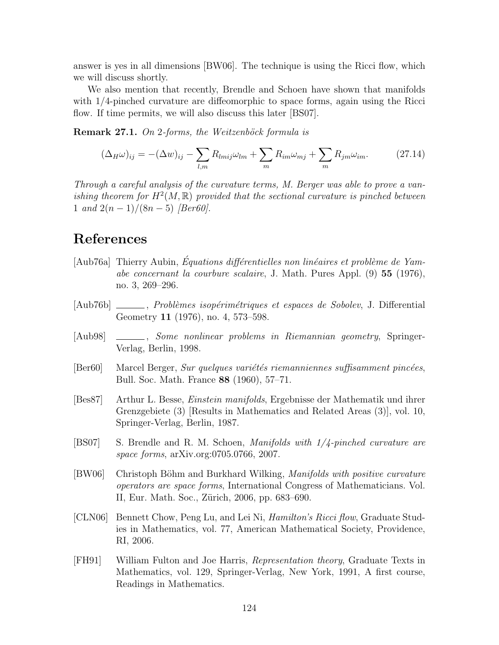answer is yes in all dimensions [BW06]. The technique is using the Ricci flow, which we will discuss shortly.

We also mention that recently, Brendle and Schoen have shown that manifolds with 1/4-pinched curvature are diffeomorphic to space forms, again using the Ricci flow. If time permits, we will also discuss this later [BS07].

**Remark 27.1.** On 2-forms, the Weitzenböck formula is

$$
(\Delta_H \omega)_{ij} = -(\Delta w)_{ij} - \sum_{l,m} R_{lmij} \omega_{lm} + \sum_m R_{im} \omega_{mj} + \sum_m R_{jm} \omega_{im}. \qquad (27.14)
$$

Through a careful analysis of the curvature terms, M. Berger was able to prove a vanishing theorem for  $H^2(M,\mathbb{R})$  provided that the sectional curvature is pinched between 1 and  $2(n-1)/(8n-5)$  [Ber60].

# References

- [Aub76a] Thierry Aubin, Équations différentielles non linéaires et problème de Yamabe concernant la courbure scalaire, J. Math. Pures Appl. (9) 55 (1976), no. 3, 269–296.
- [Aub76b] \_\_\_\_\_, *Problèmes isopérimétriques et espaces de Sobolev*, J. Differential Geometry 11 (1976), no. 4, 573–598.
- [Aub98]  $\_\_\_\_\_\_\_\_\_\_\_\_\_\_\_\.\$  Some nonlinear problems in Riemannian geometry, Springer-Verlag, Berlin, 1998.
- $[Ber60]$  Marcel Berger, *Sur quelques variétés riemanniennes suffisamment pincées*, Bull. Soc. Math. France 88 (1960), 57–71.
- [Bes87] Arthur L. Besse, Einstein manifolds, Ergebnisse der Mathematik und ihrer Grenzgebiete (3) [Results in Mathematics and Related Areas (3)], vol. 10, Springer-Verlag, Berlin, 1987.
- [BS07] S. Brendle and R. M. Schoen, Manifolds with 1/4-pinched curvature are space forms, arXiv.org:0705.0766, 2007.
- [BW06] Christoph Böhm and Burkhard Wilking, *Manifolds with positive curvature* operators are space forms, International Congress of Mathematicians. Vol. II, Eur. Math. Soc., Zürich, 2006, pp. 683–690.
- [CLN06] Bennett Chow, Peng Lu, and Lei Ni, Hamilton's Ricci flow, Graduate Studies in Mathematics, vol. 77, American Mathematical Society, Providence, RI, 2006.
- [FH91] William Fulton and Joe Harris, Representation theory, Graduate Texts in Mathematics, vol. 129, Springer-Verlag, New York, 1991, A first course, Readings in Mathematics.